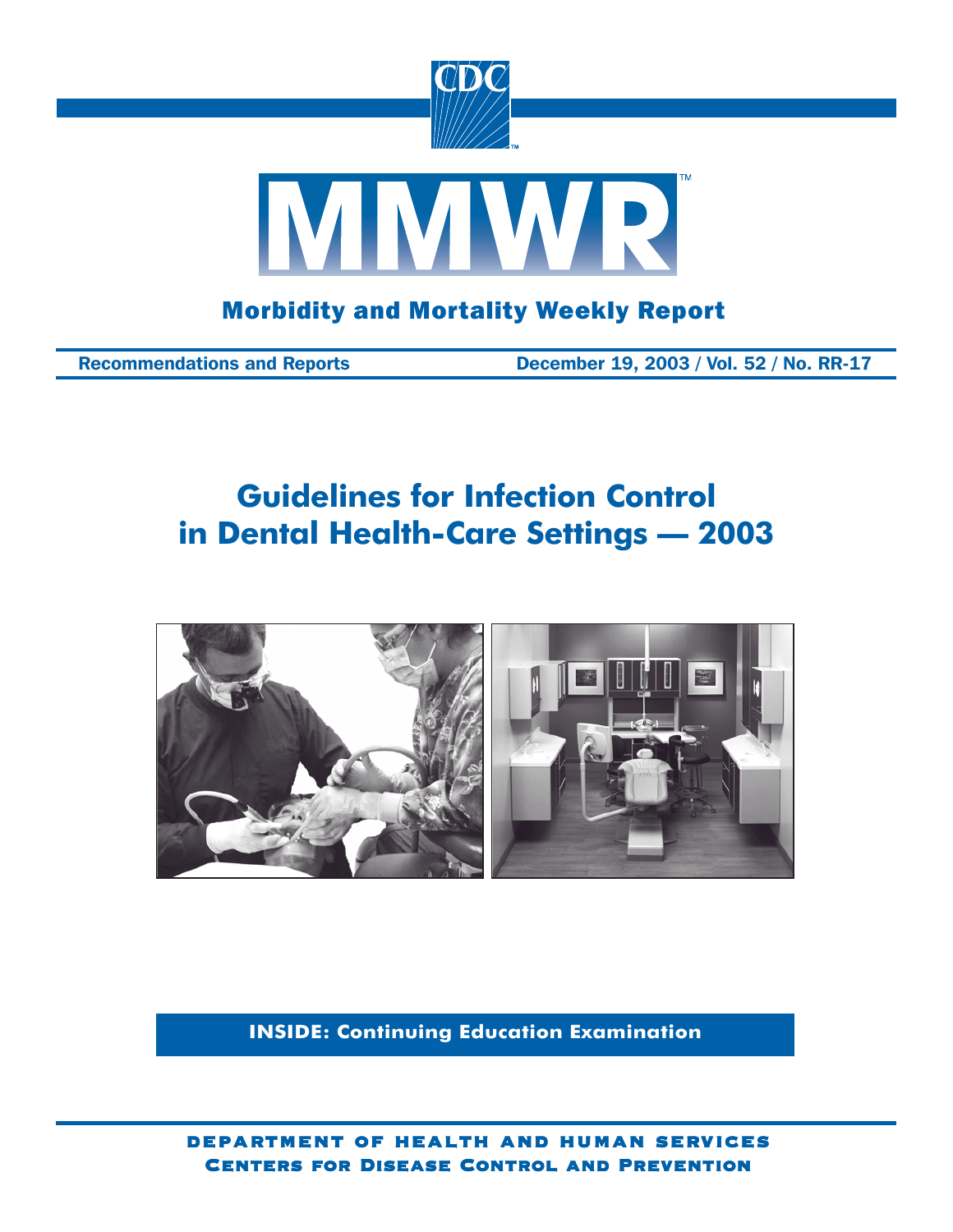

Recommendations and Reports December 19, 2003 / Vol. 52 / No. RR-17

# **Guidelines for Infection Control in Dental Health-Care Settings — 2003**



**INSIDE: Continuing Education Examination**

department of health and human services Centers for Disease Control and Prevention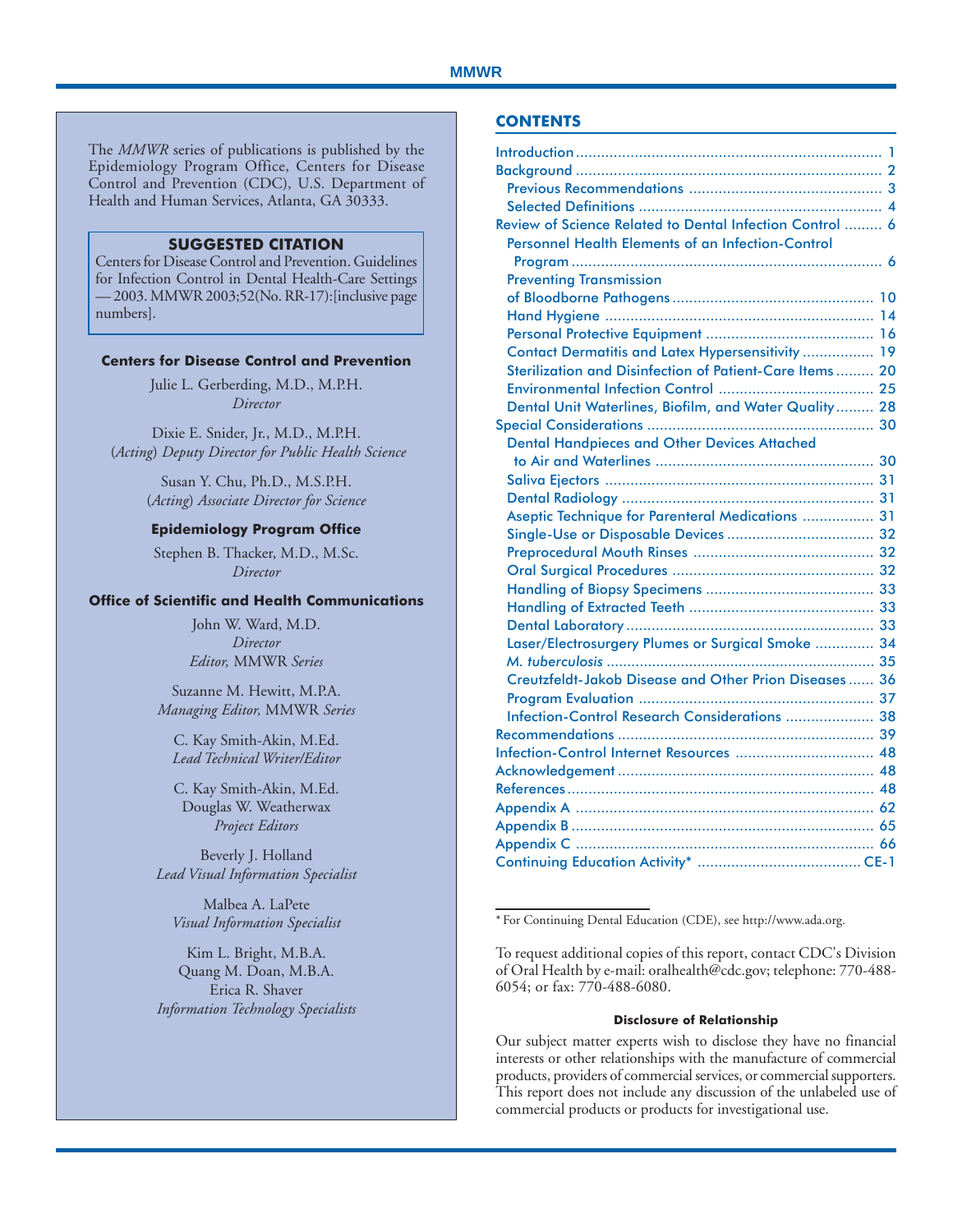#### **MMWR**

The *MMWR* series of publications is published by the Epidemiology Program Office, Centers for Disease Control and Prevention (CDC), U.S. Department of Health and Human Services, Atlanta, GA 30333.

#### **SUGGESTED CITATION**

Centers for Disease Control and Prevention. Guidelines for Infection Control in Dental Health-Care Settings — 2003. MMWR 2003;52(No. RR-17):[inclusive page numbers].

#### **Centers for Disease Control and Prevention**

Julie L. Gerberding, M.D., M.P.H. *Director*

Dixie E. Snider, Jr., M.D., M.P.H. (*Acting*) *Deputy Director for Public Health Science*

> Susan Y. Chu, Ph.D., M.S.P.H. (*Acting*) *Associate Director for Science*

#### **Epidemiology Program Office**

Stephen B. Thacker, M.D., M.Sc. *Director*

#### **Office of Scientific and Health Communications**

John W. Ward, M.D. *Director Editor,* MMWR *Series*

Suzanne M. Hewitt, M.P.A. *Managing Editor,* MMWR *Series*

C. Kay Smith-Akin, M.Ed. *Lead Technical Writer/Editor*

C. Kay Smith-Akin, M.Ed. Douglas W. Weatherwax *Project Editors*

Beverly J. Holland *Lead Visual Information Specialist*

Malbea A. LaPete *Visual Information Specialist*

Kim L. Bright, M.B.A. Quang M. Doan, M.B.A. Erica R. Shaver *Information Technology Specialists*

#### **CONTENTS**

| Review of Science Related to Dental Infection Control  6 |  |
|----------------------------------------------------------|--|
| Personnel Health Elements of an Infection-Control        |  |
|                                                          |  |
| <b>Preventing Transmission</b>                           |  |
|                                                          |  |
|                                                          |  |
|                                                          |  |
| Contact Dermatitis and Latex Hypersensitivity  19        |  |
| Sterilization and Disinfection of Patient-Care Items 20  |  |
|                                                          |  |
| Dental Unit Waterlines, Biofilm, and Water Quality 28    |  |
|                                                          |  |
| <b>Dental Handpieces and Other Devices Attached</b>      |  |
|                                                          |  |
|                                                          |  |
|                                                          |  |
| Aseptic Technique for Parenteral Medications  31         |  |
|                                                          |  |
|                                                          |  |
|                                                          |  |
|                                                          |  |
|                                                          |  |
|                                                          |  |
| Laser/Electrosurgery Plumes or Surgical Smoke  34        |  |
|                                                          |  |
| Creutzfeldt-Jakob Disease and Other Prion Diseases  36   |  |
|                                                          |  |
| Infection-Control Research Considerations  38            |  |
|                                                          |  |
| Infection-Control Internet Resources  48                 |  |
|                                                          |  |
|                                                          |  |
|                                                          |  |
|                                                          |  |
|                                                          |  |
|                                                          |  |

\* For Continuing Dental Education (CDE), see http://www.ada.org.

To request additional copies of this report, contact CDC's Division of Oral Health by e-mail: oralhealth@cdc.gov; telephone: 770-488- 6054; or fax: 770-488-6080.

#### **Disclosure of Relationship**

Our subject matter experts wish to disclose they have no financial interests or other relationships with the manufacture of commercial products, providers of commercial services, or commercial supporters. This report does not include any discussion of the unlabeled use of commercial products or products for investigational use.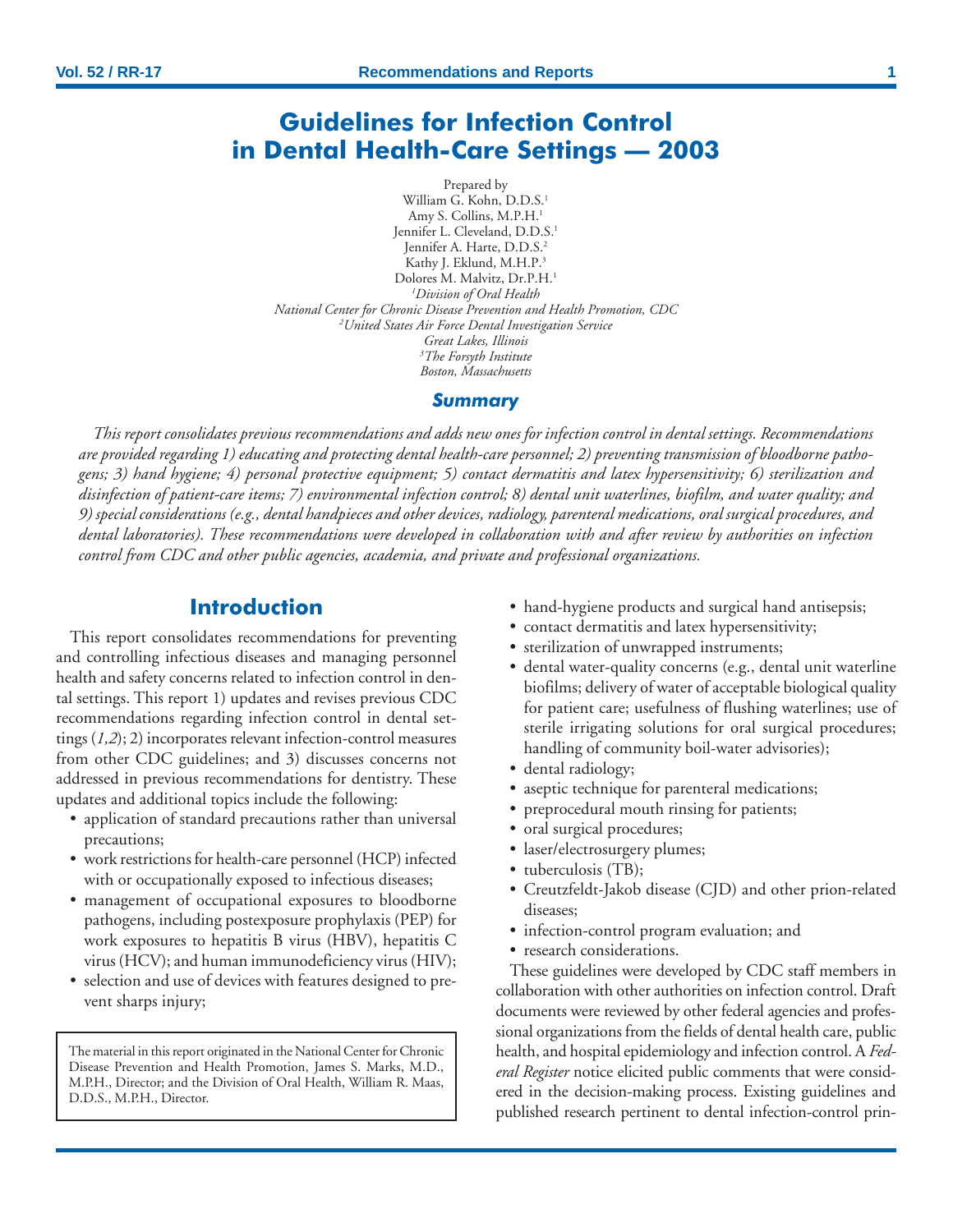## **Guidelines for Infection Control in Dental Health-Care Settings — 2003**

Prepared by William G. Kohn, D.D.S.<sup>1</sup> Amy S. Collins, M.P.H.<sup>1</sup> Jennifer L. Cleveland, D.D.S.<sup>1</sup> Jennifer A. Harte, D.D.S.<sup>2</sup> Kathy J. Eklund, M.H.P.3 Dolores M. Malvitz, Dr.P.H.<sup>1</sup> *1 Division of Oral Health National Center for Chronic Disease Prevention and Health Promotion, CDC 2 United States Air Force Dental Investigation Service Great Lakes, Illinois 3 The Forsyth Institute Boston, Massachusetts*

#### *Summary*

*This report consolidates previous recommendations and adds new ones for infection control in dental settings. Recommendations are provided regarding 1) educating and protecting dental health-care personnel; 2) preventing transmission of bloodborne pathogens; 3) hand hygiene; 4) personal protective equipment; 5) contact dermatitis and latex hypersensitivity; 6) sterilization and disinfection of patient-care items; 7) environmental infection control; 8) dental unit waterlines, biofilm, and water quality; and 9) special considerations (e.g., dental handpieces and other devices, radiology, parenteral medications, oral surgical procedures, and dental laboratories). These recommendations were developed in collaboration with and after review by authorities on infection control from CDC and other public agencies, academia, and private and professional organizations.*

## **Introduction**

This report consolidates recommendations for preventing and controlling infectious diseases and managing personnel health and safety concerns related to infection control in dental settings. This report 1) updates and revises previous CDC recommendations regarding infection control in dental settings (*1,2*); 2) incorporates relevant infection-control measures from other CDC guidelines; and 3) discusses concerns not addressed in previous recommendations for dentistry. These updates and additional topics include the following:

- application of standard precautions rather than universal precautions;
- work restrictions for health-care personnel (HCP) infected with or occupationally exposed to infectious diseases;
- management of occupational exposures to bloodborne pathogens, including postexposure prophylaxis (PEP) for work exposures to hepatitis B virus (HBV), hepatitis C virus (HCV); and human immunodeficiency virus (HIV);
- selection and use of devices with features designed to prevent sharps injury;

The material in this report originated in the National Center for Chronic Disease Prevention and Health Promotion, James S. Marks, M.D., M.P.H., Director; and the Division of Oral Health, William R. Maas, D.D.S., M.P.H., Director.

- hand-hygiene products and surgical hand antisepsis;
- contact dermatitis and latex hypersensitivity;
- sterilization of unwrapped instruments;
- dental water-quality concerns (e.g., dental unit waterline biofilms; delivery of water of acceptable biological quality for patient care; usefulness of flushing waterlines; use of sterile irrigating solutions for oral surgical procedures; handling of community boil-water advisories);
- dental radiology;
- aseptic technique for parenteral medications;
- preprocedural mouth rinsing for patients;
- oral surgical procedures;
- laser/electrosurgery plumes;
- tuberculosis (TB);
- Creutzfeldt-Jakob disease (CJD) and other prion-related diseases;
- infection-control program evaluation; and
- research considerations.

These guidelines were developed by CDC staff members in collaboration with other authorities on infection control. Draft documents were reviewed by other federal agencies and professional organizations from the fields of dental health care, public health, and hospital epidemiology and infection control. A *Federal Register* notice elicited public comments that were considered in the decision-making process. Existing guidelines and published research pertinent to dental infection-control prin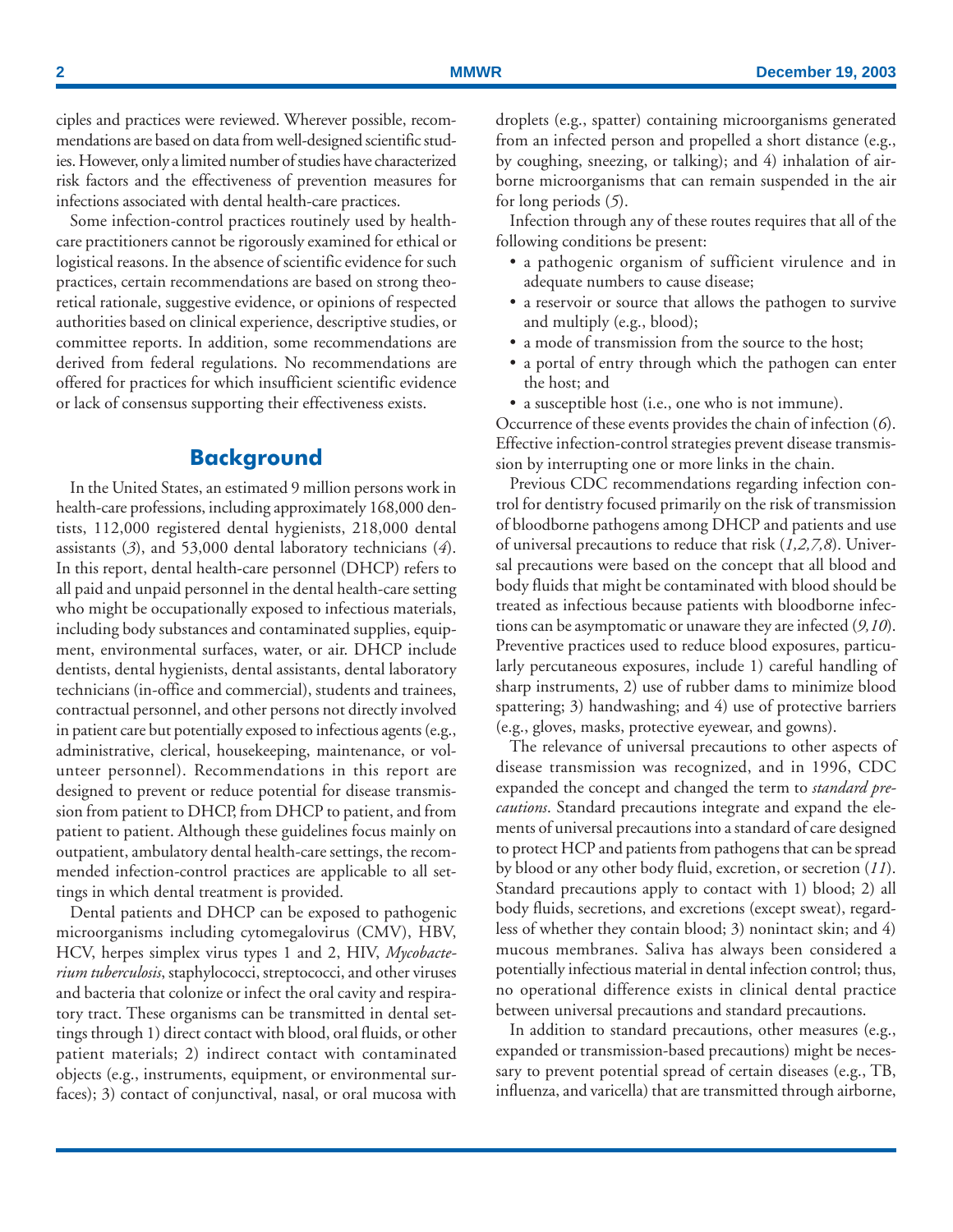ciples and practices were reviewed. Wherever possible, recommendations are based on data from well-designed scientific studies. However, only a limited number of studies have characterized risk factors and the effectiveness of prevention measures for infections associated with dental health-care practices.

Some infection-control practices routinely used by healthcare practitioners cannot be rigorously examined for ethical or logistical reasons. In the absence of scientific evidence for such practices, certain recommendations are based on strong theoretical rationale, suggestive evidence, or opinions of respected authorities based on clinical experience, descriptive studies, or committee reports. In addition, some recommendations are derived from federal regulations. No recommendations are offered for practices for which insufficient scientific evidence or lack of consensus supporting their effectiveness exists.

## **Background**

In the United States, an estimated 9 million persons work in health-care professions, including approximately 168,000 dentists, 112,000 registered dental hygienists, 218,000 dental assistants (*3*), and 53,000 dental laboratory technicians (*4*). In this report, dental health-care personnel (DHCP) refers to all paid and unpaid personnel in the dental health-care setting who might be occupationally exposed to infectious materials, including body substances and contaminated supplies, equipment, environmental surfaces, water, or air. DHCP include dentists, dental hygienists, dental assistants, dental laboratory technicians (in-office and commercial), students and trainees, contractual personnel, and other persons not directly involved in patient care but potentially exposed to infectious agents (e.g., administrative, clerical, housekeeping, maintenance, or volunteer personnel). Recommendations in this report are designed to prevent or reduce potential for disease transmission from patient to DHCP, from DHCP to patient, and from patient to patient. Although these guidelines focus mainly on outpatient, ambulatory dental health-care settings, the recommended infection-control practices are applicable to all settings in which dental treatment is provided.

Dental patients and DHCP can be exposed to pathogenic microorganisms including cytomegalovirus (CMV), HBV, HCV, herpes simplex virus types 1 and 2, HIV, *Mycobacterium tuberculosis*, staphylococci, streptococci, and other viruses and bacteria that colonize or infect the oral cavity and respiratory tract. These organisms can be transmitted in dental settings through 1) direct contact with blood, oral fluids, or other patient materials; 2) indirect contact with contaminated objects (e.g., instruments, equipment, or environmental surfaces); 3) contact of conjunctival, nasal, or oral mucosa with droplets (e.g., spatter) containing microorganisms generated from an infected person and propelled a short distance (e.g., by coughing, sneezing, or talking); and 4) inhalation of airborne microorganisms that can remain suspended in the air for long periods (*5*).

Infection through any of these routes requires that all of the following conditions be present:

- a pathogenic organism of sufficient virulence and in adequate numbers to cause disease;
- a reservoir or source that allows the pathogen to survive and multiply (e.g., blood);
- a mode of transmission from the source to the host;
- a portal of entry through which the pathogen can enter the host; and
- a susceptible host (i.e., one who is not immune).

Occurrence of these events provides the chain of infection (*6*). Effective infection-control strategies prevent disease transmission by interrupting one or more links in the chain.

Previous CDC recommendations regarding infection control for dentistry focused primarily on the risk of transmission of bloodborne pathogens among DHCP and patients and use of universal precautions to reduce that risk (*1,2,7,8*). Universal precautions were based on the concept that all blood and body fluids that might be contaminated with blood should be treated as infectious because patients with bloodborne infections can be asymptomatic or unaware they are infected (*9,10*). Preventive practices used to reduce blood exposures, particularly percutaneous exposures, include 1) careful handling of sharp instruments, 2) use of rubber dams to minimize blood spattering; 3) handwashing; and 4) use of protective barriers (e.g., gloves, masks, protective eyewear, and gowns).

The relevance of universal precautions to other aspects of disease transmission was recognized, and in 1996, CDC expanded the concept and changed the term to *standard precautions*. Standard precautions integrate and expand the elements of universal precautions into a standard of care designed to protect HCP and patients from pathogens that can be spread by blood or any other body fluid, excretion, or secretion (*11*). Standard precautions apply to contact with 1) blood; 2) all body fluids, secretions, and excretions (except sweat), regardless of whether they contain blood; 3) nonintact skin; and 4) mucous membranes. Saliva has always been considered a potentially infectious material in dental infection control; thus, no operational difference exists in clinical dental practice between universal precautions and standard precautions.

In addition to standard precautions, other measures (e.g., expanded or transmission-based precautions) might be necessary to prevent potential spread of certain diseases (e.g., TB, influenza, and varicella) that are transmitted through airborne,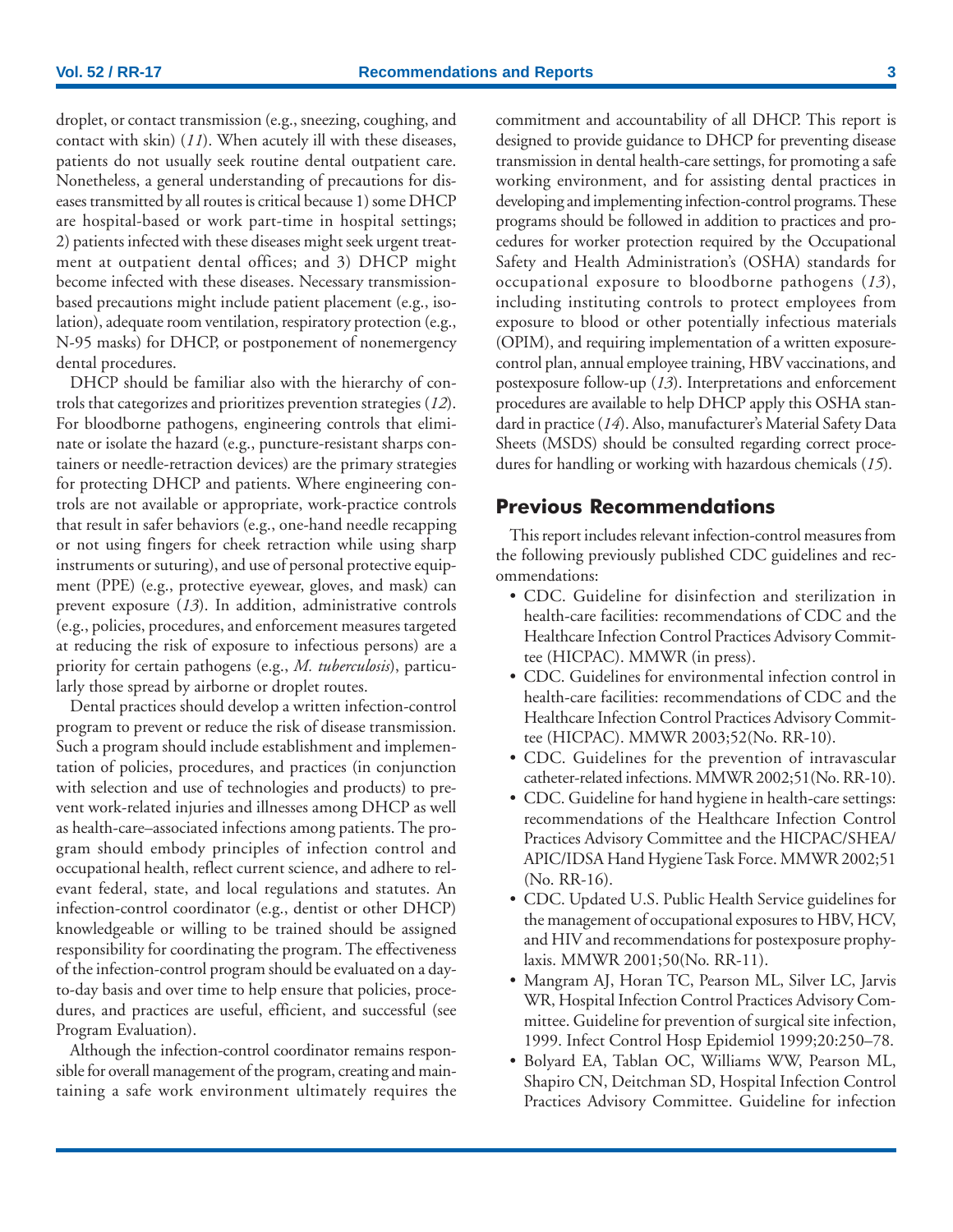droplet, or contact transmission (e.g., sneezing, coughing, and contact with skin) (*11*). When acutely ill with these diseases, patients do not usually seek routine dental outpatient care. Nonetheless, a general understanding of precautions for diseases transmitted by all routes is critical because 1) some DHCP are hospital-based or work part-time in hospital settings; 2) patients infected with these diseases might seek urgent treatment at outpatient dental offices; and 3) DHCP might become infected with these diseases. Necessary transmissionbased precautions might include patient placement (e.g., isolation), adequate room ventilation, respiratory protection (e.g., N-95 masks) for DHCP, or postponement of nonemergency dental procedures.

DHCP should be familiar also with the hierarchy of controls that categorizes and prioritizes prevention strategies (*12*). For bloodborne pathogens, engineering controls that eliminate or isolate the hazard (e.g., puncture-resistant sharps containers or needle-retraction devices) are the primary strategies for protecting DHCP and patients. Where engineering controls are not available or appropriate, work-practice controls that result in safer behaviors (e.g., one-hand needle recapping or not using fingers for cheek retraction while using sharp instruments or suturing), and use of personal protective equipment (PPE) (e.g., protective eyewear, gloves, and mask) can prevent exposure (*13*). In addition, administrative controls (e.g., policies, procedures, and enforcement measures targeted at reducing the risk of exposure to infectious persons) are a priority for certain pathogens (e.g., *M. tuberculosis*), particularly those spread by airborne or droplet routes.

Dental practices should develop a written infection-control program to prevent or reduce the risk of disease transmission. Such a program should include establishment and implementation of policies, procedures, and practices (in conjunction with selection and use of technologies and products) to prevent work-related injuries and illnesses among DHCP as well as health-care–associated infections among patients. The program should embody principles of infection control and occupational health, reflect current science, and adhere to relevant federal, state, and local regulations and statutes. An infection-control coordinator (e.g., dentist or other DHCP) knowledgeable or willing to be trained should be assigned responsibility for coordinating the program. The effectiveness of the infection-control program should be evaluated on a dayto-day basis and over time to help ensure that policies, procedures, and practices are useful, efficient, and successful (see Program Evaluation).

Although the infection-control coordinator remains responsible for overall management of the program, creating and maintaining a safe work environment ultimately requires the commitment and accountability of all DHCP. This report is designed to provide guidance to DHCP for preventing disease transmission in dental health-care settings, for promoting a safe working environment, and for assisting dental practices in developing and implementing infection-control programs. These programs should be followed in addition to practices and procedures for worker protection required by the Occupational Safety and Health Administration's (OSHA) standards for occupational exposure to bloodborne pathogens (*13*), including instituting controls to protect employees from exposure to blood or other potentially infectious materials (OPIM), and requiring implementation of a written exposurecontrol plan, annual employee training, HBV vaccinations, and postexposure follow-up (*13*). Interpretations and enforcement procedures are available to help DHCP apply this OSHA standard in practice (*14*). Also, manufacturer's Material Safety Data Sheets (MSDS) should be consulted regarding correct procedures for handling or working with hazardous chemicals (*15*).

## **Previous Recommendations**

This report includes relevant infection-control measures from the following previously published CDC guidelines and recommendations:

- CDC. Guideline for disinfection and sterilization in health-care facilities: recommendations of CDC and the Healthcare Infection Control Practices Advisory Committee (HICPAC). MMWR (in press).
- CDC. Guidelines for environmental infection control in health-care facilities: recommendations of CDC and the Healthcare Infection Control Practices Advisory Committee (HICPAC). MMWR 2003;52(No. RR-10).
- CDC. Guidelines for the prevention of intravascular catheter-related infections. MMWR 2002;51(No. RR-10).
- CDC. Guideline for hand hygiene in health-care settings: recommendations of the Healthcare Infection Control Practices Advisory Committee and the HICPAC/SHEA/ APIC/IDSA Hand Hygiene Task Force. MMWR 2002;51 (No. RR-16).
- CDC. Updated U.S. Public Health Service guidelines for the management of occupational exposures to HBV, HCV, and HIV and recommendations for postexposure prophylaxis. MMWR 2001;50(No. RR-11).
- Mangram AJ, Horan TC, Pearson ML, Silver LC, Jarvis WR, Hospital Infection Control Practices Advisory Committee. Guideline for prevention of surgical site infection, 1999. Infect Control Hosp Epidemiol 1999;20:250–78.
- Bolyard EA, Tablan OC, Williams WW, Pearson ML, Shapiro CN, Deitchman SD, Hospital Infection Control Practices Advisory Committee. Guideline for infection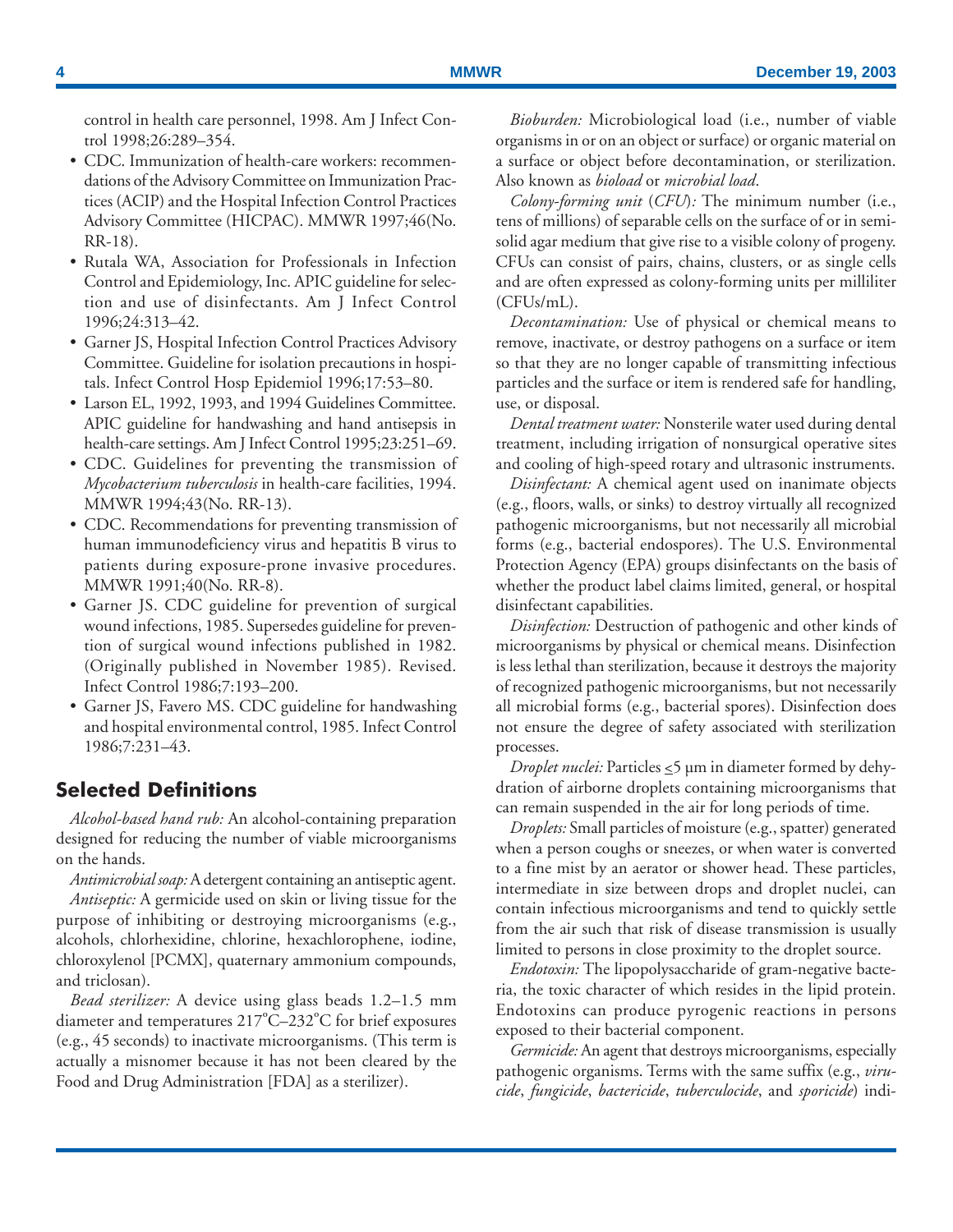control in health care personnel, 1998. Am J Infect Control 1998;26:289–354.

- CDC. Immunization of health-care workers: recommendations of the Advisory Committee on Immunization Practices (ACIP) and the Hospital Infection Control Practices Advisory Committee (HICPAC). MMWR 1997;46(No. RR-18).
- Rutala WA, Association for Professionals in Infection Control and Epidemiology, Inc. APIC guideline for selection and use of disinfectants. Am J Infect Control 1996;24:313–42.
- Garner JS, Hospital Infection Control Practices Advisory Committee. Guideline for isolation precautions in hospitals. Infect Control Hosp Epidemiol 1996;17:53–80.
- Larson EL, 1992, 1993, and 1994 Guidelines Committee. APIC guideline for handwashing and hand antisepsis in health-care settings. Am J Infect Control 1995;23:251–69.
- CDC. Guidelines for preventing the transmission of *Mycobacterium tuberculosis* in health-care facilities, 1994. MMWR 1994;43(No. RR-13).
- CDC. Recommendations for preventing transmission of human immunodeficiency virus and hepatitis B virus to patients during exposure-prone invasive procedures. MMWR 1991;40(No. RR-8).
- Garner JS. CDC guideline for prevention of surgical wound infections, 1985. Supersedes guideline for prevention of surgical wound infections published in 1982. (Originally published in November 1985). Revised. Infect Control 1986;7:193–200.
- Garner JS, Favero MS. CDC guideline for handwashing and hospital environmental control, 1985. Infect Control 1986;7:231–43.

## **Selected Definitions**

*Alcohol-based hand rub:* An alcohol-containing preparation designed for reducing the number of viable microorganisms on the hands.

*Antimicrobial soap:* A detergent containing an antiseptic agent. *Antiseptic:* A germicide used on skin or living tissue for the purpose of inhibiting or destroying microorganisms (e.g., alcohols, chlorhexidine, chlorine, hexachlorophene, iodine, chloroxylenol [PCMX], quaternary ammonium compounds, and triclosan).

*Bead sterilizer:* A device using glass beads 1.2–1.5 mm diameter and temperatures 217<sup>º</sup> C–232º C for brief exposures (e.g., 45 seconds) to inactivate microorganisms. (This term is actually a misnomer because it has not been cleared by the Food and Drug Administration [FDA] as a sterilizer).

*Bioburden:* Microbiological load (i.e., number of viable organisms in or on an object or surface) or organic material on a surface or object before decontamination, or sterilization. Also known as *bioload* or *microbial load*.

*Colony-forming unit* (*CFU*)*:* The minimum number (i.e., tens of millions) of separable cells on the surface of or in semisolid agar medium that give rise to a visible colony of progeny. CFUs can consist of pairs, chains, clusters, or as single cells and are often expressed as colony-forming units per milliliter (CFUs/mL).

*Decontamination:* Use of physical or chemical means to remove, inactivate, or destroy pathogens on a surface or item so that they are no longer capable of transmitting infectious particles and the surface or item is rendered safe for handling, use, or disposal.

*Dental treatment water:* Nonsterile water used during dental treatment, including irrigation of nonsurgical operative sites and cooling of high-speed rotary and ultrasonic instruments.

*Disinfectant:* A chemical agent used on inanimate objects (e.g., floors, walls, or sinks) to destroy virtually all recognized pathogenic microorganisms, but not necessarily all microbial forms (e.g., bacterial endospores). The U.S. Environmental Protection Agency (EPA) groups disinfectants on the basis of whether the product label claims limited, general, or hospital disinfectant capabilities.

*Disinfection:* Destruction of pathogenic and other kinds of microorganisms by physical or chemical means. Disinfection is less lethal than sterilization, because it destroys the majority of recognized pathogenic microorganisms, but not necessarily all microbial forms (e.g., bacterial spores). Disinfection does not ensure the degree of safety associated with sterilization processes.

*Droplet nuclei:* Particles  $\leq$ 5 µm in diameter formed by dehydration of airborne droplets containing microorganisms that can remain suspended in the air for long periods of time.

*Droplets:* Small particles of moisture (e.g., spatter) generated when a person coughs or sneezes, or when water is converted to a fine mist by an aerator or shower head. These particles, intermediate in size between drops and droplet nuclei, can contain infectious microorganisms and tend to quickly settle from the air such that risk of disease transmission is usually limited to persons in close proximity to the droplet source.

*Endotoxin:* The lipopolysaccharide of gram-negative bacteria, the toxic character of which resides in the lipid protein. Endotoxins can produce pyrogenic reactions in persons exposed to their bacterial component.

*Germicide:* An agent that destroys microorganisms, especially pathogenic organisms. Terms with the same suffix (e.g., *virucide*, *fungicide*, *bactericide*, *tuberculocide*, and *sporicide*) indi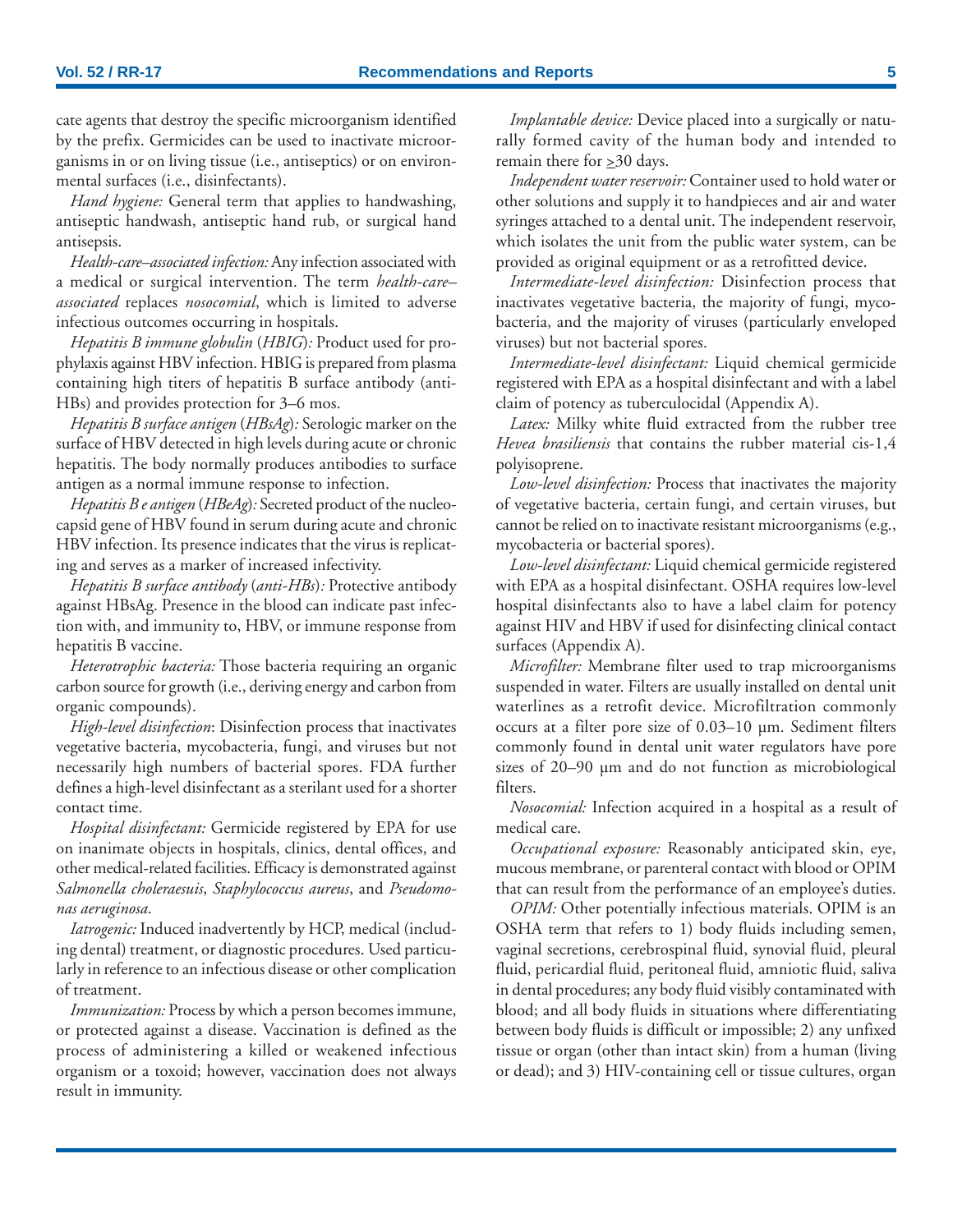cate agents that destroy the specific microorganism identified by the prefix. Germicides can be used to inactivate microorganisms in or on living tissue (i.e., antiseptics) or on environmental surfaces (i.e., disinfectants).

*Hand hygiene:* General term that applies to handwashing, antiseptic handwash, antiseptic hand rub, or surgical hand antisepsis.

*Health-care–associated infection:* Any infection associated with a medical or surgical intervention. The term *health-care– associated* replaces *nosocomial*, which is limited to adverse infectious outcomes occurring in hospitals.

*Hepatitis B immune globulin* (*HBIG*)*:* Product used for prophylaxis against HBV infection. HBIG is prepared from plasma containing high titers of hepatitis B surface antibody (anti-HBs) and provides protection for 3–6 mos.

*Hepatitis B surface antigen* (*HBsAg*)*:* Serologic marker on the surface of HBV detected in high levels during acute or chronic hepatitis. The body normally produces antibodies to surface antigen as a normal immune response to infection.

*Hepatitis B e antigen* (*HBeAg*)*:* Secreted product of the nucleocapsid gene of HBV found in serum during acute and chronic HBV infection. Its presence indicates that the virus is replicating and serves as a marker of increased infectivity.

*Hepatitis B surface antibody* (*anti-HBs*)*:* Protective antibody against HBsAg. Presence in the blood can indicate past infection with, and immunity to, HBV, or immune response from hepatitis B vaccine.

*Heterotrophic bacteria:* Those bacteria requiring an organic carbon source for growth (i.e., deriving energy and carbon from organic compounds).

*High-level disinfection*: Disinfection process that inactivates vegetative bacteria, mycobacteria, fungi, and viruses but not necessarily high numbers of bacterial spores. FDA further defines a high-level disinfectant as a sterilant used for a shorter contact time.

*Hospital disinfectant:* Germicide registered by EPA for use on inanimate objects in hospitals, clinics, dental offices, and other medical-related facilities. Efficacy is demonstrated against *Salmonella choleraesuis*, *Staphylococcus aureus*, and *Pseudomonas aeruginosa*.

*Iatrogenic:* Induced inadvertently by HCP, medical (including dental) treatment, or diagnostic procedures. Used particularly in reference to an infectious disease or other complication of treatment.

*Immunization:* Process by which a person becomes immune, or protected against a disease. Vaccination is defined as the process of administering a killed or weakened infectious organism or a toxoid; however, vaccination does not always result in immunity.

*Implantable device:* Device placed into a surgically or naturally formed cavity of the human body and intended to remain there for  $\geq$ 30 days.

*Independent water reservoir:* Container used to hold water or other solutions and supply it to handpieces and air and water syringes attached to a dental unit. The independent reservoir, which isolates the unit from the public water system, can be provided as original equipment or as a retrofitted device.

*Intermediate-level disinfection:* Disinfection process that inactivates vegetative bacteria, the majority of fungi, mycobacteria, and the majority of viruses (particularly enveloped viruses) but not bacterial spores.

*Intermediate-level disinfectant:* Liquid chemical germicide registered with EPA as a hospital disinfectant and with a label claim of potency as tuberculocidal (Appendix A).

*Latex:* Milky white fluid extracted from the rubber tree *Hevea brasiliensis* that contains the rubber material cis-1,4 polyisoprene.

*Low-level disinfection:* Process that inactivates the majority of vegetative bacteria, certain fungi, and certain viruses, but cannot be relied on to inactivate resistant microorganisms (e.g., mycobacteria or bacterial spores).

*Low-level disinfectant:* Liquid chemical germicide registered with EPA as a hospital disinfectant. OSHA requires low-level hospital disinfectants also to have a label claim for potency against HIV and HBV if used for disinfecting clinical contact surfaces (Appendix A).

*Microfilter:* Membrane filter used to trap microorganisms suspended in water. Filters are usually installed on dental unit waterlines as a retrofit device. Microfiltration commonly occurs at a filter pore size of 0.03–10 µm. Sediment filters commonly found in dental unit water regulators have pore sizes of 20–90 µm and do not function as microbiological filters.

*Nosocomial:* Infection acquired in a hospital as a result of medical care.

*Occupational exposure:* Reasonably anticipated skin, eye, mucous membrane, or parenteral contact with blood or OPIM that can result from the performance of an employee's duties.

*OPIM:* Other potentially infectious materials. OPIM is an OSHA term that refers to 1) body fluids including semen, vaginal secretions, cerebrospinal fluid, synovial fluid, pleural fluid, pericardial fluid, peritoneal fluid, amniotic fluid, saliva in dental procedures; any body fluid visibly contaminated with blood; and all body fluids in situations where differentiating between body fluids is difficult or impossible; 2) any unfixed tissue or organ (other than intact skin) from a human (living or dead); and 3) HIV-containing cell or tissue cultures, organ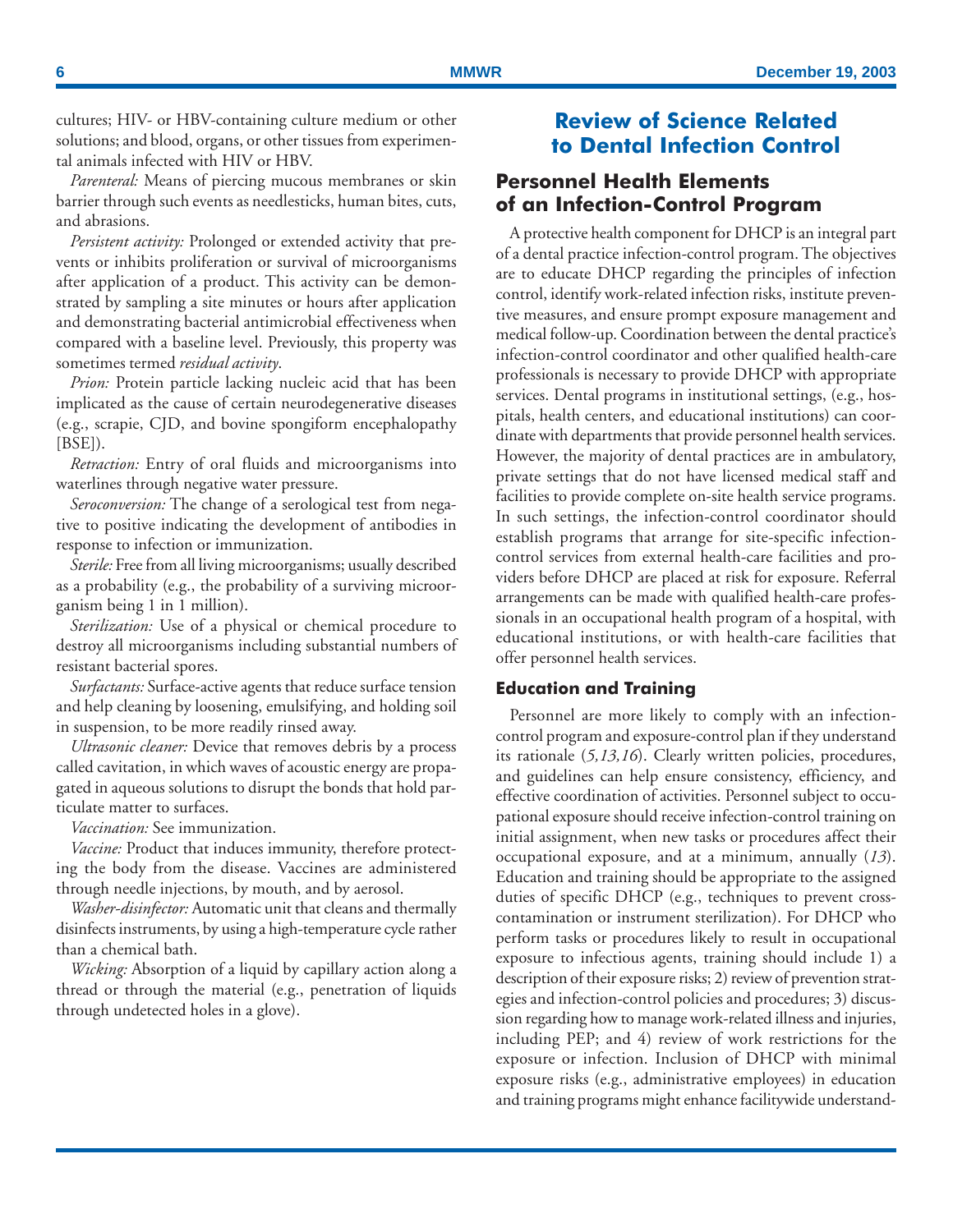cultures; HIV- or HBV-containing culture medium or other solutions; and blood, organs, or other tissues from experimental animals infected with HIV or HBV.

*Parenteral:* Means of piercing mucous membranes or skin barrier through such events as needlesticks, human bites, cuts, and abrasions.

*Persistent activity:* Prolonged or extended activity that prevents or inhibits proliferation or survival of microorganisms after application of a product. This activity can be demonstrated by sampling a site minutes or hours after application and demonstrating bacterial antimicrobial effectiveness when compared with a baseline level. Previously, this property was sometimes termed *residual activity*.

*Prion:* Protein particle lacking nucleic acid that has been implicated as the cause of certain neurodegenerative diseases (e.g., scrapie, CJD, and bovine spongiform encephalopathy  $[BSE]$ ).

*Retraction:* Entry of oral fluids and microorganisms into waterlines through negative water pressure.

*Seroconversion:* The change of a serological test from negative to positive indicating the development of antibodies in response to infection or immunization.

*Sterile:* Free from all living microorganisms; usually described as a probability (e.g., the probability of a surviving microorganism being 1 in 1 million).

*Sterilization:* Use of a physical or chemical procedure to destroy all microorganisms including substantial numbers of resistant bacterial spores.

*Surfactants:* Surface-active agents that reduce surface tension and help cleaning by loosening, emulsifying, and holding soil in suspension, to be more readily rinsed away.

*Ultrasonic cleaner:* Device that removes debris by a process called cavitation, in which waves of acoustic energy are propagated in aqueous solutions to disrupt the bonds that hold particulate matter to surfaces.

*Vaccination:* See immunization.

*Vaccine:* Product that induces immunity, therefore protecting the body from the disease. Vaccines are administered through needle injections, by mouth, and by aerosol.

*Washer-disinfector:* Automatic unit that cleans and thermally disinfects instruments, by using a high-temperature cycle rather than a chemical bath.

*Wicking:* Absorption of a liquid by capillary action along a thread or through the material (e.g., penetration of liquids through undetected holes in a glove).

## **Review of Science Related to Dental Infection Control**

## **Personnel Health Elements of an Infection-Control Program**

A protective health component for DHCP is an integral part of a dental practice infection-control program. The objectives are to educate DHCP regarding the principles of infection control, identify work-related infection risks, institute preventive measures, and ensure prompt exposure management and medical follow-up. Coordination between the dental practice's infection-control coordinator and other qualified health-care professionals is necessary to provide DHCP with appropriate services. Dental programs in institutional settings, (e.g., hospitals, health centers, and educational institutions) can coordinate with departments that provide personnel health services. However, the majority of dental practices are in ambulatory, private settings that do not have licensed medical staff and facilities to provide complete on-site health service programs. In such settings, the infection-control coordinator should establish programs that arrange for site-specific infectioncontrol services from external health-care facilities and providers before DHCP are placed at risk for exposure. Referral arrangements can be made with qualified health-care professionals in an occupational health program of a hospital, with educational institutions, or with health-care facilities that offer personnel health services.

#### **Education and Training**

Personnel are more likely to comply with an infectioncontrol program and exposure-control plan if they understand its rationale (*5,13,16*). Clearly written policies, procedures, and guidelines can help ensure consistency, efficiency, and effective coordination of activities. Personnel subject to occupational exposure should receive infection-control training on initial assignment, when new tasks or procedures affect their occupational exposure, and at a minimum, annually (*13*). Education and training should be appropriate to the assigned duties of specific DHCP (e.g., techniques to prevent crosscontamination or instrument sterilization). For DHCP who perform tasks or procedures likely to result in occupational exposure to infectious agents, training should include 1) a description of their exposure risks; 2) review of prevention strategies and infection-control policies and procedures; 3) discussion regarding how to manage work-related illness and injuries, including PEP; and 4) review of work restrictions for the exposure or infection. Inclusion of DHCP with minimal exposure risks (e.g., administrative employees) in education and training programs might enhance facilitywide understand-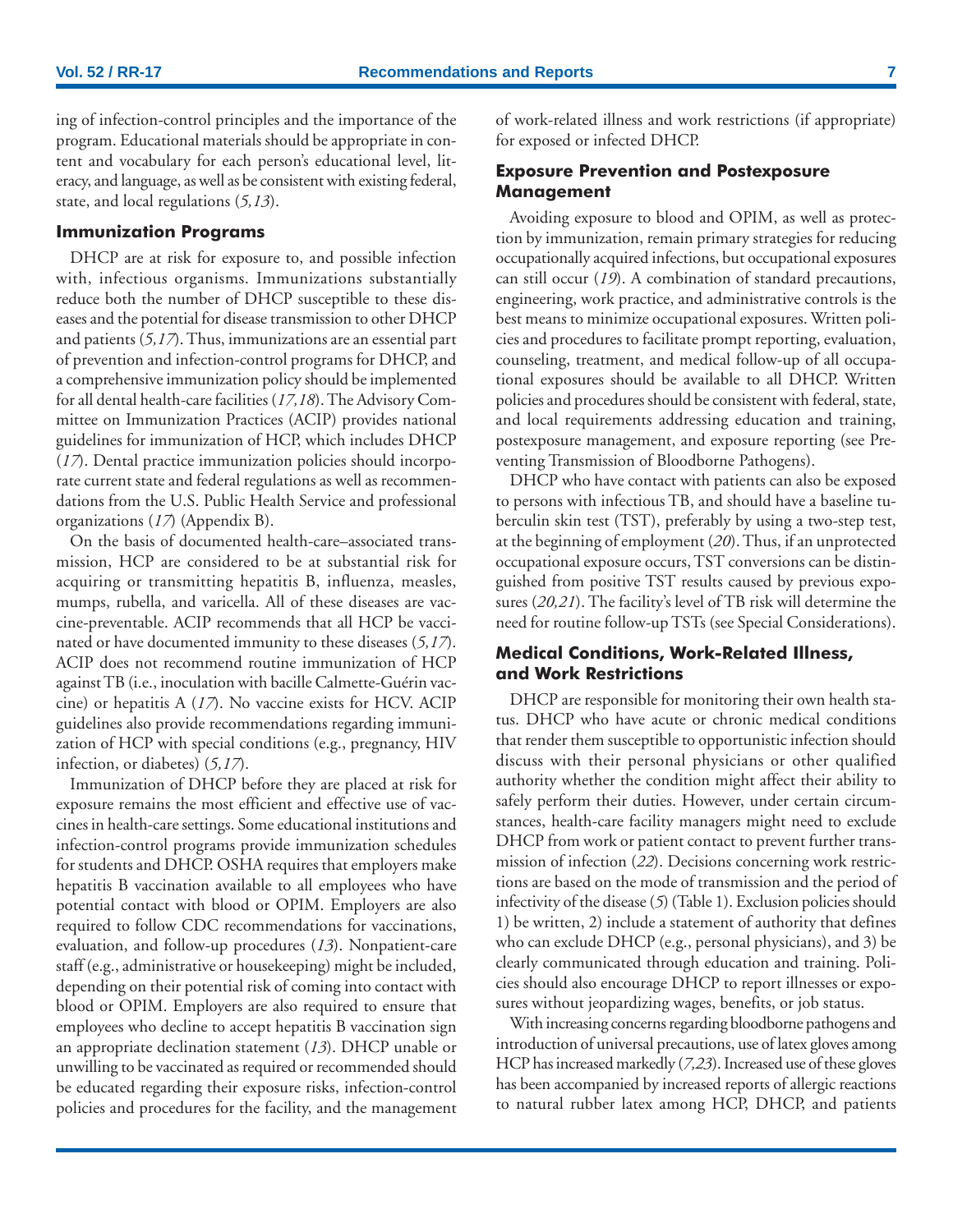ing of infection-control principles and the importance of the program. Educational materials should be appropriate in content and vocabulary for each person's educational level, literacy, and language, as well as be consistent with existing federal, state, and local regulations (*5,13*).

#### **Immunization Programs**

DHCP are at risk for exposure to, and possible infection with, infectious organisms. Immunizations substantially reduce both the number of DHCP susceptible to these diseases and the potential for disease transmission to other DHCP and patients (*5,17*). Thus, immunizations are an essential part of prevention and infection-control programs for DHCP, and a comprehensive immunization policy should be implemented for all dental health-care facilities (*17,18*). The Advisory Committee on Immunization Practices (ACIP) provides national guidelines for immunization of HCP, which includes DHCP (*17*). Dental practice immunization policies should incorporate current state and federal regulations as well as recommendations from the U.S. Public Health Service and professional organizations (*17*) (Appendix B).

On the basis of documented health-care–associated transmission, HCP are considered to be at substantial risk for acquiring or transmitting hepatitis B, influenza, measles, mumps, rubella, and varicella. All of these diseases are vaccine-preventable. ACIP recommends that all HCP be vaccinated or have documented immunity to these diseases (*5,17*). ACIP does not recommend routine immunization of HCP against TB (i.e., inoculation with bacille Calmette-Guérin vaccine) or hepatitis A (*17*). No vaccine exists for HCV. ACIP guidelines also provide recommendations regarding immunization of HCP with special conditions (e.g., pregnancy, HIV infection, or diabetes) (*5,17*).

Immunization of DHCP before they are placed at risk for exposure remains the most efficient and effective use of vaccines in health-care settings. Some educational institutions and infection-control programs provide immunization schedules for students and DHCP. OSHA requires that employers make hepatitis B vaccination available to all employees who have potential contact with blood or OPIM. Employers are also required to follow CDC recommendations for vaccinations, evaluation, and follow-up procedures (*13*). Nonpatient-care staff (e.g., administrative or housekeeping) might be included, depending on their potential risk of coming into contact with blood or OPIM. Employers are also required to ensure that employees who decline to accept hepatitis B vaccination sign an appropriate declination statement (*13*). DHCP unable or unwilling to be vaccinated as required or recommended should be educated regarding their exposure risks, infection-control policies and procedures for the facility, and the management of work-related illness and work restrictions (if appropriate) for exposed or infected DHCP.

#### **Exposure Prevention and Postexposure Management**

Avoiding exposure to blood and OPIM, as well as protection by immunization, remain primary strategies for reducing occupationally acquired infections, but occupational exposures can still occur (*19*). A combination of standard precautions, engineering, work practice, and administrative controls is the best means to minimize occupational exposures. Written policies and procedures to facilitate prompt reporting, evaluation, counseling, treatment, and medical follow-up of all occupational exposures should be available to all DHCP. Written policies and procedures should be consistent with federal, state, and local requirements addressing education and training, postexposure management, and exposure reporting (see Preventing Transmission of Bloodborne Pathogens).

DHCP who have contact with patients can also be exposed to persons with infectious TB, and should have a baseline tuberculin skin test (TST), preferably by using a two-step test, at the beginning of employment (*20*). Thus, if an unprotected occupational exposure occurs, TST conversions can be distinguished from positive TST results caused by previous exposures (*20,21*). The facility's level of TB risk will determine the need for routine follow-up TSTs (see Special Considerations).

#### **Medical Conditions, Work-Related Illness, and Work Restrictions**

DHCP are responsible for monitoring their own health status. DHCP who have acute or chronic medical conditions that render them susceptible to opportunistic infection should discuss with their personal physicians or other qualified authority whether the condition might affect their ability to safely perform their duties. However, under certain circumstances, health-care facility managers might need to exclude DHCP from work or patient contact to prevent further transmission of infection (*22*). Decisions concerning work restrictions are based on the mode of transmission and the period of infectivity of the disease (*5*) (Table 1). Exclusion policies should 1) be written, 2) include a statement of authority that defines who can exclude DHCP (e.g., personal physicians), and 3) be clearly communicated through education and training. Policies should also encourage DHCP to report illnesses or exposures without jeopardizing wages, benefits, or job status.

With increasing concerns regarding bloodborne pathogens and introduction of universal precautions, use of latex gloves among HCP has increased markedly (*7,23*). Increased use of these gloves has been accompanied by increased reports of allergic reactions to natural rubber latex among HCP, DHCP, and patients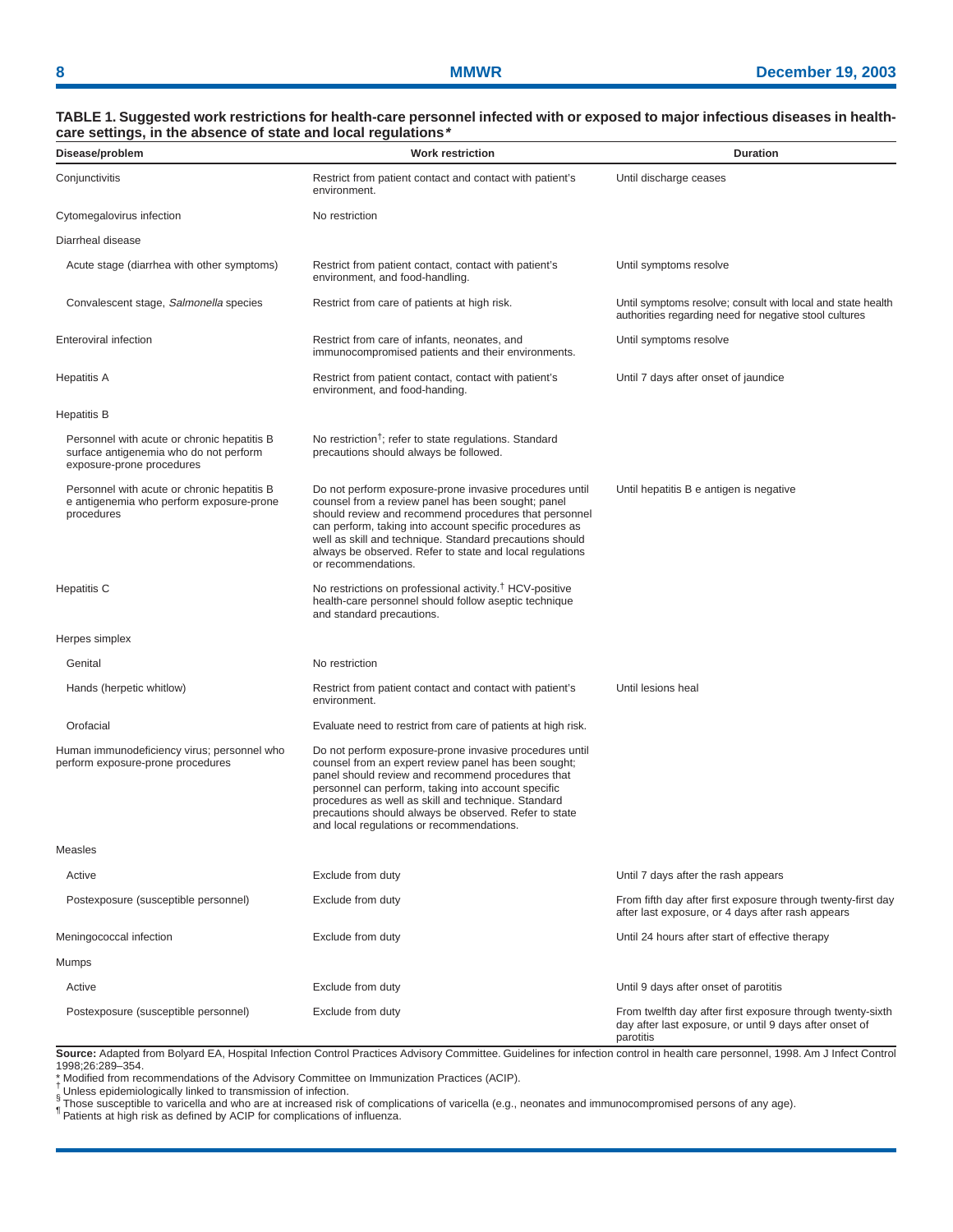| Disease/problem                                                                                                    | <b>Work restriction</b>                                                                                                                                                                                                                                                                                                                                                                  | <b>Duration</b>                                                                                                                    |
|--------------------------------------------------------------------------------------------------------------------|------------------------------------------------------------------------------------------------------------------------------------------------------------------------------------------------------------------------------------------------------------------------------------------------------------------------------------------------------------------------------------------|------------------------------------------------------------------------------------------------------------------------------------|
| Conjunctivitis                                                                                                     | Restrict from patient contact and contact with patient's<br>environment.                                                                                                                                                                                                                                                                                                                 | Until discharge ceases                                                                                                             |
| Cytomegalovirus infection                                                                                          | No restriction                                                                                                                                                                                                                                                                                                                                                                           |                                                                                                                                    |
| Diarrheal disease                                                                                                  |                                                                                                                                                                                                                                                                                                                                                                                          |                                                                                                                                    |
| Acute stage (diarrhea with other symptoms)                                                                         | Restrict from patient contact, contact with patient's<br>environment, and food-handling.                                                                                                                                                                                                                                                                                                 | Until symptoms resolve                                                                                                             |
| Convalescent stage, Salmonella species                                                                             | Restrict from care of patients at high risk.                                                                                                                                                                                                                                                                                                                                             | Until symptoms resolve; consult with local and state health<br>authorities regarding need for negative stool cultures              |
| Enteroviral infection                                                                                              | Restrict from care of infants, neonates, and<br>immunocompromised patients and their environments.                                                                                                                                                                                                                                                                                       | Until symptoms resolve                                                                                                             |
| Hepatitis A                                                                                                        | Restrict from patient contact, contact with patient's<br>environment, and food-handing.                                                                                                                                                                                                                                                                                                  | Until 7 days after onset of jaundice                                                                                               |
| Hepatitis B                                                                                                        |                                                                                                                                                                                                                                                                                                                                                                                          |                                                                                                                                    |
| Personnel with acute or chronic hepatitis B<br>surface antigenemia who do not perform<br>exposure-prone procedures | No restriction <sup>†</sup> ; refer to state regulations. Standard<br>precautions should always be followed.                                                                                                                                                                                                                                                                             |                                                                                                                                    |
| Personnel with acute or chronic hepatitis B<br>e antigenemia who perform exposure-prone<br>procedures              | Do not perform exposure-prone invasive procedures until<br>counsel from a review panel has been sought; panel<br>should review and recommend procedures that personnel<br>can perform, taking into account specific procedures as<br>well as skill and technique. Standard precautions should<br>always be observed. Refer to state and local regulations<br>or recommendations.         | Until hepatitis B e antigen is negative                                                                                            |
| Hepatitis C                                                                                                        | No restrictions on professional activity. <sup>†</sup> HCV-positive<br>health-care personnel should follow aseptic technique<br>and standard precautions.                                                                                                                                                                                                                                |                                                                                                                                    |
| Herpes simplex                                                                                                     |                                                                                                                                                                                                                                                                                                                                                                                          |                                                                                                                                    |
| Genital                                                                                                            | No restriction                                                                                                                                                                                                                                                                                                                                                                           |                                                                                                                                    |
| Hands (herpetic whitlow)                                                                                           | Restrict from patient contact and contact with patient's<br>environment.                                                                                                                                                                                                                                                                                                                 | Until lesions heal                                                                                                                 |
| Orofacial                                                                                                          | Evaluate need to restrict from care of patients at high risk.                                                                                                                                                                                                                                                                                                                            |                                                                                                                                    |
| Human immunodeficiency virus; personnel who<br>perform exposure-prone procedures                                   | Do not perform exposure-prone invasive procedures until<br>counsel from an expert review panel has been sought;<br>panel should review and recommend procedures that<br>personnel can perform, taking into account specific<br>procedures as well as skill and technique. Standard<br>precautions should always be observed. Refer to state<br>and local regulations or recommendations. |                                                                                                                                    |
| Measles                                                                                                            |                                                                                                                                                                                                                                                                                                                                                                                          |                                                                                                                                    |
| Active                                                                                                             | Exclude from duty                                                                                                                                                                                                                                                                                                                                                                        | Until 7 days after the rash appears                                                                                                |
| Postexposure (susceptible personnel)                                                                               | Exclude from duty                                                                                                                                                                                                                                                                                                                                                                        | From fifth day after first exposure through twenty-first day<br>after last exposure, or 4 days after rash appears                  |
| Meningococcal infection                                                                                            | Exclude from duty                                                                                                                                                                                                                                                                                                                                                                        | Until 24 hours after start of effective therapy                                                                                    |
| Mumps                                                                                                              |                                                                                                                                                                                                                                                                                                                                                                                          |                                                                                                                                    |
| Active                                                                                                             | Exclude from duty                                                                                                                                                                                                                                                                                                                                                                        | Until 9 days after onset of parotitis                                                                                              |
| Postexposure (susceptible personnel)                                                                               | Exclude from duty                                                                                                                                                                                                                                                                                                                                                                        | From twelfth day after first exposure through twenty-sixth<br>day after last exposure, or until 9 days after onset of<br>parotitis |

#### **TABLE 1. Suggested work restrictions for health-care personnel infected with or exposed to major infectious diseases in healthcare settings, in the absence of state and local regulations\***

**Source:** Adapted from Bolyard EA, Hospital Infection Control Practices Advisory Committee. Guidelines for infection control in health care personnel, 1998. Am J Infect Control 1998;26:289–354.

Fraction from recommendations of the Advisory Committee on Immunization Practices (ACIP).<br>
TURES AND THE COMMENT INSTANT TO THE RESPONSIBLE TO A THE RESPONSIBLE THE RESPONSIBLE THE RESPONSIBLE THE RE<br>
THIS SECTION INSTERS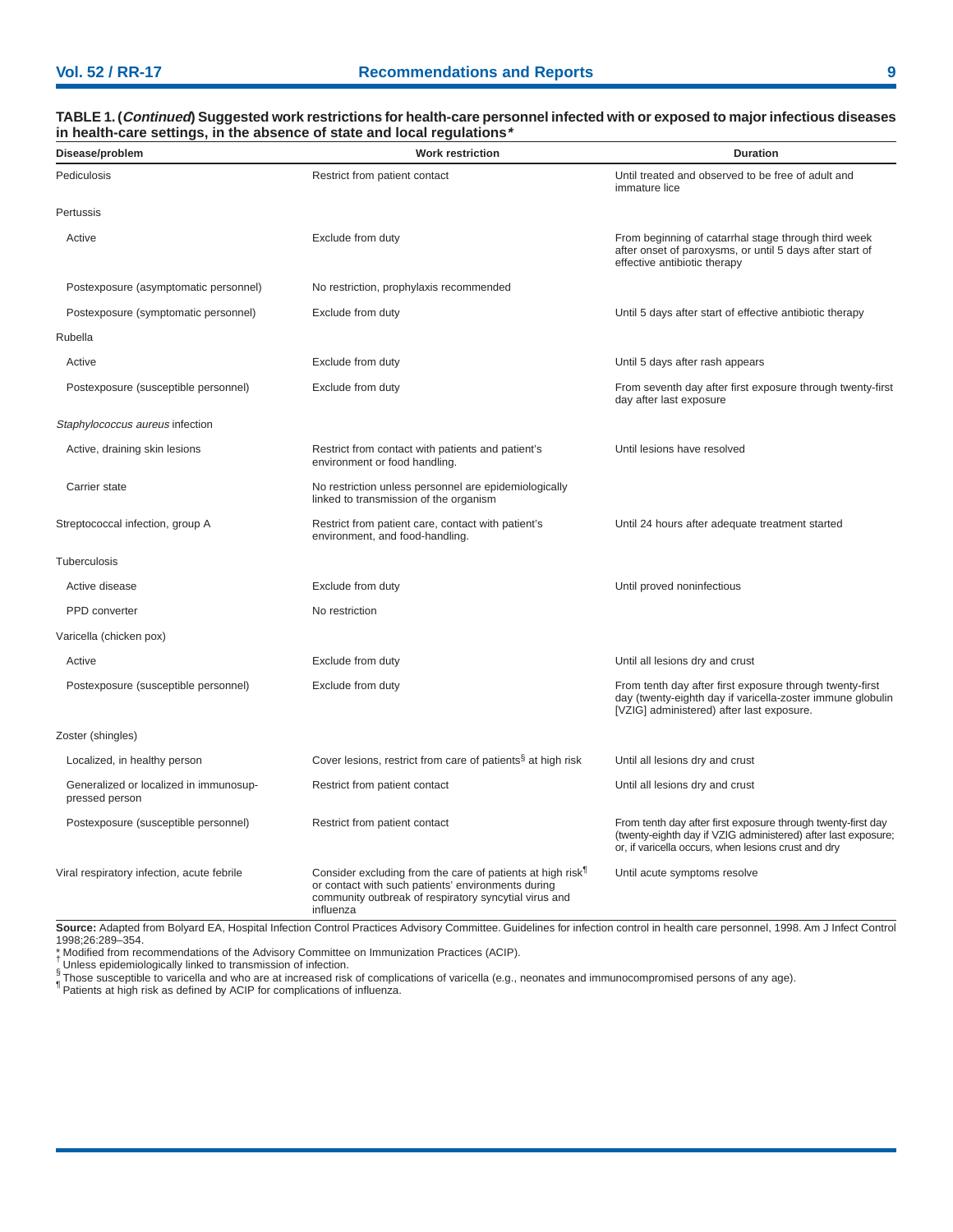#### **TABLE 1. (Continued) Suggested work restrictions for health-care personnel infected with or exposed to major infectious diseases in health-care settings, in the absence of state and local regulations\***

| Disease/problem                                          | <b>Work restriction</b>                                                                                                                                                                            | <b>Duration</b>                                                                                                                                                                      |  |
|----------------------------------------------------------|----------------------------------------------------------------------------------------------------------------------------------------------------------------------------------------------------|--------------------------------------------------------------------------------------------------------------------------------------------------------------------------------------|--|
| Pediculosis                                              | Restrict from patient contact                                                                                                                                                                      | Until treated and observed to be free of adult and<br>immature lice                                                                                                                  |  |
| Pertussis                                                |                                                                                                                                                                                                    |                                                                                                                                                                                      |  |
| Active                                                   | Exclude from duty                                                                                                                                                                                  | From beginning of catarrhal stage through third week<br>after onset of paroxysms, or until 5 days after start of<br>effective antibiotic therapy                                     |  |
| Postexposure (asymptomatic personnel)                    | No restriction, prophylaxis recommended                                                                                                                                                            |                                                                                                                                                                                      |  |
| Postexposure (symptomatic personnel)                     | Exclude from duty                                                                                                                                                                                  | Until 5 days after start of effective antibiotic therapy                                                                                                                             |  |
| Rubella                                                  |                                                                                                                                                                                                    |                                                                                                                                                                                      |  |
| Active                                                   | Exclude from duty                                                                                                                                                                                  | Until 5 days after rash appears                                                                                                                                                      |  |
| Postexposure (susceptible personnel)                     | Exclude from duty                                                                                                                                                                                  | From seventh day after first exposure through twenty-first<br>day after last exposure                                                                                                |  |
| Staphylococcus aureus infection                          |                                                                                                                                                                                                    |                                                                                                                                                                                      |  |
| Active, draining skin lesions                            | Restrict from contact with patients and patient's<br>environment or food handling.                                                                                                                 | Until lesions have resolved                                                                                                                                                          |  |
| Carrier state                                            | No restriction unless personnel are epidemiologically<br>linked to transmission of the organism                                                                                                    |                                                                                                                                                                                      |  |
| Streptococcal infection, group A                         | Restrict from patient care, contact with patient's<br>environment, and food-handling.                                                                                                              | Until 24 hours after adequate treatment started                                                                                                                                      |  |
| <b>Tuberculosis</b>                                      |                                                                                                                                                                                                    |                                                                                                                                                                                      |  |
| Active disease                                           | Exclude from duty                                                                                                                                                                                  | Until proved noninfectious                                                                                                                                                           |  |
| PPD converter                                            | No restriction                                                                                                                                                                                     |                                                                                                                                                                                      |  |
| Varicella (chicken pox)                                  |                                                                                                                                                                                                    |                                                                                                                                                                                      |  |
| Active                                                   | Exclude from duty                                                                                                                                                                                  | Until all lesions dry and crust                                                                                                                                                      |  |
| Postexposure (susceptible personnel)                     | Exclude from duty                                                                                                                                                                                  | From tenth day after first exposure through twenty-first<br>day (twenty-eighth day if varicella-zoster immune globulin<br>[VZIG] administered) after last exposure.                  |  |
| Zoster (shingles)                                        |                                                                                                                                                                                                    |                                                                                                                                                                                      |  |
| Localized, in healthy person                             | Cover lesions, restrict from care of patients <sup>§</sup> at high risk                                                                                                                            | Until all lesions dry and crust                                                                                                                                                      |  |
| Generalized or localized in immunosup-<br>pressed person | Restrict from patient contact                                                                                                                                                                      | Until all lesions dry and crust                                                                                                                                                      |  |
| Postexposure (susceptible personnel)                     | Restrict from patient contact                                                                                                                                                                      | From tenth day after first exposure through twenty-first day<br>(twenty-eighth day if VZIG administered) after last exposure;<br>or, if varicella occurs, when lesions crust and dry |  |
| Viral respiratory infection, acute febrile               | Consider excluding from the care of patients at high risk <sup>1</sup><br>or contact with such patients' environments during<br>community outbreak of respiratory syncytial virus and<br>influenza | Until acute symptoms resolve                                                                                                                                                         |  |

**Source:** Adapted from Bolyard EA, Hospital Infection Control Practices Advisory Committee. Guidelines for infection control in health care personnel, 1998. Am J Infect Control 1998;26:289–354.

Frace Concress-2044.<br>
\*Modified from recommendations of the Advisory Committee on Immunization Practices (ACIP).<br>
TURES epidemiologically linked to transmission of infection.<br>
Those susceptible to varicella and who are at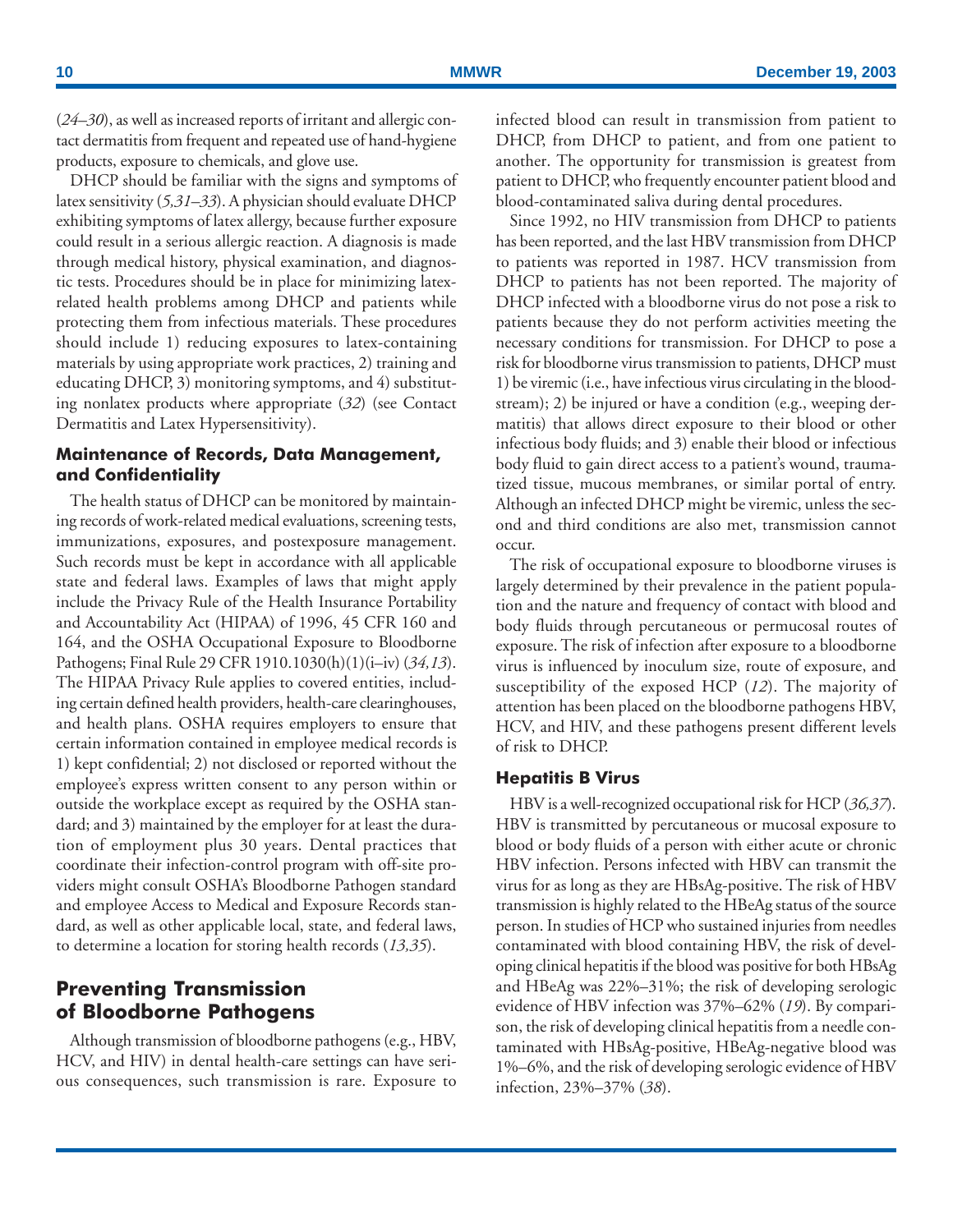(*24–30*), as well as increased reports of irritant and allergic contact dermatitis from frequent and repeated use of hand-hygiene products, exposure to chemicals, and glove use.

DHCP should be familiar with the signs and symptoms of latex sensitivity (*5,31–33*). A physician should evaluate DHCP exhibiting symptoms of latex allergy, because further exposure could result in a serious allergic reaction. A diagnosis is made through medical history, physical examination, and diagnostic tests. Procedures should be in place for minimizing latexrelated health problems among DHCP and patients while protecting them from infectious materials. These procedures should include 1) reducing exposures to latex-containing materials by using appropriate work practices, 2) training and educating DHCP, 3) monitoring symptoms, and 4) substituting nonlatex products where appropriate (*32*) (see Contact Dermatitis and Latex Hypersensitivity).

## **Maintenance of Records, Data Management, and Confidentiality**

The health status of DHCP can be monitored by maintaining records of work-related medical evaluations, screening tests, immunizations, exposures, and postexposure management. Such records must be kept in accordance with all applicable state and federal laws. Examples of laws that might apply include the Privacy Rule of the Health Insurance Portability and Accountability Act (HIPAA) of 1996, 45 CFR 160 and 164, and the OSHA Occupational Exposure to Bloodborne Pathogens; Final Rule 29 CFR 1910.1030(h)(1)(i–iv) (*34,13*). The HIPAA Privacy Rule applies to covered entities, including certain defined health providers, health-care clearinghouses, and health plans. OSHA requires employers to ensure that certain information contained in employee medical records is 1) kept confidential; 2) not disclosed or reported without the employee's express written consent to any person within or outside the workplace except as required by the OSHA standard; and 3) maintained by the employer for at least the duration of employment plus 30 years. Dental practices that coordinate their infection-control program with off-site providers might consult OSHA's Bloodborne Pathogen standard and employee Access to Medical and Exposure Records standard, as well as other applicable local, state, and federal laws, to determine a location for storing health records (*13,35*).

## **Preventing Transmission of Bloodborne Pathogens**

Although transmission of bloodborne pathogens (e.g., HBV, HCV, and HIV) in dental health-care settings can have serious consequences, such transmission is rare. Exposure to infected blood can result in transmission from patient to DHCP, from DHCP to patient, and from one patient to another. The opportunity for transmission is greatest from patient to DHCP, who frequently encounter patient blood and blood-contaminated saliva during dental procedures.

Since 1992, no HIV transmission from DHCP to patients has been reported, and the last HBV transmission from DHCP to patients was reported in 1987. HCV transmission from DHCP to patients has not been reported. The majority of DHCP infected with a bloodborne virus do not pose a risk to patients because they do not perform activities meeting the necessary conditions for transmission. For DHCP to pose a risk for bloodborne virus transmission to patients, DHCP must 1) be viremic (i.e., have infectious virus circulating in the bloodstream); 2) be injured or have a condition (e.g., weeping dermatitis) that allows direct exposure to their blood or other infectious body fluids; and 3) enable their blood or infectious body fluid to gain direct access to a patient's wound, traumatized tissue, mucous membranes, or similar portal of entry. Although an infected DHCP might be viremic, unless the second and third conditions are also met, transmission cannot occur.

The risk of occupational exposure to bloodborne viruses is largely determined by their prevalence in the patient population and the nature and frequency of contact with blood and body fluids through percutaneous or permucosal routes of exposure. The risk of infection after exposure to a bloodborne virus is influenced by inoculum size, route of exposure, and susceptibility of the exposed HCP (*12*). The majority of attention has been placed on the bloodborne pathogens HBV, HCV, and HIV, and these pathogens present different levels of risk to DHCP.

#### **Hepatitis B Virus**

HBV is a well-recognized occupational risk for HCP (*36,37*). HBV is transmitted by percutaneous or mucosal exposure to blood or body fluids of a person with either acute or chronic HBV infection. Persons infected with HBV can transmit the virus for as long as they are HBsAg-positive. The risk of HBV transmission is highly related to the HBeAg status of the source person. In studies of HCP who sustained injuries from needles contaminated with blood containing HBV, the risk of developing clinical hepatitis if the blood was positive for both HBsAg and HBeAg was 22%–31%; the risk of developing serologic evidence of HBV infection was 37%–62% (*19*). By comparison, the risk of developing clinical hepatitis from a needle contaminated with HBsAg-positive, HBeAg-negative blood was 1%–6%, and the risk of developing serologic evidence of HBV infection, 23%–37% (*38*).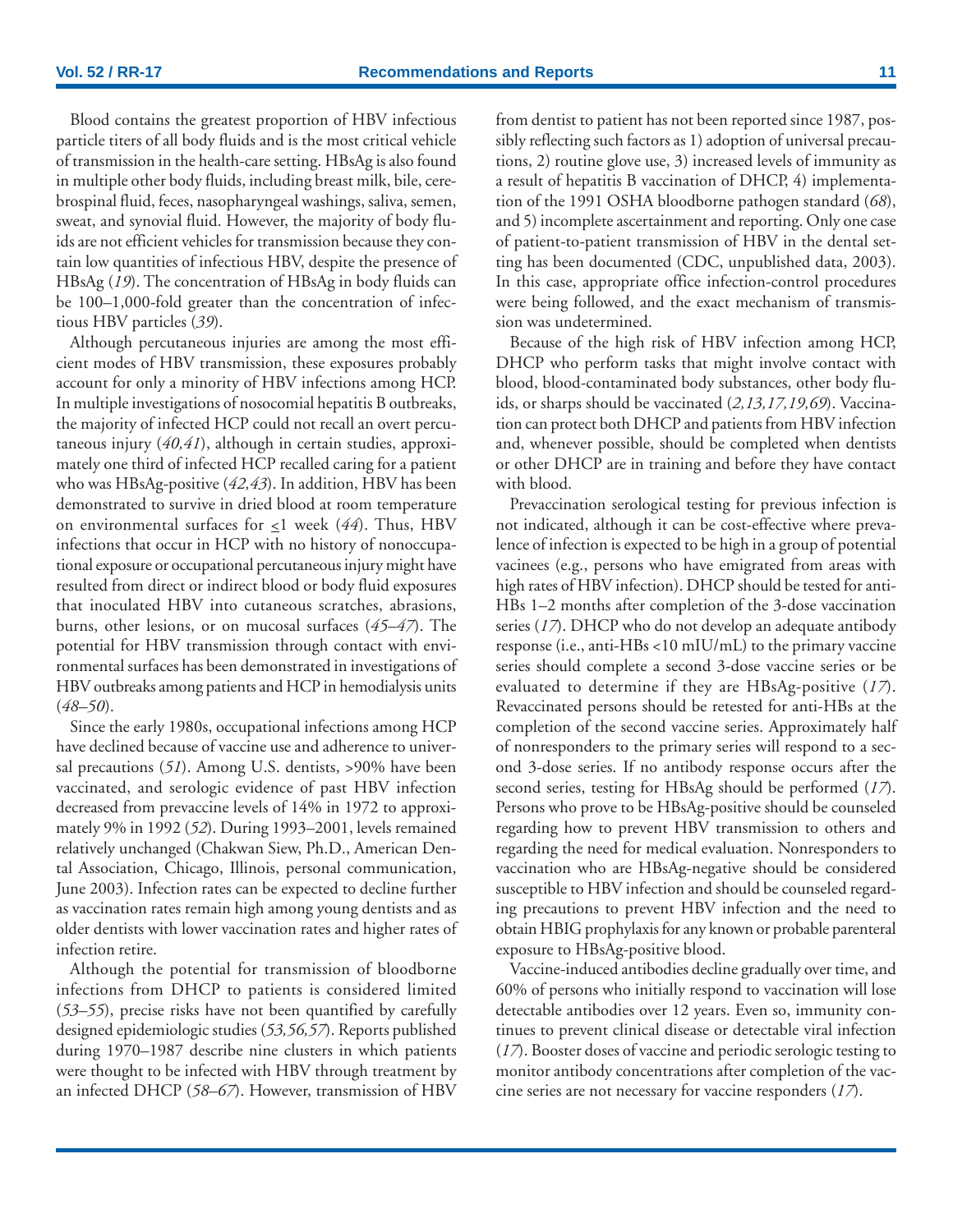Blood contains the greatest proportion of HBV infectious particle titers of all body fluids and is the most critical vehicle of transmission in the health-care setting. HBsAg is also found in multiple other body fluids, including breast milk, bile, cerebrospinal fluid, feces, nasopharyngeal washings, saliva, semen, sweat, and synovial fluid. However, the majority of body fluids are not efficient vehicles for transmission because they contain low quantities of infectious HBV, despite the presence of HBsAg (*19*). The concentration of HBsAg in body fluids can be 100–1,000-fold greater than the concentration of infectious HBV particles (*39*).

Although percutaneous injuries are among the most efficient modes of HBV transmission, these exposures probably account for only a minority of HBV infections among HCP. In multiple investigations of nosocomial hepatitis B outbreaks, the majority of infected HCP could not recall an overt percutaneous injury (*40,41*), although in certain studies, approximately one third of infected HCP recalled caring for a patient who was HBsAg-positive (*42,43*). In addition, HBV has been demonstrated to survive in dried blood at room temperature on environmental surfaces for  $\leq$ 1 week (44). Thus, HBV infections that occur in HCP with no history of nonoccupational exposure or occupational percutaneous injury might have resulted from direct or indirect blood or body fluid exposures that inoculated HBV into cutaneous scratches, abrasions, burns, other lesions, or on mucosal surfaces (*45–47*). The potential for HBV transmission through contact with environmental surfaces has been demonstrated in investigations of HBV outbreaks among patients and HCP in hemodialysis units (*48–50*).

Since the early 1980s, occupational infections among HCP have declined because of vaccine use and adherence to universal precautions (*51*). Among U.S. dentists, >90% have been vaccinated, and serologic evidence of past HBV infection decreased from prevaccine levels of 14% in 1972 to approximately 9% in 1992 (*52*). During 1993–2001, levels remained relatively unchanged (Chakwan Siew, Ph.D., American Dental Association, Chicago, Illinois, personal communication, June 2003). Infection rates can be expected to decline further as vaccination rates remain high among young dentists and as older dentists with lower vaccination rates and higher rates of infection retire.

Although the potential for transmission of bloodborne infections from DHCP to patients is considered limited (*53–55*), precise risks have not been quantified by carefully designed epidemiologic studies (*53,56,57*). Reports published during 1970–1987 describe nine clusters in which patients were thought to be infected with HBV through treatment by an infected DHCP (*58–67*). However, transmission of HBV from dentist to patient has not been reported since 1987, possibly reflecting such factors as 1) adoption of universal precautions, 2) routine glove use, 3) increased levels of immunity as a result of hepatitis B vaccination of DHCP, 4) implementation of the 1991 OSHA bloodborne pathogen standard (*68*), and 5) incomplete ascertainment and reporting. Only one case of patient-to-patient transmission of HBV in the dental setting has been documented (CDC, unpublished data, 2003). In this case, appropriate office infection-control procedures were being followed, and the exact mechanism of transmission was undetermined.

Because of the high risk of HBV infection among HCP, DHCP who perform tasks that might involve contact with blood, blood-contaminated body substances, other body fluids, or sharps should be vaccinated (*2,13,17,19,69*). Vaccination can protect both DHCP and patients from HBV infection and, whenever possible, should be completed when dentists or other DHCP are in training and before they have contact with blood.

Prevaccination serological testing for previous infection is not indicated, although it can be cost-effective where prevalence of infection is expected to be high in a group of potential vacinees (e.g., persons who have emigrated from areas with high rates of HBV infection). DHCP should be tested for anti-HBs 1–2 months after completion of the 3-dose vaccination series (*17*). DHCP who do not develop an adequate antibody response (i.e., anti-HBs <10 mIU/mL) to the primary vaccine series should complete a second 3-dose vaccine series or be evaluated to determine if they are HBsAg-positive (*17*). Revaccinated persons should be retested for anti-HBs at the completion of the second vaccine series. Approximately half of nonresponders to the primary series will respond to a second 3-dose series. If no antibody response occurs after the second series, testing for HBsAg should be performed (*17*). Persons who prove to be HBsAg-positive should be counseled regarding how to prevent HBV transmission to others and regarding the need for medical evaluation. Nonresponders to vaccination who are HBsAg-negative should be considered susceptible to HBV infection and should be counseled regarding precautions to prevent HBV infection and the need to obtain HBIG prophylaxis for any known or probable parenteral exposure to HBsAg-positive blood.

Vaccine-induced antibodies decline gradually over time, and 60% of persons who initially respond to vaccination will lose detectable antibodies over 12 years. Even so, immunity continues to prevent clinical disease or detectable viral infection (*17*). Booster doses of vaccine and periodic serologic testing to monitor antibody concentrations after completion of the vaccine series are not necessary for vaccine responders (*17*).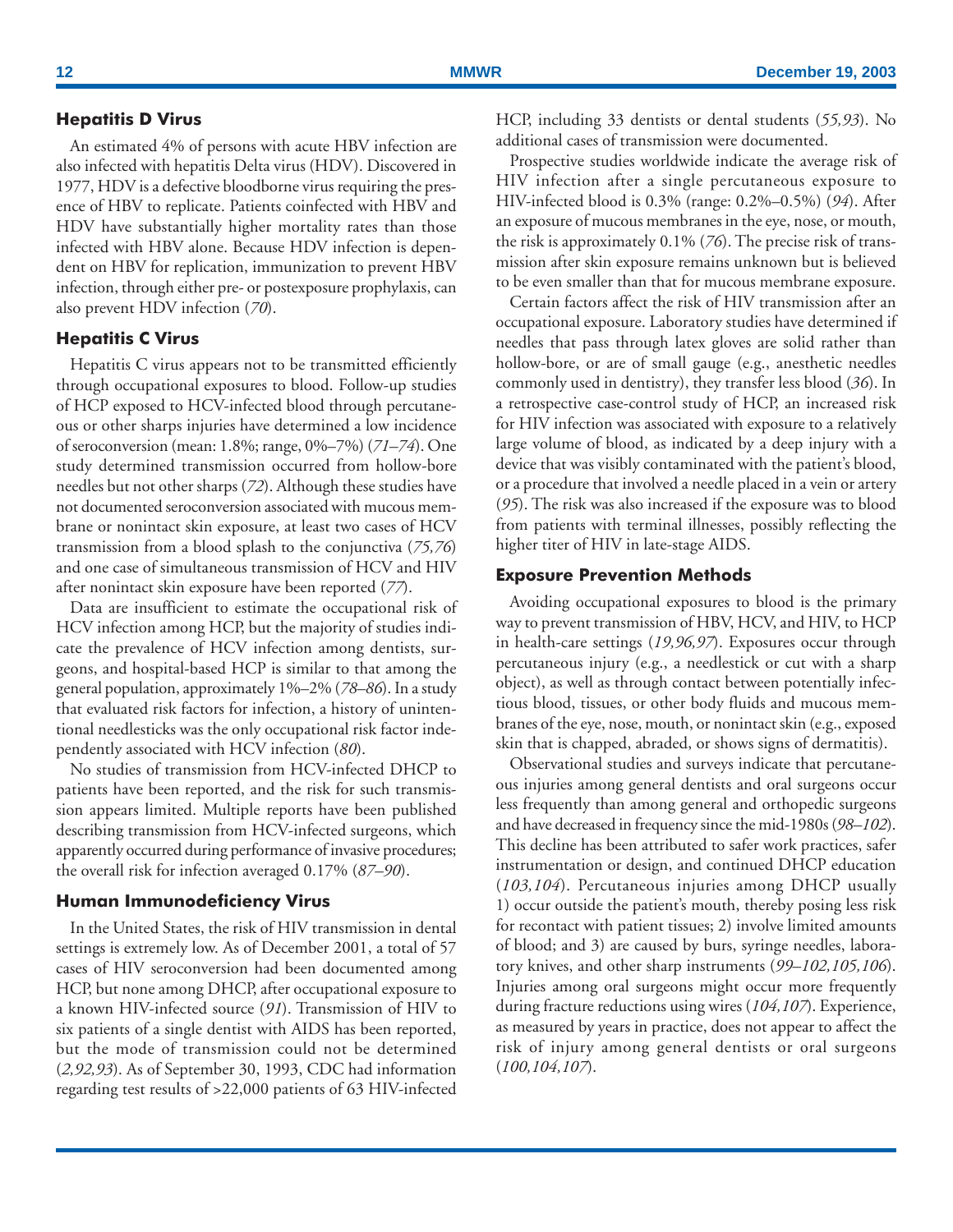#### **Hepatitis D Virus**

An estimated 4% of persons with acute HBV infection are also infected with hepatitis Delta virus (HDV). Discovered in 1977, HDV is a defective bloodborne virus requiring the presence of HBV to replicate. Patients coinfected with HBV and HDV have substantially higher mortality rates than those infected with HBV alone. Because HDV infection is dependent on HBV for replication, immunization to prevent HBV infection, through either pre- or postexposure prophylaxis, can also prevent HDV infection (*70*).

#### **Hepatitis C Virus**

Hepatitis C virus appears not to be transmitted efficiently through occupational exposures to blood. Follow-up studies of HCP exposed to HCV-infected blood through percutaneous or other sharps injuries have determined a low incidence of seroconversion (mean: 1.8%; range, 0%–7%) (*71–74*). One study determined transmission occurred from hollow-bore needles but not other sharps (*72*). Although these studies have not documented seroconversion associated with mucous membrane or nonintact skin exposure, at least two cases of HCV transmission from a blood splash to the conjunctiva (*75,76*) and one case of simultaneous transmission of HCV and HIV after nonintact skin exposure have been reported (*77*).

Data are insufficient to estimate the occupational risk of HCV infection among HCP, but the majority of studies indicate the prevalence of HCV infection among dentists, surgeons, and hospital-based HCP is similar to that among the general population, approximately 1%–2% (*78–86*). In a study that evaluated risk factors for infection, a history of unintentional needlesticks was the only occupational risk factor independently associated with HCV infection (*80*).

No studies of transmission from HCV-infected DHCP to patients have been reported, and the risk for such transmission appears limited. Multiple reports have been published describing transmission from HCV-infected surgeons, which apparently occurred during performance of invasive procedures; the overall risk for infection averaged 0.17% (*87–90*).

#### **Human Immunodeficiency Virus**

In the United States, the risk of HIV transmission in dental settings is extremely low. As of December 2001, a total of 57 cases of HIV seroconversion had been documented among HCP, but none among DHCP, after occupational exposure to a known HIV-infected source (*91*). Transmission of HIV to six patients of a single dentist with AIDS has been reported, but the mode of transmission could not be determined (*2,92,93*). As of September 30, 1993, CDC had information regarding test results of >22,000 patients of 63 HIV-infected HCP, including 33 dentists or dental students (*55,93*). No additional cases of transmission were documented.

Prospective studies worldwide indicate the average risk of HIV infection after a single percutaneous exposure to HIV-infected blood is 0.3% (range: 0.2%–0.5%) (*94*). After an exposure of mucous membranes in the eye, nose, or mouth, the risk is approximately 0.1% (*76*). The precise risk of transmission after skin exposure remains unknown but is believed to be even smaller than that for mucous membrane exposure.

Certain factors affect the risk of HIV transmission after an occupational exposure. Laboratory studies have determined if needles that pass through latex gloves are solid rather than hollow-bore, or are of small gauge (e.g., anesthetic needles commonly used in dentistry), they transfer less blood (*36*). In a retrospective case-control study of HCP, an increased risk for HIV infection was associated with exposure to a relatively large volume of blood, as indicated by a deep injury with a device that was visibly contaminated with the patient's blood, or a procedure that involved a needle placed in a vein or artery (*95*). The risk was also increased if the exposure was to blood from patients with terminal illnesses, possibly reflecting the higher titer of HIV in late-stage AIDS.

#### **Exposure Prevention Methods**

Avoiding occupational exposures to blood is the primary way to prevent transmission of HBV, HCV, and HIV, to HCP in health-care settings (*19,96,97*). Exposures occur through percutaneous injury (e.g., a needlestick or cut with a sharp object), as well as through contact between potentially infectious blood, tissues, or other body fluids and mucous membranes of the eye, nose, mouth, or nonintact skin (e.g., exposed skin that is chapped, abraded, or shows signs of dermatitis).

Observational studies and surveys indicate that percutaneous injuries among general dentists and oral surgeons occur less frequently than among general and orthopedic surgeons and have decreased in frequency since the mid-1980s (*98–102*). This decline has been attributed to safer work practices, safer instrumentation or design, and continued DHCP education (*103,104*). Percutaneous injuries among DHCP usually 1) occur outside the patient's mouth, thereby posing less risk for recontact with patient tissues; 2) involve limited amounts of blood; and 3) are caused by burs, syringe needles, laboratory knives, and other sharp instruments (*99–102,105,106*). Injuries among oral surgeons might occur more frequently during fracture reductions using wires (*104,107*). Experience, as measured by years in practice, does not appear to affect the risk of injury among general dentists or oral surgeons (*100,104,107*).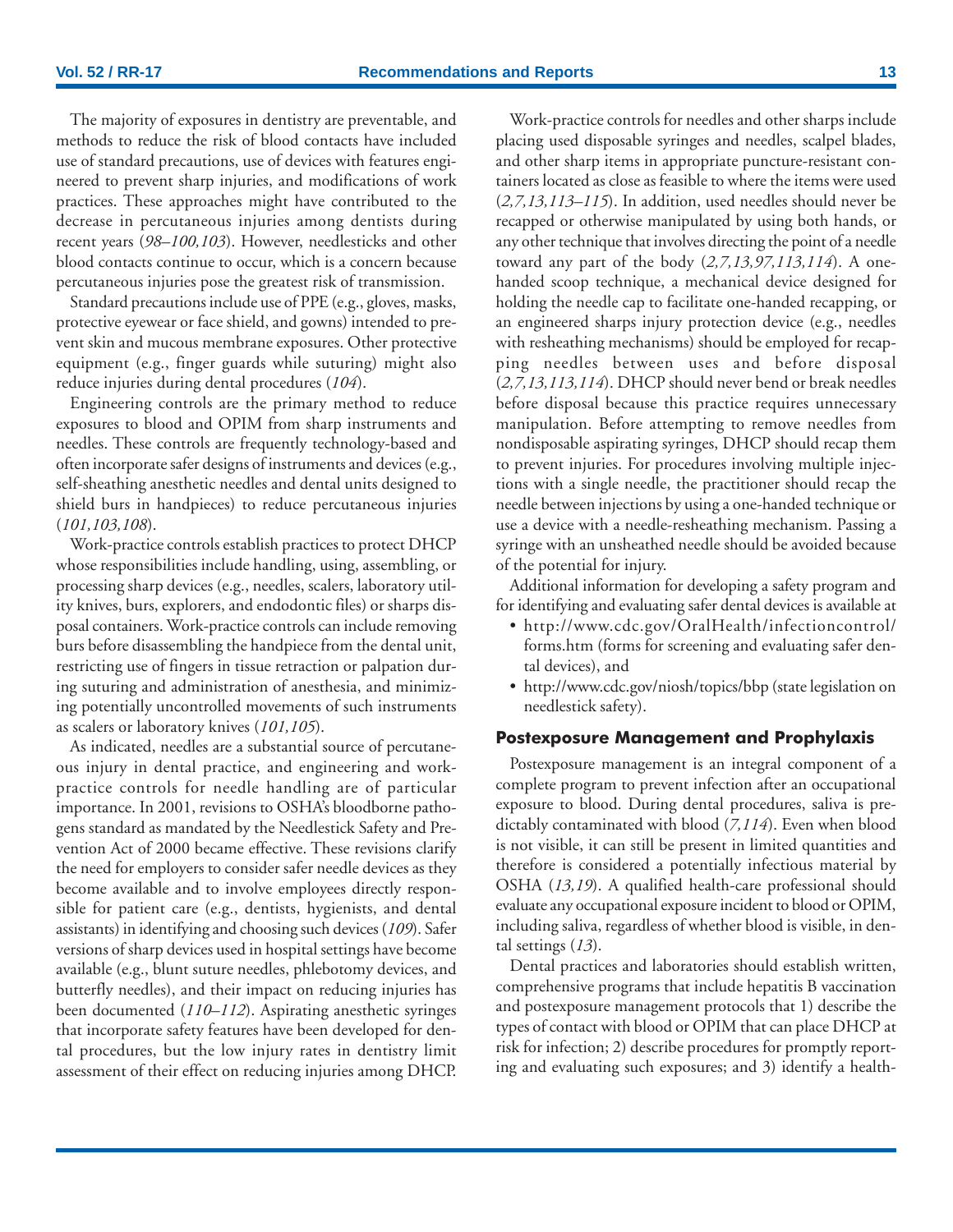The majority of exposures in dentistry are preventable, and methods to reduce the risk of blood contacts have included use of standard precautions, use of devices with features engineered to prevent sharp injuries, and modifications of work practices. These approaches might have contributed to the decrease in percutaneous injuries among dentists during recent years (*98–100,103*). However, needlesticks and other blood contacts continue to occur, which is a concern because percutaneous injuries pose the greatest risk of transmission.

Standard precautions include use of PPE (e.g., gloves, masks, protective eyewear or face shield, and gowns) intended to prevent skin and mucous membrane exposures. Other protective equipment (e.g., finger guards while suturing) might also reduce injuries during dental procedures (*104*).

Engineering controls are the primary method to reduce exposures to blood and OPIM from sharp instruments and needles. These controls are frequently technology-based and often incorporate safer designs of instruments and devices (e.g., self-sheathing anesthetic needles and dental units designed to shield burs in handpieces) to reduce percutaneous injuries (*101,103,108*).

Work-practice controls establish practices to protect DHCP whose responsibilities include handling, using, assembling, or processing sharp devices (e.g., needles, scalers, laboratory utility knives, burs, explorers, and endodontic files) or sharps disposal containers. Work-practice controls can include removing burs before disassembling the handpiece from the dental unit, restricting use of fingers in tissue retraction or palpation during suturing and administration of anesthesia, and minimizing potentially uncontrolled movements of such instruments as scalers or laboratory knives (*101,105*).

As indicated, needles are a substantial source of percutaneous injury in dental practice, and engineering and workpractice controls for needle handling are of particular importance. In 2001, revisions to OSHA's bloodborne pathogens standard as mandated by the Needlestick Safety and Prevention Act of 2000 became effective. These revisions clarify the need for employers to consider safer needle devices as they become available and to involve employees directly responsible for patient care (e.g., dentists, hygienists, and dental assistants) in identifying and choosing such devices (*109*). Safer versions of sharp devices used in hospital settings have become available (e.g., blunt suture needles, phlebotomy devices, and butterfly needles), and their impact on reducing injuries has been documented (*110–112*). Aspirating anesthetic syringes that incorporate safety features have been developed for dental procedures, but the low injury rates in dentistry limit assessment of their effect on reducing injuries among DHCP.

Work-practice controls for needles and other sharps include placing used disposable syringes and needles, scalpel blades, and other sharp items in appropriate puncture-resistant containers located as close as feasible to where the items were used (*2,7,13,113–115*). In addition, used needles should never be recapped or otherwise manipulated by using both hands, or any other technique that involves directing the point of a needle toward any part of the body (*2,7,13,97,113,114*). A onehanded scoop technique, a mechanical device designed for holding the needle cap to facilitate one-handed recapping, or an engineered sharps injury protection device (e.g., needles with resheathing mechanisms) should be employed for recapping needles between uses and before disposal (*2,7,13,113,114*). DHCP should never bend or break needles before disposal because this practice requires unnecessary manipulation. Before attempting to remove needles from nondisposable aspirating syringes, DHCP should recap them to prevent injuries. For procedures involving multiple injections with a single needle, the practitioner should recap the needle between injections by using a one-handed technique or use a device with a needle-resheathing mechanism. Passing a syringe with an unsheathed needle should be avoided because of the potential for injury.

Additional information for developing a safety program and for identifying and evaluating safer dental devices is available at

- http://www.cdc.gov/OralHealth/infectioncontrol/ forms.htm (forms for screening and evaluating safer dental devices), and
- http://www.cdc.gov/niosh/topics/bbp (state legislation on needlestick safety).

#### **Postexposure Management and Prophylaxis**

Postexposure management is an integral component of a complete program to prevent infection after an occupational exposure to blood. During dental procedures, saliva is predictably contaminated with blood (*7,114*). Even when blood is not visible, it can still be present in limited quantities and therefore is considered a potentially infectious material by OSHA (*13,19*). A qualified health-care professional should evaluate any occupational exposure incident to blood or OPIM, including saliva, regardless of whether blood is visible, in dental settings (*13*).

Dental practices and laboratories should establish written, comprehensive programs that include hepatitis B vaccination and postexposure management protocols that 1) describe the types of contact with blood or OPIM that can place DHCP at risk for infection; 2) describe procedures for promptly reporting and evaluating such exposures; and 3) identify a health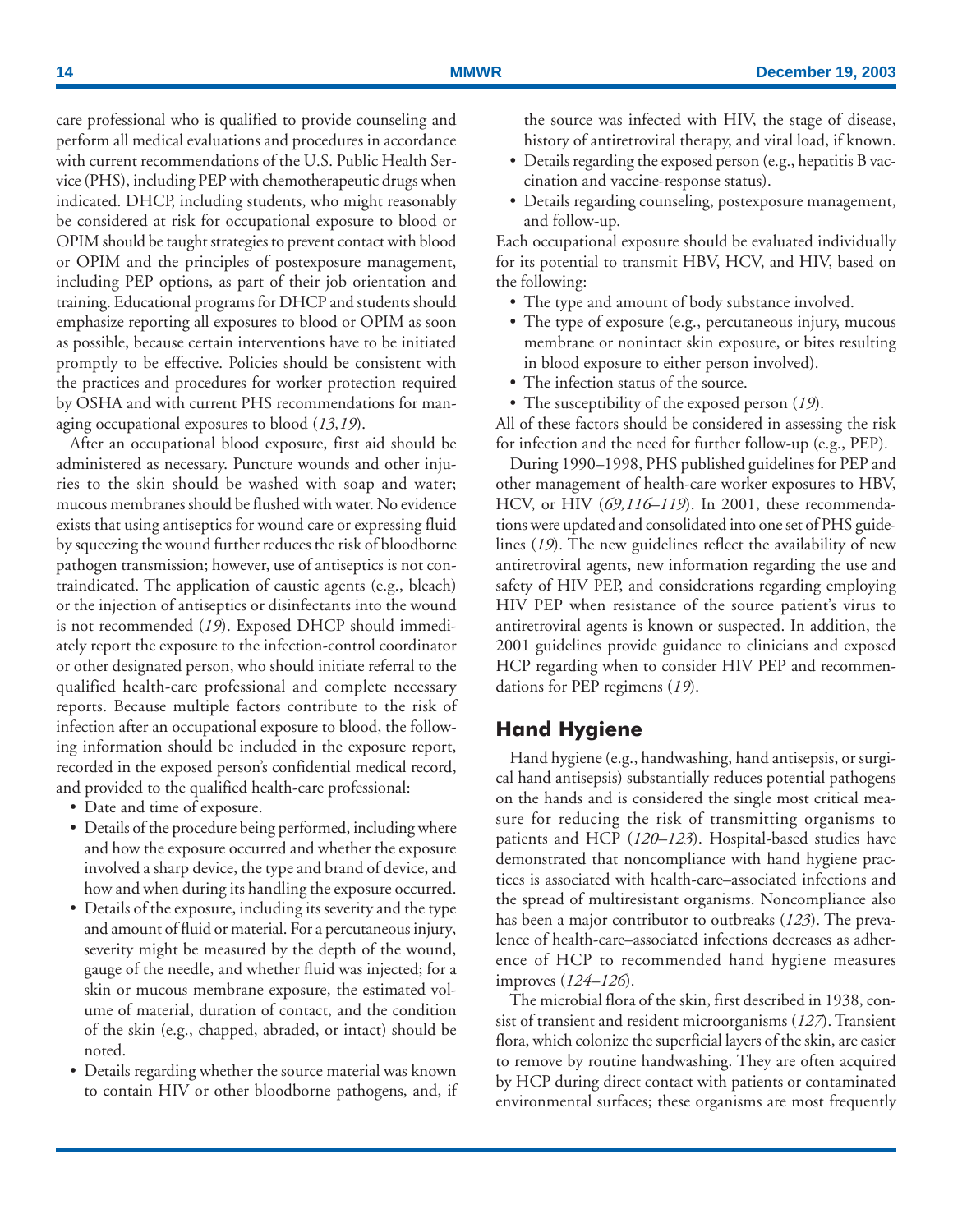care professional who is qualified to provide counseling and perform all medical evaluations and procedures in accordance with current recommendations of the U.S. Public Health Service (PHS), including PEP with chemotherapeutic drugs when indicated. DHCP, including students, who might reasonably be considered at risk for occupational exposure to blood or OPIM should be taught strategies to prevent contact with blood or OPIM and the principles of postexposure management, including PEP options, as part of their job orientation and training. Educational programs for DHCP and students should emphasize reporting all exposures to blood or OPIM as soon as possible, because certain interventions have to be initiated promptly to be effective. Policies should be consistent with the practices and procedures for worker protection required by OSHA and with current PHS recommendations for managing occupational exposures to blood (*13,19*).

After an occupational blood exposure, first aid should be administered as necessary. Puncture wounds and other injuries to the skin should be washed with soap and water; mucous membranes should be flushed with water. No evidence exists that using antiseptics for wound care or expressing fluid by squeezing the wound further reduces the risk of bloodborne pathogen transmission; however, use of antiseptics is not contraindicated. The application of caustic agents (e.g., bleach) or the injection of antiseptics or disinfectants into the wound is not recommended (*19*). Exposed DHCP should immediately report the exposure to the infection-control coordinator or other designated person, who should initiate referral to the qualified health-care professional and complete necessary reports. Because multiple factors contribute to the risk of infection after an occupational exposure to blood, the following information should be included in the exposure report, recorded in the exposed person's confidential medical record, and provided to the qualified health-care professional:

- Date and time of exposure.
- Details of the procedure being performed, including where and how the exposure occurred and whether the exposure involved a sharp device, the type and brand of device, and how and when during its handling the exposure occurred.
- Details of the exposure, including its severity and the type and amount of fluid or material. For a percutaneous injury, severity might be measured by the depth of the wound, gauge of the needle, and whether fluid was injected; for a skin or mucous membrane exposure, the estimated volume of material, duration of contact, and the condition of the skin (e.g., chapped, abraded, or intact) should be noted.
- Details regarding whether the source material was known to contain HIV or other bloodborne pathogens, and, if

the source was infected with HIV, the stage of disease, history of antiretroviral therapy, and viral load, if known.

- Details regarding the exposed person (e.g., hepatitis B vaccination and vaccine-response status).
- Details regarding counseling, postexposure management, and follow-up.

Each occupational exposure should be evaluated individually for its potential to transmit HBV, HCV, and HIV, based on the following:

- The type and amount of body substance involved.
- The type of exposure (e.g., percutaneous injury, mucous membrane or nonintact skin exposure, or bites resulting in blood exposure to either person involved).
- The infection status of the source.
- The susceptibility of the exposed person (*19*).

All of these factors should be considered in assessing the risk for infection and the need for further follow-up (e.g., PEP).

During 1990–1998, PHS published guidelines for PEP and other management of health-care worker exposures to HBV, HCV, or HIV (*69,116–119*). In 2001, these recommendations were updated and consolidated into one set of PHS guidelines (*19*). The new guidelines reflect the availability of new antiretroviral agents, new information regarding the use and safety of HIV PEP, and considerations regarding employing HIV PEP when resistance of the source patient's virus to antiretroviral agents is known or suspected. In addition, the 2001 guidelines provide guidance to clinicians and exposed HCP regarding when to consider HIV PEP and recommendations for PEP regimens (*19*).

## **Hand Hygiene**

Hand hygiene (e.g., handwashing, hand antisepsis, or surgical hand antisepsis) substantially reduces potential pathogens on the hands and is considered the single most critical measure for reducing the risk of transmitting organisms to patients and HCP (*120–123*). Hospital-based studies have demonstrated that noncompliance with hand hygiene practices is associated with health-care–associated infections and the spread of multiresistant organisms. Noncompliance also has been a major contributor to outbreaks (*123*). The prevalence of health-care–associated infections decreases as adherence of HCP to recommended hand hygiene measures improves (*124–126*).

The microbial flora of the skin, first described in 1938, consist of transient and resident microorganisms (*127*). Transient flora, which colonize the superficial layers of the skin, are easier to remove by routine handwashing. They are often acquired by HCP during direct contact with patients or contaminated environmental surfaces; these organisms are most frequently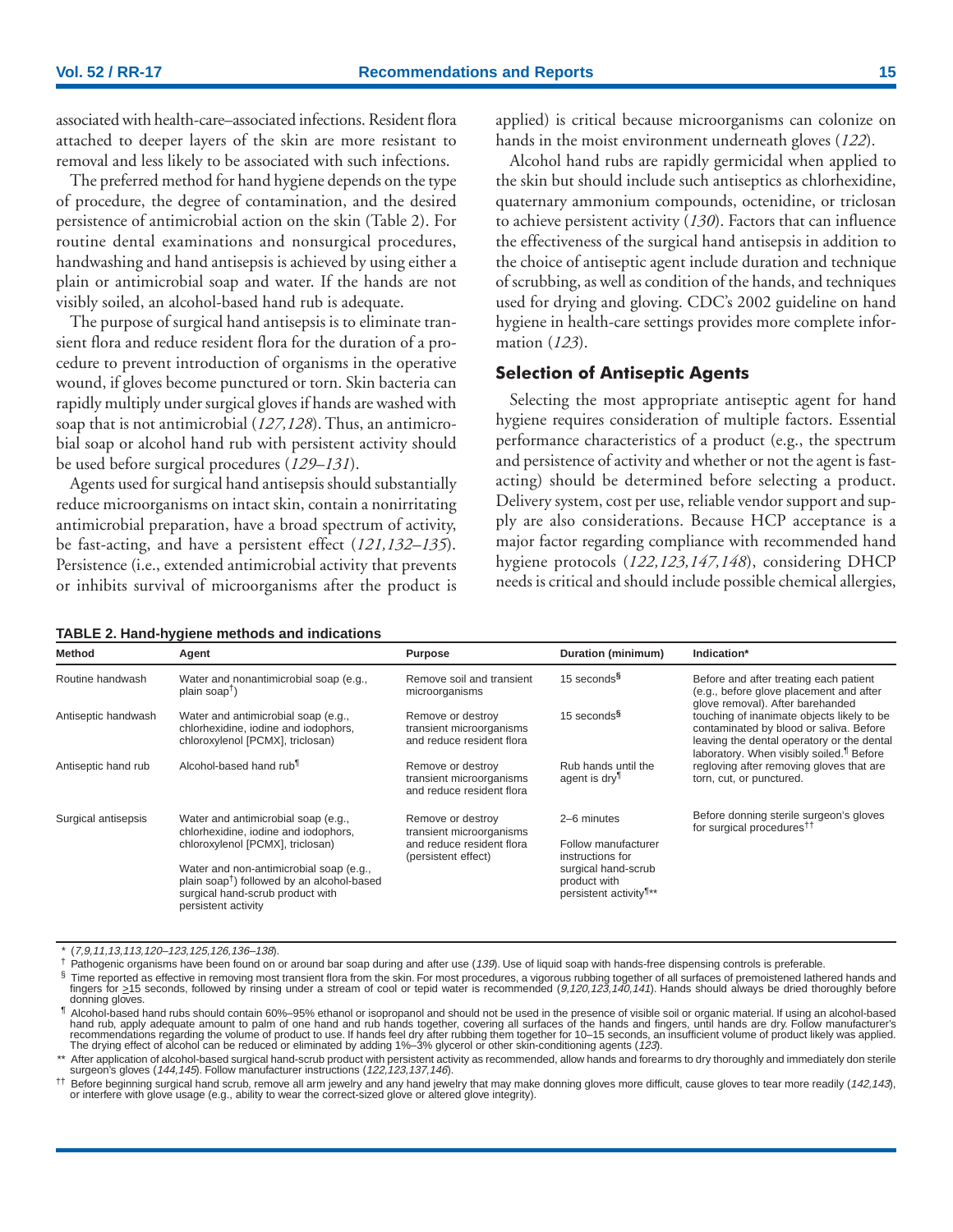associated with health-care–associated infections. Resident flora attached to deeper layers of the skin are more resistant to removal and less likely to be associated with such infections.

The preferred method for hand hygiene depends on the type of procedure, the degree of contamination, and the desired persistence of antimicrobial action on the skin (Table 2). For routine dental examinations and nonsurgical procedures, handwashing and hand antisepsis is achieved by using either a plain or antimicrobial soap and water. If the hands are not visibly soiled, an alcohol-based hand rub is adequate.

The purpose of surgical hand antisepsis is to eliminate transient flora and reduce resident flora for the duration of a procedure to prevent introduction of organisms in the operative wound, if gloves become punctured or torn. Skin bacteria can rapidly multiply under surgical gloves if hands are washed with soap that is not antimicrobial (*127,128*). Thus, an antimicrobial soap or alcohol hand rub with persistent activity should be used before surgical procedures (*129–131*).

Agents used for surgical hand antisepsis should substantially reduce microorganisms on intact skin, contain a nonirritating antimicrobial preparation, have a broad spectrum of activity, be fast-acting, and have a persistent effect (*121,132–135*). Persistence (i.e., extended antimicrobial activity that prevents or inhibits survival of microorganisms after the product is

**TABLE 2. Hand-hygiene methods and indications**

applied) is critical because microorganisms can colonize on hands in the moist environment underneath gloves (*122*).

Alcohol hand rubs are rapidly germicidal when applied to the skin but should include such antiseptics as chlorhexidine, quaternary ammonium compounds, octenidine, or triclosan to achieve persistent activity (*130*). Factors that can influence the effectiveness of the surgical hand antisepsis in addition to the choice of antiseptic agent include duration and technique of scrubbing, as well as condition of the hands, and techniques used for drying and gloving. CDC's 2002 guideline on hand hygiene in health-care settings provides more complete information (*123*).

#### **Selection of Antiseptic Agents**

Selecting the most appropriate antiseptic agent for hand hygiene requires consideration of multiple factors. Essential performance characteristics of a product (e.g., the spectrum and persistence of activity and whether or not the agent is fastacting) should be determined before selecting a product. Delivery system, cost per use, reliable vendor support and supply are also considerations. Because HCP acceptance is a major factor regarding compliance with recommended hand hygiene protocols (*122,123,147,148*), considering DHCP needs is critical and should include possible chemical allergies,

| <b>Method</b>       | Agent                                                                                                                                                                                                                                                                           | <b>Purpose</b>                                                                                    | Duration (minimum)                                                                                                                  | Indication*                                                                                                                                                                                 |
|---------------------|---------------------------------------------------------------------------------------------------------------------------------------------------------------------------------------------------------------------------------------------------------------------------------|---------------------------------------------------------------------------------------------------|-------------------------------------------------------------------------------------------------------------------------------------|---------------------------------------------------------------------------------------------------------------------------------------------------------------------------------------------|
| Routine handwash    | Water and nonantimicrobial soap (e.g.,<br>plain soap <sup>†</sup> )                                                                                                                                                                                                             | Remove soil and transient<br>microorganisms                                                       | 15 seconds <sup>§</sup>                                                                                                             | Before and after treating each patient<br>(e.g., before glove placement and after<br>glove removal). After barehanded                                                                       |
| Antiseptic handwash | Water and antimicrobial soap (e.g.,<br>chlorhexidine, iodine and iodophors,<br>chloroxylenol [PCMX], triclosan)                                                                                                                                                                 | Remove or destroy<br>transient microorganisms<br>and reduce resident flora                        | 15 seconds <sup>§</sup>                                                                                                             | touching of inanimate objects likely to be<br>contaminated by blood or saliva. Before<br>leaving the dental operatory or the dental<br>laboratory. When visibly soiled. <sup>1</sup> Before |
| Antiseptic hand rub | Alcohol-based hand rub <sup>11</sup>                                                                                                                                                                                                                                            | Remove or destroy<br>transient microorganisms<br>and reduce resident flora                        | Rub hands until the<br>agent is dry <sup>¶</sup>                                                                                    | regloving after removing gloves that are<br>torn, cut, or punctured.                                                                                                                        |
| Surgical antisepsis | Water and antimicrobial soap (e.g.,<br>chlorhexidine, iodine and iodophors,<br>chloroxylenol [PCMX], triclosan)<br>Water and non-antimicrobial soap (e.g.,<br>plain soap <sup>†</sup> ) followed by an alcohol-based<br>surgical hand-scrub product with<br>persistent activity | Remove or destroy<br>transient microorganisms<br>and reduce resident flora<br>(persistent effect) | 2-6 minutes<br>Follow manufacturer<br>instructions for<br>surgical hand-scrub<br>product with<br>persistent activity <sup>1**</sup> | Before donning sterile surgeon's gloves<br>for surgical procedures <sup>††</sup>                                                                                                            |

(7,9,11,13,113,120–123,125,126,136–138).

<sup>†</sup> Pathogenic organisms have been found on or around bar soap during and after use (139). Use of liquid soap with hands-free dispensing controls is preferable.

Time reported as effective in removing most transient flora from the skin. For most procedures, a vigorous rubbing together of all surfaces of premoistened lathered hands and fingers for  $\geq$ 15 seconds, followed by rinsing under a stream of cool or tepid water is recommended (9,120,123,140,141). Hands should always be dried thoroughly before donning gloves.

If Alcohol-based hand rubs should contain 60%–95% ethanol or isopropanol and should not be used in the presence of visible soil or organic material. If using an alcohol-based<br>hand rub, apply adequate amount to palm of one The drying effect of alcohol can be reduced or eliminated by adding 1%–3% glycerol or other skin-conditioning agents (123).

After application of alcohol-based surgical hand-scrub product with persistent activity as recommended, allow hands and forearms to dry thoroughly and immediately don sterile surgeon's gloves (144,145). Follow manufacturer instructions (122,123,137,146).

Before beginning surgical hand scrub, remove all arm jewelry and any hand jewelry that may make donning gloves more difficult, cause gloves to tear more readily (142,143), or interfere with glove usage (e.g., ability to wear the correct-sized glove or altered glove integrity).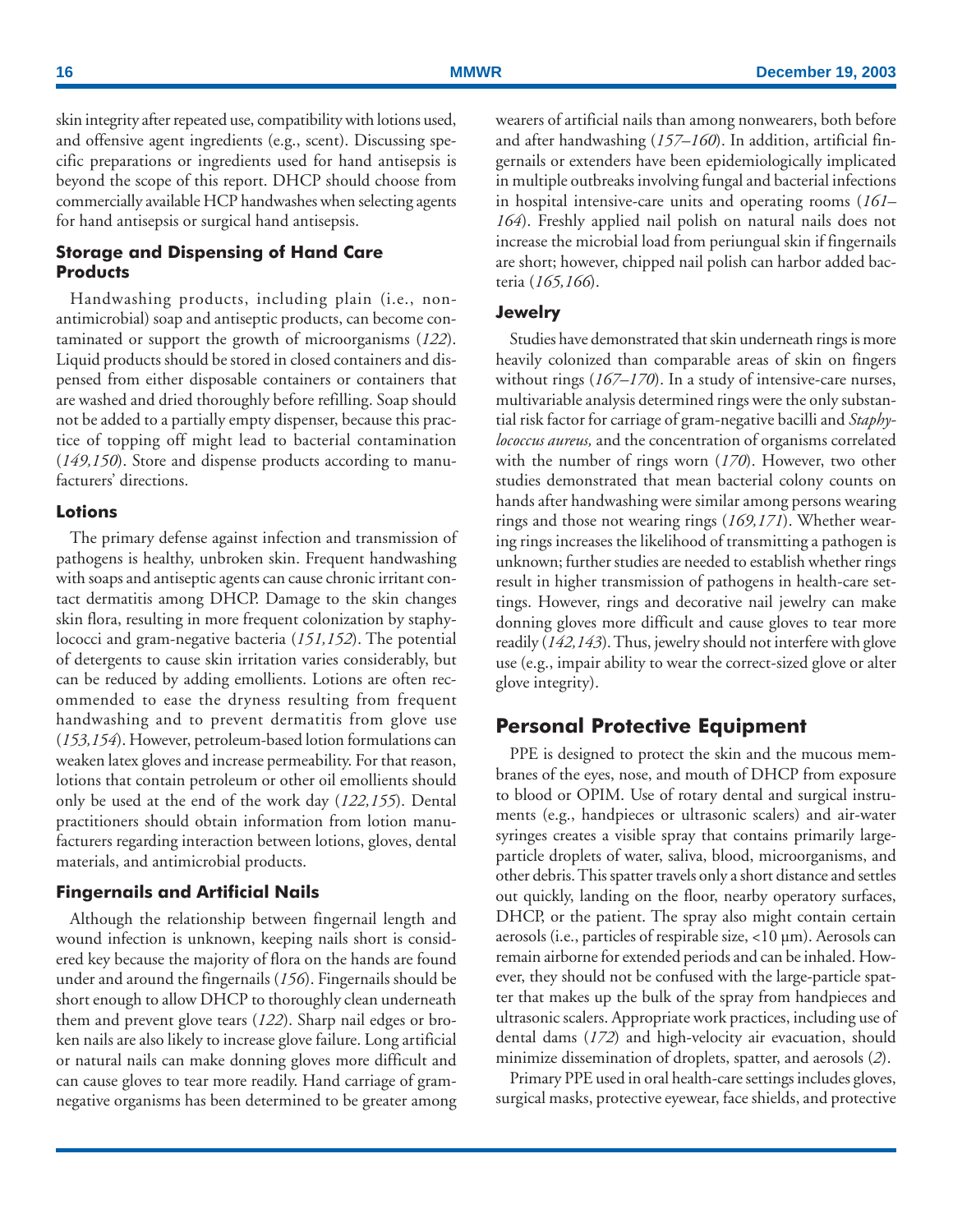skin integrity after repeated use, compatibility with lotions used, and offensive agent ingredients (e.g., scent). Discussing specific preparations or ingredients used for hand antisepsis is beyond the scope of this report. DHCP should choose from commercially available HCP handwashes when selecting agents for hand antisepsis or surgical hand antisepsis.

#### **Storage and Dispensing of Hand Care Products**

Handwashing products, including plain (i.e., nonantimicrobial) soap and antiseptic products, can become contaminated or support the growth of microorganisms (*122*). Liquid products should be stored in closed containers and dispensed from either disposable containers or containers that are washed and dried thoroughly before refilling. Soap should not be added to a partially empty dispenser, because this practice of topping off might lead to bacterial contamination (*149,150*). Store and dispense products according to manufacturers' directions.

#### **Lotions**

The primary defense against infection and transmission of pathogens is healthy, unbroken skin. Frequent handwashing with soaps and antiseptic agents can cause chronic irritant contact dermatitis among DHCP. Damage to the skin changes skin flora, resulting in more frequent colonization by staphylococci and gram-negative bacteria (*151,152*). The potential of detergents to cause skin irritation varies considerably, but can be reduced by adding emollients. Lotions are often recommended to ease the dryness resulting from frequent handwashing and to prevent dermatitis from glove use (*153,154*). However, petroleum-based lotion formulations can weaken latex gloves and increase permeability. For that reason, lotions that contain petroleum or other oil emollients should only be used at the end of the work day (*122,155*). Dental practitioners should obtain information from lotion manufacturers regarding interaction between lotions, gloves, dental materials, and antimicrobial products.

#### **Fingernails and Artificial Nails**

Although the relationship between fingernail length and wound infection is unknown, keeping nails short is considered key because the majority of flora on the hands are found under and around the fingernails (*156*). Fingernails should be short enough to allow DHCP to thoroughly clean underneath them and prevent glove tears (*122*). Sharp nail edges or broken nails are also likely to increase glove failure. Long artificial or natural nails can make donning gloves more difficult and can cause gloves to tear more readily. Hand carriage of gramnegative organisms has been determined to be greater among wearers of artificial nails than among nonwearers, both before and after handwashing (*157–160*). In addition, artificial fingernails or extenders have been epidemiologically implicated in multiple outbreaks involving fungal and bacterial infections in hospital intensive-care units and operating rooms (*161– 164*). Freshly applied nail polish on natural nails does not increase the microbial load from periungual skin if fingernails are short; however, chipped nail polish can harbor added bacteria (*165,166*).

#### **Jewelry**

Studies have demonstrated that skin underneath rings is more heavily colonized than comparable areas of skin on fingers without rings (*167–170*). In a study of intensive-care nurses, multivariable analysis determined rings were the only substantial risk factor for carriage of gram-negative bacilli and *Staphylococcus aureus,* and the concentration of organisms correlated with the number of rings worn (*170*). However, two other studies demonstrated that mean bacterial colony counts on hands after handwashing were similar among persons wearing rings and those not wearing rings (*169,171*). Whether wearing rings increases the likelihood of transmitting a pathogen is unknown; further studies are needed to establish whether rings result in higher transmission of pathogens in health-care settings. However, rings and decorative nail jewelry can make donning gloves more difficult and cause gloves to tear more readily (*142,143*). Thus, jewelry should not interfere with glove use (e.g., impair ability to wear the correct-sized glove or alter glove integrity).

## **Personal Protective Equipment**

PPE is designed to protect the skin and the mucous membranes of the eyes, nose, and mouth of DHCP from exposure to blood or OPIM. Use of rotary dental and surgical instruments (e.g., handpieces or ultrasonic scalers) and air-water syringes creates a visible spray that contains primarily largeparticle droplets of water, saliva, blood, microorganisms, and other debris. This spatter travels only a short distance and settles out quickly, landing on the floor, nearby operatory surfaces, DHCP, or the patient. The spray also might contain certain aerosols (i.e., particles of respirable size, <10 µm). Aerosols can remain airborne for extended periods and can be inhaled. However, they should not be confused with the large-particle spatter that makes up the bulk of the spray from handpieces and ultrasonic scalers. Appropriate work practices, including use of dental dams (*172*) and high-velocity air evacuation, should minimize dissemination of droplets, spatter, and aerosols (*2*).

Primary PPE used in oral health-care settings includes gloves, surgical masks, protective eyewear, face shields, and protective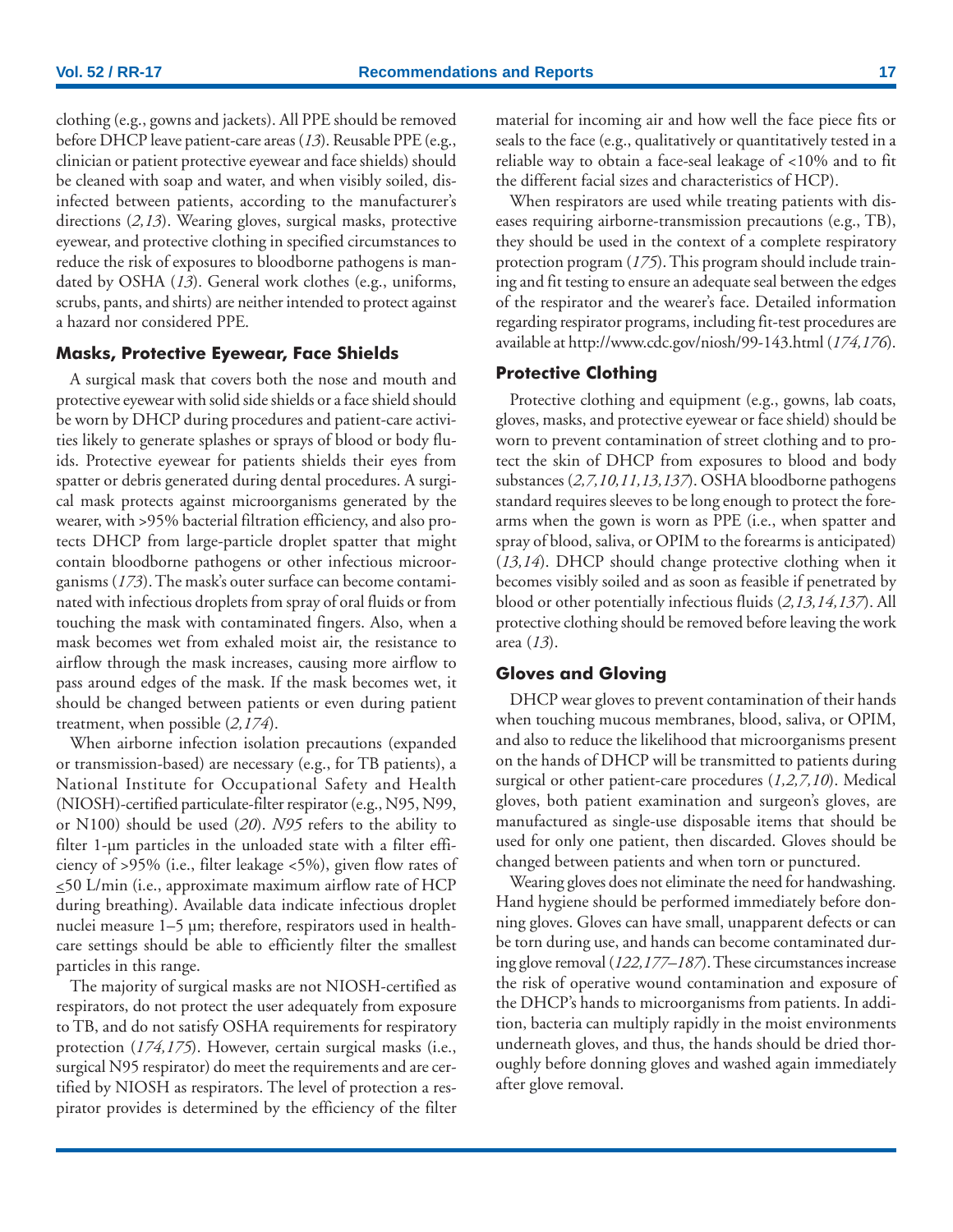clothing (e.g., gowns and jackets). All PPE should be removed before DHCP leave patient-care areas (*13*). Reusable PPE (e.g., clinician or patient protective eyewear and face shields) should be cleaned with soap and water, and when visibly soiled, disinfected between patients, according to the manufacturer's directions (*2,13*). Wearing gloves, surgical masks, protective eyewear, and protective clothing in specified circumstances to reduce the risk of exposures to bloodborne pathogens is mandated by OSHA (*13*). General work clothes (e.g., uniforms, scrubs, pants, and shirts) are neither intended to protect against a hazard nor considered PPE.

#### **Masks, Protective Eyewear, Face Shields**

A surgical mask that covers both the nose and mouth and protective eyewear with solid side shields or a face shield should be worn by DHCP during procedures and patient-care activities likely to generate splashes or sprays of blood or body fluids. Protective eyewear for patients shields their eyes from spatter or debris generated during dental procedures. A surgical mask protects against microorganisms generated by the wearer, with >95% bacterial filtration efficiency, and also protects DHCP from large-particle droplet spatter that might contain bloodborne pathogens or other infectious microorganisms (*173*). The mask's outer surface can become contaminated with infectious droplets from spray of oral fluids or from touching the mask with contaminated fingers. Also, when a mask becomes wet from exhaled moist air, the resistance to airflow through the mask increases, causing more airflow to pass around edges of the mask. If the mask becomes wet, it should be changed between patients or even during patient treatment, when possible (*2,174*).

When airborne infection isolation precautions (expanded or transmission-based) are necessary (e.g., for TB patients), a National Institute for Occupational Safety and Health (NIOSH)-certified particulate-filter respirator (e.g., N95, N99, or N100) should be used (*20*). *N95* refers to the ability to filter 1-µm particles in the unloaded state with a filter efficiency of >95% (i.e., filter leakage <5%), given flow rates of  $\leq$ 50 L/min (i.e., approximate maximum airflow rate of HCP during breathing). Available data indicate infectious droplet nuclei measure 1–5 µm; therefore, respirators used in healthcare settings should be able to efficiently filter the smallest particles in this range.

The majority of surgical masks are not NIOSH-certified as respirators, do not protect the user adequately from exposure to TB, and do not satisfy OSHA requirements for respiratory protection (*174,175*). However, certain surgical masks (i.e., surgical N95 respirator) do meet the requirements and are certified by NIOSH as respirators. The level of protection a respirator provides is determined by the efficiency of the filter material for incoming air and how well the face piece fits or seals to the face (e.g., qualitatively or quantitatively tested in a reliable way to obtain a face-seal leakage of <10% and to fit the different facial sizes and characteristics of HCP).

When respirators are used while treating patients with diseases requiring airborne-transmission precautions (e.g., TB), they should be used in the context of a complete respiratory protection program (*175*). This program should include training and fit testing to ensure an adequate seal between the edges of the respirator and the wearer's face. Detailed information regarding respirator programs, including fit-test procedures are available at http://www.cdc.gov/niosh/99-143.html (*174,176*).

#### **Protective Clothing**

Protective clothing and equipment (e.g., gowns, lab coats, gloves, masks, and protective eyewear or face shield) should be worn to prevent contamination of street clothing and to protect the skin of DHCP from exposures to blood and body substances (*2,7,10,11,13,137*). OSHA bloodborne pathogens standard requires sleeves to be long enough to protect the forearms when the gown is worn as PPE (i.e., when spatter and spray of blood, saliva, or OPIM to the forearms is anticipated) (*13,14*). DHCP should change protective clothing when it becomes visibly soiled and as soon as feasible if penetrated by blood or other potentially infectious fluids (*2,13,14,137*). All protective clothing should be removed before leaving the work area (*13*).

#### **Gloves and Gloving**

DHCP wear gloves to prevent contamination of their hands when touching mucous membranes, blood, saliva, or OPIM, and also to reduce the likelihood that microorganisms present on the hands of DHCP will be transmitted to patients during surgical or other patient-care procedures (*1,2,7,10*). Medical gloves, both patient examination and surgeon's gloves, are manufactured as single-use disposable items that should be used for only one patient, then discarded. Gloves should be changed between patients and when torn or punctured.

Wearing gloves does not eliminate the need for handwashing. Hand hygiene should be performed immediately before donning gloves. Gloves can have small, unapparent defects or can be torn during use, and hands can become contaminated during glove removal (*122,177–187*). These circumstances increase the risk of operative wound contamination and exposure of the DHCP's hands to microorganisms from patients. In addition, bacteria can multiply rapidly in the moist environments underneath gloves, and thus, the hands should be dried thoroughly before donning gloves and washed again immediately after glove removal.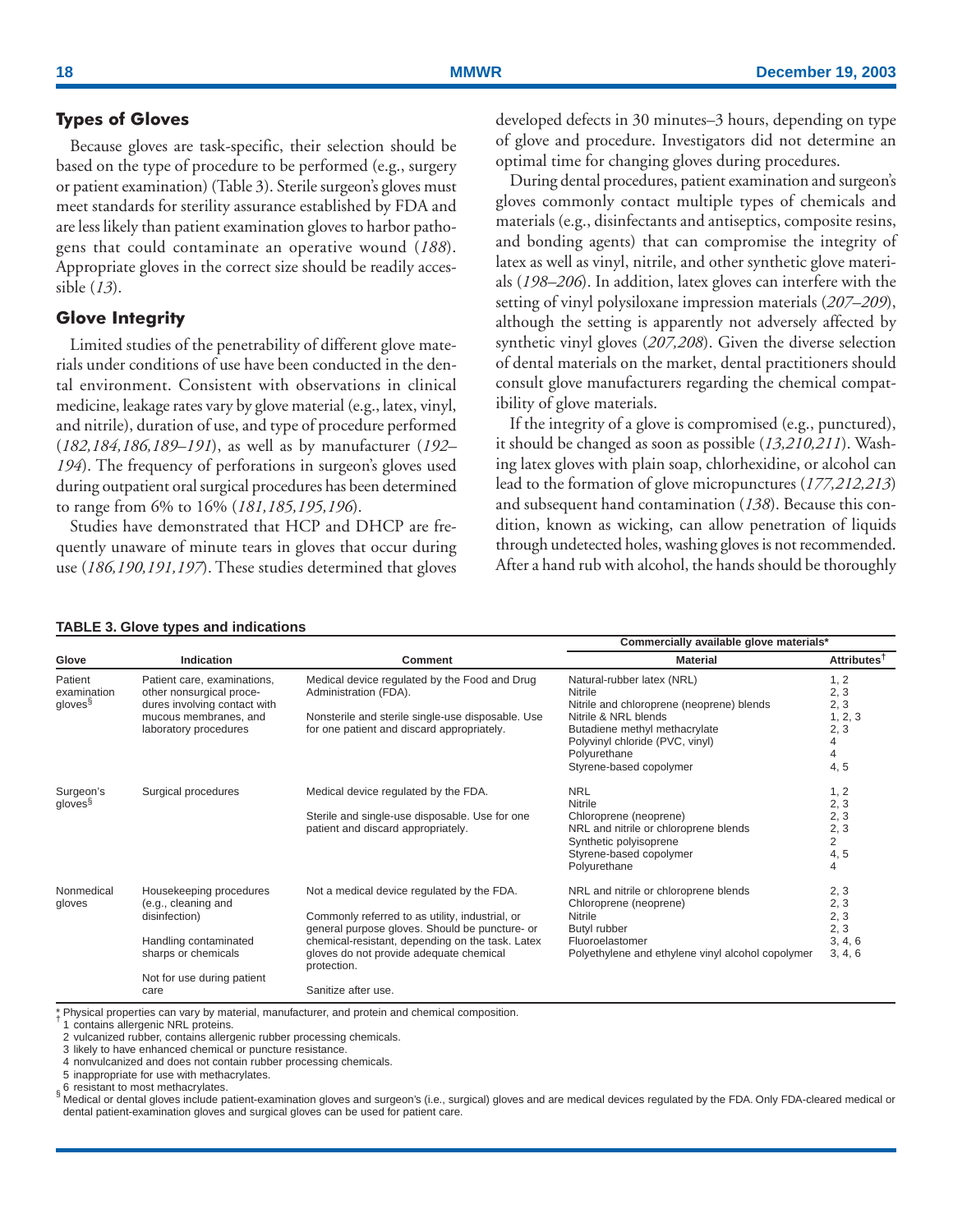#### **Types of Gloves**

Because gloves are task-specific, their selection should be based on the type of procedure to be performed (e.g., surgery or patient examination) (Table 3). Sterile surgeon's gloves must meet standards for sterility assurance established by FDA and are less likely than patient examination gloves to harbor pathogens that could contaminate an operative wound (*188*). Appropriate gloves in the correct size should be readily accessible (*13*).

#### **Glove Integrity**

Limited studies of the penetrability of different glove materials under conditions of use have been conducted in the dental environment. Consistent with observations in clinical medicine, leakage rates vary by glove material (e.g., latex, vinyl, and nitrile), duration of use, and type of procedure performed (*182,184,186,189–191*), as well as by manufacturer (*192– 194*). The frequency of perforations in surgeon's gloves used during outpatient oral surgical procedures has been determined to range from 6% to 16% (*181,185,195,196*).

Studies have demonstrated that HCP and DHCP are frequently unaware of minute tears in gloves that occur during use (*186,190,191,197*). These studies determined that gloves developed defects in 30 minutes–3 hours, depending on type of glove and procedure. Investigators did not determine an optimal time for changing gloves during procedures.

During dental procedures, patient examination and surgeon's gloves commonly contact multiple types of chemicals and materials (e.g., disinfectants and antiseptics, composite resins, and bonding agents) that can compromise the integrity of latex as well as vinyl, nitrile, and other synthetic glove materials (*198–206*). In addition, latex gloves can interfere with the setting of vinyl polysiloxane impression materials (*207–209*), although the setting is apparently not adversely affected by synthetic vinyl gloves (*207,208*). Given the diverse selection of dental materials on the market, dental practitioners should consult glove manufacturers regarding the chemical compatibility of glove materials.

If the integrity of a glove is compromised (e.g., punctured), it should be changed as soon as possible (*13,210,211*). Washing latex gloves with plain soap, chlorhexidine, or alcohol can lead to the formation of glove micropunctures (*177,212,213*) and subsequent hand contamination (*138*). Because this condition, known as wicking, can allow penetration of liquids through undetected holes, washing gloves is not recommended. After a hand rub with alcohol, the hands should be thoroughly

#### **TABLE 3. Glove types and indications**

**Commercially available glove materials\* Glove Indication Comment Material Attributes†** Patient examination gloves§ Surgeon's gloves§ Nonmedical gloves Patient care, examinations, other nonsurgical procedures involving contact with mucous membranes, and laboratory procedures Surgical procedures Housekeeping procedures (e.g., cleaning and disinfection) Handling contaminated sharps or chemicals Not for use during patient care Natural-rubber latex (NRL) Nitrile Nitrile and chloroprene (neoprene) blends Nitrile & NRL blends Butadiene methyl methacrylate Polyvinyl chloride (PVC, vinyl) Polyurethane Styrene-based copolymer NRL Nitrile Chloroprene (neoprene) NRL and nitrile or chloroprene blends Synthetic polyisoprene Styrene-based copolymer Polyurethane NRL and nitrile or chloroprene blends Chloroprene (neoprene) Nitrile Butyl rubber Fluoroelastomer Polyethylene and ethylene vinyl alcohol copolymer 1, 2  $2, 3$ 2, 3 1, 2, 3 2, 3 4 4 4, 5 1, 2 2, 3 2, 3 2, 3 2 4, 5 4 2, 3 2, 3 2, 3 2, 3 3, 4, 6 3, 4, 6 Medical device regulated by the Food and Drug Administration (FDA). Nonsterile and sterile single-use disposable. Use for one patient and discard appropriately. Medical device regulated by the FDA. Sterile and single-use disposable. Use for one patient and discard appropriately. Not a medical device regulated by the FDA. Commonly referred to as utility, industrial, or general purpose gloves. Should be puncture- or chemical-resistant, depending on the task. Latex gloves do not provide adequate chemical protection. Sanitize after use.

 $\frac{1}{1}$  Physical properties can vary by material, manufacturer, and protein and chemical composition.<br><sup>†</sup> 1 contains allergenic NRL proteins.

2 vulcanized rubber, contains allergenic rubber processing chemicals.

3 likely to have enhanced chemical or puncture resistance.

4 nonvulcanized and does not contain rubber processing chemicals.

5 inappropriate for use with methacrylates.

Medical or dental gloves include patient-examination gloves and surgeon's (i.e., surgical) gloves and are medical devices regulated by the FDA. Only FDA-cleared medical or dental patient-examination gloves and surgical gloves can be used for patient care.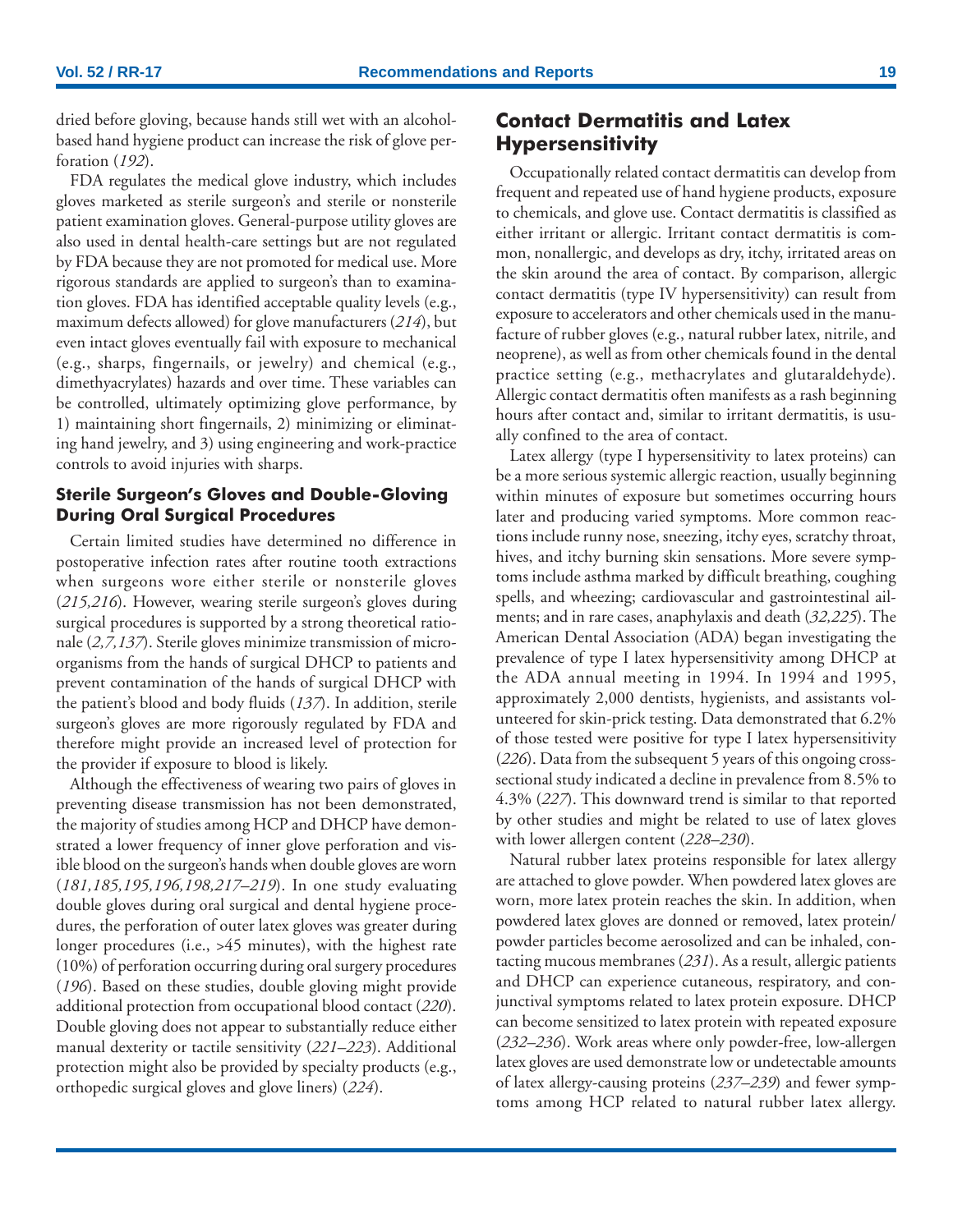dried before gloving, because hands still wet with an alcoholbased hand hygiene product can increase the risk of glove perforation (*192*).

FDA regulates the medical glove industry, which includes gloves marketed as sterile surgeon's and sterile or nonsterile patient examination gloves. General-purpose utility gloves are also used in dental health-care settings but are not regulated by FDA because they are not promoted for medical use. More rigorous standards are applied to surgeon's than to examination gloves. FDA has identified acceptable quality levels (e.g., maximum defects allowed) for glove manufacturers (*214*), but even intact gloves eventually fail with exposure to mechanical (e.g., sharps, fingernails, or jewelry) and chemical (e.g., dimethyacrylates) hazards and over time. These variables can be controlled, ultimately optimizing glove performance, by 1) maintaining short fingernails, 2) minimizing or eliminating hand jewelry, and 3) using engineering and work-practice controls to avoid injuries with sharps.

#### **Sterile Surgeon's Gloves and Double-Gloving During Oral Surgical Procedures**

Certain limited studies have determined no difference in postoperative infection rates after routine tooth extractions when surgeons wore either sterile or nonsterile gloves (*215,216*). However, wearing sterile surgeon's gloves during surgical procedures is supported by a strong theoretical rationale (*2,7,137*). Sterile gloves minimize transmission of microorganisms from the hands of surgical DHCP to patients and prevent contamination of the hands of surgical DHCP with the patient's blood and body fluids (*137*). In addition, sterile surgeon's gloves are more rigorously regulated by FDA and therefore might provide an increased level of protection for the provider if exposure to blood is likely.

Although the effectiveness of wearing two pairs of gloves in preventing disease transmission has not been demonstrated, the majority of studies among HCP and DHCP have demonstrated a lower frequency of inner glove perforation and visible blood on the surgeon's hands when double gloves are worn (*181,185,195,196,198,217–219*). In one study evaluating double gloves during oral surgical and dental hygiene procedures, the perforation of outer latex gloves was greater during longer procedures (i.e., >45 minutes), with the highest rate (10%) of perforation occurring during oral surgery procedures (*196*). Based on these studies, double gloving might provide additional protection from occupational blood contact (*220*). Double gloving does not appear to substantially reduce either manual dexterity or tactile sensitivity (*221–223*). Additional protection might also be provided by specialty products (e.g., orthopedic surgical gloves and glove liners) (*224*).

## **Contact Dermatitis and Latex Hypersensitivity**

Occupationally related contact dermatitis can develop from frequent and repeated use of hand hygiene products, exposure to chemicals, and glove use. Contact dermatitis is classified as either irritant or allergic. Irritant contact dermatitis is common, nonallergic, and develops as dry, itchy, irritated areas on the skin around the area of contact. By comparison, allergic contact dermatitis (type IV hypersensitivity) can result from exposure to accelerators and other chemicals used in the manufacture of rubber gloves (e.g., natural rubber latex, nitrile, and neoprene), as well as from other chemicals found in the dental practice setting (e.g., methacrylates and glutaraldehyde). Allergic contact dermatitis often manifests as a rash beginning hours after contact and, similar to irritant dermatitis, is usually confined to the area of contact.

Latex allergy (type I hypersensitivity to latex proteins) can be a more serious systemic allergic reaction, usually beginning within minutes of exposure but sometimes occurring hours later and producing varied symptoms. More common reactions include runny nose, sneezing, itchy eyes, scratchy throat, hives, and itchy burning skin sensations. More severe symptoms include asthma marked by difficult breathing, coughing spells, and wheezing; cardiovascular and gastrointestinal ailments; and in rare cases, anaphylaxis and death (*32,225*). The American Dental Association (ADA) began investigating the prevalence of type I latex hypersensitivity among DHCP at the ADA annual meeting in 1994. In 1994 and 1995, approximately 2,000 dentists, hygienists, and assistants volunteered for skin-prick testing. Data demonstrated that 6.2% of those tested were positive for type I latex hypersensitivity (*226*). Data from the subsequent 5 years of this ongoing crosssectional study indicated a decline in prevalence from 8.5% to 4.3% (*227*). This downward trend is similar to that reported by other studies and might be related to use of latex gloves with lower allergen content (*228–230*).

Natural rubber latex proteins responsible for latex allergy are attached to glove powder. When powdered latex gloves are worn, more latex protein reaches the skin. In addition, when powdered latex gloves are donned or removed, latex protein/ powder particles become aerosolized and can be inhaled, contacting mucous membranes (*231*). As a result, allergic patients and DHCP can experience cutaneous, respiratory, and conjunctival symptoms related to latex protein exposure. DHCP can become sensitized to latex protein with repeated exposure (*232–236*). Work areas where only powder-free, low-allergen latex gloves are used demonstrate low or undetectable amounts of latex allergy-causing proteins (*237–239*) and fewer symptoms among HCP related to natural rubber latex allergy.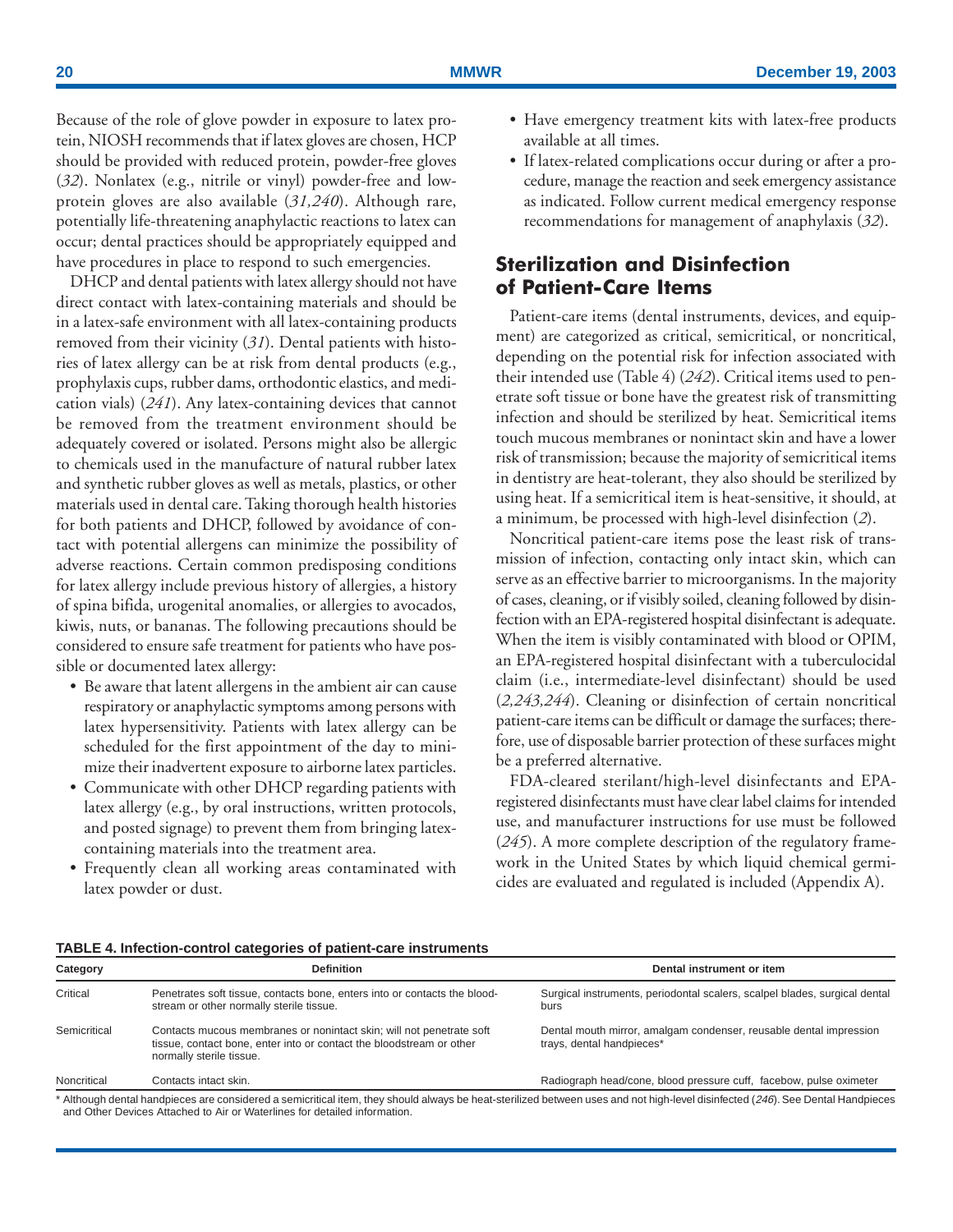Because of the role of glove powder in exposure to latex protein, NIOSH recommends that if latex gloves are chosen, HCP should be provided with reduced protein, powder-free gloves (*32*). Nonlatex (e.g., nitrile or vinyl) powder-free and lowprotein gloves are also available (*31,240*). Although rare, potentially life-threatening anaphylactic reactions to latex can occur; dental practices should be appropriately equipped and have procedures in place to respond to such emergencies.

DHCP and dental patients with latex allergy should not have direct contact with latex-containing materials and should be in a latex-safe environment with all latex-containing products removed from their vicinity (*31*). Dental patients with histories of latex allergy can be at risk from dental products (e.g., prophylaxis cups, rubber dams, orthodontic elastics, and medication vials) (*241*). Any latex-containing devices that cannot be removed from the treatment environment should be adequately covered or isolated. Persons might also be allergic to chemicals used in the manufacture of natural rubber latex and synthetic rubber gloves as well as metals, plastics, or other materials used in dental care. Taking thorough health histories for both patients and DHCP, followed by avoidance of contact with potential allergens can minimize the possibility of adverse reactions. Certain common predisposing conditions for latex allergy include previous history of allergies, a history of spina bifida, urogenital anomalies, or allergies to avocados, kiwis, nuts, or bananas. The following precautions should be considered to ensure safe treatment for patients who have possible or documented latex allergy:

- Be aware that latent allergens in the ambient air can cause respiratory or anaphylactic symptoms among persons with latex hypersensitivity. Patients with latex allergy can be scheduled for the first appointment of the day to minimize their inadvertent exposure to airborne latex particles.
- Communicate with other DHCP regarding patients with latex allergy (e.g., by oral instructions, written protocols, and posted signage) to prevent them from bringing latexcontaining materials into the treatment area.
- Frequently clean all working areas contaminated with latex powder or dust.
- Have emergency treatment kits with latex-free products available at all times.
- If latex-related complications occur during or after a procedure, manage the reaction and seek emergency assistance as indicated. Follow current medical emergency response recommendations for management of anaphylaxis (*32*).

## **Sterilization and Disinfection of Patient-Care Items**

Patient-care items (dental instruments, devices, and equipment) are categorized as critical, semicritical, or noncritical, depending on the potential risk for infection associated with their intended use (Table 4) (*242*). Critical items used to penetrate soft tissue or bone have the greatest risk of transmitting infection and should be sterilized by heat. Semicritical items touch mucous membranes or nonintact skin and have a lower risk of transmission; because the majority of semicritical items in dentistry are heat-tolerant, they also should be sterilized by using heat. If a semicritical item is heat-sensitive, it should, at a minimum, be processed with high-level disinfection (*2*).

Noncritical patient-care items pose the least risk of transmission of infection, contacting only intact skin, which can serve as an effective barrier to microorganisms. In the majority of cases, cleaning, or if visibly soiled, cleaning followed by disinfection with an EPA-registered hospital disinfectant is adequate. When the item is visibly contaminated with blood or OPIM, an EPA-registered hospital disinfectant with a tuberculocidal claim (i.e., intermediate-level disinfectant) should be used (*2,243,244*). Cleaning or disinfection of certain noncritical patient-care items can be difficult or damage the surfaces; therefore, use of disposable barrier protection of these surfaces might be a preferred alternative.

FDA-cleared sterilant/high-level disinfectants and EPAregistered disinfectants must have clear label claims for intended use, and manufacturer instructions for use must be followed (*245*). A more complete description of the regulatory framework in the United States by which liquid chemical germicides are evaluated and regulated is included (Appendix A).

|  |  | TABLE 4. Infection-control categories of patient-care instruments |  |  |  |
|--|--|-------------------------------------------------------------------|--|--|--|
|--|--|-------------------------------------------------------------------|--|--|--|

| <b>Definition</b>                                                                                                                                                        | Dental instrument or item                                                                       |
|--------------------------------------------------------------------------------------------------------------------------------------------------------------------------|-------------------------------------------------------------------------------------------------|
| Penetrates soft tissue, contacts bone, enters into or contacts the blood-<br>stream or other normally sterile tissue.                                                    | Surgical instruments, periodontal scalers, scalpel blades, surgical dental<br>burs              |
| Contacts mucous membranes or nonintact skin; will not penetrate soft<br>tissue, contact bone, enter into or contact the bloodstream or other<br>normally sterile tissue. | Dental mouth mirror, amalgam condenser, reusable dental impression<br>trays, dental handpieces* |
| Contacts intact skin.                                                                                                                                                    | Radiograph head/cone, blood pressure cuff, facebow, pulse oximeter                              |
|                                                                                                                                                                          |                                                                                                 |

\* Although dental handpieces are considered a semicritical item, they should always be heat-sterilized between uses and not high-level disinfected (246). See Dental Handpieces and Other Devices Attached to Air or Waterlines for detailed information.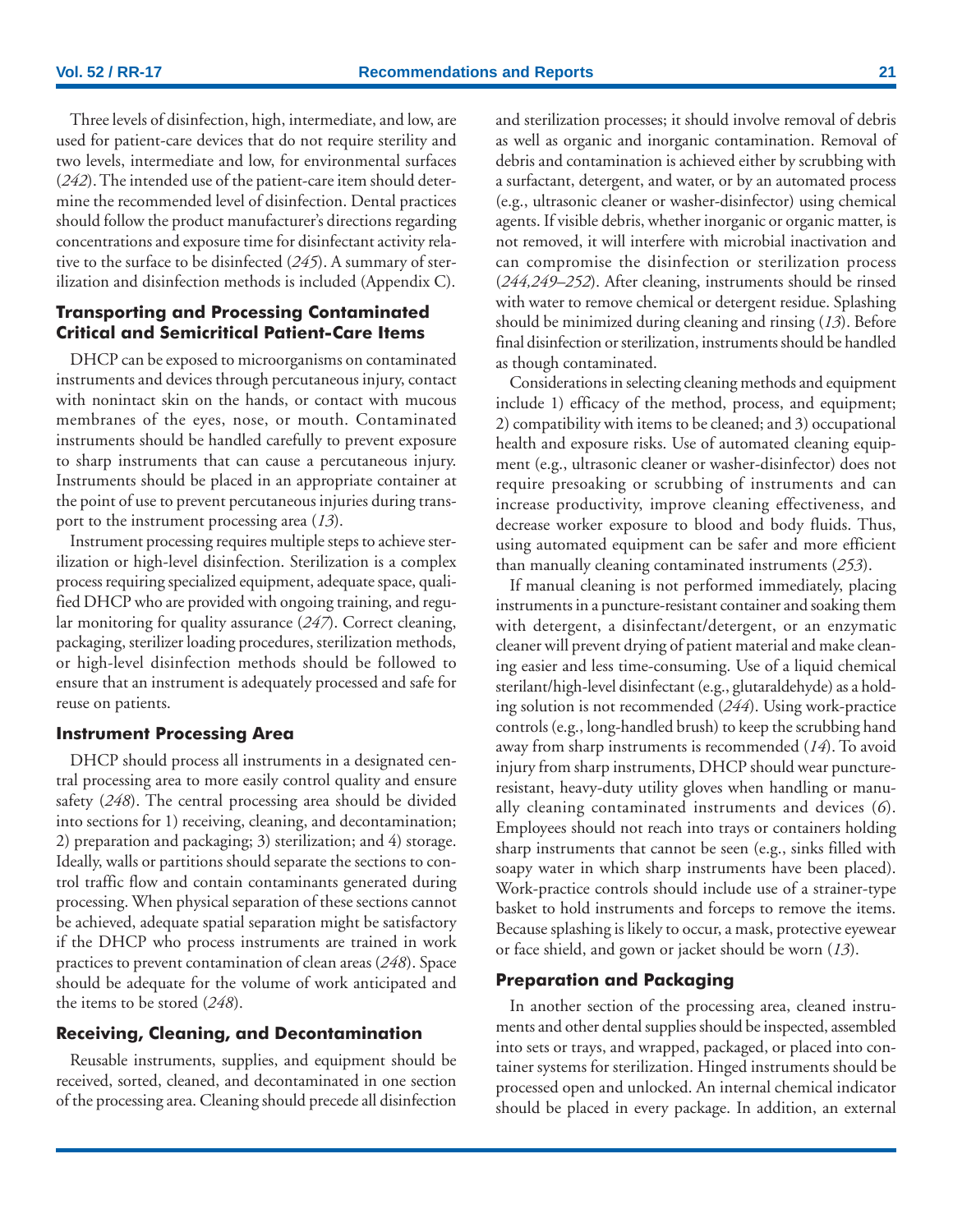Three levels of disinfection, high, intermediate, and low, are used for patient-care devices that do not require sterility and two levels, intermediate and low, for environmental surfaces (*242*). The intended use of the patient-care item should determine the recommended level of disinfection. Dental practices should follow the product manufacturer's directions regarding concentrations and exposure time for disinfectant activity relative to the surface to be disinfected (*245*). A summary of sterilization and disinfection methods is included (Appendix C).

#### **Transporting and Processing Contaminated Critical and Semicritical Patient-Care Items**

DHCP can be exposed to microorganisms on contaminated instruments and devices through percutaneous injury, contact with nonintact skin on the hands, or contact with mucous membranes of the eyes, nose, or mouth. Contaminated instruments should be handled carefully to prevent exposure to sharp instruments that can cause a percutaneous injury. Instruments should be placed in an appropriate container at the point of use to prevent percutaneous injuries during transport to the instrument processing area (*13*).

Instrument processing requires multiple steps to achieve sterilization or high-level disinfection. Sterilization is a complex process requiring specialized equipment, adequate space, qualified DHCP who are provided with ongoing training, and regular monitoring for quality assurance (*247*). Correct cleaning, packaging, sterilizer loading procedures, sterilization methods, or high-level disinfection methods should be followed to ensure that an instrument is adequately processed and safe for reuse on patients.

#### **Instrument Processing Area**

DHCP should process all instruments in a designated central processing area to more easily control quality and ensure safety (*248*). The central processing area should be divided into sections for 1) receiving, cleaning, and decontamination; 2) preparation and packaging; 3) sterilization; and 4) storage. Ideally, walls or partitions should separate the sections to control traffic flow and contain contaminants generated during processing. When physical separation of these sections cannot be achieved, adequate spatial separation might be satisfactory if the DHCP who process instruments are trained in work practices to prevent contamination of clean areas (*248*). Space should be adequate for the volume of work anticipated and the items to be stored (*248*).

#### **Receiving, Cleaning, and Decontamination**

Reusable instruments, supplies, and equipment should be received, sorted, cleaned, and decontaminated in one section of the processing area. Cleaning should precede all disinfection and sterilization processes; it should involve removal of debris as well as organic and inorganic contamination. Removal of debris and contamination is achieved either by scrubbing with a surfactant, detergent, and water, or by an automated process (e.g., ultrasonic cleaner or washer-disinfector) using chemical agents. If visible debris, whether inorganic or organic matter, is not removed, it will interfere with microbial inactivation and can compromise the disinfection or sterilization process (*244,249–252*). After cleaning, instruments should be rinsed with water to remove chemical or detergent residue. Splashing should be minimized during cleaning and rinsing (*13*). Before final disinfection or sterilization, instruments should be handled as though contaminated.

Considerations in selecting cleaning methods and equipment include 1) efficacy of the method, process, and equipment; 2) compatibility with items to be cleaned; and 3) occupational health and exposure risks. Use of automated cleaning equipment (e.g., ultrasonic cleaner or washer-disinfector) does not require presoaking or scrubbing of instruments and can increase productivity, improve cleaning effectiveness, and decrease worker exposure to blood and body fluids. Thus, using automated equipment can be safer and more efficient than manually cleaning contaminated instruments (*253*).

If manual cleaning is not performed immediately, placing instruments in a puncture-resistant container and soaking them with detergent, a disinfectant/detergent, or an enzymatic cleaner will prevent drying of patient material and make cleaning easier and less time-consuming. Use of a liquid chemical sterilant/high-level disinfectant (e.g., glutaraldehyde) as a holding solution is not recommended (*244*). Using work-practice controls (e.g., long-handled brush) to keep the scrubbing hand away from sharp instruments is recommended (*14*). To avoid injury from sharp instruments, DHCP should wear punctureresistant, heavy-duty utility gloves when handling or manually cleaning contaminated instruments and devices (*6*). Employees should not reach into trays or containers holding sharp instruments that cannot be seen (e.g., sinks filled with soapy water in which sharp instruments have been placed). Work-practice controls should include use of a strainer-type basket to hold instruments and forceps to remove the items. Because splashing is likely to occur, a mask, protective eyewear or face shield, and gown or jacket should be worn (*13*).

#### **Preparation and Packaging**

In another section of the processing area, cleaned instruments and other dental supplies should be inspected, assembled into sets or trays, and wrapped, packaged, or placed into container systems for sterilization. Hinged instruments should be processed open and unlocked. An internal chemical indicator should be placed in every package. In addition, an external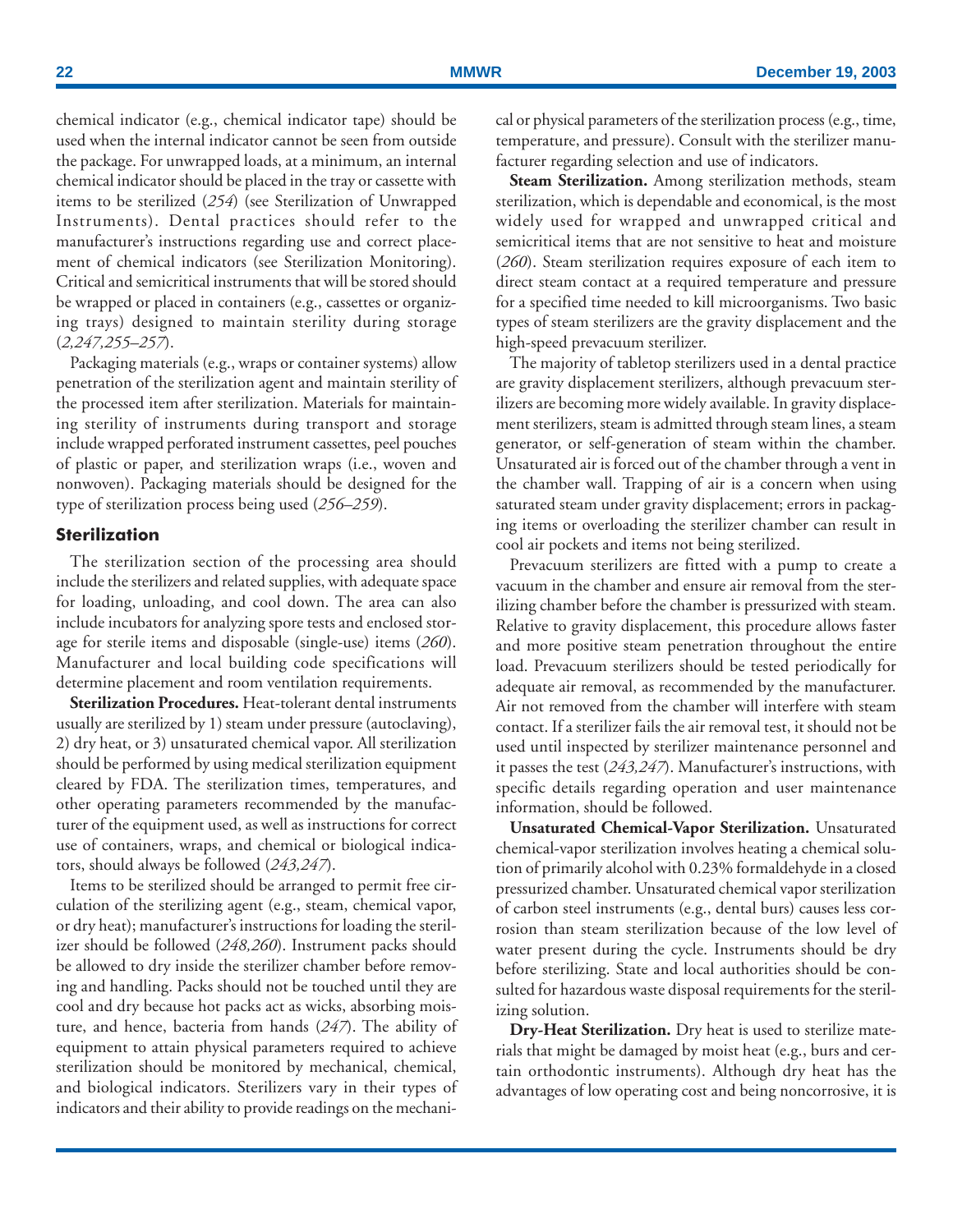chemical indicator (e.g., chemical indicator tape) should be used when the internal indicator cannot be seen from outside the package. For unwrapped loads, at a minimum, an internal chemical indicator should be placed in the tray or cassette with items to be sterilized (*254*) (see Sterilization of Unwrapped Instruments). Dental practices should refer to the manufacturer's instructions regarding use and correct placement of chemical indicators (see Sterilization Monitoring). Critical and semicritical instruments that will be stored should be wrapped or placed in containers (e.g., cassettes or organizing trays) designed to maintain sterility during storage (*2,247,255–257*).

Packaging materials (e.g., wraps or container systems) allow penetration of the sterilization agent and maintain sterility of the processed item after sterilization. Materials for maintaining sterility of instruments during transport and storage include wrapped perforated instrument cassettes, peel pouches of plastic or paper, and sterilization wraps (i.e., woven and nonwoven). Packaging materials should be designed for the type of sterilization process being used (*256–259*).

#### **Sterilization**

The sterilization section of the processing area should include the sterilizers and related supplies, with adequate space for loading, unloading, and cool down. The area can also include incubators for analyzing spore tests and enclosed storage for sterile items and disposable (single-use) items (*260*). Manufacturer and local building code specifications will determine placement and room ventilation requirements.

**Sterilization Procedures.** Heat-tolerant dental instruments usually are sterilized by 1) steam under pressure (autoclaving), 2) dry heat, or 3) unsaturated chemical vapor. All sterilization should be performed by using medical sterilization equipment cleared by FDA. The sterilization times, temperatures, and other operating parameters recommended by the manufacturer of the equipment used, as well as instructions for correct use of containers, wraps, and chemical or biological indicators, should always be followed (*243,247*).

Items to be sterilized should be arranged to permit free circulation of the sterilizing agent (e.g., steam, chemical vapor, or dry heat); manufacturer's instructions for loading the sterilizer should be followed (*248,260*). Instrument packs should be allowed to dry inside the sterilizer chamber before removing and handling. Packs should not be touched until they are cool and dry because hot packs act as wicks, absorbing moisture, and hence, bacteria from hands (*247*). The ability of equipment to attain physical parameters required to achieve sterilization should be monitored by mechanical, chemical, and biological indicators. Sterilizers vary in their types of indicators and their ability to provide readings on the mechanical or physical parameters of the sterilization process (e.g., time, temperature, and pressure). Consult with the sterilizer manufacturer regarding selection and use of indicators.

**Steam Sterilization.** Among sterilization methods, steam sterilization, which is dependable and economical, is the most widely used for wrapped and unwrapped critical and semicritical items that are not sensitive to heat and moisture (*260*). Steam sterilization requires exposure of each item to direct steam contact at a required temperature and pressure for a specified time needed to kill microorganisms. Two basic types of steam sterilizers are the gravity displacement and the high-speed prevacuum sterilizer.

The majority of tabletop sterilizers used in a dental practice are gravity displacement sterilizers, although prevacuum sterilizers are becoming more widely available. In gravity displacement sterilizers, steam is admitted through steam lines, a steam generator, or self-generation of steam within the chamber. Unsaturated air is forced out of the chamber through a vent in the chamber wall. Trapping of air is a concern when using saturated steam under gravity displacement; errors in packaging items or overloading the sterilizer chamber can result in cool air pockets and items not being sterilized.

Prevacuum sterilizers are fitted with a pump to create a vacuum in the chamber and ensure air removal from the sterilizing chamber before the chamber is pressurized with steam. Relative to gravity displacement, this procedure allows faster and more positive steam penetration throughout the entire load. Prevacuum sterilizers should be tested periodically for adequate air removal, as recommended by the manufacturer. Air not removed from the chamber will interfere with steam contact. If a sterilizer fails the air removal test, it should not be used until inspected by sterilizer maintenance personnel and it passes the test (*243,247*). Manufacturer's instructions, with specific details regarding operation and user maintenance information, should be followed.

**Unsaturated Chemical-Vapor Sterilization.** Unsaturated chemical-vapor sterilization involves heating a chemical solution of primarily alcohol with 0.23% formaldehyde in a closed pressurized chamber. Unsaturated chemical vapor sterilization of carbon steel instruments (e.g., dental burs) causes less corrosion than steam sterilization because of the low level of water present during the cycle. Instruments should be dry before sterilizing. State and local authorities should be consulted for hazardous waste disposal requirements for the sterilizing solution.

**Dry-Heat Sterilization.** Dry heat is used to sterilize materials that might be damaged by moist heat (e.g., burs and certain orthodontic instruments). Although dry heat has the advantages of low operating cost and being noncorrosive, it is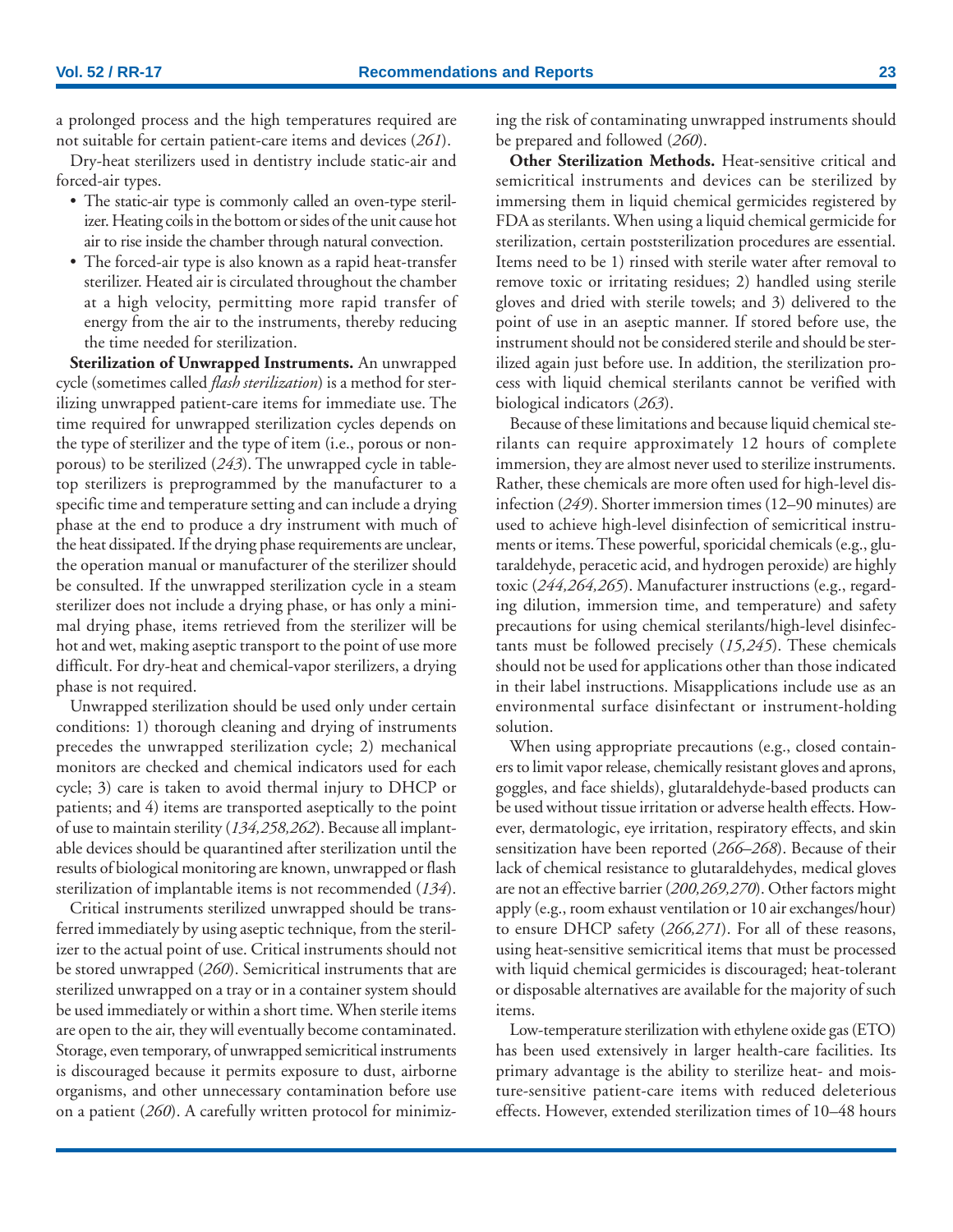a prolonged process and the high temperatures required are not suitable for certain patient-care items and devices (*261*).

Dry-heat sterilizers used in dentistry include static-air and forced-air types.

- The static-air type is commonly called an oven-type sterilizer. Heating coils in the bottom or sides of the unit cause hot air to rise inside the chamber through natural convection.
- The forced-air type is also known as a rapid heat-transfer sterilizer. Heated air is circulated throughout the chamber at a high velocity, permitting more rapid transfer of energy from the air to the instruments, thereby reducing the time needed for sterilization.

**Sterilization of Unwrapped Instruments.** An unwrapped cycle (sometimes called *flash sterilization*) is a method for sterilizing unwrapped patient-care items for immediate use. The time required for unwrapped sterilization cycles depends on the type of sterilizer and the type of item (i.e., porous or nonporous) to be sterilized (*243*). The unwrapped cycle in tabletop sterilizers is preprogrammed by the manufacturer to a specific time and temperature setting and can include a drying phase at the end to produce a dry instrument with much of the heat dissipated. If the drying phase requirements are unclear, the operation manual or manufacturer of the sterilizer should be consulted. If the unwrapped sterilization cycle in a steam sterilizer does not include a drying phase, or has only a minimal drying phase, items retrieved from the sterilizer will be hot and wet, making aseptic transport to the point of use more difficult. For dry-heat and chemical-vapor sterilizers, a drying phase is not required.

Unwrapped sterilization should be used only under certain conditions: 1) thorough cleaning and drying of instruments precedes the unwrapped sterilization cycle; 2) mechanical monitors are checked and chemical indicators used for each cycle; 3) care is taken to avoid thermal injury to DHCP or patients; and 4) items are transported aseptically to the point of use to maintain sterility (*134,258,262*). Because all implantable devices should be quarantined after sterilization until the results of biological monitoring are known, unwrapped or flash sterilization of implantable items is not recommended (*134*).

Critical instruments sterilized unwrapped should be transferred immediately by using aseptic technique, from the sterilizer to the actual point of use. Critical instruments should not be stored unwrapped (*260*). Semicritical instruments that are sterilized unwrapped on a tray or in a container system should be used immediately or within a short time. When sterile items are open to the air, they will eventually become contaminated. Storage, even temporary, of unwrapped semicritical instruments is discouraged because it permits exposure to dust, airborne organisms, and other unnecessary contamination before use on a patient (*260*). A carefully written protocol for minimizing the risk of contaminating unwrapped instruments should be prepared and followed (*260*).

**Other Sterilization Methods.** Heat-sensitive critical and semicritical instruments and devices can be sterilized by immersing them in liquid chemical germicides registered by FDA as sterilants. When using a liquid chemical germicide for sterilization, certain poststerilization procedures are essential. Items need to be 1) rinsed with sterile water after removal to remove toxic or irritating residues; 2) handled using sterile gloves and dried with sterile towels; and 3) delivered to the point of use in an aseptic manner. If stored before use, the instrument should not be considered sterile and should be sterilized again just before use. In addition, the sterilization process with liquid chemical sterilants cannot be verified with biological indicators (*263*).

Because of these limitations and because liquid chemical sterilants can require approximately 12 hours of complete immersion, they are almost never used to sterilize instruments. Rather, these chemicals are more often used for high-level disinfection (*249*). Shorter immersion times (12–90 minutes) are used to achieve high-level disinfection of semicritical instruments or items. These powerful, sporicidal chemicals (e.g., glutaraldehyde, peracetic acid, and hydrogen peroxide) are highly toxic (*244,264,265*). Manufacturer instructions (e.g., regarding dilution, immersion time, and temperature) and safety precautions for using chemical sterilants/high-level disinfectants must be followed precisely (*15,245*). These chemicals should not be used for applications other than those indicated in their label instructions. Misapplications include use as an environmental surface disinfectant or instrument-holding solution.

When using appropriate precautions (e.g., closed containers to limit vapor release, chemically resistant gloves and aprons, goggles, and face shields), glutaraldehyde-based products can be used without tissue irritation or adverse health effects. However, dermatologic, eye irritation, respiratory effects, and skin sensitization have been reported (*266–268*). Because of their lack of chemical resistance to glutaraldehydes, medical gloves are not an effective barrier (*200,269,270*). Other factors might apply (e.g., room exhaust ventilation or 10 air exchanges/hour) to ensure DHCP safety (*266,271*). For all of these reasons, using heat-sensitive semicritical items that must be processed with liquid chemical germicides is discouraged; heat-tolerant or disposable alternatives are available for the majority of such items.

Low-temperature sterilization with ethylene oxide gas (ETO) has been used extensively in larger health-care facilities. Its primary advantage is the ability to sterilize heat- and moisture-sensitive patient-care items with reduced deleterious effects. However, extended sterilization times of 10–48 hours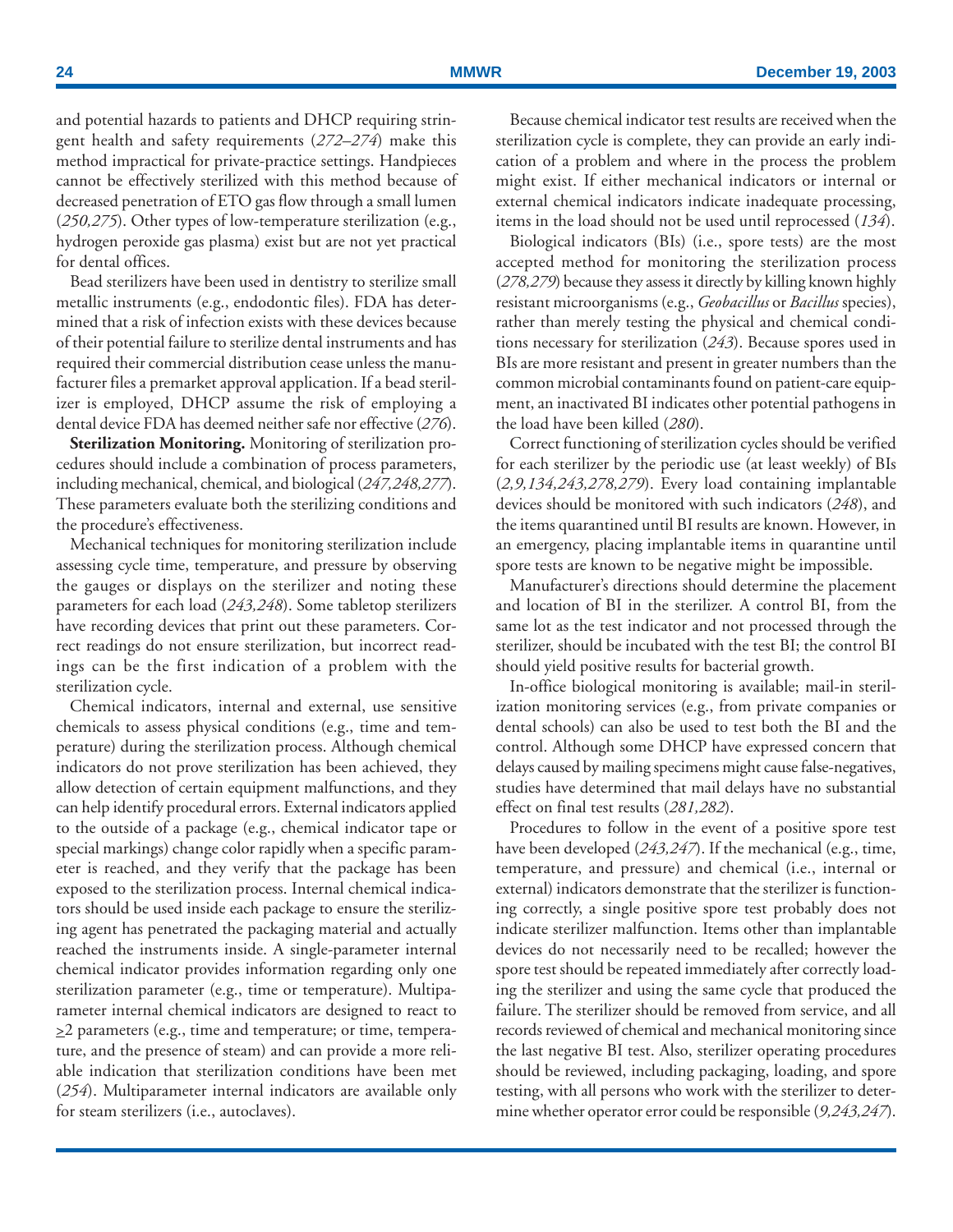and potential hazards to patients and DHCP requiring stringent health and safety requirements (*272–274*) make this method impractical for private-practice settings. Handpieces cannot be effectively sterilized with this method because of decreased penetration of ETO gas flow through a small lumen (*250,275*). Other types of low-temperature sterilization (e.g., hydrogen peroxide gas plasma) exist but are not yet practical for dental offices.

Bead sterilizers have been used in dentistry to sterilize small metallic instruments (e.g., endodontic files). FDA has determined that a risk of infection exists with these devices because of their potential failure to sterilize dental instruments and has required their commercial distribution cease unless the manufacturer files a premarket approval application. If a bead sterilizer is employed, DHCP assume the risk of employing a dental device FDA has deemed neither safe nor effective (*276*).

**Sterilization Monitoring.** Monitoring of sterilization procedures should include a combination of process parameters, including mechanical, chemical, and biological (*247,248,277*). These parameters evaluate both the sterilizing conditions and the procedure's effectiveness.

Mechanical techniques for monitoring sterilization include assessing cycle time, temperature, and pressure by observing the gauges or displays on the sterilizer and noting these parameters for each load (*243,248*). Some tabletop sterilizers have recording devices that print out these parameters. Correct readings do not ensure sterilization, but incorrect readings can be the first indication of a problem with the sterilization cycle.

Chemical indicators, internal and external, use sensitive chemicals to assess physical conditions (e.g., time and temperature) during the sterilization process. Although chemical indicators do not prove sterilization has been achieved, they allow detection of certain equipment malfunctions, and they can help identify procedural errors. External indicators applied to the outside of a package (e.g., chemical indicator tape or special markings) change color rapidly when a specific parameter is reached, and they verify that the package has been exposed to the sterilization process. Internal chemical indicators should be used inside each package to ensure the sterilizing agent has penetrated the packaging material and actually reached the instruments inside. A single-parameter internal chemical indicator provides information regarding only one sterilization parameter (e.g., time or temperature). Multiparameter internal chemical indicators are designed to react to  $\geq$ 2 parameters (e.g., time and temperature; or time, temperature, and the presence of steam) and can provide a more reliable indication that sterilization conditions have been met (*254*). Multiparameter internal indicators are available only for steam sterilizers (i.e., autoclaves).

Because chemical indicator test results are received when the sterilization cycle is complete, they can provide an early indication of a problem and where in the process the problem might exist. If either mechanical indicators or internal or external chemical indicators indicate inadequate processing, items in the load should not be used until reprocessed (*134*).

Biological indicators (BIs) (i.e., spore tests) are the most accepted method for monitoring the sterilization process (*278,279*) because they assess it directly by killing known highly resistant microorganisms (e.g., *Geobacillus* or *Bacillus* species), rather than merely testing the physical and chemical conditions necessary for sterilization (*243*). Because spores used in BIs are more resistant and present in greater numbers than the common microbial contaminants found on patient-care equipment, an inactivated BI indicates other potential pathogens in the load have been killed (*280*).

Correct functioning of sterilization cycles should be verified for each sterilizer by the periodic use (at least weekly) of BIs (*2,9,134,243,278,279*). Every load containing implantable devices should be monitored with such indicators (*248*), and the items quarantined until BI results are known. However, in an emergency, placing implantable items in quarantine until spore tests are known to be negative might be impossible.

Manufacturer's directions should determine the placement and location of BI in the sterilizer. A control BI, from the same lot as the test indicator and not processed through the sterilizer, should be incubated with the test BI; the control BI should yield positive results for bacterial growth.

In-office biological monitoring is available; mail-in sterilization monitoring services (e.g., from private companies or dental schools) can also be used to test both the BI and the control. Although some DHCP have expressed concern that delays caused by mailing specimens might cause false-negatives, studies have determined that mail delays have no substantial effect on final test results (*281,282*).

Procedures to follow in the event of a positive spore test have been developed (*243,247*). If the mechanical (e.g., time, temperature, and pressure) and chemical (i.e., internal or external) indicators demonstrate that the sterilizer is functioning correctly, a single positive spore test probably does not indicate sterilizer malfunction. Items other than implantable devices do not necessarily need to be recalled; however the spore test should be repeated immediately after correctly loading the sterilizer and using the same cycle that produced the failure. The sterilizer should be removed from service, and all records reviewed of chemical and mechanical monitoring since the last negative BI test. Also, sterilizer operating procedures should be reviewed, including packaging, loading, and spore testing, with all persons who work with the sterilizer to determine whether operator error could be responsible (*9,243,247*).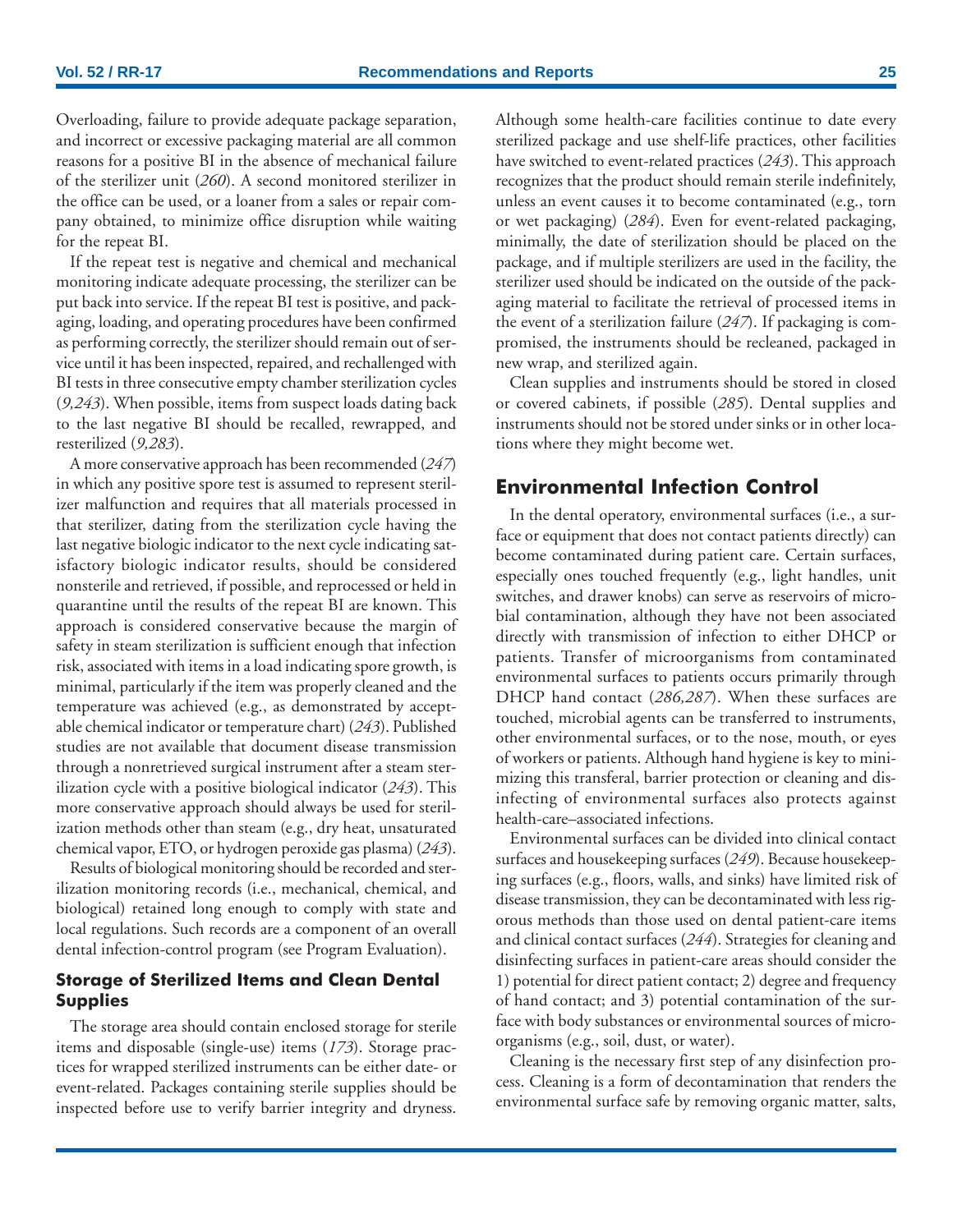Overloading, failure to provide adequate package separation, and incorrect or excessive packaging material are all common reasons for a positive BI in the absence of mechanical failure of the sterilizer unit (*260*). A second monitored sterilizer in the office can be used, or a loaner from a sales or repair company obtained, to minimize office disruption while waiting for the repeat BI.

If the repeat test is negative and chemical and mechanical monitoring indicate adequate processing, the sterilizer can be put back into service. If the repeat BI test is positive, and packaging, loading, and operating procedures have been confirmed as performing correctly, the sterilizer should remain out of service until it has been inspected, repaired, and rechallenged with BI tests in three consecutive empty chamber sterilization cycles (*9,243*). When possible, items from suspect loads dating back to the last negative BI should be recalled, rewrapped, and resterilized (*9,283*).

A more conservative approach has been recommended (*247*) in which any positive spore test is assumed to represent sterilizer malfunction and requires that all materials processed in that sterilizer, dating from the sterilization cycle having the last negative biologic indicator to the next cycle indicating satisfactory biologic indicator results, should be considered nonsterile and retrieved, if possible, and reprocessed or held in quarantine until the results of the repeat BI are known. This approach is considered conservative because the margin of safety in steam sterilization is sufficient enough that infection risk, associated with items in a load indicating spore growth, is minimal, particularly if the item was properly cleaned and the temperature was achieved (e.g., as demonstrated by acceptable chemical indicator or temperature chart) (*243*). Published studies are not available that document disease transmission through a nonretrieved surgical instrument after a steam sterilization cycle with a positive biological indicator (*243*). This more conservative approach should always be used for sterilization methods other than steam (e.g., dry heat, unsaturated chemical vapor, ETO, or hydrogen peroxide gas plasma) (*243*).

Results of biological monitoring should be recorded and sterilization monitoring records (i.e., mechanical, chemical, and biological) retained long enough to comply with state and local regulations. Such records are a component of an overall dental infection-control program (see Program Evaluation).

#### **Storage of Sterilized Items and Clean Dental Supplies**

The storage area should contain enclosed storage for sterile items and disposable (single-use) items (*173*). Storage practices for wrapped sterilized instruments can be either date- or event-related. Packages containing sterile supplies should be inspected before use to verify barrier integrity and dryness.

Although some health-care facilities continue to date every sterilized package and use shelf-life practices, other facilities have switched to event-related practices (*243*). This approach recognizes that the product should remain sterile indefinitely, unless an event causes it to become contaminated (e.g., torn or wet packaging) (*284*). Even for event-related packaging, minimally, the date of sterilization should be placed on the package, and if multiple sterilizers are used in the facility, the sterilizer used should be indicated on the outside of the packaging material to facilitate the retrieval of processed items in the event of a sterilization failure (*247*). If packaging is compromised, the instruments should be recleaned, packaged in new wrap, and sterilized again.

Clean supplies and instruments should be stored in closed or covered cabinets, if possible (*285*). Dental supplies and instruments should not be stored under sinks or in other locations where they might become wet.

## **Environmental Infection Control**

In the dental operatory, environmental surfaces (i.e., a surface or equipment that does not contact patients directly) can become contaminated during patient care. Certain surfaces, especially ones touched frequently (e.g., light handles, unit switches, and drawer knobs) can serve as reservoirs of microbial contamination, although they have not been associated directly with transmission of infection to either DHCP or patients. Transfer of microorganisms from contaminated environmental surfaces to patients occurs primarily through DHCP hand contact (*286,287*). When these surfaces are touched, microbial agents can be transferred to instruments, other environmental surfaces, or to the nose, mouth, or eyes of workers or patients. Although hand hygiene is key to minimizing this transferal, barrier protection or cleaning and disinfecting of environmental surfaces also protects against health-care–associated infections.

Environmental surfaces can be divided into clinical contact surfaces and housekeeping surfaces (*249*). Because housekeeping surfaces (e.g., floors, walls, and sinks) have limited risk of disease transmission, they can be decontaminated with less rigorous methods than those used on dental patient-care items and clinical contact surfaces (*244*). Strategies for cleaning and disinfecting surfaces in patient-care areas should consider the 1) potential for direct patient contact; 2) degree and frequency of hand contact; and 3) potential contamination of the surface with body substances or environmental sources of microorganisms (e.g., soil, dust, or water).

Cleaning is the necessary first step of any disinfection process. Cleaning is a form of decontamination that renders the environmental surface safe by removing organic matter, salts,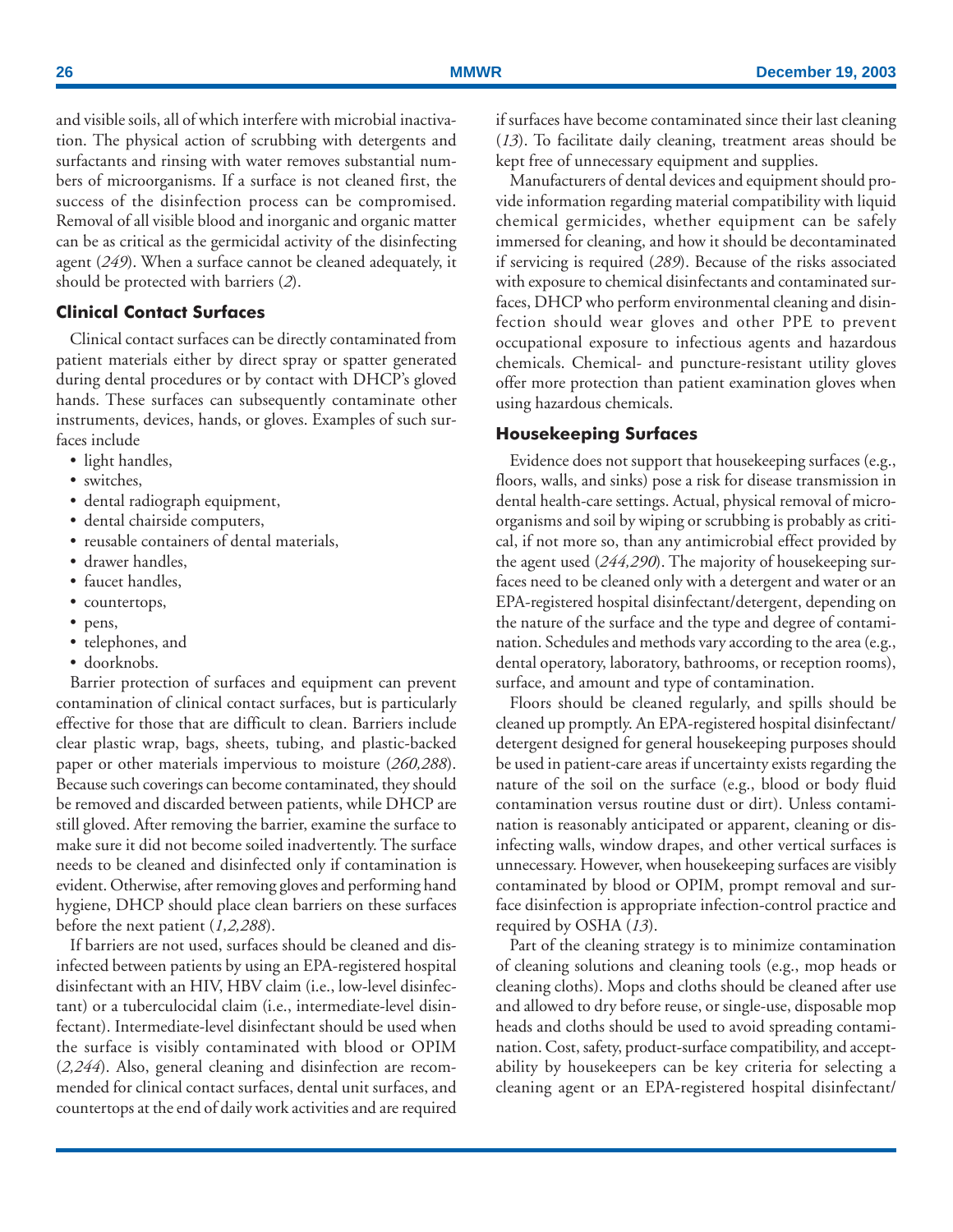and visible soils, all of which interfere with microbial inactivation. The physical action of scrubbing with detergents and surfactants and rinsing with water removes substantial numbers of microorganisms. If a surface is not cleaned first, the success of the disinfection process can be compromised. Removal of all visible blood and inorganic and organic matter can be as critical as the germicidal activity of the disinfecting agent (*249*). When a surface cannot be cleaned adequately, it should be protected with barriers (*2*).

#### **Clinical Contact Surfaces**

Clinical contact surfaces can be directly contaminated from patient materials either by direct spray or spatter generated during dental procedures or by contact with DHCP's gloved hands. These surfaces can subsequently contaminate other instruments, devices, hands, or gloves. Examples of such surfaces include

- light handles,
- switches,
- dental radiograph equipment,
- dental chairside computers,
- reusable containers of dental materials,
- drawer handles,
- faucet handles,
- countertops,
- pens,
- telephones, and
- doorknobs.

Barrier protection of surfaces and equipment can prevent contamination of clinical contact surfaces, but is particularly effective for those that are difficult to clean. Barriers include clear plastic wrap, bags, sheets, tubing, and plastic-backed paper or other materials impervious to moisture (*260,288*). Because such coverings can become contaminated, they should be removed and discarded between patients, while DHCP are still gloved. After removing the barrier, examine the surface to make sure it did not become soiled inadvertently. The surface needs to be cleaned and disinfected only if contamination is evident. Otherwise, after removing gloves and performing hand hygiene, DHCP should place clean barriers on these surfaces before the next patient (*1,2,288*).

If barriers are not used, surfaces should be cleaned and disinfected between patients by using an EPA-registered hospital disinfectant with an HIV, HBV claim (i.e., low-level disinfectant) or a tuberculocidal claim (i.e., intermediate-level disinfectant). Intermediate-level disinfectant should be used when the surface is visibly contaminated with blood or OPIM (*2,244*). Also, general cleaning and disinfection are recommended for clinical contact surfaces, dental unit surfaces, and countertops at the end of daily work activities and are required if surfaces have become contaminated since their last cleaning (*13*). To facilitate daily cleaning, treatment areas should be kept free of unnecessary equipment and supplies.

Manufacturers of dental devices and equipment should provide information regarding material compatibility with liquid chemical germicides, whether equipment can be safely immersed for cleaning, and how it should be decontaminated if servicing is required (*289*). Because of the risks associated with exposure to chemical disinfectants and contaminated surfaces, DHCP who perform environmental cleaning and disinfection should wear gloves and other PPE to prevent occupational exposure to infectious agents and hazardous chemicals. Chemical- and puncture-resistant utility gloves offer more protection than patient examination gloves when using hazardous chemicals.

#### **Housekeeping Surfaces**

Evidence does not support that housekeeping surfaces (e.g., floors, walls, and sinks) pose a risk for disease transmission in dental health-care settings. Actual, physical removal of microorganisms and soil by wiping or scrubbing is probably as critical, if not more so, than any antimicrobial effect provided by the agent used (*244,290*). The majority of housekeeping surfaces need to be cleaned only with a detergent and water or an EPA-registered hospital disinfectant/detergent, depending on the nature of the surface and the type and degree of contamination. Schedules and methods vary according to the area (e.g., dental operatory, laboratory, bathrooms, or reception rooms), surface, and amount and type of contamination.

Floors should be cleaned regularly, and spills should be cleaned up promptly. An EPA-registered hospital disinfectant/ detergent designed for general housekeeping purposes should be used in patient-care areas if uncertainty exists regarding the nature of the soil on the surface (e.g., blood or body fluid contamination versus routine dust or dirt). Unless contamination is reasonably anticipated or apparent, cleaning or disinfecting walls, window drapes, and other vertical surfaces is unnecessary. However, when housekeeping surfaces are visibly contaminated by blood or OPIM, prompt removal and surface disinfection is appropriate infection-control practice and required by OSHA (*13*).

Part of the cleaning strategy is to minimize contamination of cleaning solutions and cleaning tools (e.g., mop heads or cleaning cloths). Mops and cloths should be cleaned after use and allowed to dry before reuse, or single-use, disposable mop heads and cloths should be used to avoid spreading contamination. Cost, safety, product-surface compatibility, and acceptability by housekeepers can be key criteria for selecting a cleaning agent or an EPA-registered hospital disinfectant/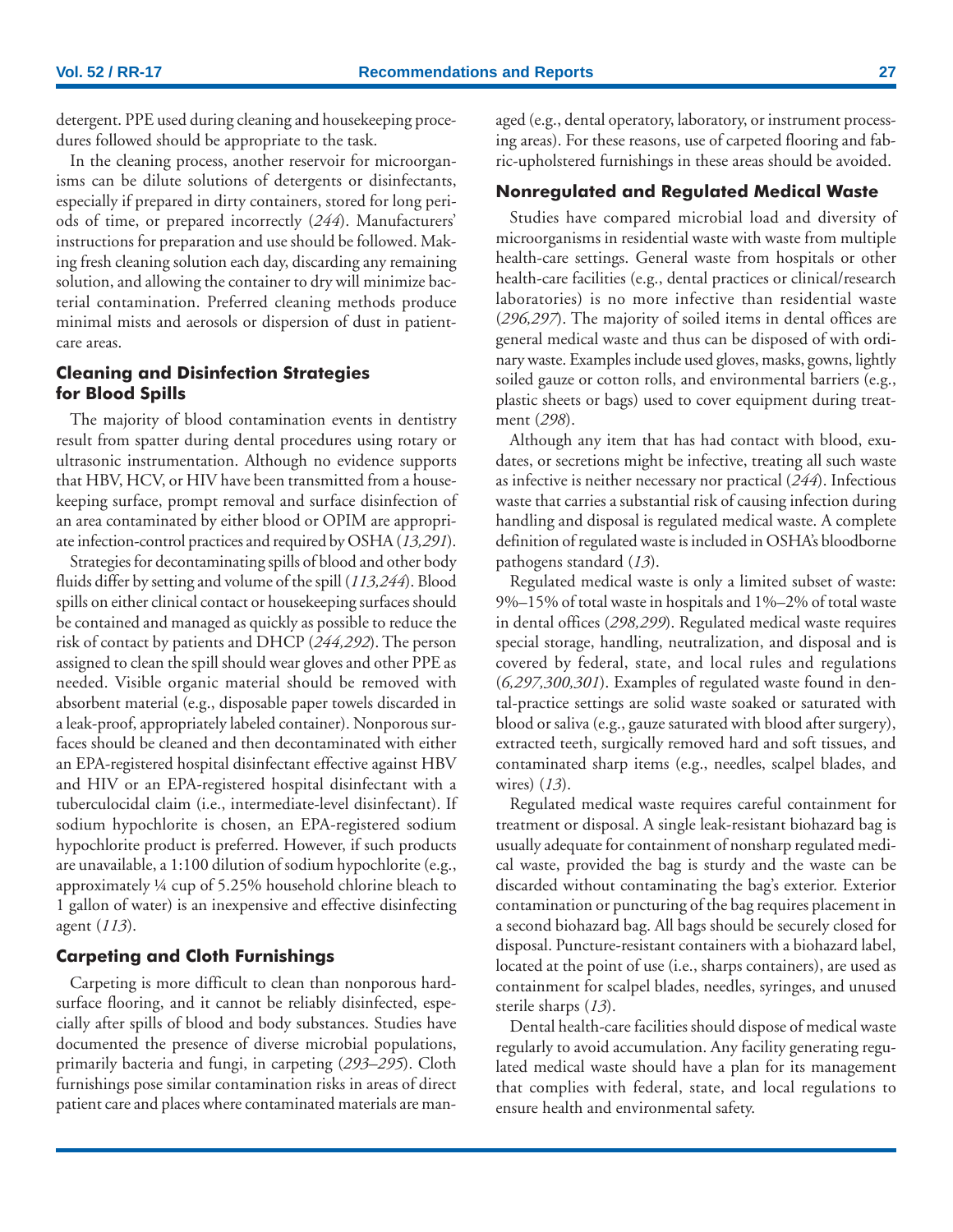detergent. PPE used during cleaning and housekeeping procedures followed should be appropriate to the task.

In the cleaning process, another reservoir for microorganisms can be dilute solutions of detergents or disinfectants, especially if prepared in dirty containers, stored for long periods of time, or prepared incorrectly (*244*). Manufacturers' instructions for preparation and use should be followed. Making fresh cleaning solution each day, discarding any remaining solution, and allowing the container to dry will minimize bacterial contamination. Preferred cleaning methods produce minimal mists and aerosols or dispersion of dust in patientcare areas.

#### **Cleaning and Disinfection Strategies for Blood Spills**

The majority of blood contamination events in dentistry result from spatter during dental procedures using rotary or ultrasonic instrumentation. Although no evidence supports that HBV, HCV, or HIV have been transmitted from a housekeeping surface, prompt removal and surface disinfection of an area contaminated by either blood or OPIM are appropriate infection-control practices and required by OSHA (*13,291*).

Strategies for decontaminating spills of blood and other body fluids differ by setting and volume of the spill (*113,244*). Blood spills on either clinical contact or housekeeping surfaces should be contained and managed as quickly as possible to reduce the risk of contact by patients and DHCP (*244,292*). The person assigned to clean the spill should wear gloves and other PPE as needed. Visible organic material should be removed with absorbent material (e.g., disposable paper towels discarded in a leak-proof, appropriately labeled container). Nonporous surfaces should be cleaned and then decontaminated with either an EPA-registered hospital disinfectant effective against HBV and HIV or an EPA-registered hospital disinfectant with a tuberculocidal claim (i.e., intermediate-level disinfectant). If sodium hypochlorite is chosen, an EPA-registered sodium hypochlorite product is preferred. However, if such products are unavailable, a 1:100 dilution of sodium hypochlorite (e.g., approximately ¼ cup of 5.25% household chlorine bleach to 1 gallon of water) is an inexpensive and effective disinfecting agent (*113*).

#### **Carpeting and Cloth Furnishings**

Carpeting is more difficult to clean than nonporous hardsurface flooring, and it cannot be reliably disinfected, especially after spills of blood and body substances. Studies have documented the presence of diverse microbial populations, primarily bacteria and fungi, in carpeting (*293–295*). Cloth furnishings pose similar contamination risks in areas of direct patient care and places where contaminated materials are managed (e.g., dental operatory, laboratory, or instrument processing areas). For these reasons, use of carpeted flooring and fabric-upholstered furnishings in these areas should be avoided.

#### **Nonregulated and Regulated Medical Waste**

Studies have compared microbial load and diversity of microorganisms in residential waste with waste from multiple health-care settings. General waste from hospitals or other health-care facilities (e.g., dental practices or clinical/research laboratories) is no more infective than residential waste (*296,297*). The majority of soiled items in dental offices are general medical waste and thus can be disposed of with ordinary waste. Examples include used gloves, masks, gowns, lightly soiled gauze or cotton rolls, and environmental barriers (e.g., plastic sheets or bags) used to cover equipment during treatment (*298*).

Although any item that has had contact with blood, exudates, or secretions might be infective, treating all such waste as infective is neither necessary nor practical (*244*). Infectious waste that carries a substantial risk of causing infection during handling and disposal is regulated medical waste. A complete definition of regulated waste is included in OSHA's bloodborne pathogens standard (*13*).

Regulated medical waste is only a limited subset of waste: 9%–15% of total waste in hospitals and 1%–2% of total waste in dental offices (*298,299*). Regulated medical waste requires special storage, handling, neutralization, and disposal and is covered by federal, state, and local rules and regulations (*6,297,300,301*). Examples of regulated waste found in dental-practice settings are solid waste soaked or saturated with blood or saliva (e.g., gauze saturated with blood after surgery), extracted teeth, surgically removed hard and soft tissues, and contaminated sharp items (e.g., needles, scalpel blades, and wires) (*13*).

Regulated medical waste requires careful containment for treatment or disposal. A single leak-resistant biohazard bag is usually adequate for containment of nonsharp regulated medical waste, provided the bag is sturdy and the waste can be discarded without contaminating the bag's exterior. Exterior contamination or puncturing of the bag requires placement in a second biohazard bag. All bags should be securely closed for disposal. Puncture-resistant containers with a biohazard label, located at the point of use (i.e., sharps containers), are used as containment for scalpel blades, needles, syringes, and unused sterile sharps (*13*).

Dental health-care facilities should dispose of medical waste regularly to avoid accumulation. Any facility generating regulated medical waste should have a plan for its management that complies with federal, state, and local regulations to ensure health and environmental safety.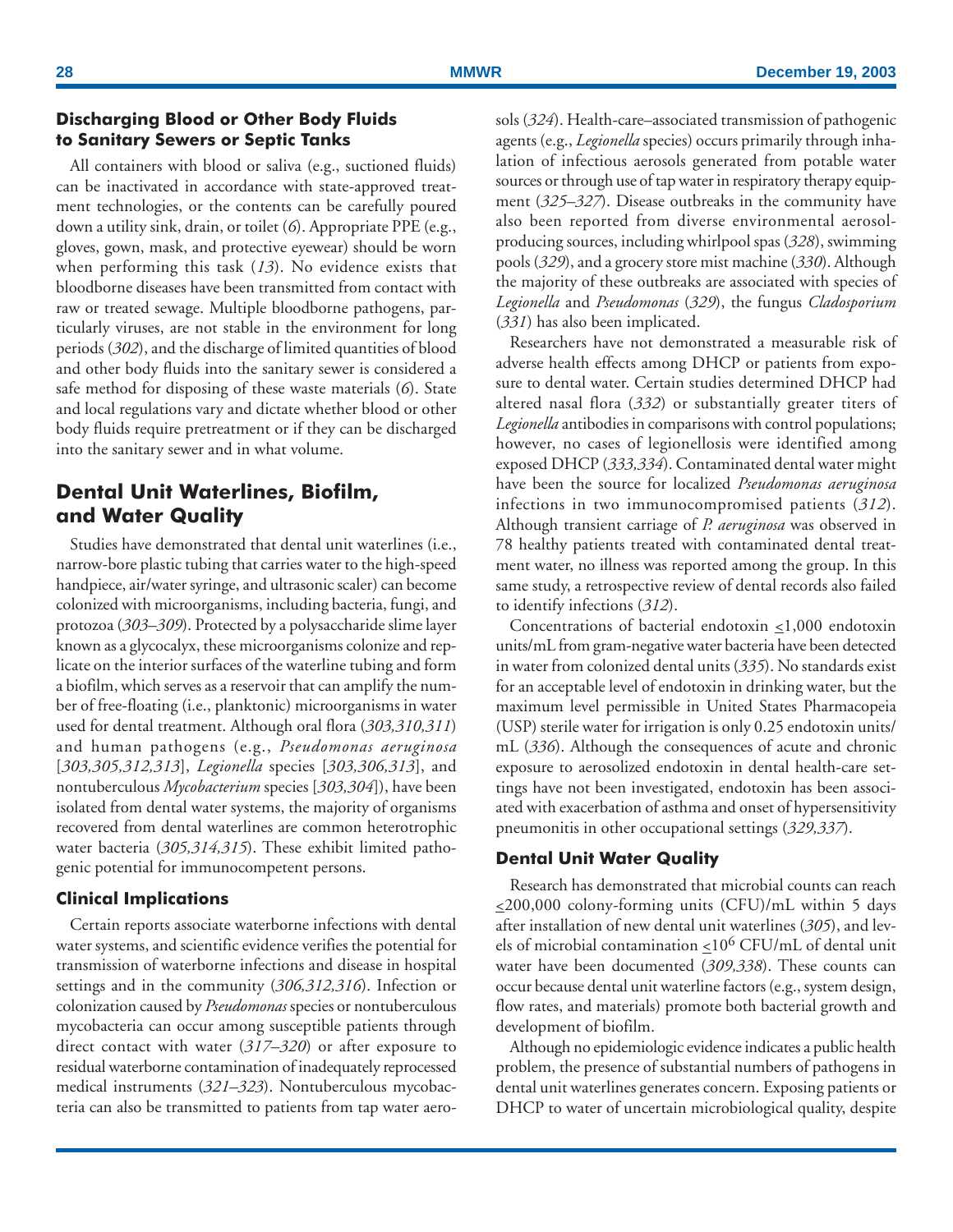#### **Discharging Blood or Other Body Fluids to Sanitary Sewers or Septic Tanks**

All containers with blood or saliva (e.g., suctioned fluids) can be inactivated in accordance with state-approved treatment technologies, or the contents can be carefully poured down a utility sink, drain, or toilet (*6*). Appropriate PPE (e.g., gloves, gown, mask, and protective eyewear) should be worn when performing this task (*13*). No evidence exists that bloodborne diseases have been transmitted from contact with raw or treated sewage. Multiple bloodborne pathogens, particularly viruses, are not stable in the environment for long periods (*302*), and the discharge of limited quantities of blood and other body fluids into the sanitary sewer is considered a safe method for disposing of these waste materials (*6*). State and local regulations vary and dictate whether blood or other body fluids require pretreatment or if they can be discharged into the sanitary sewer and in what volume.

## **Dental Unit Waterlines, Biofilm, and Water Quality**

Studies have demonstrated that dental unit waterlines (i.e., narrow-bore plastic tubing that carries water to the high-speed handpiece, air/water syringe, and ultrasonic scaler) can become colonized with microorganisms, including bacteria, fungi, and protozoa (*303–309*). Protected by a polysaccharide slime layer known as a glycocalyx, these microorganisms colonize and replicate on the interior surfaces of the waterline tubing and form a biofilm, which serves as a reservoir that can amplify the number of free-floating (i.e., planktonic) microorganisms in water used for dental treatment. Although oral flora (*303,310,311*) and human pathogens (e.g., *Pseudomonas aeruginosa* [*303,305,312,313*], *Legionella* species [*303,306,313*], and nontuberculous *Mycobacterium* species [*303,304*]), have been isolated from dental water systems, the majority of organisms recovered from dental waterlines are common heterotrophic water bacteria (*305,314,315*). These exhibit limited pathogenic potential for immunocompetent persons.

#### **Clinical Implications**

Certain reports associate waterborne infections with dental water systems, and scientific evidence verifies the potential for transmission of waterborne infections and disease in hospital settings and in the community (*306,312,316*). Infection or colonization caused by *Pseudomonas* species or nontuberculous mycobacteria can occur among susceptible patients through direct contact with water (*317–320*) or after exposure to residual waterborne contamination of inadequately reprocessed medical instruments (*321–323*). Nontuberculous mycobacteria can also be transmitted to patients from tap water aerosols (*324*). Health-care–associated transmission of pathogenic agents (e.g., *Legionella* species) occurs primarily through inhalation of infectious aerosols generated from potable water sources or through use of tap water in respiratory therapy equipment (*325–327*). Disease outbreaks in the community have also been reported from diverse environmental aerosolproducing sources, including whirlpool spas (*328*), swimming pools (*329*), and a grocery store mist machine (*330*). Although the majority of these outbreaks are associated with species of *Legionella* and *Pseudomonas* (*329*), the fungus *Cladosporium* (*331*) has also been implicated.

Researchers have not demonstrated a measurable risk of adverse health effects among DHCP or patients from exposure to dental water. Certain studies determined DHCP had altered nasal flora (*332*) or substantially greater titers of *Legionella* antibodies in comparisons with control populations; however, no cases of legionellosis were identified among exposed DHCP (*333,334*). Contaminated dental water might have been the source for localized *Pseudomonas aeruginosa* infections in two immunocompromised patients (*312*). Although transient carriage of *P. aeruginosa* was observed in 78 healthy patients treated with contaminated dental treatment water, no illness was reported among the group. In this same study, a retrospective review of dental records also failed to identify infections (*312*).

Concentrations of bacterial endotoxin  $\leq 1,000$  endotoxin units/mL from gram-negative water bacteria have been detected in water from colonized dental units (*335*). No standards exist for an acceptable level of endotoxin in drinking water, but the maximum level permissible in United States Pharmacopeia (USP) sterile water for irrigation is only 0.25 endotoxin units/ mL (*336*). Although the consequences of acute and chronic exposure to aerosolized endotoxin in dental health-care settings have not been investigated, endotoxin has been associated with exacerbation of asthma and onset of hypersensitivity pneumonitis in other occupational settings (*329,337*).

#### **Dental Unit Water Quality**

Research has demonstrated that microbial counts can reach  $\leq$ 200,000 colony-forming units (CFU)/mL within 5 days after installation of new dental unit waterlines (*305*), and levels of microbial contamination <106 CFU/mL of dental unit water have been documented (*309,338*). These counts can occur because dental unit waterline factors (e.g., system design, flow rates, and materials) promote both bacterial growth and development of biofilm.

Although no epidemiologic evidence indicates a public health problem, the presence of substantial numbers of pathogens in dental unit waterlines generates concern. Exposing patients or DHCP to water of uncertain microbiological quality, despite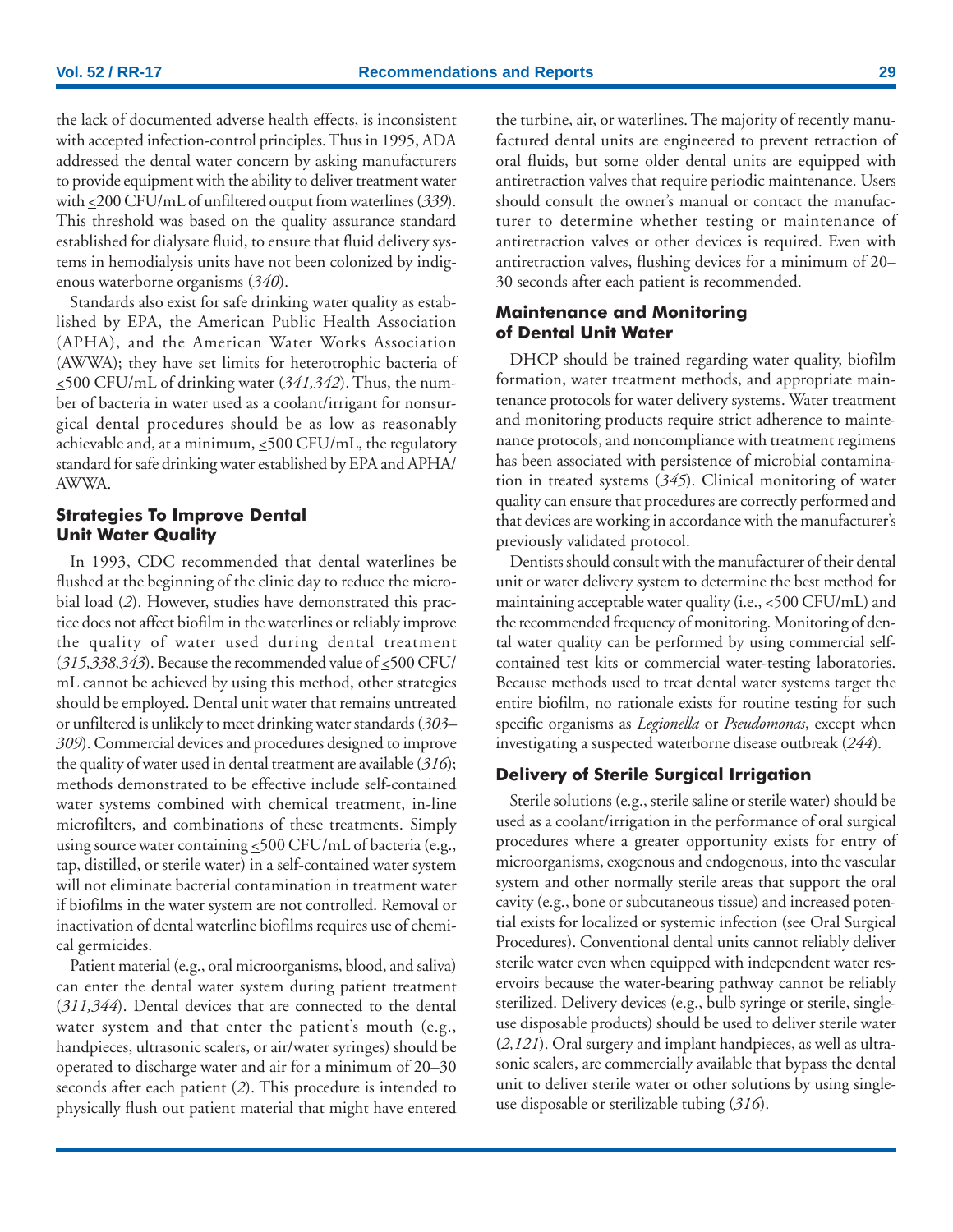the lack of documented adverse health effects, is inconsistent with accepted infection-control principles. Thus in 1995, ADA addressed the dental water concern by asking manufacturers to provide equipment with the ability to deliver treatment water with <200 CFU/mL of unfiltered output from waterlines (*339*). This threshold was based on the quality assurance standard established for dialysate fluid, to ensure that fluid delivery systems in hemodialysis units have not been colonized by indigenous waterborne organisms (*340*).

Standards also exist for safe drinking water quality as established by EPA, the American Public Health Association (APHA), and the American Water Works Association (AWWA); they have set limits for heterotrophic bacteria of <500 CFU/mL of drinking water (*341,342*). Thus, the number of bacteria in water used as a coolant/irrigant for nonsurgical dental procedures should be as low as reasonably achievable and, at a minimum,  $\leq$ 500 CFU/mL, the regulatory standard for safe drinking water established by EPA and APHA/ AWWA.

#### **Strategies To Improve Dental Unit Water Quality**

In 1993, CDC recommended that dental waterlines be flushed at the beginning of the clinic day to reduce the microbial load (*2*). However, studies have demonstrated this practice does not affect biofilm in the waterlines or reliably improve the quality of water used during dental treatment (*315,338,343*). Because the recommended value of <500 CFU/ mL cannot be achieved by using this method, other strategies should be employed. Dental unit water that remains untreated or unfiltered is unlikely to meet drinking water standards (*303– 309*). Commercial devices and procedures designed to improve the quality of water used in dental treatment are available (*316*); methods demonstrated to be effective include self-contained water systems combined with chemical treatment, in-line microfilters, and combinations of these treatments. Simply using source water containing  $\leq$  500 CFU/mL of bacteria (e.g., tap, distilled, or sterile water) in a self-contained water system will not eliminate bacterial contamination in treatment water if biofilms in the water system are not controlled. Removal or inactivation of dental waterline biofilms requires use of chemical germicides.

Patient material (e.g., oral microorganisms, blood, and saliva) can enter the dental water system during patient treatment (*311,344*). Dental devices that are connected to the dental water system and that enter the patient's mouth (e.g., handpieces, ultrasonic scalers, or air/water syringes) should be operated to discharge water and air for a minimum of 20–30 seconds after each patient (*2*). This procedure is intended to physically flush out patient material that might have entered the turbine, air, or waterlines. The majority of recently manufactured dental units are engineered to prevent retraction of oral fluids, but some older dental units are equipped with antiretraction valves that require periodic maintenance. Users should consult the owner's manual or contact the manufacturer to determine whether testing or maintenance of antiretraction valves or other devices is required. Even with antiretraction valves, flushing devices for a minimum of 20– 30 seconds after each patient is recommended.

#### **Maintenance and Monitoring of Dental Unit Water**

DHCP should be trained regarding water quality, biofilm formation, water treatment methods, and appropriate maintenance protocols for water delivery systems. Water treatment and monitoring products require strict adherence to maintenance protocols, and noncompliance with treatment regimens has been associated with persistence of microbial contamination in treated systems (*345*). Clinical monitoring of water quality can ensure that procedures are correctly performed and that devices are working in accordance with the manufacturer's previously validated protocol.

Dentists should consult with the manufacturer of their dental unit or water delivery system to determine the best method for maintaining acceptable water quality (i.e.,  $\leq$  500 CFU/mL) and the recommended frequency of monitoring. Monitoring of dental water quality can be performed by using commercial selfcontained test kits or commercial water-testing laboratories. Because methods used to treat dental water systems target the entire biofilm, no rationale exists for routine testing for such specific organisms as *Legionella* or *Pseudomonas*, except when investigating a suspected waterborne disease outbreak (*244*).

#### **Delivery of Sterile Surgical Irrigation**

Sterile solutions (e.g., sterile saline or sterile water) should be used as a coolant/irrigation in the performance of oral surgical procedures where a greater opportunity exists for entry of microorganisms, exogenous and endogenous, into the vascular system and other normally sterile areas that support the oral cavity (e.g., bone or subcutaneous tissue) and increased potential exists for localized or systemic infection (see Oral Surgical Procedures). Conventional dental units cannot reliably deliver sterile water even when equipped with independent water reservoirs because the water-bearing pathway cannot be reliably sterilized. Delivery devices (e.g., bulb syringe or sterile, singleuse disposable products) should be used to deliver sterile water (*2,121*). Oral surgery and implant handpieces, as well as ultrasonic scalers, are commercially available that bypass the dental unit to deliver sterile water or other solutions by using singleuse disposable or sterilizable tubing (*316*).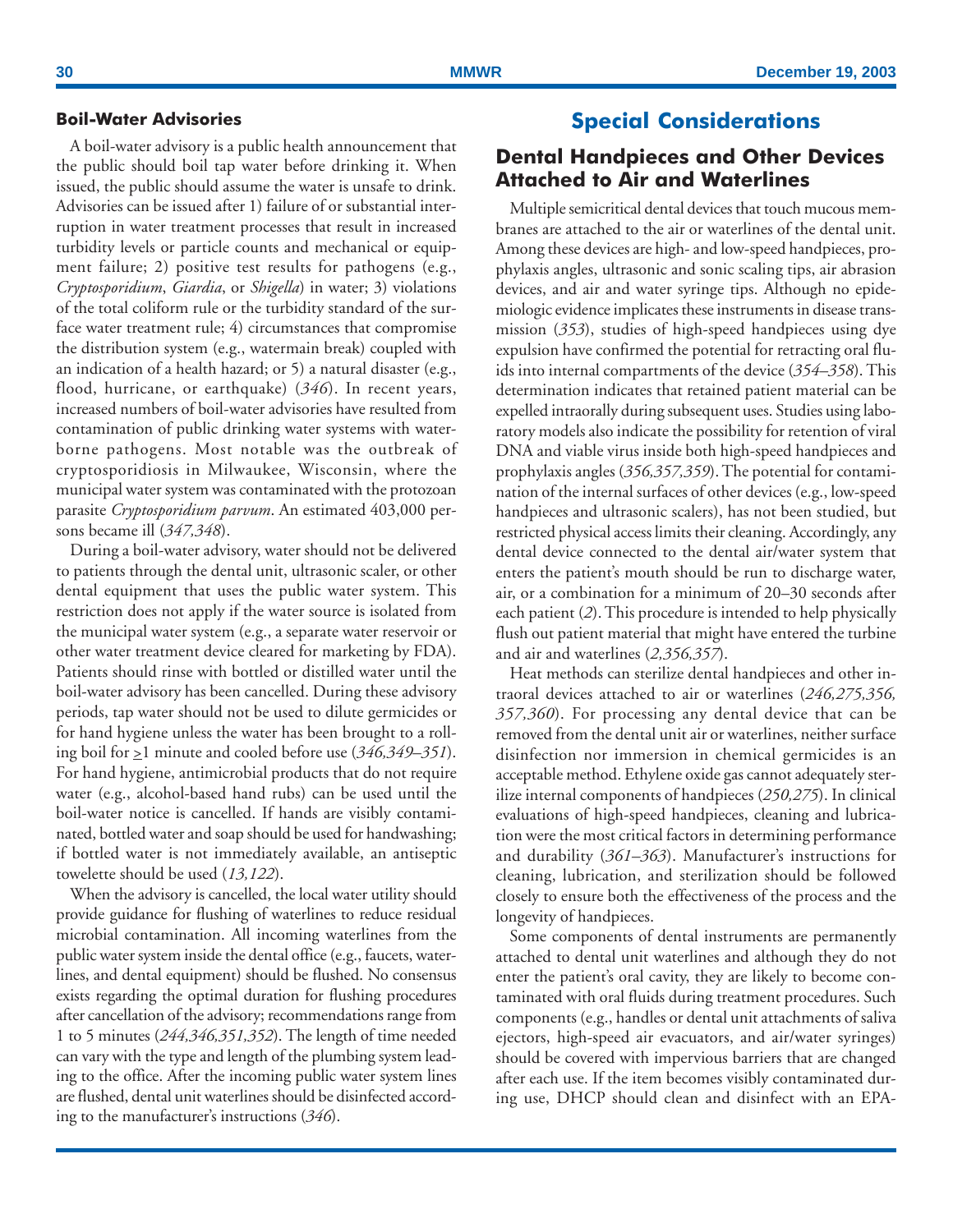#### **Boil-Water Advisories**

A boil-water advisory is a public health announcement that the public should boil tap water before drinking it. When issued, the public should assume the water is unsafe to drink. Advisories can be issued after 1) failure of or substantial interruption in water treatment processes that result in increased turbidity levels or particle counts and mechanical or equipment failure; 2) positive test results for pathogens (e.g., *Cryptosporidium*, *Giardia*, or *Shigella*) in water; 3) violations of the total coliform rule or the turbidity standard of the surface water treatment rule; 4) circumstances that compromise the distribution system (e.g., watermain break) coupled with an indication of a health hazard; or 5) a natural disaster (e.g., flood, hurricane, or earthquake) (*346*). In recent years, increased numbers of boil-water advisories have resulted from contamination of public drinking water systems with waterborne pathogens. Most notable was the outbreak of cryptosporidiosis in Milwaukee, Wisconsin, where the municipal water system was contaminated with the protozoan parasite *Cryptosporidium parvum*. An estimated 403,000 persons became ill (*347,348*).

During a boil-water advisory, water should not be delivered to patients through the dental unit, ultrasonic scaler, or other dental equipment that uses the public water system. This restriction does not apply if the water source is isolated from the municipal water system (e.g., a separate water reservoir or other water treatment device cleared for marketing by FDA). Patients should rinse with bottled or distilled water until the boil-water advisory has been cancelled. During these advisory periods, tap water should not be used to dilute germicides or for hand hygiene unless the water has been brought to a rolling boil for >1 minute and cooled before use (*346,349–351*). For hand hygiene, antimicrobial products that do not require water (e.g., alcohol-based hand rubs) can be used until the boil-water notice is cancelled. If hands are visibly contaminated, bottled water and soap should be used for handwashing; if bottled water is not immediately available, an antiseptic towelette should be used (*13,122*).

When the advisory is cancelled, the local water utility should provide guidance for flushing of waterlines to reduce residual microbial contamination. All incoming waterlines from the public water system inside the dental office (e.g., faucets, waterlines, and dental equipment) should be flushed. No consensus exists regarding the optimal duration for flushing procedures after cancellation of the advisory; recommendations range from 1 to 5 minutes (*244,346,351,352*). The length of time needed can vary with the type and length of the plumbing system leading to the office. After the incoming public water system lines are flushed, dental unit waterlines should be disinfected according to the manufacturer's instructions (*346*).

## **Special Considerations**

## **Dental Handpieces and Other Devices Attached to Air and Waterlines**

Multiple semicritical dental devices that touch mucous membranes are attached to the air or waterlines of the dental unit. Among these devices are high- and low-speed handpieces, prophylaxis angles, ultrasonic and sonic scaling tips, air abrasion devices, and air and water syringe tips. Although no epidemiologic evidence implicates these instruments in disease transmission (*353*), studies of high-speed handpieces using dye expulsion have confirmed the potential for retracting oral fluids into internal compartments of the device (*354–358*). This determination indicates that retained patient material can be expelled intraorally during subsequent uses. Studies using laboratory models also indicate the possibility for retention of viral DNA and viable virus inside both high-speed handpieces and prophylaxis angles (*356,357,359*). The potential for contamination of the internal surfaces of other devices (e.g., low-speed handpieces and ultrasonic scalers), has not been studied, but restricted physical access limits their cleaning. Accordingly, any dental device connected to the dental air/water system that enters the patient's mouth should be run to discharge water, air, or a combination for a minimum of 20–30 seconds after each patient (*2*). This procedure is intended to help physically flush out patient material that might have entered the turbine and air and waterlines (*2,356,357*).

Heat methods can sterilize dental handpieces and other intraoral devices attached to air or waterlines (*246,275,356, 357,360*). For processing any dental device that can be removed from the dental unit air or waterlines, neither surface disinfection nor immersion in chemical germicides is an acceptable method. Ethylene oxide gas cannot adequately sterilize internal components of handpieces (*250,275*). In clinical evaluations of high-speed handpieces, cleaning and lubrication were the most critical factors in determining performance and durability (*361–363*). Manufacturer's instructions for cleaning, lubrication, and sterilization should be followed closely to ensure both the effectiveness of the process and the longevity of handpieces.

Some components of dental instruments are permanently attached to dental unit waterlines and although they do not enter the patient's oral cavity, they are likely to become contaminated with oral fluids during treatment procedures. Such components (e.g., handles or dental unit attachments of saliva ejectors, high-speed air evacuators, and air/water syringes) should be covered with impervious barriers that are changed after each use. If the item becomes visibly contaminated during use, DHCP should clean and disinfect with an EPA-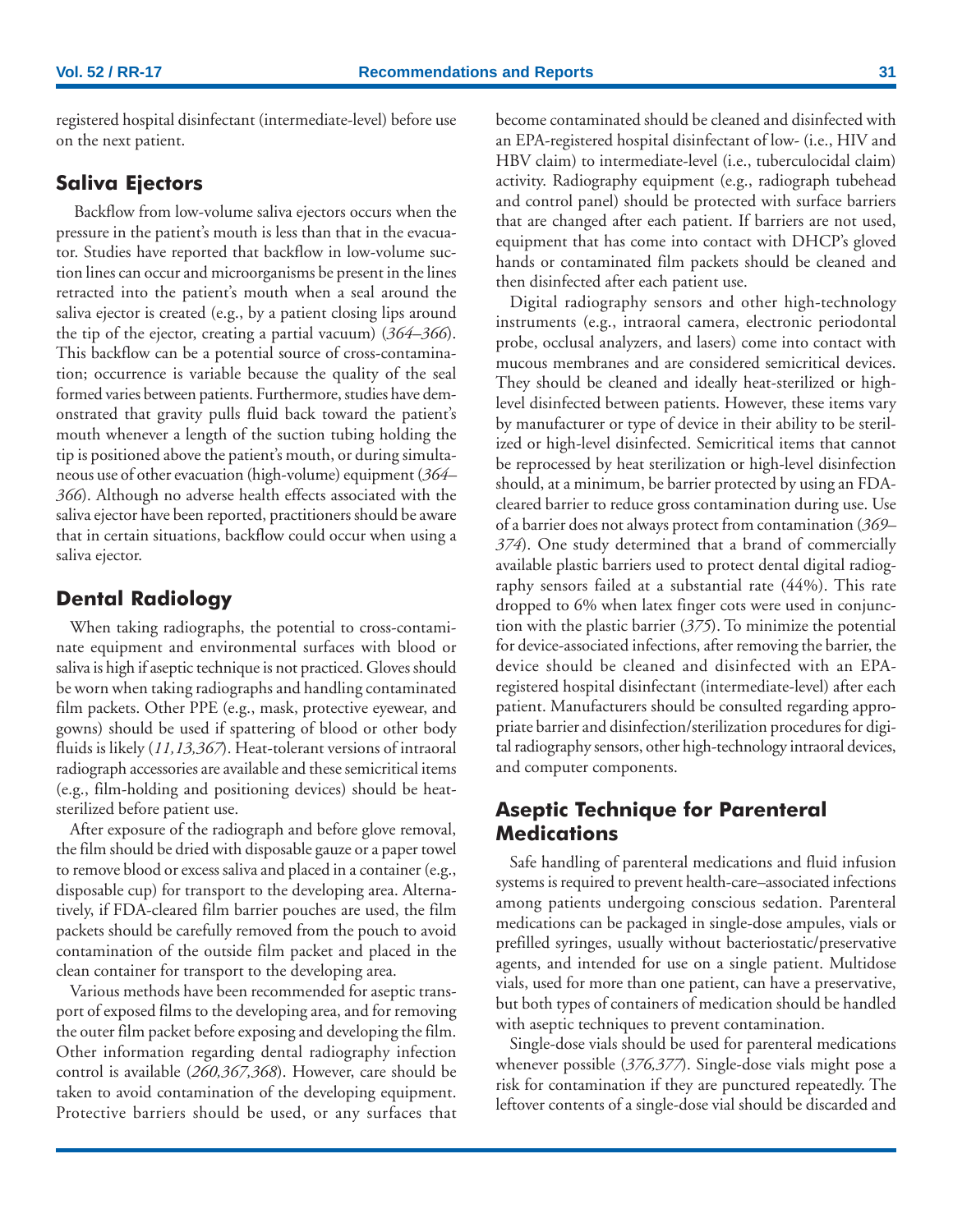registered hospital disinfectant (intermediate-level) before use on the next patient.

## **Saliva Ejectors**

 Backflow from low-volume saliva ejectors occurs when the pressure in the patient's mouth is less than that in the evacuator. Studies have reported that backflow in low-volume suction lines can occur and microorganisms be present in the lines retracted into the patient's mouth when a seal around the saliva ejector is created (e.g., by a patient closing lips around the tip of the ejector, creating a partial vacuum) (*364–366*). This backflow can be a potential source of cross-contamination; occurrence is variable because the quality of the seal formed varies between patients. Furthermore, studies have demonstrated that gravity pulls fluid back toward the patient's mouth whenever a length of the suction tubing holding the tip is positioned above the patient's mouth, or during simultaneous use of other evacuation (high-volume) equipment (*364– 366*). Although no adverse health effects associated with the saliva ejector have been reported, practitioners should be aware that in certain situations, backflow could occur when using a saliva ejector.

## **Dental Radiology**

When taking radiographs, the potential to cross-contaminate equipment and environmental surfaces with blood or saliva is high if aseptic technique is not practiced. Gloves should be worn when taking radiographs and handling contaminated film packets. Other PPE (e.g., mask, protective eyewear, and gowns) should be used if spattering of blood or other body fluids is likely (*11,13,367*). Heat-tolerant versions of intraoral radiograph accessories are available and these semicritical items (e.g., film-holding and positioning devices) should be heatsterilized before patient use.

After exposure of the radiograph and before glove removal, the film should be dried with disposable gauze or a paper towel to remove blood or excess saliva and placed in a container (e.g., disposable cup) for transport to the developing area. Alternatively, if FDA-cleared film barrier pouches are used, the film packets should be carefully removed from the pouch to avoid contamination of the outside film packet and placed in the clean container for transport to the developing area.

Various methods have been recommended for aseptic transport of exposed films to the developing area, and for removing the outer film packet before exposing and developing the film. Other information regarding dental radiography infection control is available (*260,367,368*). However, care should be taken to avoid contamination of the developing equipment. Protective barriers should be used, or any surfaces that become contaminated should be cleaned and disinfected with an EPA-registered hospital disinfectant of low- (i.e., HIV and HBV claim) to intermediate-level (i.e., tuberculocidal claim) activity. Radiography equipment (e.g., radiograph tubehead and control panel) should be protected with surface barriers that are changed after each patient. If barriers are not used, equipment that has come into contact with DHCP's gloved hands or contaminated film packets should be cleaned and then disinfected after each patient use.

Digital radiography sensors and other high-technology instruments (e.g., intraoral camera, electronic periodontal probe, occlusal analyzers, and lasers) come into contact with mucous membranes and are considered semicritical devices. They should be cleaned and ideally heat-sterilized or highlevel disinfected between patients. However, these items vary by manufacturer or type of device in their ability to be sterilized or high-level disinfected. Semicritical items that cannot be reprocessed by heat sterilization or high-level disinfection should, at a minimum, be barrier protected by using an FDAcleared barrier to reduce gross contamination during use. Use of a barrier does not always protect from contamination (*369– 374*). One study determined that a brand of commercially available plastic barriers used to protect dental digital radiography sensors failed at a substantial rate (44%). This rate dropped to 6% when latex finger cots were used in conjunction with the plastic barrier (*375*). To minimize the potential for device-associated infections, after removing the barrier, the device should be cleaned and disinfected with an EPAregistered hospital disinfectant (intermediate-level) after each patient. Manufacturers should be consulted regarding appropriate barrier and disinfection/sterilization procedures for digital radiography sensors, other high-technology intraoral devices, and computer components.

## **Aseptic Technique for Parenteral Medications**

Safe handling of parenteral medications and fluid infusion systems is required to prevent health-care–associated infections among patients undergoing conscious sedation. Parenteral medications can be packaged in single-dose ampules, vials or prefilled syringes, usually without bacteriostatic/preservative agents, and intended for use on a single patient. Multidose vials, used for more than one patient, can have a preservative, but both types of containers of medication should be handled with aseptic techniques to prevent contamination.

Single-dose vials should be used for parenteral medications whenever possible (*376,377*). Single-dose vials might pose a risk for contamination if they are punctured repeatedly. The leftover contents of a single-dose vial should be discarded and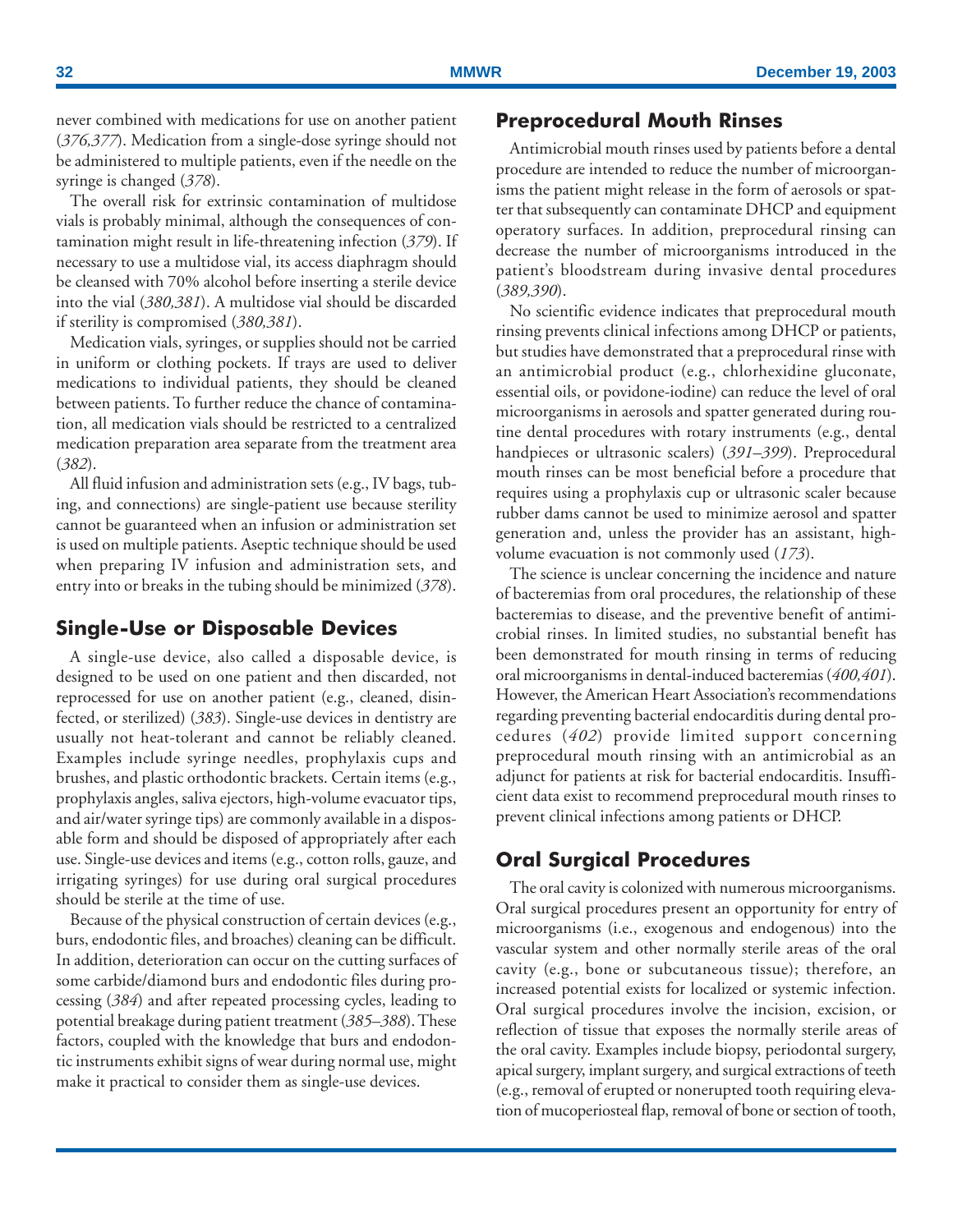never combined with medications for use on another patient (*376,377*). Medication from a single-dose syringe should not be administered to multiple patients, even if the needle on the syringe is changed (*378*).

The overall risk for extrinsic contamination of multidose vials is probably minimal, although the consequences of contamination might result in life-threatening infection (*379*). If necessary to use a multidose vial, its access diaphragm should be cleansed with 70% alcohol before inserting a sterile device into the vial (*380,381*). A multidose vial should be discarded if sterility is compromised (*380,381*).

Medication vials, syringes, or supplies should not be carried in uniform or clothing pockets. If trays are used to deliver medications to individual patients, they should be cleaned between patients. To further reduce the chance of contamination, all medication vials should be restricted to a centralized medication preparation area separate from the treatment area (*382*).

All fluid infusion and administration sets (e.g., IV bags, tubing, and connections) are single-patient use because sterility cannot be guaranteed when an infusion or administration set is used on multiple patients. Aseptic technique should be used when preparing IV infusion and administration sets, and entry into or breaks in the tubing should be minimized (*378*).

## **Single-Use or Disposable Devices**

A single-use device, also called a disposable device, is designed to be used on one patient and then discarded, not reprocessed for use on another patient (e.g., cleaned, disinfected, or sterilized) (*383*). Single-use devices in dentistry are usually not heat-tolerant and cannot be reliably cleaned. Examples include syringe needles, prophylaxis cups and brushes, and plastic orthodontic brackets. Certain items (e.g., prophylaxis angles, saliva ejectors, high-volume evacuator tips, and air/water syringe tips) are commonly available in a disposable form and should be disposed of appropriately after each use. Single-use devices and items (e.g., cotton rolls, gauze, and irrigating syringes) for use during oral surgical procedures should be sterile at the time of use.

Because of the physical construction of certain devices (e.g., burs, endodontic files, and broaches) cleaning can be difficult. In addition, deterioration can occur on the cutting surfaces of some carbide/diamond burs and endodontic files during processing (*384*) and after repeated processing cycles, leading to potential breakage during patient treatment (*385–388*). These factors, coupled with the knowledge that burs and endodontic instruments exhibit signs of wear during normal use, might make it practical to consider them as single-use devices.

#### **Preprocedural Mouth Rinses**

Antimicrobial mouth rinses used by patients before a dental procedure are intended to reduce the number of microorganisms the patient might release in the form of aerosols or spatter that subsequently can contaminate DHCP and equipment operatory surfaces. In addition, preprocedural rinsing can decrease the number of microorganisms introduced in the patient's bloodstream during invasive dental procedures (*389,390*).

No scientific evidence indicates that preprocedural mouth rinsing prevents clinical infections among DHCP or patients, but studies have demonstrated that a preprocedural rinse with an antimicrobial product (e.g., chlorhexidine gluconate, essential oils, or povidone-iodine) can reduce the level of oral microorganisms in aerosols and spatter generated during routine dental procedures with rotary instruments (e.g., dental handpieces or ultrasonic scalers) (*391–399*). Preprocedural mouth rinses can be most beneficial before a procedure that requires using a prophylaxis cup or ultrasonic scaler because rubber dams cannot be used to minimize aerosol and spatter generation and, unless the provider has an assistant, highvolume evacuation is not commonly used (*173*).

The science is unclear concerning the incidence and nature of bacteremias from oral procedures, the relationship of these bacteremias to disease, and the preventive benefit of antimicrobial rinses. In limited studies, no substantial benefit has been demonstrated for mouth rinsing in terms of reducing oral microorganisms in dental-induced bacteremias (*400,401*). However, the American Heart Association's recommendations regarding preventing bacterial endocarditis during dental procedures (*402*) provide limited support concerning preprocedural mouth rinsing with an antimicrobial as an adjunct for patients at risk for bacterial endocarditis. Insufficient data exist to recommend preprocedural mouth rinses to prevent clinical infections among patients or DHCP.

## **Oral Surgical Procedures**

The oral cavity is colonized with numerous microorganisms. Oral surgical procedures present an opportunity for entry of microorganisms (i.e., exogenous and endogenous) into the vascular system and other normally sterile areas of the oral cavity (e.g., bone or subcutaneous tissue); therefore, an increased potential exists for localized or systemic infection. Oral surgical procedures involve the incision, excision, or reflection of tissue that exposes the normally sterile areas of the oral cavity. Examples include biopsy, periodontal surgery, apical surgery, implant surgery, and surgical extractions of teeth (e.g., removal of erupted or nonerupted tooth requiring elevation of mucoperiosteal flap, removal of bone or section of tooth,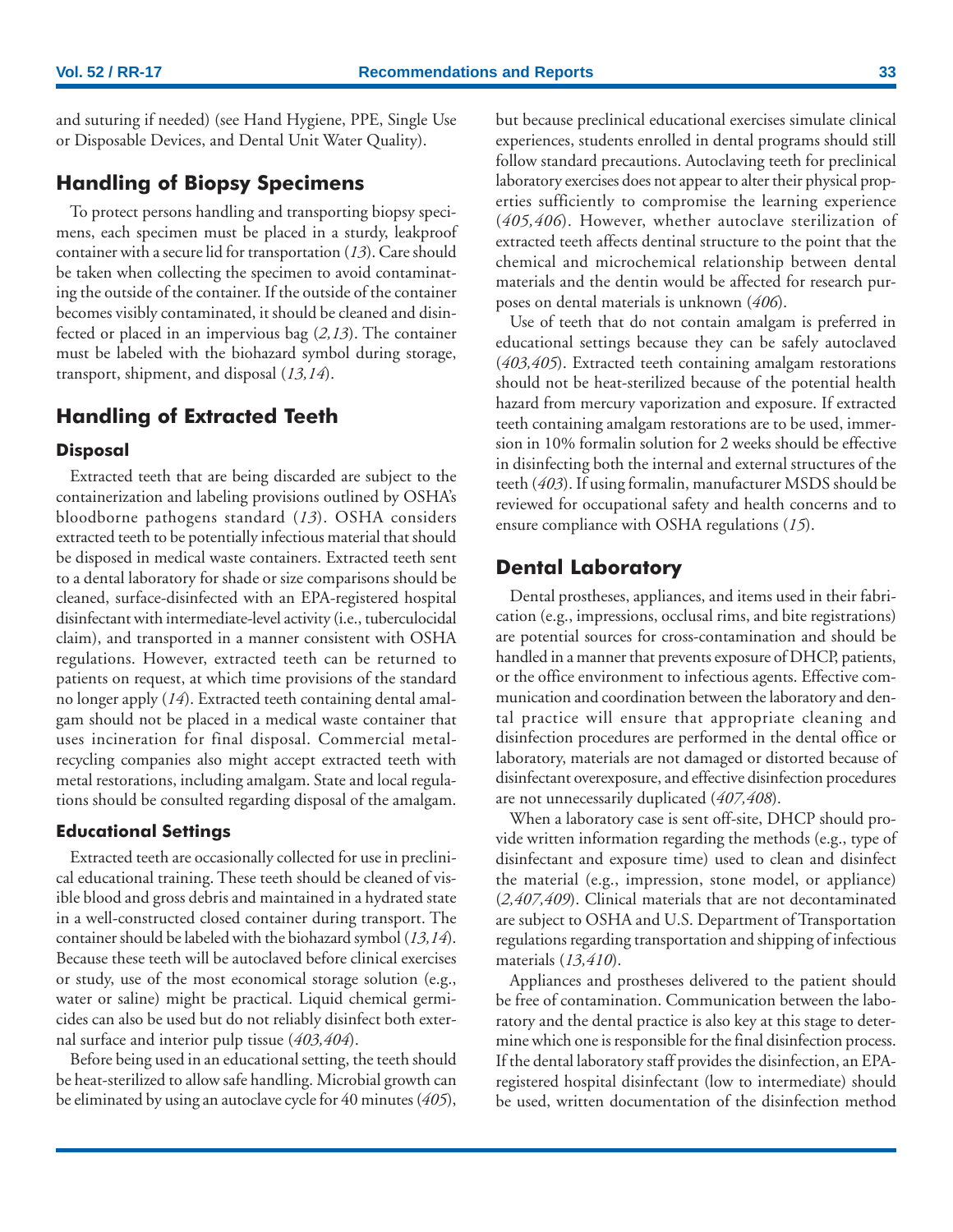and suturing if needed) (see Hand Hygiene, PPE, Single Use or Disposable Devices, and Dental Unit Water Quality).

## **Handling of Biopsy Specimens**

To protect persons handling and transporting biopsy specimens, each specimen must be placed in a sturdy, leakproof container with a secure lid for transportation (*13*). Care should be taken when collecting the specimen to avoid contaminating the outside of the container. If the outside of the container becomes visibly contaminated, it should be cleaned and disinfected or placed in an impervious bag (*2,13*). The container must be labeled with the biohazard symbol during storage, transport, shipment, and disposal (*13,14*).

## **Handling of Extracted Teeth**

#### **Disposal**

Extracted teeth that are being discarded are subject to the containerization and labeling provisions outlined by OSHA's bloodborne pathogens standard (*13*). OSHA considers extracted teeth to be potentially infectious material that should be disposed in medical waste containers. Extracted teeth sent to a dental laboratory for shade or size comparisons should be cleaned, surface-disinfected with an EPA-registered hospital disinfectant with intermediate-level activity (i.e., tuberculocidal claim), and transported in a manner consistent with OSHA regulations. However, extracted teeth can be returned to patients on request, at which time provisions of the standard no longer apply (*14*). Extracted teeth containing dental amalgam should not be placed in a medical waste container that uses incineration for final disposal. Commercial metalrecycling companies also might accept extracted teeth with metal restorations, including amalgam. State and local regulations should be consulted regarding disposal of the amalgam.

#### **Educational Settings**

Extracted teeth are occasionally collected for use in preclinical educational training. These teeth should be cleaned of visible blood and gross debris and maintained in a hydrated state in a well-constructed closed container during transport. The container should be labeled with the biohazard symbol (*13,14*). Because these teeth will be autoclaved before clinical exercises or study, use of the most economical storage solution (e.g., water or saline) might be practical. Liquid chemical germicides can also be used but do not reliably disinfect both external surface and interior pulp tissue (*403,404*).

Before being used in an educational setting, the teeth should be heat-sterilized to allow safe handling. Microbial growth can be eliminated by using an autoclave cycle for 40 minutes (*405*), but because preclinical educational exercises simulate clinical experiences, students enrolled in dental programs should still follow standard precautions. Autoclaving teeth for preclinical laboratory exercises does not appear to alter their physical properties sufficiently to compromise the learning experience (*405,406*). However, whether autoclave sterilization of extracted teeth affects dentinal structure to the point that the chemical and microchemical relationship between dental materials and the dentin would be affected for research purposes on dental materials is unknown (*406*).

Use of teeth that do not contain amalgam is preferred in educational settings because they can be safely autoclaved (*403,405*). Extracted teeth containing amalgam restorations should not be heat-sterilized because of the potential health hazard from mercury vaporization and exposure. If extracted teeth containing amalgam restorations are to be used, immersion in 10% formalin solution for 2 weeks should be effective in disinfecting both the internal and external structures of the teeth (*403*). If using formalin, manufacturer MSDS should be reviewed for occupational safety and health concerns and to ensure compliance with OSHA regulations (*15*).

## **Dental Laboratory**

Dental prostheses, appliances, and items used in their fabrication (e.g., impressions, occlusal rims, and bite registrations) are potential sources for cross-contamination and should be handled in a manner that prevents exposure of DHCP, patients, or the office environment to infectious agents. Effective communication and coordination between the laboratory and dental practice will ensure that appropriate cleaning and disinfection procedures are performed in the dental office or laboratory, materials are not damaged or distorted because of disinfectant overexposure, and effective disinfection procedures are not unnecessarily duplicated (*407,408*).

When a laboratory case is sent off-site, DHCP should provide written information regarding the methods (e.g., type of disinfectant and exposure time) used to clean and disinfect the material (e.g., impression, stone model, or appliance) (*2,407,409*). Clinical materials that are not decontaminated are subject to OSHA and U.S. Department of Transportation regulations regarding transportation and shipping of infectious materials (*13,410*).

Appliances and prostheses delivered to the patient should be free of contamination. Communication between the laboratory and the dental practice is also key at this stage to determine which one is responsible for the final disinfection process. If the dental laboratory staff provides the disinfection, an EPAregistered hospital disinfectant (low to intermediate) should be used, written documentation of the disinfection method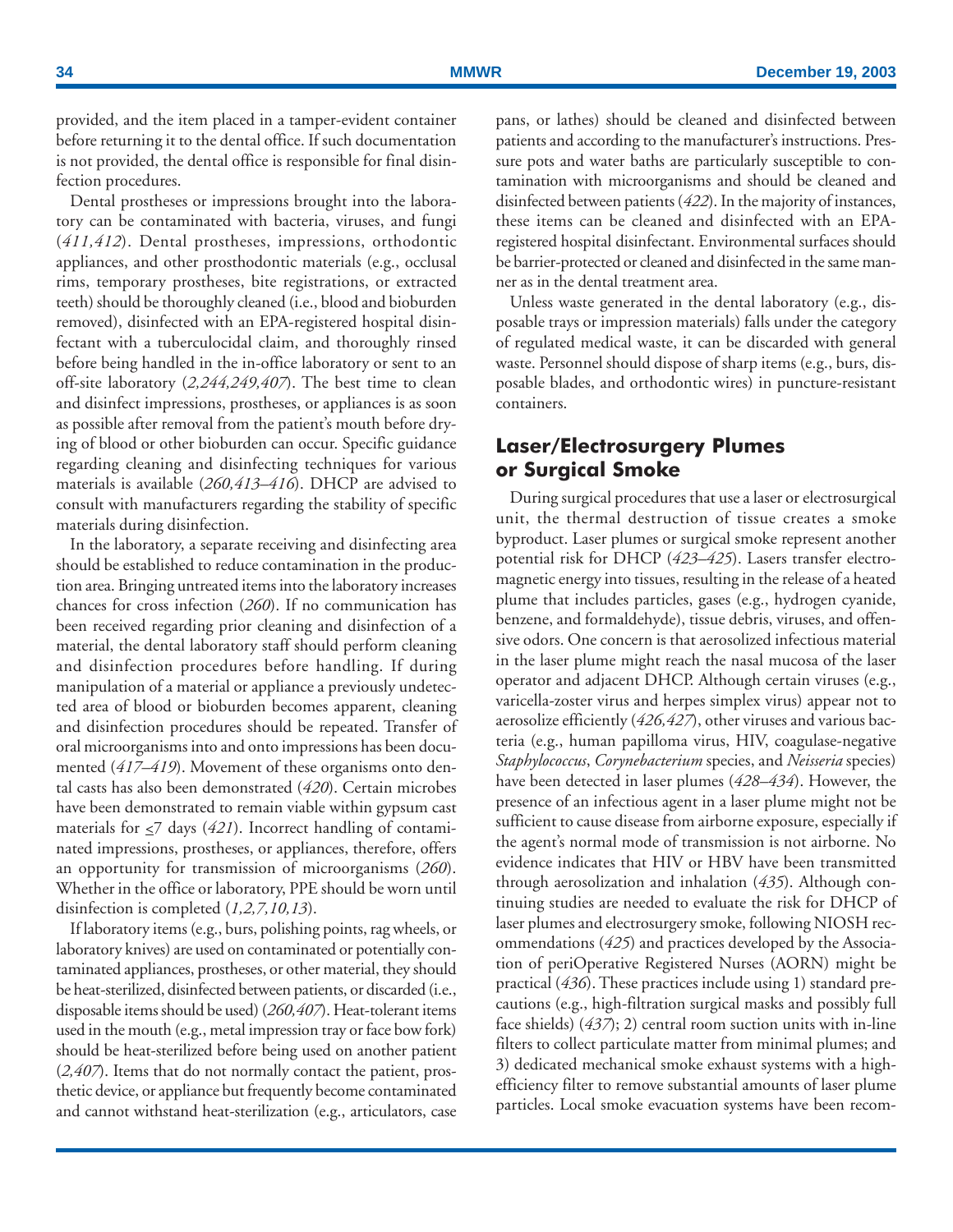provided, and the item placed in a tamper-evident container before returning it to the dental office. If such documentation is not provided, the dental office is responsible for final disinfection procedures.

Dental prostheses or impressions brought into the laboratory can be contaminated with bacteria, viruses, and fungi (*411,412*). Dental prostheses, impressions, orthodontic appliances, and other prosthodontic materials (e.g., occlusal rims, temporary prostheses, bite registrations, or extracted teeth) should be thoroughly cleaned (i.e., blood and bioburden removed), disinfected with an EPA-registered hospital disinfectant with a tuberculocidal claim, and thoroughly rinsed before being handled in the in-office laboratory or sent to an off-site laboratory (*2,244,249,407*). The best time to clean and disinfect impressions, prostheses, or appliances is as soon as possible after removal from the patient's mouth before drying of blood or other bioburden can occur. Specific guidance regarding cleaning and disinfecting techniques for various materials is available (*260,413–416*). DHCP are advised to consult with manufacturers regarding the stability of specific materials during disinfection.

In the laboratory, a separate receiving and disinfecting area should be established to reduce contamination in the production area. Bringing untreated items into the laboratory increases chances for cross infection (*260*). If no communication has been received regarding prior cleaning and disinfection of a material, the dental laboratory staff should perform cleaning and disinfection procedures before handling. If during manipulation of a material or appliance a previously undetected area of blood or bioburden becomes apparent, cleaning and disinfection procedures should be repeated. Transfer of oral microorganisms into and onto impressions has been documented (*417–419*). Movement of these organisms onto dental casts has also been demonstrated (*420*). Certain microbes have been demonstrated to remain viable within gypsum cast materials for  $\leq$ 7 days (421). Incorrect handling of contaminated impressions, prostheses, or appliances, therefore, offers an opportunity for transmission of microorganisms (*260*). Whether in the office or laboratory, PPE should be worn until disinfection is completed (*1,2,7,10,13*).

If laboratory items (e.g., burs, polishing points, rag wheels, or laboratory knives) are used on contaminated or potentially contaminated appliances, prostheses, or other material, they should be heat-sterilized, disinfected between patients, or discarded (i.e., disposable items should be used) (*260,407*). Heat-tolerant items used in the mouth (e.g., metal impression tray or face bow fork) should be heat-sterilized before being used on another patient (*2,407*). Items that do not normally contact the patient, prosthetic device, or appliance but frequently become contaminated and cannot withstand heat-sterilization (e.g., articulators, case pans, or lathes) should be cleaned and disinfected between patients and according to the manufacturer's instructions. Pressure pots and water baths are particularly susceptible to contamination with microorganisms and should be cleaned and disinfected between patients (*422*). In the majority of instances, these items can be cleaned and disinfected with an EPAregistered hospital disinfectant. Environmental surfaces should be barrier-protected or cleaned and disinfected in the same manner as in the dental treatment area.

Unless waste generated in the dental laboratory (e.g., disposable trays or impression materials) falls under the category of regulated medical waste, it can be discarded with general waste. Personnel should dispose of sharp items (e.g., burs, disposable blades, and orthodontic wires) in puncture-resistant containers.

## **Laser/Electrosurgery Plumes or Surgical Smoke**

During surgical procedures that use a laser or electrosurgical unit, the thermal destruction of tissue creates a smoke byproduct. Laser plumes or surgical smoke represent another potential risk for DHCP (*423–425*). Lasers transfer electromagnetic energy into tissues, resulting in the release of a heated plume that includes particles, gases (e.g., hydrogen cyanide, benzene, and formaldehyde), tissue debris, viruses, and offensive odors. One concern is that aerosolized infectious material in the laser plume might reach the nasal mucosa of the laser operator and adjacent DHCP. Although certain viruses (e.g., varicella-zoster virus and herpes simplex virus) appear not to aerosolize efficiently (*426,427*), other viruses and various bacteria (e.g., human papilloma virus, HIV, coagulase-negative *Staphylococcus*, *Corynebacterium* species, and *Neisseria* species) have been detected in laser plumes (*428–434*). However, the presence of an infectious agent in a laser plume might not be sufficient to cause disease from airborne exposure, especially if the agent's normal mode of transmission is not airborne. No evidence indicates that HIV or HBV have been transmitted through aerosolization and inhalation (*435*). Although continuing studies are needed to evaluate the risk for DHCP of laser plumes and electrosurgery smoke, following NIOSH recommendations (*425*) and practices developed by the Association of periOperative Registered Nurses (AORN) might be practical (*436*). These practices include using 1) standard precautions (e.g., high-filtration surgical masks and possibly full face shields) (*437*); 2) central room suction units with in-line filters to collect particulate matter from minimal plumes; and 3) dedicated mechanical smoke exhaust systems with a highefficiency filter to remove substantial amounts of laser plume particles. Local smoke evacuation systems have been recom-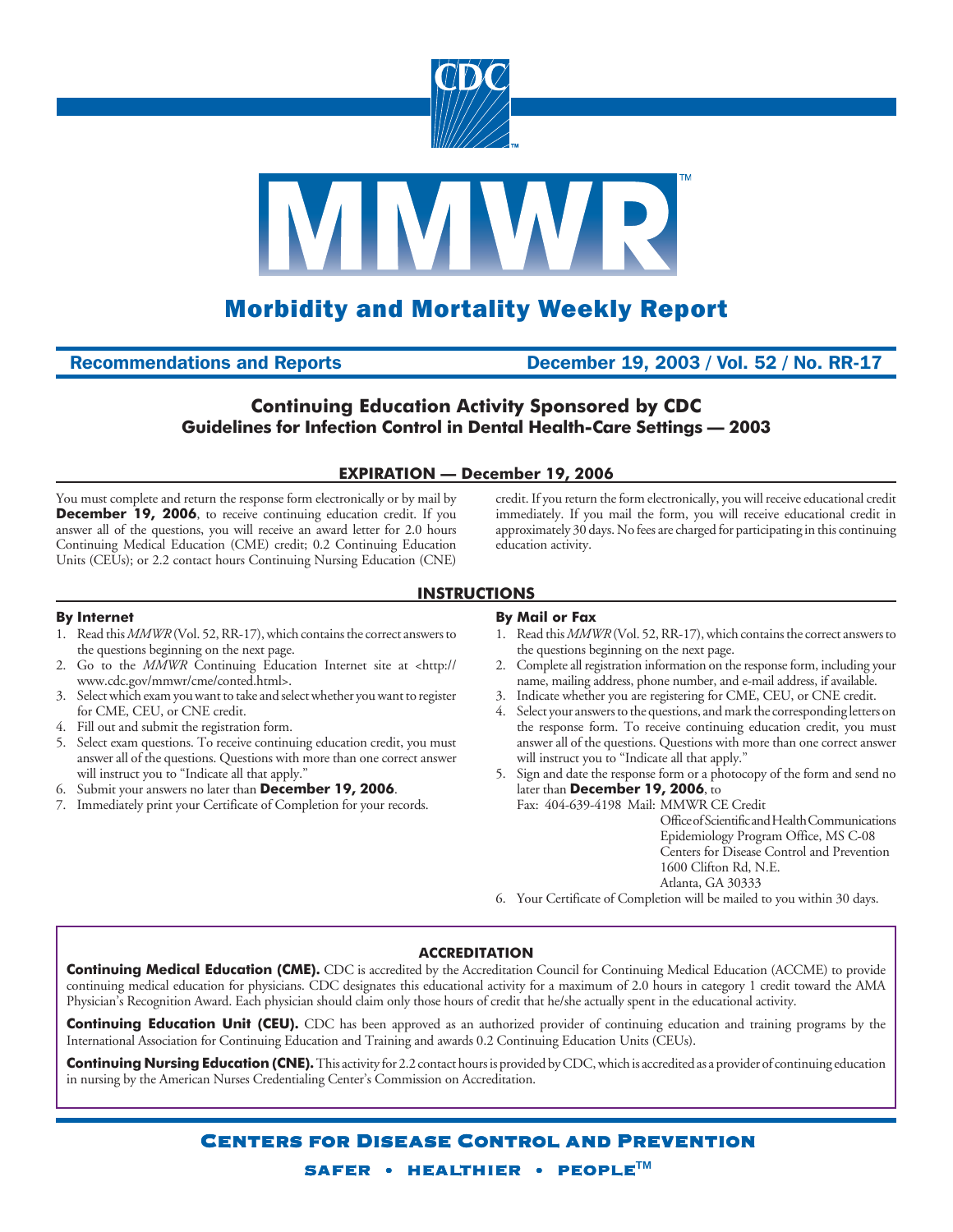

# Morbidity and Mortality Weekly Report

Recommendations and Reports December 19, 2003 / Vol. 52 / No. RR-17

# **Continuing Education Activity Sponsored by CDC Guidelines for Infection Control in Dental Health-Care Settings — 2003**

### **EXPIRATION — December 19, 2006**

You must complete and return the response form electronically or by mail by **December 19, 2006**, to receive continuing education credit. If you answer all of the questions, you will receive an award letter for 2.0 hours Continuing Medical Education (CME) credit; 0.2 Continuing Education Units (CEUs); or 2.2 contact hours Continuing Nursing Education (CNE) credit. If you return the form electronically, you will receive educational credit immediately. If you mail the form, you will receive educational credit in approximately 30 days. No fees are charged for participating in this continuing education activity.

### **INSTRUCTIONS**

#### **By Internet**

- 1. Read this *MMWR* (Vol. 52, RR-17), which contains the correct answers to the questions beginning on the next page.
- 2. Go to the *MMWR* Continuing Education Internet site at <http:// www.cdc.gov/mmwr/cme/conted.html>.
- 3. Select which exam you want to take and select whether you want to register for CME, CEU, or CNE credit.
- 4. Fill out and submit the registration form.
- 5. Select exam questions. To receive continuing education credit, you must answer all of the questions. Questions with more than one correct answer will instruct you to "Indicate all that apply."
- 6. Submit your answers no later than **December 19, 2006**.
- 7. Immediately print your Certificate of Completion for your records.

#### **By Mail or Fax**

- 1. Read this *MMWR* (Vol. 52, RR-17), which contains the correct answers to the questions beginning on the next page.
- 2. Complete all registration information on the response form, including your name, mailing address, phone number, and e-mail address, if available.
- 3. Indicate whether you are registering for CME, CEU, or CNE credit.
- 4. Select your answers to the questions, and mark the corresponding letters on the response form. To receive continuing education credit, you must answer all of the questions. Questions with more than one correct answer will instruct you to "Indicate all that apply."
- 5. Sign and date the response form or a photocopy of the form and send no later than **December 19, 2006**, to

Fax: 404-639-4198 Mail: MMWR CE Credit Office of Scientific and Health Communications Epidemiology Program Office, MS C-08 Centers for Disease Control and Prevention 1600 Clifton Rd, N.E. Atlanta, GA 30333

6. Your Certificate of Completion will be mailed to you within 30 days.

#### **ACCREDITATION**

**Continuing Medical Education (CME).** CDC is accredited by the Accreditation Council for Continuing Medical Education (ACCME) to provide continuing medical education for physicians. CDC designates this educational activity for a maximum of 2.0 hours in category 1 credit toward the AMA Physician's Recognition Award. Each physician should claim only those hours of credit that he/she actually spent in the educational activity.

**Continuing Education Unit (CEU).** CDC has been approved as an authorized provider of continuing education and training programs by the International Association for Continuing Education and Training and awards 0.2 Continuing Education Units (CEUs).

**Continuing Nursing Education (CNE).** This activity for 2.2 contact hours is provided by CDC, which is accredited as a provider of continuing education in nursing by the American Nurses Credentialing Center's Commission on Accreditation.

### Centers for Disease Control and Prevention

### $S$ AFER • HEALTHIER • PEOPLE<sup>TM</sup>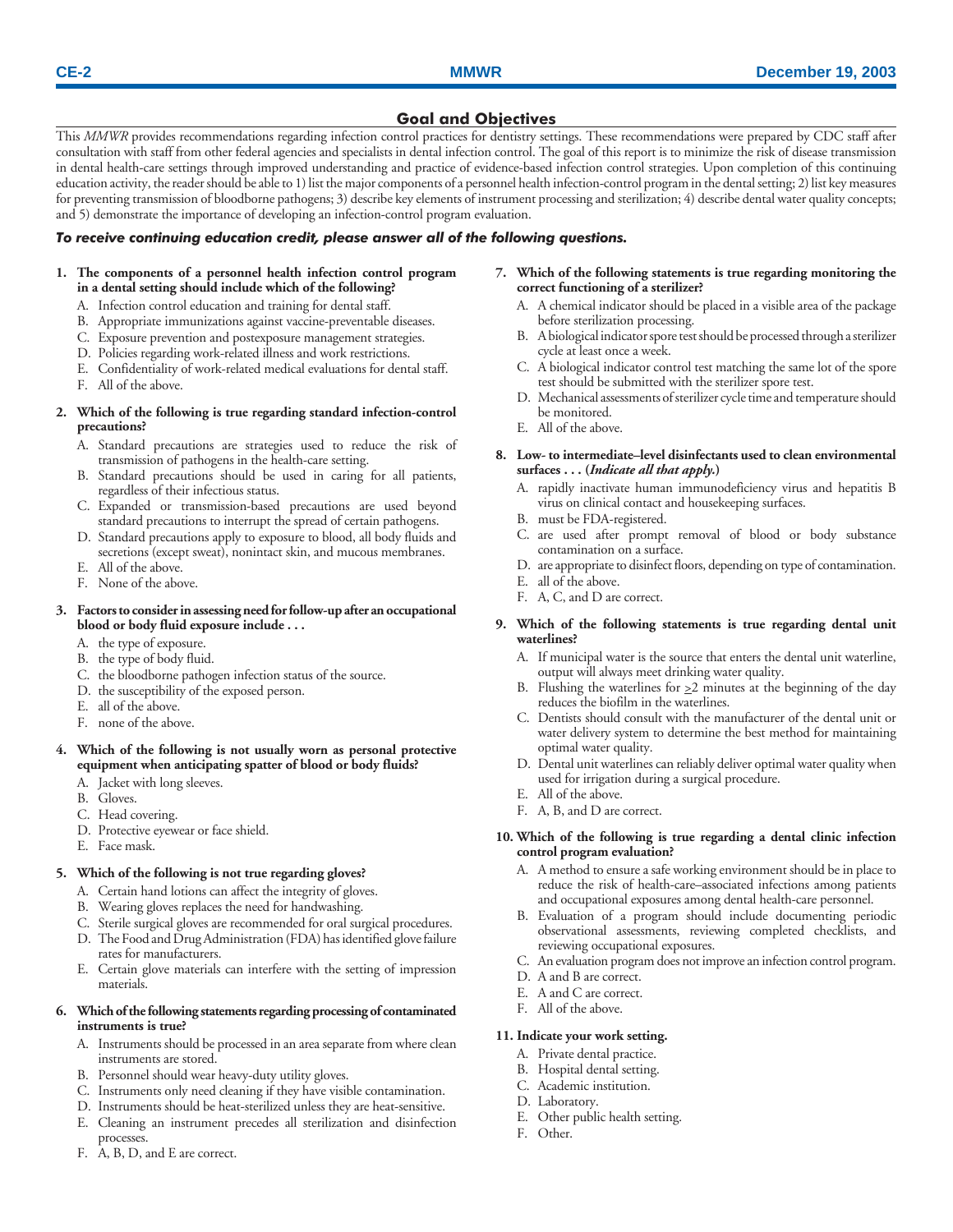### **Goal and Objectives**

This *MMWR* provides recommendations regarding infection control practices for dentistry settings. These recommendations were prepared by CDC staff after consultation with staff from other federal agencies and specialists in dental infection control. The goal of this report is to minimize the risk of disease transmission in dental health-care settings through improved understanding and practice of evidence-based infection control strategies. Upon completion of this continuing education activity, the reader should be able to 1) list the major components of a personnel health infection-control program in the dental setting; 2) list key measures for preventing transmission of bloodborne pathogens; 3) describe key elements of instrument processing and sterilization; 4) describe dental water quality concepts; and 5) demonstrate the importance of developing an infection-control program evaluation.

#### *To receive continuing education credit, please answer all of the following questions.*

#### **1. The components of a personnel health infection control program in a dental setting should include which of the following?**

- A. Infection control education and training for dental staff.
- B. Appropriate immunizations against vaccine-preventable diseases.
- C. Exposure prevention and postexposure management strategies.
- D. Policies regarding work-related illness and work restrictions.
- E. Confidentiality of work-related medical evaluations for dental staff.
- F. All of the above.

#### **2. Which of the following is true regarding standard infection-control precautions?**

- A. Standard precautions are strategies used to reduce the risk of transmission of pathogens in the health-care setting.
- B. Standard precautions should be used in caring for all patients, regardless of their infectious status.
- C. Expanded or transmission-based precautions are used beyond standard precautions to interrupt the spread of certain pathogens.
- D. Standard precautions apply to exposure to blood, all body fluids and secretions (except sweat), nonintact skin, and mucous membranes.
- E. All of the above.
- F. None of the above.

#### **3. Factors to consider in assessing need for follow-up after an occupational blood or body fluid exposure include . . .**

- A. the type of exposure.
- B. the type of body fluid.
- C. the bloodborne pathogen infection status of the source.
- D. the susceptibility of the exposed person.
- E. all of the above.
- F. none of the above.

#### **4. Which of the following is not usually worn as personal protective equipment when anticipating spatter of blood or body fluids?**

- A. Jacket with long sleeves.
- B. Gloves.
- C. Head covering.
- D. Protective eyewear or face shield.
- E. Face mask.

#### **5. Which of the following is not true regarding gloves?**

- A. Certain hand lotions can affect the integrity of gloves.
- B. Wearing gloves replaces the need for handwashing.
- C. Sterile surgical gloves are recommended for oral surgical procedures.
- D. The Food and Drug Administration (FDA) has identified glove failure rates for manufacturers.
- E. Certain glove materials can interfere with the setting of impression materials.

#### **6. Which of the following statements regarding processing of contaminated instruments is true?**

- A. Instruments should be processed in an area separate from where clean instruments are stored.
- B. Personnel should wear heavy-duty utility gloves.
- C. Instruments only need cleaning if they have visible contamination.
- D. Instruments should be heat-sterilized unless they are heat-sensitive.
- E. Cleaning an instrument precedes all sterilization and disinfection processes.
- F. A, B, D, and E are correct.
- **7. Which of the following statements is true regarding monitoring the correct functioning of a sterilizer?**
	- A. A chemical indicator should be placed in a visible area of the package before sterilization processing.
	- B. A biological indicator spore test should be processed through a sterilizer cycle at least once a week.
	- C. A biological indicator control test matching the same lot of the spore test should be submitted with the sterilizer spore test.
	- D. Mechanical assessments of sterilizer cycle time and temperature should be monitored.
	- E. All of the above.

#### **8. Low- to intermediate–level disinfectants used to clean environmental surfaces . . . (***Indicate all that apply.***)**

- A. rapidly inactivate human immunodeficiency virus and hepatitis B virus on clinical contact and housekeeping surfaces.
- B. must be FDA-registered.
- C. are used after prompt removal of blood or body substance contamination on a surface.
- D. are appropriate to disinfect floors, depending on type of contamination.
- E. all of the above.
- F. A, C, and D are correct.

#### **9. Which of the following statements is true regarding dental unit waterlines?**

- A. If municipal water is the source that enters the dental unit waterline, output will always meet drinking water quality.
- B. Flushing the waterlines for  $\geq 2$  minutes at the beginning of the day reduces the biofilm in the waterlines.
- C. Dentists should consult with the manufacturer of the dental unit or water delivery system to determine the best method for maintaining optimal water quality.
- D. Dental unit waterlines can reliably deliver optimal water quality when used for irrigation during a surgical procedure.
- E. All of the above.
- F. A, B, and D are correct.

#### **10. Which of the following is true regarding a dental clinic infection control program evaluation?**

- A. A method to ensure a safe working environment should be in place to reduce the risk of health-care–associated infections among patients and occupational exposures among dental health-care personnel.
- B. Evaluation of a program should include documenting periodic observational assessments, reviewing completed checklists, and reviewing occupational exposures.
- C. An evaluation program does not improve an infection control program.
- D. A and B are correct.
- E. A and C are correct.
- F. All of the above.

#### **11. Indicate your work setting.**

- A. Private dental practice.
- B. Hospital dental setting.
- C. Academic institution.
- D. Laboratory.
- E. Other public health setting.
- F. Other.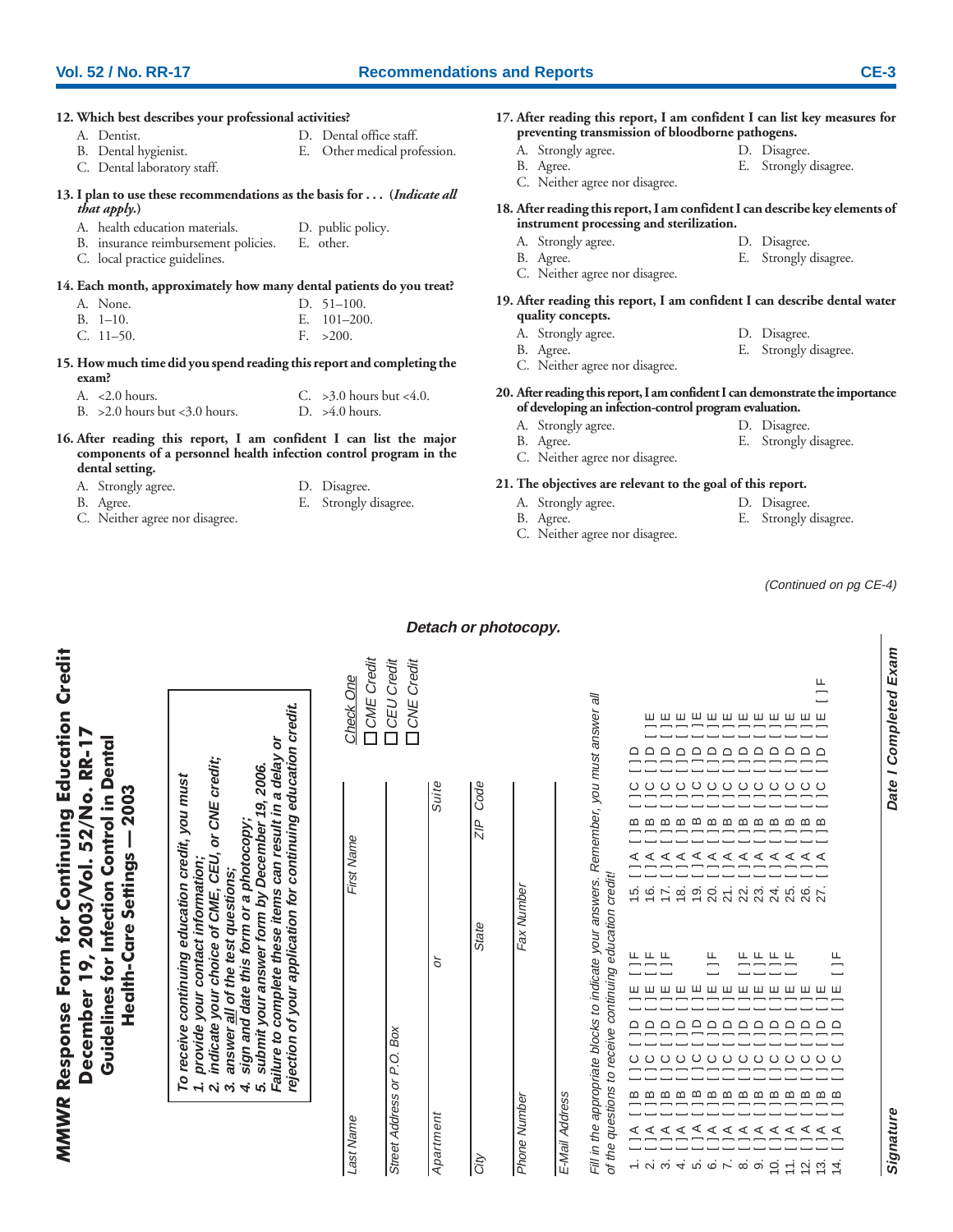### **Vol. 52 / No. RR-17 Recommendations and Reports CE-3**

| 12. Which best describes your professional activities?                                          |                              |
|-------------------------------------------------------------------------------------------------|------------------------------|
| A. Dentist.                                                                                     | D. Dental office staff.      |
| B. Dental hygienist.                                                                            | E. Other medical profession. |
| C. Dental laboratory staff.                                                                     |                              |
| 13. I plan to use these recommendations as the basis for  ( <i>Indicate all</i><br>that apply.) |                              |
| A. health education materials.                                                                  | D. public policy.            |
|                                                                                                 |                              |
| B. insurance reimbursement policies. E. other.<br>C. local practice guidelines.                 |                              |
| 14. Each month, approximately how many dental patients do you treat?                            |                              |
| A. None.                                                                                        | $D. 51-100.$                 |
| $B. 1-10.$                                                                                      | E. $101-200$ .               |
| $C. 11-50.$                                                                                     | F. > 200.                    |
| 15. How much time did you spend reading this report and completing the<br>exam?                 |                              |
|                                                                                                 |                              |

| A. < 2.0 hours.                 | C. $>3.0$ hours but <4.0. |
|---------------------------------|---------------------------|
| B. $>2.0$ hours but <3.0 hours. | D. $>4.0$ hours.          |

#### **16. After reading this report, I am confident I can list the major components of a personnel health infection control program in the dental setting.**

- A. Strongly agree. <br>B. Agree. <br>B. Strongly (E. Strongly (E. Strongly (E. Strongly (E. Strongly (E. Strongly (E. Strongly (E. Strongly (E. Strongly (E. Strongly (E. Strongly (E. Strongly (E. Strongly (E. Strongly (E. Strong
- 
- 
- E. Strongly disagree.
- C. Neither agree nor disagree.
- **17. After reading this report, I am confident I can list key measures for preventing transmission of bloodborne pathogens.**
	- A. Strongly agree. D. Disagree.
	- B. Agree. E. Strongly disagree.
	- C. Neither agree nor disagree.

#### **18. After reading this report, I am confident I can describe key elements of instrument processing and sterilization.**

- A. Strongly agree. D. Disagree.
- B. Agree. E. Strongly disagree.
- C. Neither agree nor disagree.

#### **19. After reading this report, I am confident I can describe dental water quality concepts.**

- A. Strongly agree. D. Disagree.
- B. Agree. E. Strongly disagree.
- C. Neither agree nor disagree.
- **20. After reading this report, I am confident I can demonstrate the importance of developing an infection-control program evaluation.**
	- A. Strongly agree. D. Disagree.
		-
		- B. Agree. E. Strongly disagree. C. Neither agree nor disagree.

#### **21. The objectives are relevant to the goal of this report.**

- A. Strongly agree. D. Disagree.
- B. Agree. E. Strongly disagree.
- C. Neither agree nor disagree.

(Continued on pg CE-4)

|                                                                                                                                                                                                               | December 19, 2003/Vol. 52/No. RR-17<br><b>Guidelines for Infection Control in Dental</b><br><b>MMWR Response Form for Continuing</b><br>Health-Care Settings                                                                                                                                                                                                                                                                                                        | Education<br>$-2003$<br>J,                                                                                                                                                                                                                                                                                                                                                                                                                                                                                                                                                                                                                                                                                                                                                                                                                          | <b>Supering</b>                          |
|---------------------------------------------------------------------------------------------------------------------------------------------------------------------------------------------------------------|---------------------------------------------------------------------------------------------------------------------------------------------------------------------------------------------------------------------------------------------------------------------------------------------------------------------------------------------------------------------------------------------------------------------------------------------------------------------|-----------------------------------------------------------------------------------------------------------------------------------------------------------------------------------------------------------------------------------------------------------------------------------------------------------------------------------------------------------------------------------------------------------------------------------------------------------------------------------------------------------------------------------------------------------------------------------------------------------------------------------------------------------------------------------------------------------------------------------------------------------------------------------------------------------------------------------------------------|------------------------------------------|
|                                                                                                                                                                                                               | rejection of your application for continuing education credit.<br>Failure to complete these items can result in a delay or<br>indicate your choice of CME, CEU, or CNE credit;<br>submit your answer form by December 19, 2006.<br>receive continuing education credit, you must<br>sign and date this form or a photocopy;<br>1. provide your contact information;<br>answer all of the test questions;<br>Po<br>s.<br>$\overline{r}$<br>$\vec{3}$<br>$\mathbf{v}$ |                                                                                                                                                                                                                                                                                                                                                                                                                                                                                                                                                                                                                                                                                                                                                                                                                                                     |                                          |
| Last Name                                                                                                                                                                                                     |                                                                                                                                                                                                                                                                                                                                                                                                                                                                     | Check One<br>First Name                                                                                                                                                                                                                                                                                                                                                                                                                                                                                                                                                                                                                                                                                                                                                                                                                             | <b>OME</b> Credit                        |
| Street Address or P.O. Box                                                                                                                                                                                    |                                                                                                                                                                                                                                                                                                                                                                                                                                                                     |                                                                                                                                                                                                                                                                                                                                                                                                                                                                                                                                                                                                                                                                                                                                                                                                                                                     | <b>DCEU Credit</b><br><b>OCNE</b> Credit |
| Apartment                                                                                                                                                                                                     | ò                                                                                                                                                                                                                                                                                                                                                                                                                                                                   | Suite                                                                                                                                                                                                                                                                                                                                                                                                                                                                                                                                                                                                                                                                                                                                                                                                                                               |                                          |
| ιčί                                                                                                                                                                                                           | State                                                                                                                                                                                                                                                                                                                                                                                                                                                               | Code<br>$\overline{Z}$                                                                                                                                                                                                                                                                                                                                                                                                                                                                                                                                                                                                                                                                                                                                                                                                                              |                                          |
| Phone Number                                                                                                                                                                                                  | Fax Number                                                                                                                                                                                                                                                                                                                                                                                                                                                          |                                                                                                                                                                                                                                                                                                                                                                                                                                                                                                                                                                                                                                                                                                                                                                                                                                                     |                                          |
| E-Mail Address                                                                                                                                                                                                |                                                                                                                                                                                                                                                                                                                                                                                                                                                                     |                                                                                                                                                                                                                                                                                                                                                                                                                                                                                                                                                                                                                                                                                                                                                                                                                                                     |                                          |
|                                                                                                                                                                                                               | Fill in the appropriate blocks to indicate your answers. Remember, you must answer all<br>of the questions to receive continuing education credit!                                                                                                                                                                                                                                                                                                                  |                                                                                                                                                                                                                                                                                                                                                                                                                                                                                                                                                                                                                                                                                                                                                                                                                                                     |                                          |
| $\overline{a}$<br>AAAAAAAAAAA<br>AAAAAAAAAA<br>$\leq$ $\leq$<br>$\div$<br>$\ddot{ }$<br>$\omega$ $\omega$ $4$<br>$\sim$ $\infty$<br>ທ່<br>$\overline{Q}$<br>$\overline{4}$<br>Ġ.<br>တ<br><u>უ</u><br><u>은</u> | 21.<br>22.<br>23.<br>24.<br>25.<br>26.<br>프트프<br>╙<br><b>H H H H</b><br>ШШШШ<br>шшш<br>шшшшш<br><b>AAAAAAAAAAAA</b><br>$\frac{0}{1}$<br>00000000000000                                                                                                                                                                                                                                                                                                              | шшшшшшшшшшш<br>$\begin{array}{c}\n\Box \Box \Box \\ \Box \end{array}$<br>$\begin{array}{c} \n 0 & \text{if} \quad \text{if} \quad \text{if} \quad \text{if} \quad \text{if} \quad \text{if} \quad \text{if} \quad \text{if} \quad \text{if} \quad \text{if} \quad \text{if} \quad \text{if} \quad \text{if} \quad \text{if} \quad \text{if} \quad \text{if} \quad \text{if} \quad \text{if} \quad \text{if} \quad \text{if} \quad \text{if} \quad \text{if} \quad \text{if} \quad \text{if} \quad \text{if} \quad \text{if} \quad \text{if} \quad \text{if} \quad \text{if} \quad \text{$<br>≏<br>0000000000000<br>ه هم هم الله عليه الله عليه الله عليه الله عليه الله عليه الله عليه الله عليه الله عليه الله عليه ا<br>മ മ<br>i B<br>മ<br>444<br>444444<br>⋖<br>⋖<br>15.<br>$\ddot{\mathrm{e}}$<br>17.<br>$\frac{8}{10}$<br>$\frac{1}{2}$<br>20. | щ<br>$\overline{\phantom{0}}$            |

**Detach or photocopy.**

Date I Completed Exam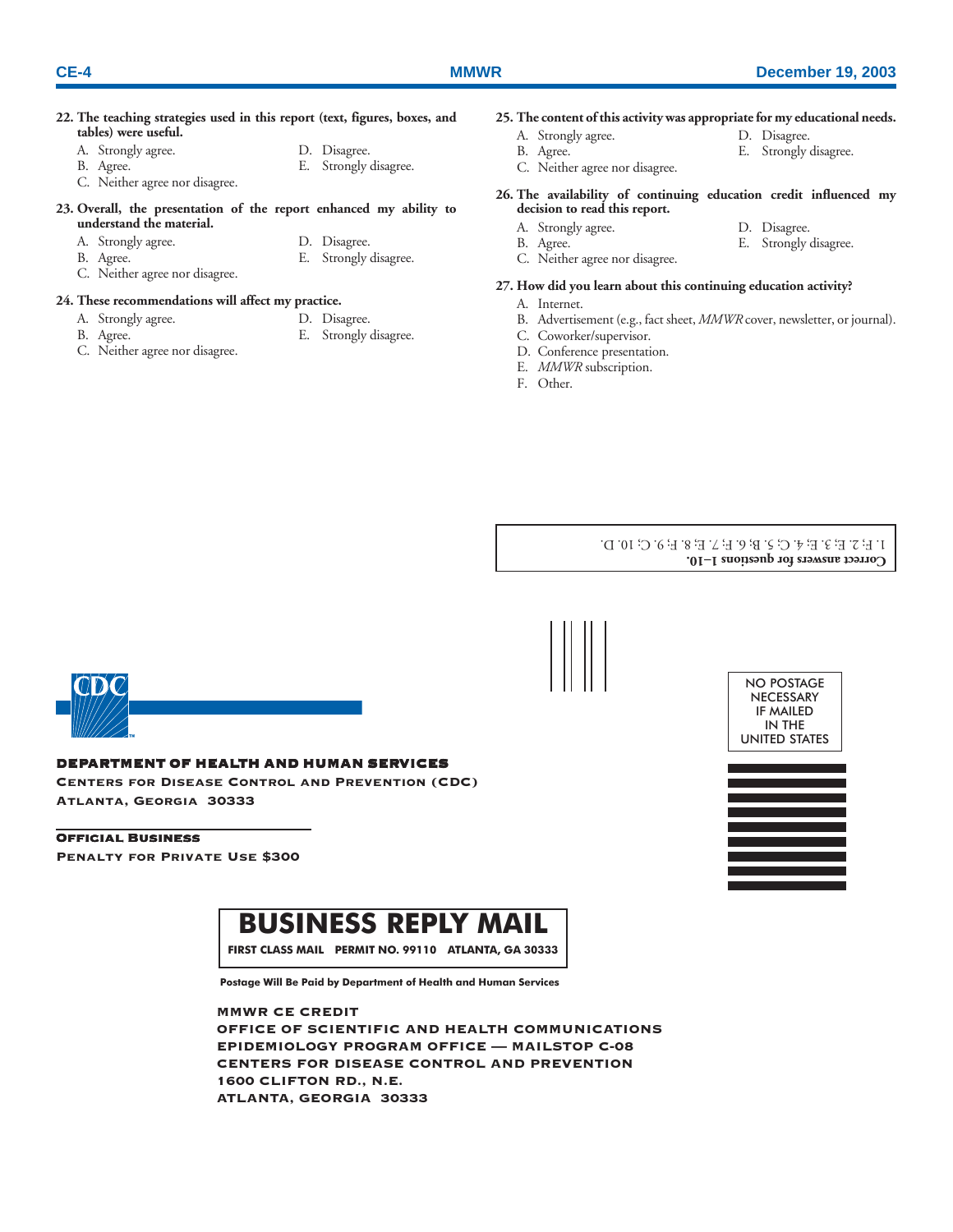#### **22. The teaching strategies used in this report (text, figures, boxes, and tables) were useful.**

- A. Strongly agree. D. Disagree.
- B. Agree. E. Strongly disagree.
- C. Neither agree nor disagree.

#### **23. Overall, the presentation of the report enhanced my ability to understand the material.**

- A. Strongly agree. D. Disagree.
- 
- B. Agree. E. Strongly disagree.

#### **24. These recommendations will affect my practice.**

- A. Strongly agree. D. Disagree.
- B. Agree. E. Strongly disagree.
- C. Neither agree nor disagree.

C. Neither agree nor disagree.

- **25. The content of this activity was appropriate for my educational needs.**
	- A. Strongly agree. D. Disagree.
	- B. Agree. E. Strongly disagree.
	- C. Neither agree nor disagree.

#### **26. The availability of continuing education credit influenced my decision to read this report.**

- A. Strongly agree. D. Disagree.
- B. Agree. E. Strongly disagree.
- C. Neither agree nor disagree.

#### **27. How did you learn about this continuing education activity?**

- A. Internet.
- B. Advertisement (e.g., fact sheet, *MMWR* cover, newsletter, or journal).
- C. Coworker/supervisor.
- D. Conference presentation.
- E. *MMWR* subscription.
- F. Other.

**Correct answers for questions 1–10.** 1. F; 2. E; 3. E; 4. C; 5. B; 6. F; 7. E; 8. F; 9. C; 10. D.



#### DEPARTMENT OF HEALTH AND HUMAN SERVICES Centers for Disease Control and Prevention (CDC) Atlanta, Georgia 30333

#### Official Business

Penalty for Private Use \$300



**FIRST CLASS MAIL PERMIT NO. 99110 ATLANTA, GA 30333**

**Postage Will Be Paid by Department of Health and Human Services**

MMWR CE CREDIT OFFICE OF SCIENTIFIC AND HEALTH COMMUNICATIONS EPIDEMIOLOGY PROGRAM OFFICE — MAILSTOP C-08 CENTERS FOR DISEASE CONTROL AND PREVENTION 1600 CLIFTON RD., N.E. ATLANTA, GEORGIA 30333



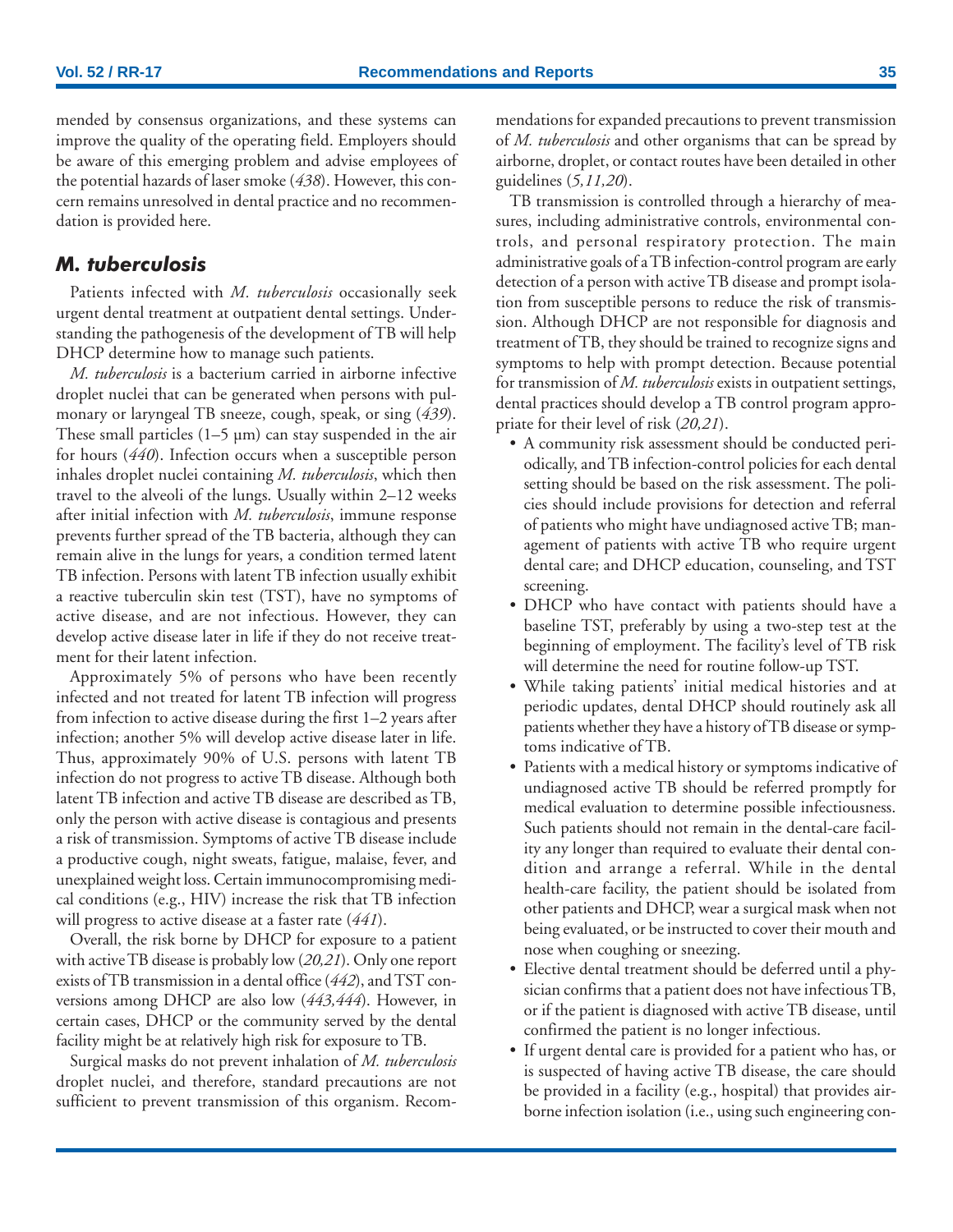mended by consensus organizations, and these systems can improve the quality of the operating field. Employers should be aware of this emerging problem and advise employees of the potential hazards of laser smoke (*438*). However, this concern remains unresolved in dental practice and no recommendation is provided here.

## *M. tuberculosis*

Patients infected with *M. tuberculosis* occasionally seek urgent dental treatment at outpatient dental settings. Understanding the pathogenesis of the development of TB will help DHCP determine how to manage such patients.

*M. tuberculosis* is a bacterium carried in airborne infective droplet nuclei that can be generated when persons with pulmonary or laryngeal TB sneeze, cough, speak, or sing (*439*). These small particles  $(1-5 \mu m)$  can stay suspended in the air for hours (*440*). Infection occurs when a susceptible person inhales droplet nuclei containing *M. tuberculosis*, which then travel to the alveoli of the lungs. Usually within 2–12 weeks after initial infection with *M. tuberculosis*, immune response prevents further spread of the TB bacteria, although they can remain alive in the lungs for years, a condition termed latent TB infection. Persons with latent TB infection usually exhibit a reactive tuberculin skin test (TST), have no symptoms of active disease, and are not infectious. However, they can develop active disease later in life if they do not receive treatment for their latent infection.

Approximately 5% of persons who have been recently infected and not treated for latent TB infection will progress from infection to active disease during the first 1–2 years after infection; another 5% will develop active disease later in life. Thus, approximately 90% of U.S. persons with latent TB infection do not progress to active TB disease. Although both latent TB infection and active TB disease are described as TB, only the person with active disease is contagious and presents a risk of transmission. Symptoms of active TB disease include a productive cough, night sweats, fatigue, malaise, fever, and unexplained weight loss. Certain immunocompromising medical conditions (e.g., HIV) increase the risk that TB infection will progress to active disease at a faster rate (*441*).

Overall, the risk borne by DHCP for exposure to a patient with active TB disease is probably low (*20,21*). Only one report exists of TB transmission in a dental office (*442*), and TST conversions among DHCP are also low (*443,444*). However, in certain cases, DHCP or the community served by the dental facility might be at relatively high risk for exposure to TB.

Surgical masks do not prevent inhalation of *M. tuberculosis* droplet nuclei, and therefore, standard precautions are not sufficient to prevent transmission of this organism. Recommendations for expanded precautions to prevent transmission of *M. tuberculosis* and other organisms that can be spread by airborne, droplet, or contact routes have been detailed in other guidelines (*5,11,20*).

TB transmission is controlled through a hierarchy of measures, including administrative controls, environmental controls, and personal respiratory protection. The main administrative goals of a TB infection-control program are early detection of a person with active TB disease and prompt isolation from susceptible persons to reduce the risk of transmission. Although DHCP are not responsible for diagnosis and treatment of TB, they should be trained to recognize signs and symptoms to help with prompt detection. Because potential for transmission of *M. tuberculosis* exists in outpatient settings, dental practices should develop a TB control program appropriate for their level of risk (*20,21*).

- A community risk assessment should be conducted periodically, and TB infection-control policies for each dental setting should be based on the risk assessment. The policies should include provisions for detection and referral of patients who might have undiagnosed active TB; management of patients with active TB who require urgent dental care; and DHCP education, counseling, and TST screening.
- DHCP who have contact with patients should have a baseline TST, preferably by using a two-step test at the beginning of employment. The facility's level of TB risk will determine the need for routine follow-up TST.
- While taking patients' initial medical histories and at periodic updates, dental DHCP should routinely ask all patients whether they have a history of TB disease or symptoms indicative of TB.
- Patients with a medical history or symptoms indicative of undiagnosed active TB should be referred promptly for medical evaluation to determine possible infectiousness. Such patients should not remain in the dental-care facility any longer than required to evaluate their dental condition and arrange a referral. While in the dental health-care facility, the patient should be isolated from other patients and DHCP, wear a surgical mask when not being evaluated, or be instructed to cover their mouth and nose when coughing or sneezing.
- Elective dental treatment should be deferred until a physician confirms that a patient does not have infectious TB, or if the patient is diagnosed with active TB disease, until confirmed the patient is no longer infectious.
- If urgent dental care is provided for a patient who has, or is suspected of having active TB disease, the care should be provided in a facility (e.g., hospital) that provides airborne infection isolation (i.e., using such engineering con-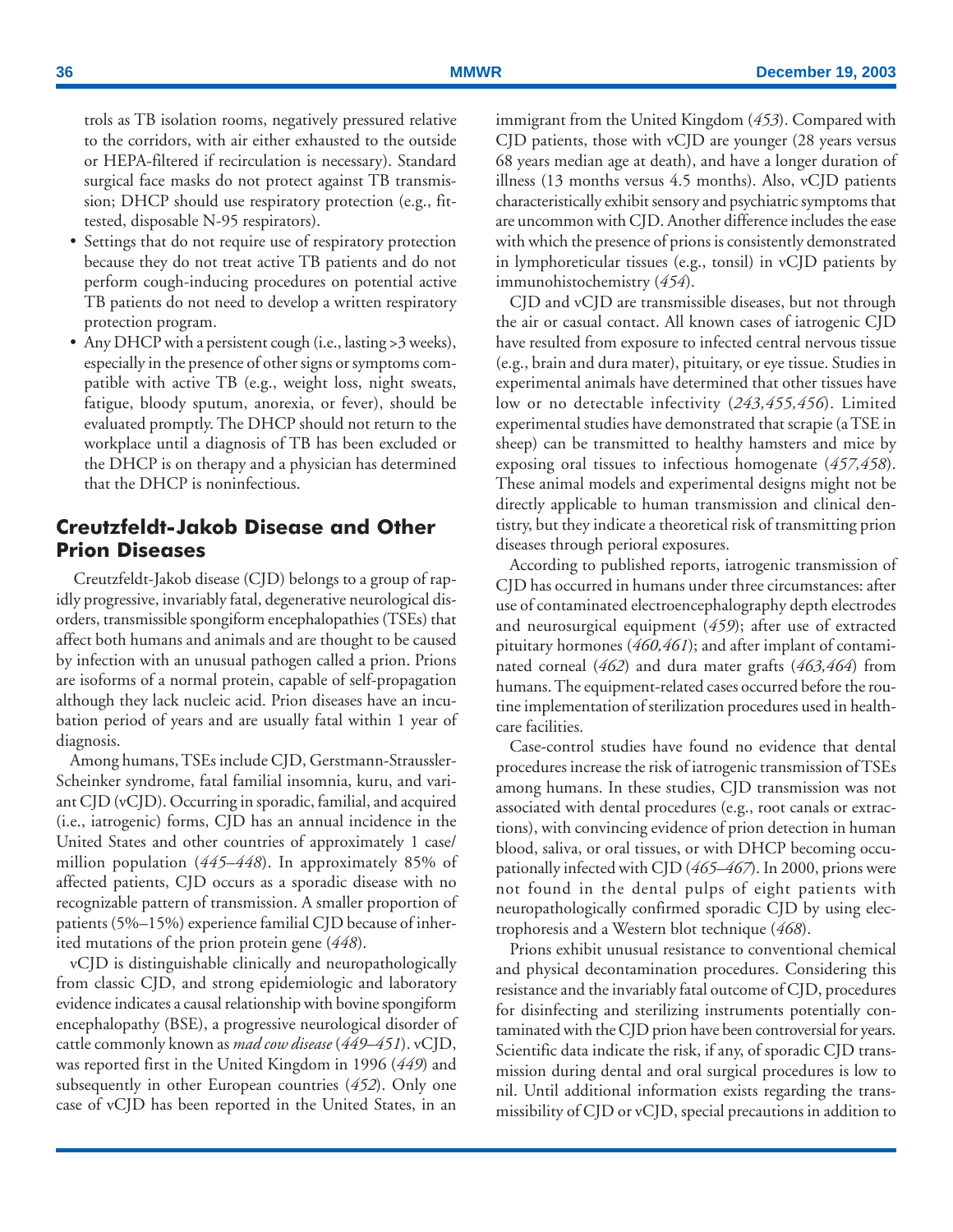trols as TB isolation rooms, negatively pressured relative to the corridors, with air either exhausted to the outside or HEPA-filtered if recirculation is necessary). Standard surgical face masks do not protect against TB transmission; DHCP should use respiratory protection (e.g., fittested, disposable N-95 respirators).

- Settings that do not require use of respiratory protection because they do not treat active TB patients and do not perform cough-inducing procedures on potential active TB patients do not need to develop a written respiratory protection program.
- Any DHCP with a persistent cough (i.e., lasting > 3 weeks), especially in the presence of other signs or symptoms compatible with active TB (e.g., weight loss, night sweats, fatigue, bloody sputum, anorexia, or fever), should be evaluated promptly. The DHCP should not return to the workplace until a diagnosis of TB has been excluded or the DHCP is on therapy and a physician has determined that the DHCP is noninfectious.

# **Creutzfeldt-Jakob Disease and Other Prion Diseases**

 Creutzfeldt-Jakob disease (CJD) belongs to a group of rapidly progressive, invariably fatal, degenerative neurological disorders, transmissible spongiform encephalopathies (TSEs) that affect both humans and animals and are thought to be caused by infection with an unusual pathogen called a prion. Prions are isoforms of a normal protein, capable of self-propagation although they lack nucleic acid. Prion diseases have an incubation period of years and are usually fatal within 1 year of diagnosis.

Among humans, TSEs include CJD, Gerstmann-Straussler-Scheinker syndrome, fatal familial insomnia, kuru, and variant CJD (vCJD). Occurring in sporadic, familial, and acquired (i.e., iatrogenic) forms, CJD has an annual incidence in the United States and other countries of approximately 1 case/ million population (*445–448*). In approximately 85% of affected patients, CJD occurs as a sporadic disease with no recognizable pattern of transmission. A smaller proportion of patients (5%–15%) experience familial CJD because of inherited mutations of the prion protein gene (*448*).

vCJD is distinguishable clinically and neuropathologically from classic CJD, and strong epidemiologic and laboratory evidence indicates a causal relationship with bovine spongiform encephalopathy (BSE), a progressive neurological disorder of cattle commonly known as *mad cow disease* (*449–451*). vCJD, was reported first in the United Kingdom in 1996 (*449*) and subsequently in other European countries (*452*). Only one case of vCJD has been reported in the United States, in an immigrant from the United Kingdom (*453*). Compared with CJD patients, those with vCJD are younger (28 years versus 68 years median age at death), and have a longer duration of illness (13 months versus 4.5 months). Also, vCJD patients characteristically exhibit sensory and psychiatric symptoms that are uncommon with CJD. Another difference includes the ease with which the presence of prions is consistently demonstrated in lymphoreticular tissues (e.g., tonsil) in vCJD patients by immunohistochemistry (*454*).

CJD and vCJD are transmissible diseases, but not through the air or casual contact. All known cases of iatrogenic CJD have resulted from exposure to infected central nervous tissue (e.g., brain and dura mater), pituitary, or eye tissue. Studies in experimental animals have determined that other tissues have low or no detectable infectivity (*243,455,456*). Limited experimental studies have demonstrated that scrapie (a TSE in sheep) can be transmitted to healthy hamsters and mice by exposing oral tissues to infectious homogenate (*457,458*). These animal models and experimental designs might not be directly applicable to human transmission and clinical dentistry, but they indicate a theoretical risk of transmitting prion diseases through perioral exposures.

According to published reports, iatrogenic transmission of CJD has occurred in humans under three circumstances: after use of contaminated electroencephalography depth electrodes and neurosurgical equipment (*459*); after use of extracted pituitary hormones (*460,461*); and after implant of contaminated corneal (*462*) and dura mater grafts (*463,464*) from humans. The equipment-related cases occurred before the routine implementation of sterilization procedures used in healthcare facilities.

Case-control studies have found no evidence that dental procedures increase the risk of iatrogenic transmission of TSEs among humans. In these studies, CJD transmission was not associated with dental procedures (e.g., root canals or extractions), with convincing evidence of prion detection in human blood, saliva, or oral tissues, or with DHCP becoming occupationally infected with CJD (*465–467*). In 2000, prions were not found in the dental pulps of eight patients with neuropathologically confirmed sporadic CJD by using electrophoresis and a Western blot technique (*468*).

Prions exhibit unusual resistance to conventional chemical and physical decontamination procedures. Considering this resistance and the invariably fatal outcome of CJD, procedures for disinfecting and sterilizing instruments potentially contaminated with the CJD prion have been controversial for years. Scientific data indicate the risk, if any, of sporadic CJD transmission during dental and oral surgical procedures is low to nil. Until additional information exists regarding the transmissibility of CJD or vCJD, special precautions in addition to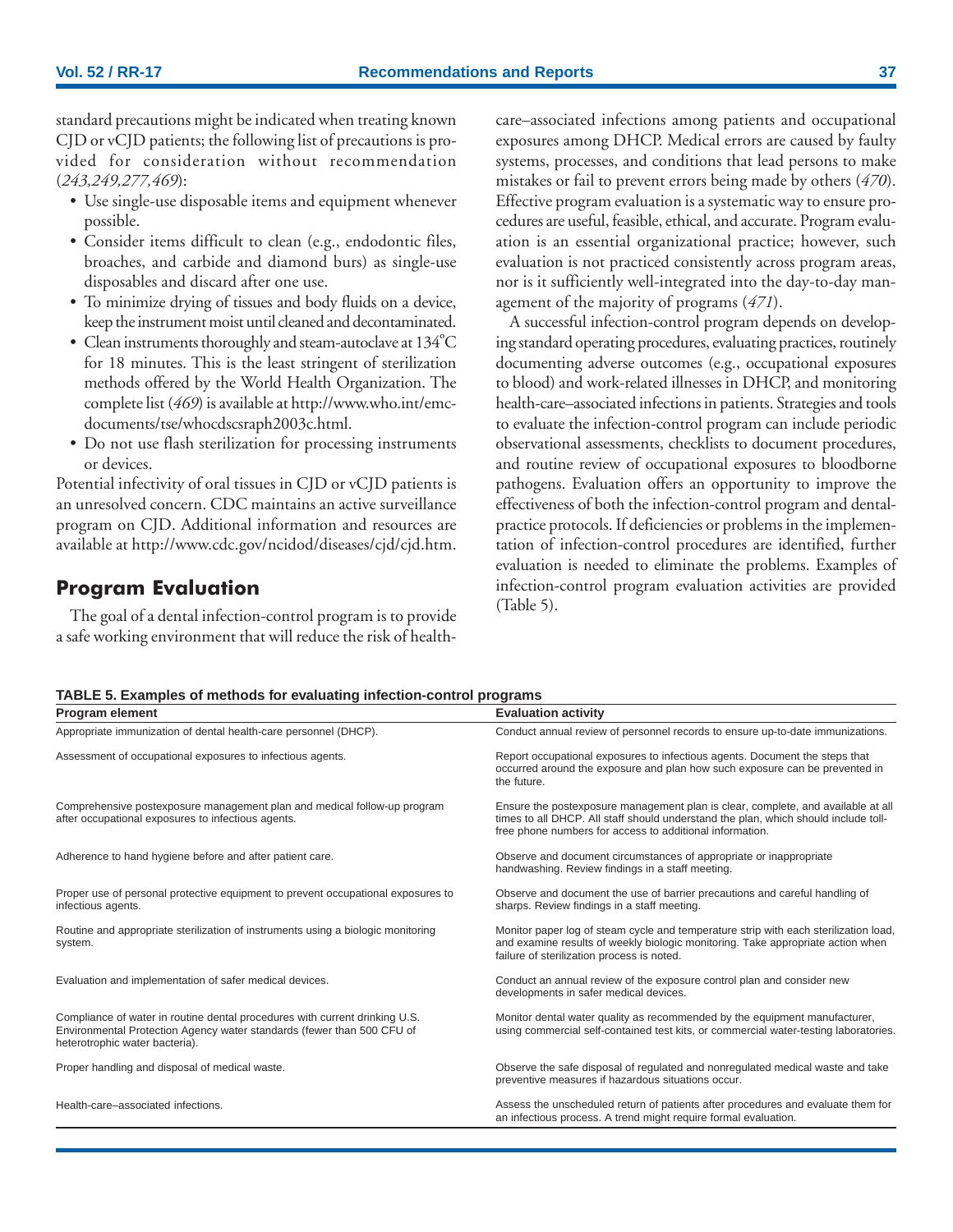standard precautions might be indicated when treating known CJD or vCJD patients; the following list of precautions is provided for consideration without recommendation (*243,249,277,469*):

- Use single-use disposable items and equipment whenever possible.
- Consider items difficult to clean (e.g., endodontic files, broaches, and carbide and diamond burs) as single-use disposables and discard after one use.
- To minimize drying of tissues and body fluids on a device, keep the instrument moist until cleaned and decontaminated.
- Clean instruments thoroughly and steam-autoclave at 134º C for 18 minutes. This is the least stringent of sterilization methods offered by the World Health Organization. The complete list (*469*) is available at http://www.who.int/emcdocuments/tse/whocdscsraph2003c.html.
- Do not use flash sterilization for processing instruments or devices.

Potential infectivity of oral tissues in CJD or vCJD patients is an unresolved concern. CDC maintains an active surveillance program on CJD. Additional information and resources are available at http://www.cdc.gov/ncidod/diseases/cjd/cjd.htm.

## **Program Evaluation**

The goal of a dental infection-control program is to provide a safe working environment that will reduce the risk of healthcare–associated infections among patients and occupational exposures among DHCP. Medical errors are caused by faulty systems, processes, and conditions that lead persons to make mistakes or fail to prevent errors being made by others (*470*). Effective program evaluation is a systematic way to ensure procedures are useful, feasible, ethical, and accurate. Program evaluation is an essential organizational practice; however, such evaluation is not practiced consistently across program areas, nor is it sufficiently well-integrated into the day-to-day management of the majority of programs (*471*).

A successful infection-control program depends on developing standard operating procedures, evaluating practices, routinely documenting adverse outcomes (e.g., occupational exposures to blood) and work-related illnesses in DHCP, and monitoring health-care–associated infections in patients. Strategies and tools to evaluate the infection-control program can include periodic observational assessments, checklists to document procedures, and routine review of occupational exposures to bloodborne pathogens. Evaluation offers an opportunity to improve the effectiveness of both the infection-control program and dentalpractice protocols. If deficiencies or problems in the implementation of infection-control procedures are identified, further evaluation is needed to eliminate the problems. Examples of infection-control program evaluation activities are provided (Table 5).

| <b>Program element</b>                                                                                                                                                                  | <b>Evaluation activity</b>                                                                                                                                                                                                          |
|-----------------------------------------------------------------------------------------------------------------------------------------------------------------------------------------|-------------------------------------------------------------------------------------------------------------------------------------------------------------------------------------------------------------------------------------|
| Appropriate immunization of dental health-care personnel (DHCP).                                                                                                                        | Conduct annual review of personnel records to ensure up-to-date immunizations.                                                                                                                                                      |
| Assessment of occupational exposures to infectious agents.                                                                                                                              | Report occupational exposures to infectious agents. Document the steps that<br>occurred around the exposure and plan how such exposure can be prevented in<br>the future.                                                           |
| Comprehensive postexposure management plan and medical follow-up program<br>after occupational exposures to infectious agents.                                                          | Ensure the postexposure management plan is clear, complete, and available at all<br>times to all DHCP. All staff should understand the plan, which should include toll-<br>free phone numbers for access to additional information. |
| Adherence to hand hygiene before and after patient care.                                                                                                                                | Observe and document circumstances of appropriate or inappropriate<br>handwashing. Review findings in a staff meeting.                                                                                                              |
| Proper use of personal protective equipment to prevent occupational exposures to<br>infectious agents.                                                                                  | Observe and document the use of barrier precautions and careful handling of<br>sharps. Review findings in a staff meeting.                                                                                                          |
| Routine and appropriate sterilization of instruments using a biologic monitoring<br>system.                                                                                             | Monitor paper log of steam cycle and temperature strip with each sterilization load,<br>and examine results of weekly biologic monitoring. Take appropriate action when<br>failure of sterilization process is noted.               |
| Evaluation and implementation of safer medical devices.                                                                                                                                 | Conduct an annual review of the exposure control plan and consider new<br>developments in safer medical devices.                                                                                                                    |
| Compliance of water in routine dental procedures with current drinking U.S.<br>Environmental Protection Agency water standards (fewer than 500 CFU of<br>heterotrophic water bacteria). | Monitor dental water quality as recommended by the equipment manufacturer,<br>using commercial self-contained test kits, or commercial water-testing laboratories.                                                                  |
| Proper handling and disposal of medical waste.                                                                                                                                          | Observe the safe disposal of regulated and nonregulated medical waste and take<br>preventive measures if hazardous situations occur.                                                                                                |
| Health-care-associated infections.                                                                                                                                                      | Assess the unscheduled return of patients after procedures and evaluate them for<br>an infectious process. A trend might require formal evaluation.                                                                                 |

**TABLE 5. Examples of methods for evaluating infection-control programs**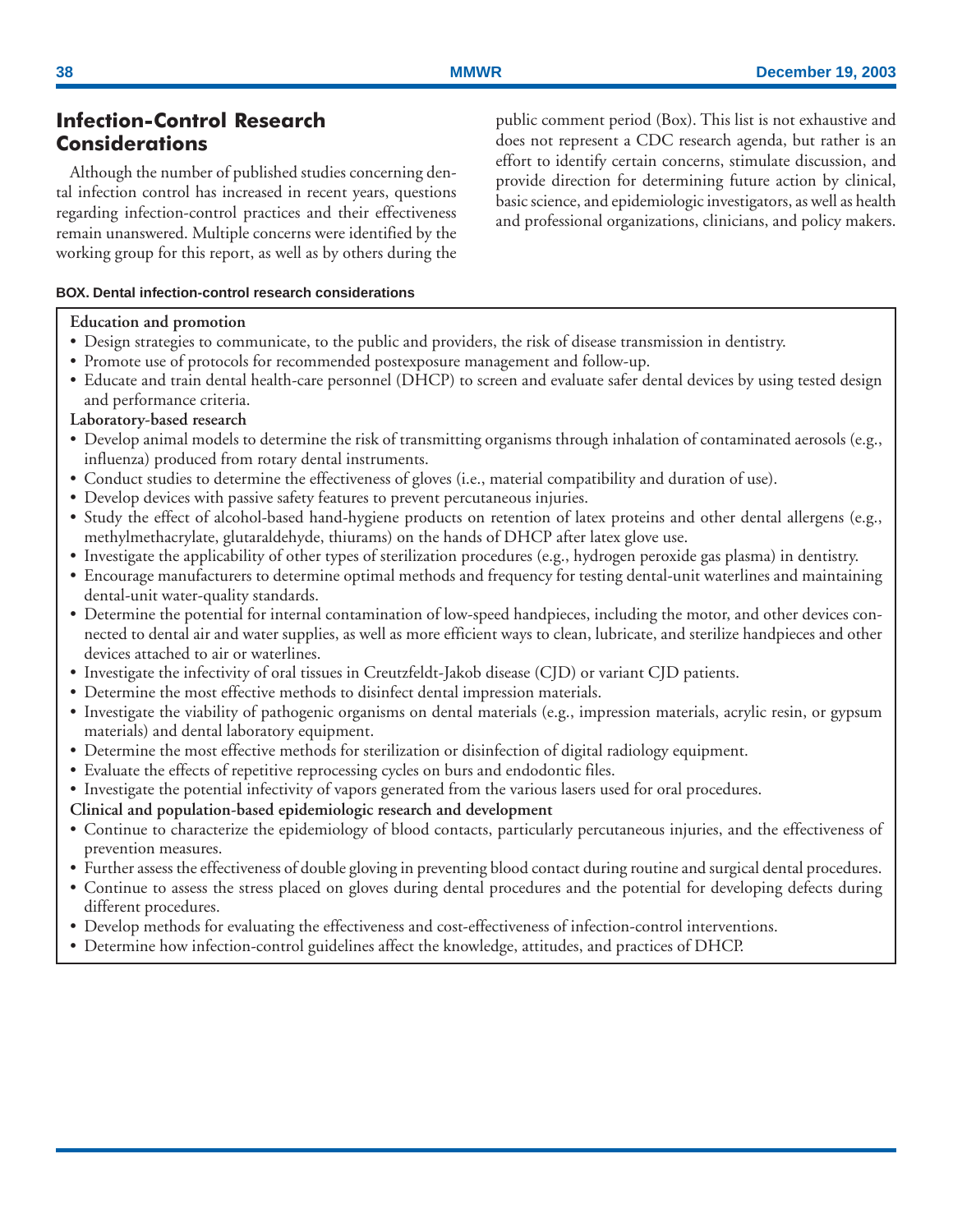# **Infection-Control Research Considerations**

Although the number of published studies concerning dental infection control has increased in recent years, questions regarding infection-control practices and their effectiveness remain unanswered. Multiple concerns were identified by the working group for this report, as well as by others during the

### **BOX. Dental infection-control research considerations**

### **Education and promotion**

- Design strategies to communicate, to the public and providers, the risk of disease transmission in dentistry.
- Promote use of protocols for recommended postexposure management and follow-up.
- Educate and train dental health-care personnel (DHCP) to screen and evaluate safer dental devices by using tested design and performance criteria.

### **Laboratory-based research**

- Develop animal models to determine the risk of transmitting organisms through inhalation of contaminated aerosols (e.g., influenza) produced from rotary dental instruments.
- Conduct studies to determine the effectiveness of gloves (i.e., material compatibility and duration of use).
- Develop devices with passive safety features to prevent percutaneous injuries.
- Study the effect of alcohol-based hand-hygiene products on retention of latex proteins and other dental allergens (e.g., methylmethacrylate, glutaraldehyde, thiurams) on the hands of DHCP after latex glove use.
- Investigate the applicability of other types of sterilization procedures (e.g., hydrogen peroxide gas plasma) in dentistry.
- Encourage manufacturers to determine optimal methods and frequency for testing dental-unit waterlines and maintaining dental-unit water-quality standards.
- Determine the potential for internal contamination of low-speed handpieces, including the motor, and other devices connected to dental air and water supplies, as well as more efficient ways to clean, lubricate, and sterilize handpieces and other devices attached to air or waterlines.
- Investigate the infectivity of oral tissues in Creutzfeldt-Jakob disease (CJD) or variant CJD patients.
- Determine the most effective methods to disinfect dental impression materials.
- Investigate the viability of pathogenic organisms on dental materials (e.g., impression materials, acrylic resin, or gypsum materials) and dental laboratory equipment.
- Determine the most effective methods for sterilization or disinfection of digital radiology equipment.
- Evaluate the effects of repetitive reprocessing cycles on burs and endodontic files.
- Investigate the potential infectivity of vapors generated from the various lasers used for oral procedures.

### **Clinical and population-based epidemiologic research and development**

- Continue to characterize the epidemiology of blood contacts, particularly percutaneous injuries, and the effectiveness of prevention measures.
- Further assess the effectiveness of double gloving in preventing blood contact during routine and surgical dental procedures.
- Continue to assess the stress placed on gloves during dental procedures and the potential for developing defects during different procedures.
- Develop methods for evaluating the effectiveness and cost-effectiveness of infection-control interventions.
- Determine how infection-control guidelines affect the knowledge, attitudes, and practices of DHCP.

public comment period (Box). This list is not exhaustive and does not represent a CDC research agenda, but rather is an effort to identify certain concerns, stimulate discussion, and provide direction for determining future action by clinical, basic science, and epidemiologic investigators, as well as health and professional organizations, clinicians, and policy makers.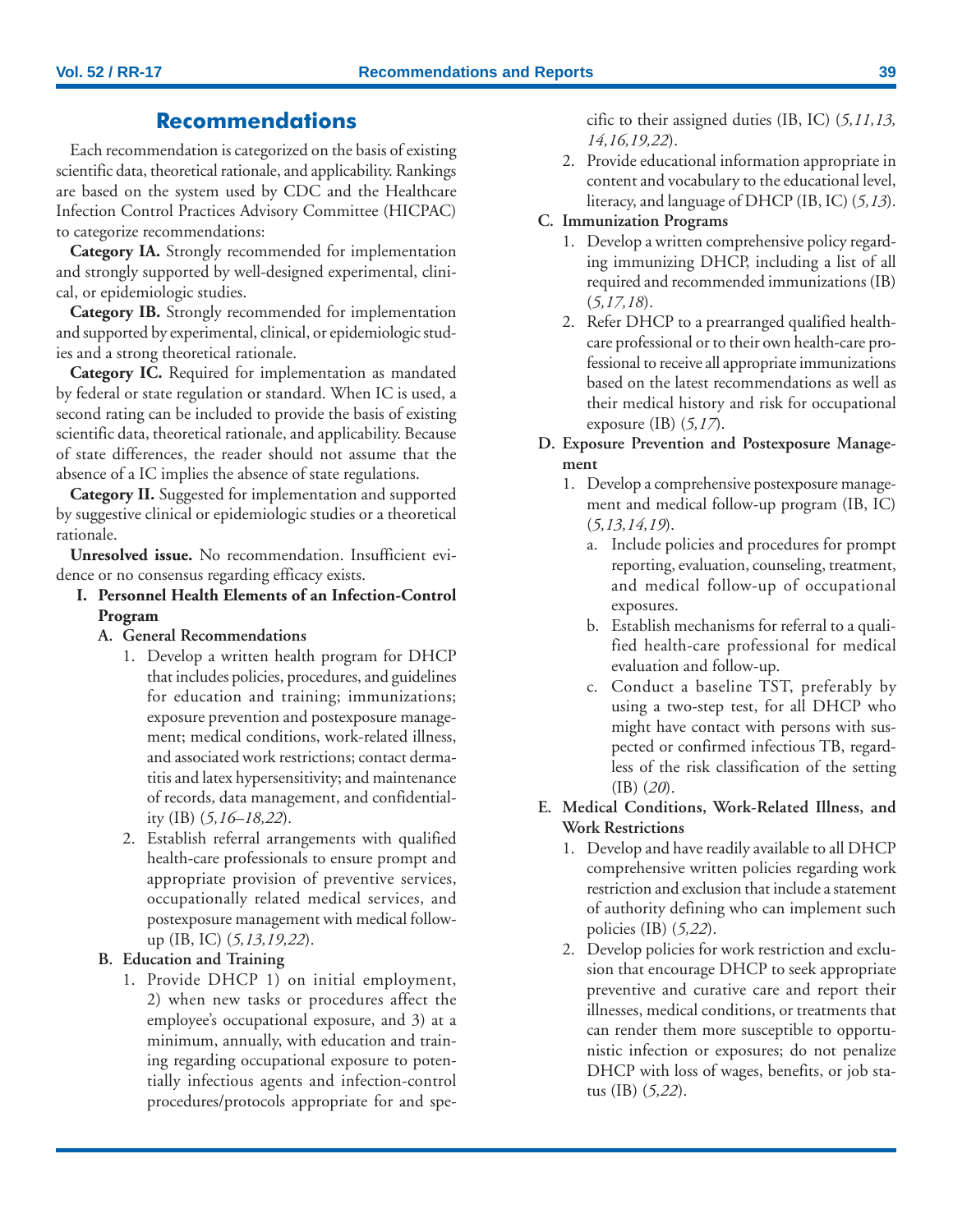# **Recommendations**

Each recommendation is categorized on the basis of existing scientific data, theoretical rationale, and applicability. Rankings are based on the system used by CDC and the Healthcare Infection Control Practices Advisory Committee (HICPAC) to categorize recommendations:

**Category IA.** Strongly recommended for implementation and strongly supported by well-designed experimental, clinical, or epidemiologic studies.

**Category IB.** Strongly recommended for implementation and supported by experimental, clinical, or epidemiologic studies and a strong theoretical rationale.

**Category IC.** Required for implementation as mandated by federal or state regulation or standard. When IC is used, a second rating can be included to provide the basis of existing scientific data, theoretical rationale, and applicability. Because of state differences, the reader should not assume that the absence of a IC implies the absence of state regulations.

**Category II.** Suggested for implementation and supported by suggestive clinical or epidemiologic studies or a theoretical rationale.

**Unresolved issue.** No recommendation. Insufficient evidence or no consensus regarding efficacy exists.

- **I. Personnel Health Elements of an Infection-Control Program**
	- **A. General Recommendations**
		- 1. Develop a written health program for DHCP that includes policies, procedures, and guidelines for education and training; immunizations; exposure prevention and postexposure management; medical conditions, work-related illness, and associated work restrictions; contact dermatitis and latex hypersensitivity; and maintenance of records, data management, and confidentiality (IB) (*5,16–18,22*).
		- 2. Establish referral arrangements with qualified health-care professionals to ensure prompt and appropriate provision of preventive services, occupationally related medical services, and postexposure management with medical followup (IB, IC) (*5,13,19,22*).

### **B. Education and Training**

1. Provide DHCP 1) on initial employment, 2) when new tasks or procedures affect the employee's occupational exposure, and 3) at a minimum, annually, with education and training regarding occupational exposure to potentially infectious agents and infection-control procedures/protocols appropriate for and specific to their assigned duties (IB, IC) (*5,11,13, 14,16,19,22*).

2. Provide educational information appropriate in content and vocabulary to the educational level, literacy, and language of DHCP (IB, IC) (*5,13*).

### **C. Immunization Programs**

- 1. Develop a written comprehensive policy regarding immunizing DHCP, including a list of all required and recommended immunizations (IB) (*5,17,18*).
- 2. Refer DHCP to a prearranged qualified healthcare professional or to their own health-care professional to receive all appropriate immunizations based on the latest recommendations as well as their medical history and risk for occupational exposure (IB) (*5,17*).

### **D. Exposure Prevention and Postexposure Management**

- 1. Develop a comprehensive postexposure management and medical follow-up program (IB, IC) (*5,13,14,19*).
	- a. Include policies and procedures for prompt reporting, evaluation, counseling, treatment, and medical follow-up of occupational exposures.
	- b. Establish mechanisms for referral to a qualified health-care professional for medical evaluation and follow-up.
	- c. Conduct a baseline TST, preferably by using a two-step test, for all DHCP who might have contact with persons with suspected or confirmed infectious TB, regardless of the risk classification of the setting (IB) (*20*).
- **E. Medical Conditions, Work-Related Illness, and Work Restrictions**
	- 1. Develop and have readily available to all DHCP comprehensive written policies regarding work restriction and exclusion that include a statement of authority defining who can implement such policies (IB) (*5,22*).
	- 2. Develop policies for work restriction and exclusion that encourage DHCP to seek appropriate preventive and curative care and report their illnesses, medical conditions, or treatments that can render them more susceptible to opportunistic infection or exposures; do not penalize DHCP with loss of wages, benefits, or job status (IB) (*5,22*).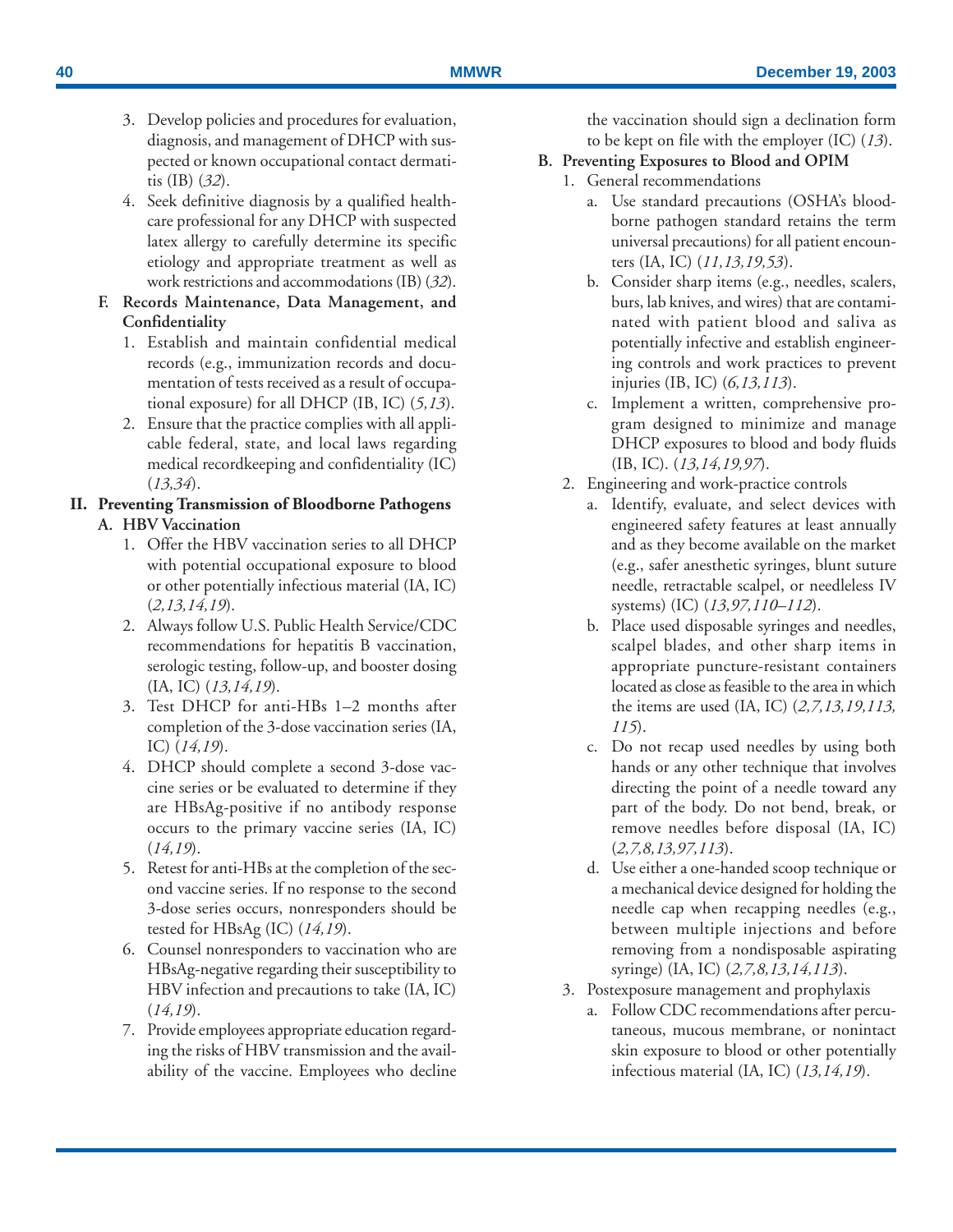- 3. Develop policies and procedures for evaluation, diagnosis, and management of DHCP with suspected or known occupational contact dermatitis (IB) (*32*).
- 4. Seek definitive diagnosis by a qualified healthcare professional for any DHCP with suspected latex allergy to carefully determine its specific etiology and appropriate treatment as well as work restrictions and accommodations (IB) (*32*).
- **F. Records Maintenance, Data Management, and Confidentiality**
	- 1. Establish and maintain confidential medical records (e.g., immunization records and documentation of tests received as a result of occupational exposure) for all DHCP (IB, IC) (*5,13*).
	- 2. Ensure that the practice complies with all applicable federal, state, and local laws regarding medical recordkeeping and confidentiality (IC) (*13,34*).

### **II. Preventing Transmission of Bloodborne Pathogens A. HBV Vaccination**

- 1. Offer the HBV vaccination series to all DHCP with potential occupational exposure to blood or other potentially infectious material (IA, IC) (*2,13,14,19*).
- 2. Always follow U.S. Public Health Service/CDC recommendations for hepatitis B vaccination, serologic testing, follow-up, and booster dosing (IA, IC) (*13,14,19*).
- 3. Test DHCP for anti-HBs 1–2 months after completion of the 3-dose vaccination series (IA, IC) (*14,19*).
- 4. DHCP should complete a second 3-dose vaccine series or be evaluated to determine if they are HBsAg-positive if no antibody response occurs to the primary vaccine series (IA, IC) (*14,19*).
- 5. Retest for anti-HBs at the completion of the second vaccine series. If no response to the second 3-dose series occurs, nonresponders should be tested for HBsAg (IC) (*14,19*).
- 6. Counsel nonresponders to vaccination who are HBsAg-negative regarding their susceptibility to HBV infection and precautions to take (IA, IC) (*14,19*).
- 7. Provide employees appropriate education regarding the risks of HBV transmission and the availability of the vaccine. Employees who decline

the vaccination should sign a declination form to be kept on file with the employer (IC) (*13*).

# **B. Preventing Exposures to Blood and OPIM**

- 1. General recommendations
	- a. Use standard precautions (OSHA's bloodborne pathogen standard retains the term universal precautions) for all patient encounters (IA, IC) (*11,13,19,53*).
	- b. Consider sharp items (e.g., needles, scalers, burs, lab knives, and wires) that are contaminated with patient blood and saliva as potentially infective and establish engineering controls and work practices to prevent injuries (IB, IC) (*6,13,113*).
	- c. Implement a written, comprehensive program designed to minimize and manage DHCP exposures to blood and body fluids (IB, IC). (*13,14,19,97*).
- 2. Engineering and work-practice controls
	- a. Identify, evaluate, and select devices with engineered safety features at least annually and as they become available on the market (e.g., safer anesthetic syringes, blunt suture needle, retractable scalpel, or needleless IV systems) (IC) (*13,97,110–112*).
	- b. Place used disposable syringes and needles, scalpel blades, and other sharp items in appropriate puncture-resistant containers located as close as feasible to the area in which the items are used (IA, IC) (*2,7,13,19,113, 115*).
	- c. Do not recap used needles by using both hands or any other technique that involves directing the point of a needle toward any part of the body. Do not bend, break, or remove needles before disposal (IA, IC) (*2,7,8,13,97,113*).
	- d. Use either a one-handed scoop technique or a mechanical device designed for holding the needle cap when recapping needles (e.g., between multiple injections and before removing from a nondisposable aspirating syringe) (IA, IC) (*2,7,8,13,14,113*).
- 3. Postexposure management and prophylaxis
	- a. Follow CDC recommendations after percutaneous, mucous membrane, or nonintact skin exposure to blood or other potentially infectious material (IA, IC) (*13,14,19*).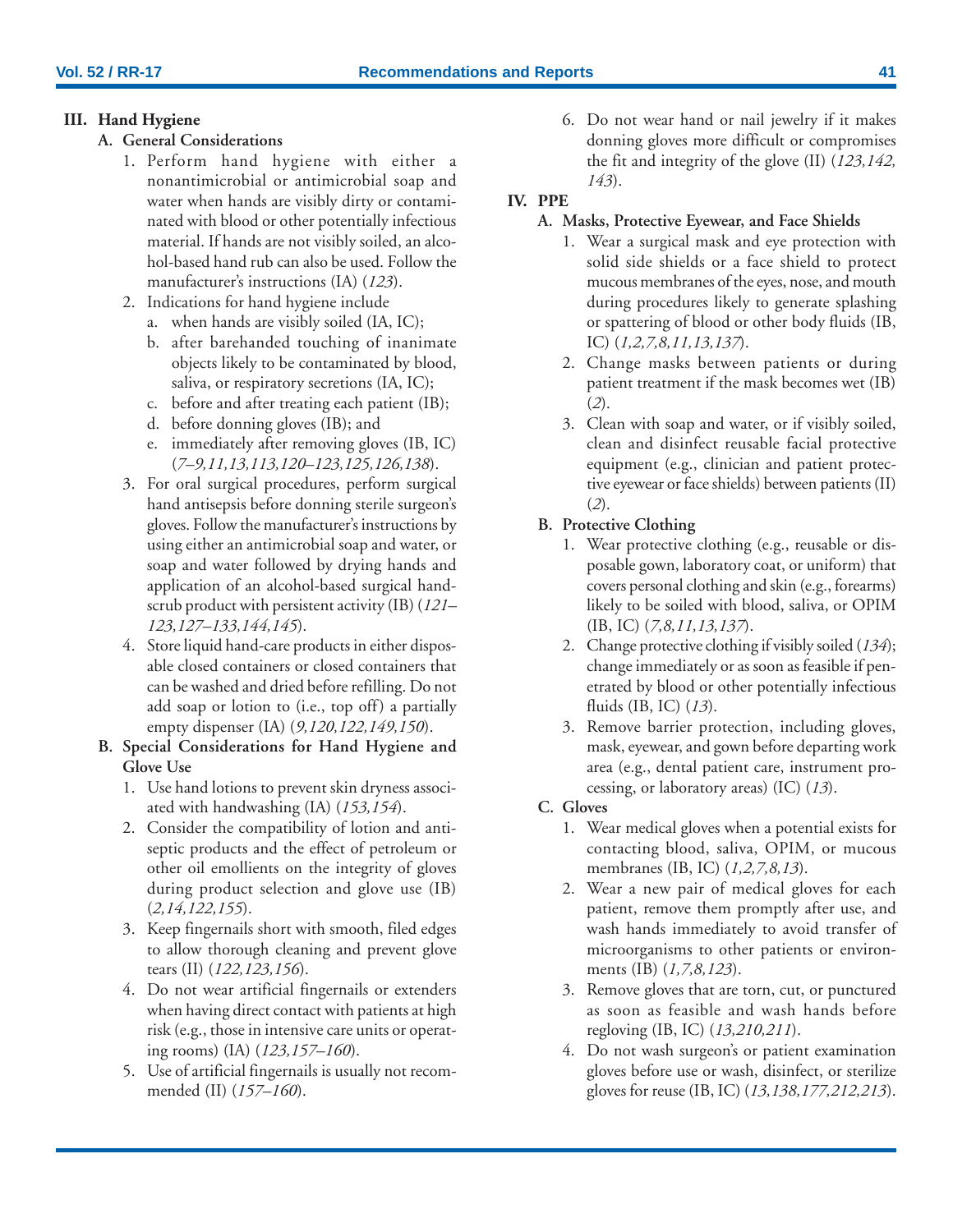### **III. Hand Hygiene**

### **A. General Considerations**

- 1. Perform hand hygiene with either a nonantimicrobial or antimicrobial soap and water when hands are visibly dirty or contaminated with blood or other potentially infectious material. If hands are not visibly soiled, an alcohol-based hand rub can also be used. Follow the manufacturer's instructions (IA) (*123*).
- 2. Indications for hand hygiene include
	- a. when hands are visibly soiled (IA, IC);
	- b. after barehanded touching of inanimate objects likely to be contaminated by blood, saliva, or respiratory secretions (IA, IC);
	- c. before and after treating each patient (IB);
	- d. before donning gloves (IB); and
	- e. immediately after removing gloves (IB, IC) (*7–9,11,13,113,120–123,125,126,138*).
- 3. For oral surgical procedures, perform surgical hand antisepsis before donning sterile surgeon's gloves. Follow the manufacturer's instructions by using either an antimicrobial soap and water, or soap and water followed by drying hands and application of an alcohol-based surgical handscrub product with persistent activity (IB) (*121– 123,127–133,144,145*).
- 4. Store liquid hand-care products in either disposable closed containers or closed containers that can be washed and dried before refilling. Do not add soap or lotion to (i.e., top off) a partially empty dispenser (IA) (*9,120,122,149,150*).
- **B. Special Considerations for Hand Hygiene and Glove Use**
	- 1. Use hand lotions to prevent skin dryness associated with handwashing (IA) (*153,154*).
	- 2. Consider the compatibility of lotion and antiseptic products and the effect of petroleum or other oil emollients on the integrity of gloves during product selection and glove use (IB) (*2,14,122,155*).
	- 3. Keep fingernails short with smooth, filed edges to allow thorough cleaning and prevent glove tears (II) (*122,123,156*).
	- 4. Do not wear artificial fingernails or extenders when having direct contact with patients at high risk (e.g., those in intensive care units or operating rooms) (IA) (*123,157–160*).
	- 5. Use of artificial fingernails is usually not recommended (II) (*157–160*).

6. Do not wear hand or nail jewelry if it makes donning gloves more difficult or compromises the fit and integrity of the glove (II) (*123,142, 143*).

### **IV. PPE**

### **A. Masks, Protective Eyewear, and Face Shields**

- 1. Wear a surgical mask and eye protection with solid side shields or a face shield to protect mucous membranes of the eyes, nose, and mouth during procedures likely to generate splashing or spattering of blood or other body fluids (IB, IC) (*1,2,7,8,11,13,137*).
- 2. Change masks between patients or during patient treatment if the mask becomes wet (IB) (*2*).
- 3. Clean with soap and water, or if visibly soiled, clean and disinfect reusable facial protective equipment (e.g., clinician and patient protective eyewear or face shields) between patients (II) (*2*).
- **B. Protective Clothing**
	- 1. Wear protective clothing (e.g., reusable or disposable gown, laboratory coat, or uniform) that covers personal clothing and skin (e.g., forearms) likely to be soiled with blood, saliva, or OPIM (IB, IC) (*7,8,11,13,137*).
	- 2. Change protective clothing if visibly soiled (*134*); change immediately or as soon as feasible if penetrated by blood or other potentially infectious fluids (IB, IC) (*13*).
	- 3. Remove barrier protection, including gloves, mask, eyewear, and gown before departing work area (e.g., dental patient care, instrument processing, or laboratory areas) (IC) (*13*).
- **C. Gloves**
	- 1. Wear medical gloves when a potential exists for contacting blood, saliva, OPIM, or mucous membranes (IB, IC) (*1,2,7,8,13*).
	- 2. Wear a new pair of medical gloves for each patient, remove them promptly after use, and wash hands immediately to avoid transfer of microorganisms to other patients or environments (IB) (*1,7,8,123*).
	- 3. Remove gloves that are torn, cut, or punctured as soon as feasible and wash hands before regloving (IB, IC) (*13,210,211*).
	- 4. Do not wash surgeon's or patient examination gloves before use or wash, disinfect, or sterilize gloves for reuse (IB, IC) (*13,138,177,212,213*).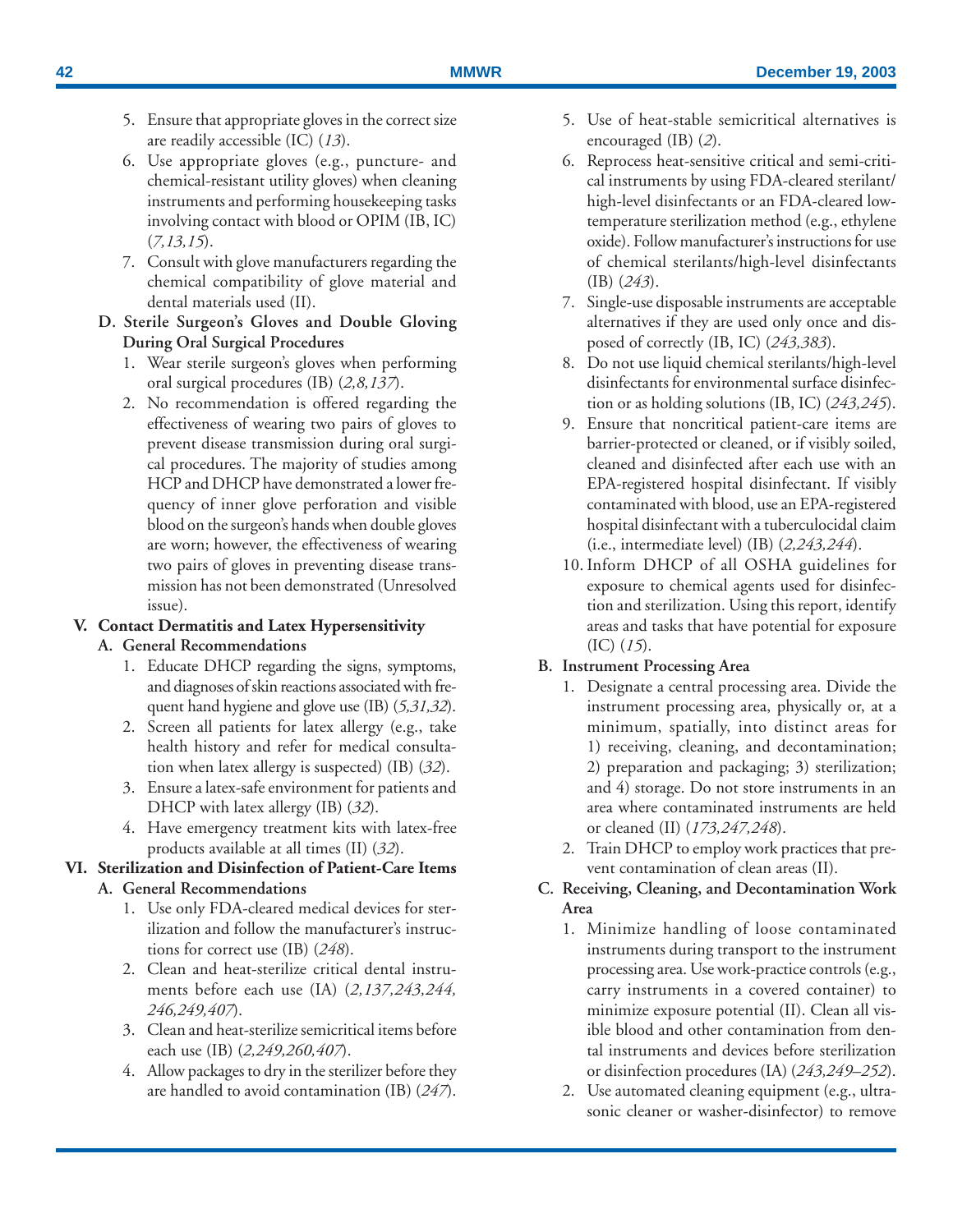- **42 MMWR December 19, 2003**
	- 5. Ensure that appropriate gloves in the correct size are readily accessible (IC) (*13*).
	- 6. Use appropriate gloves (e.g., puncture- and chemical-resistant utility gloves) when cleaning instruments and performing housekeeping tasks involving contact with blood or OPIM (IB, IC) (*7,13,15*).
	- 7. Consult with glove manufacturers regarding the chemical compatibility of glove material and dental materials used (II).
	- **D. Sterile Surgeon's Gloves and Double Gloving During Oral Surgical Procedures**
		- 1. Wear sterile surgeon's gloves when performing oral surgical procedures (IB) (*2,8,137*).
		- 2. No recommendation is offered regarding the effectiveness of wearing two pairs of gloves to prevent disease transmission during oral surgical procedures. The majority of studies among HCP and DHCP have demonstrated a lower frequency of inner glove perforation and visible blood on the surgeon's hands when double gloves are worn; however, the effectiveness of wearing two pairs of gloves in preventing disease transmission has not been demonstrated (Unresolved issue).

# **V. Contact Dermatitis and Latex Hypersensitivity**

### **A. General Recommendations**

- 1. Educate DHCP regarding the signs, symptoms, and diagnoses of skin reactions associated with frequent hand hygiene and glove use (IB) (*5,31,32*).
- 2. Screen all patients for latex allergy (e.g., take health history and refer for medical consultation when latex allergy is suspected) (IB) (*32*).
- 3. Ensure a latex-safe environment for patients and DHCP with latex allergy (IB) (*32*).
- 4. Have emergency treatment kits with latex-free products available at all times (II) (*32*).

# **VI. Sterilization and Disinfection of Patient-Care Items**

# **A. General Recommendations**

- 1. Use only FDA-cleared medical devices for sterilization and follow the manufacturer's instructions for correct use (IB) (*248*).
- 2. Clean and heat-sterilize critical dental instruments before each use (IA) (*2,137,243,244, 246,249,407*).
- 3. Clean and heat-sterilize semicritical items before each use (IB) (*2,249,260,407*).
- 4. Allow packages to dry in the sterilizer before they are handled to avoid contamination (IB) (*247*).
- 5. Use of heat-stable semicritical alternatives is encouraged (IB) (*2*).
- 6. Reprocess heat-sensitive critical and semi-critical instruments by using FDA-cleared sterilant/ high-level disinfectants or an FDA-cleared lowtemperature sterilization method (e.g., ethylene oxide). Follow manufacturer's instructions for use of chemical sterilants/high-level disinfectants (IB) (*243*).
- 7. Single-use disposable instruments are acceptable alternatives if they are used only once and disposed of correctly (IB, IC) (*243,383*).
- 8. Do not use liquid chemical sterilants/high-level disinfectants for environmental surface disinfection or as holding solutions (IB, IC) (*243,245*).
- 9. Ensure that noncritical patient-care items are barrier-protected or cleaned, or if visibly soiled, cleaned and disinfected after each use with an EPA-registered hospital disinfectant. If visibly contaminated with blood, use an EPA-registered hospital disinfectant with a tuberculocidal claim (i.e., intermediate level) (IB) (*2,243,244*).
- 10. Inform DHCP of all OSHA guidelines for exposure to chemical agents used for disinfection and sterilization. Using this report, identify areas and tasks that have potential for exposure (IC) (*15*).

### **B. Instrument Processing Area**

- 1. Designate a central processing area. Divide the instrument processing area, physically or, at a minimum, spatially, into distinct areas for 1) receiving, cleaning, and decontamination; 2) preparation and packaging; 3) sterilization; and 4) storage. Do not store instruments in an area where contaminated instruments are held or cleaned (II) (*173,247,248*).
- 2. Train DHCP to employ work practices that prevent contamination of clean areas (II).

### **C. Receiving, Cleaning, and Decontamination Work Area**

- 1. Minimize handling of loose contaminated instruments during transport to the instrument processing area. Use work-practice controls (e.g., carry instruments in a covered container) to minimize exposure potential (II). Clean all visible blood and other contamination from dental instruments and devices before sterilization or disinfection procedures (IA) (*243,249–252*).
- 2. Use automated cleaning equipment (e.g., ultrasonic cleaner or washer-disinfector) to remove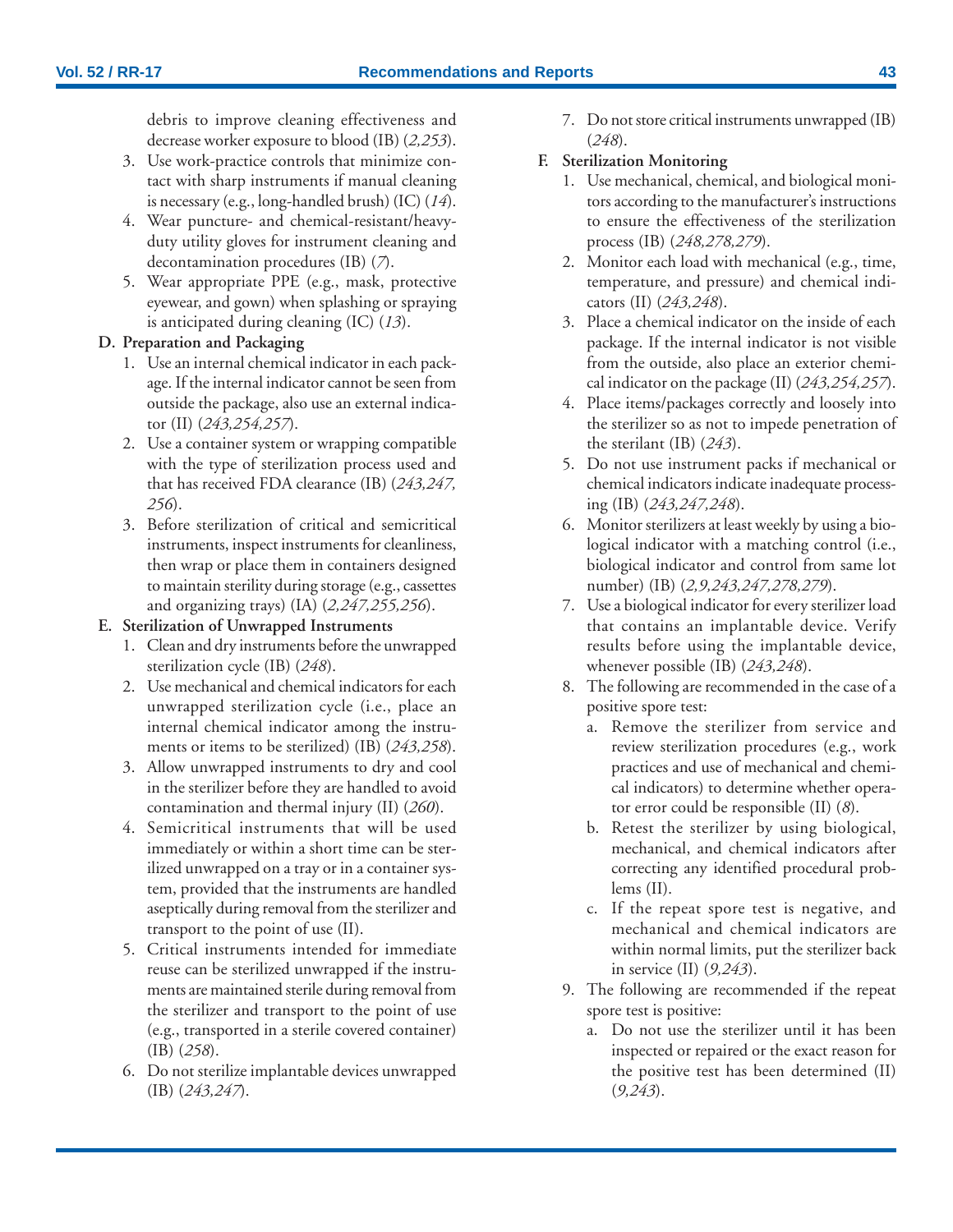debris to improve cleaning effectiveness and decrease worker exposure to blood (IB) (*2,253*).

- 3. Use work-practice controls that minimize contact with sharp instruments if manual cleaning is necessary (e.g., long-handled brush) (IC) (*14*).
- 4. Wear puncture- and chemical-resistant/heavyduty utility gloves for instrument cleaning and decontamination procedures (IB) (*7*).
- 5. Wear appropriate PPE (e.g., mask, protective eyewear, and gown) when splashing or spraying is anticipated during cleaning (IC) (*13*).

### **D. Preparation and Packaging**

- 1. Use an internal chemical indicator in each package. If the internal indicator cannot be seen from outside the package, also use an external indicator (II) (*243,254,257*).
- 2. Use a container system or wrapping compatible with the type of sterilization process used and that has received FDA clearance (IB) (*243,247, 256*).
- 3. Before sterilization of critical and semicritical instruments, inspect instruments for cleanliness, then wrap or place them in containers designed to maintain sterility during storage (e.g., cassettes and organizing trays) (IA) (*2,247,255,256*).

### **E. Sterilization of Unwrapped Instruments**

- 1. Clean and dry instruments before the unwrapped sterilization cycle (IB) (*248*).
- 2. Use mechanical and chemical indicators for each unwrapped sterilization cycle (i.e., place an internal chemical indicator among the instruments or items to be sterilized) (IB) (*243,258*).
- 3. Allow unwrapped instruments to dry and cool in the sterilizer before they are handled to avoid contamination and thermal injury (II) (*260*).
- 4. Semicritical instruments that will be used immediately or within a short time can be sterilized unwrapped on a tray or in a container system, provided that the instruments are handled aseptically during removal from the sterilizer and transport to the point of use (II).
- 5. Critical instruments intended for immediate reuse can be sterilized unwrapped if the instruments are maintained sterile during removal from the sterilizer and transport to the point of use (e.g., transported in a sterile covered container) (IB) (*258*).
- 6. Do not sterilize implantable devices unwrapped (IB) (*243,247*).
- 7. Do not store critical instruments unwrapped (IB) (*248*).
- **F. Sterilization Monitoring**
	- 1. Use mechanical, chemical, and biological monitors according to the manufacturer's instructions to ensure the effectiveness of the sterilization process (IB) (*248,278,279*).
	- 2. Monitor each load with mechanical (e.g., time, temperature, and pressure) and chemical indicators (II) (*243,248*).
	- 3. Place a chemical indicator on the inside of each package. If the internal indicator is not visible from the outside, also place an exterior chemical indicator on the package (II) (*243,254,257*).
	- 4. Place items/packages correctly and loosely into the sterilizer so as not to impede penetration of the sterilant (IB) (*243*).
	- 5. Do not use instrument packs if mechanical or chemical indicators indicate inadequate processing (IB) (*243,247,248*).
	- 6. Monitor sterilizers at least weekly by using a biological indicator with a matching control (i.e., biological indicator and control from same lot number) (IB) (*2,9,243,247,278,279*).
	- 7. Use a biological indicator for every sterilizer load that contains an implantable device. Verify results before using the implantable device, whenever possible (IB) (*243,248*).
	- 8. The following are recommended in the case of a positive spore test:
		- a. Remove the sterilizer from service and review sterilization procedures (e.g., work practices and use of mechanical and chemical indicators) to determine whether operator error could be responsible (II) (*8*).
		- b. Retest the sterilizer by using biological, mechanical, and chemical indicators after correcting any identified procedural problems (II).
		- c. If the repeat spore test is negative, and mechanical and chemical indicators are within normal limits, put the sterilizer back in service (II) (*9,243*).
	- 9. The following are recommended if the repeat spore test is positive:
		- a. Do not use the sterilizer until it has been inspected or repaired or the exact reason for the positive test has been determined (II) (*9,243*).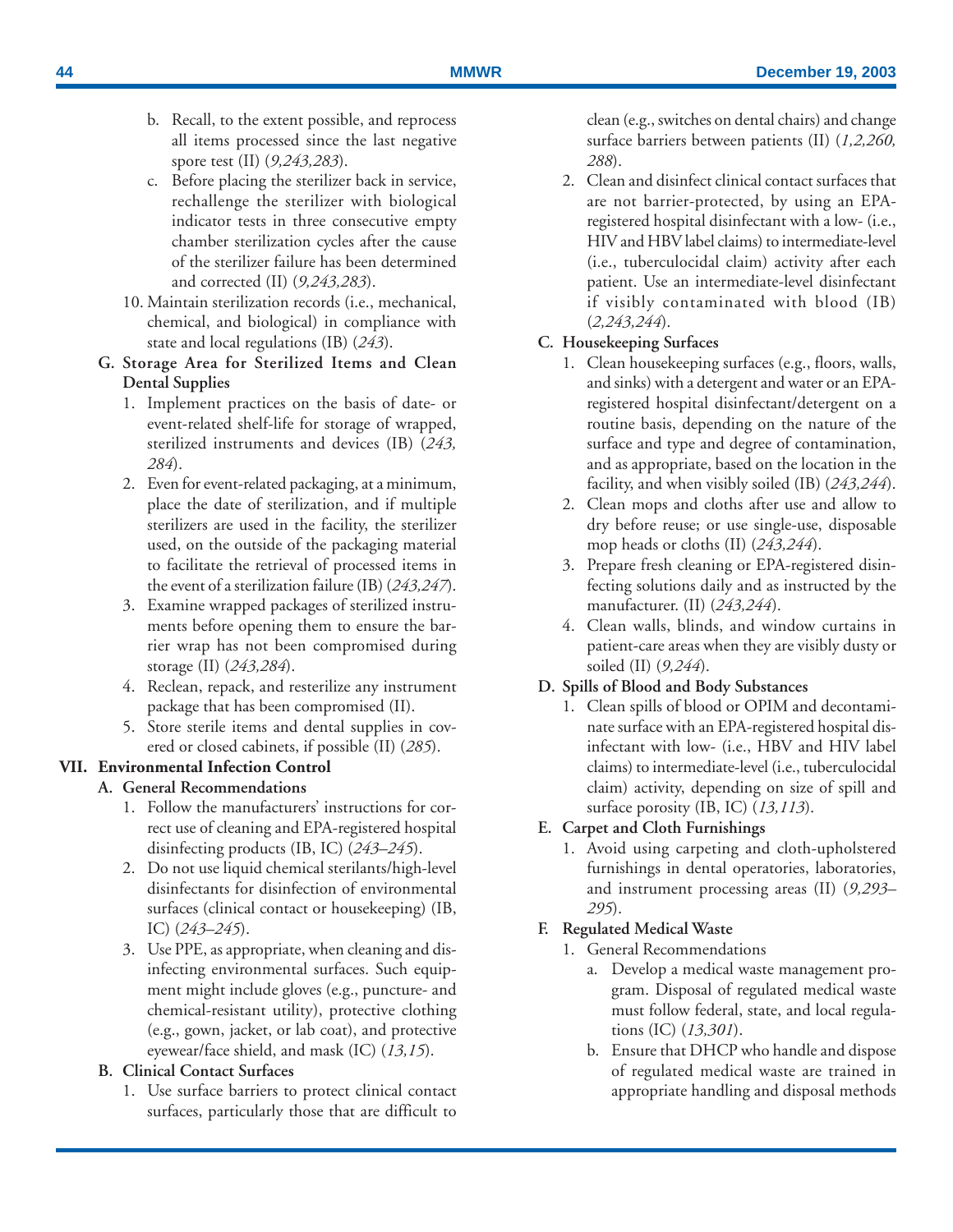- b. Recall, to the extent possible, and reprocess all items processed since the last negative spore test (II) (*9,243,283*).
- c. Before placing the sterilizer back in service, rechallenge the sterilizer with biological indicator tests in three consecutive empty chamber sterilization cycles after the cause of the sterilizer failure has been determined and corrected (II) (*9,243,283*).
- 10. Maintain sterilization records (i.e., mechanical, chemical, and biological) in compliance with state and local regulations (IB) (*243*).
- **G. Storage Area for Sterilized Items and Clean Dental Supplies**
	- 1. Implement practices on the basis of date- or event-related shelf-life for storage of wrapped, sterilized instruments and devices (IB) (*243, 284*).
	- 2. Even for event-related packaging, at a minimum, place the date of sterilization, and if multiple sterilizers are used in the facility, the sterilizer used, on the outside of the packaging material to facilitate the retrieval of processed items in the event of a sterilization failure (IB) (*243,247*).
	- 3. Examine wrapped packages of sterilized instruments before opening them to ensure the barrier wrap has not been compromised during storage (II) (*243,284*).
	- 4. Reclean, repack, and resterilize any instrument package that has been compromised (II).
	- 5. Store sterile items and dental supplies in covered or closed cabinets, if possible (II) (*285*).

# **VII. Environmental Infection Control**

# **A. General Recommendations**

- 1. Follow the manufacturers' instructions for correct use of cleaning and EPA-registered hospital disinfecting products (IB, IC) (*243–245*).
- 2. Do not use liquid chemical sterilants/high-level disinfectants for disinfection of environmental surfaces (clinical contact or housekeeping) (IB, IC) (*243–245*).
- 3. Use PPE, as appropriate, when cleaning and disinfecting environmental surfaces. Such equipment might include gloves (e.g., puncture- and chemical-resistant utility), protective clothing (e.g., gown, jacket, or lab coat), and protective eyewear/face shield, and mask (IC) (*13,15*).

# **B. Clinical Contact Surfaces**

1. Use surface barriers to protect clinical contact surfaces, particularly those that are difficult to clean (e.g., switches on dental chairs) and change surface barriers between patients (II) (*1,2,260, 288*).

2. Clean and disinfect clinical contact surfaces that are not barrier-protected, by using an EPAregistered hospital disinfectant with a low- (i.e., HIV and HBV label claims) to intermediate-level (i.e., tuberculocidal claim) activity after each patient. Use an intermediate-level disinfectant if visibly contaminated with blood (IB) (*2,243,244*).

# **C. Housekeeping Surfaces**

- 1. Clean housekeeping surfaces (e.g., floors, walls, and sinks) with a detergent and water or an EPAregistered hospital disinfectant/detergent on a routine basis, depending on the nature of the surface and type and degree of contamination, and as appropriate, based on the location in the facility, and when visibly soiled (IB) (*243,244*).
- 2. Clean mops and cloths after use and allow to dry before reuse; or use single-use, disposable mop heads or cloths (II) (*243,244*).
- 3. Prepare fresh cleaning or EPA-registered disinfecting solutions daily and as instructed by the manufacturer. (II) (*243,244*).
- 4. Clean walls, blinds, and window curtains in patient-care areas when they are visibly dusty or soiled (II) (*9,244*).

# **D. Spills of Blood and Body Substances**

1. Clean spills of blood or OPIM and decontaminate surface with an EPA-registered hospital disinfectant with low- (i.e., HBV and HIV label claims) to intermediate-level (i.e., tuberculocidal claim) activity, depending on size of spill and surface porosity (IB, IC) (*13,113*).

# **E. Carpet and Cloth Furnishings**

- 1. Avoid using carpeting and cloth-upholstered furnishings in dental operatories, laboratories, and instrument processing areas (II) (*9,293– 295*).
- **F. Regulated Medical Waste**
	- 1. General Recommendations
		- a. Develop a medical waste management program. Disposal of regulated medical waste must follow federal, state, and local regulations (IC) (*13,301*).
		- b. Ensure that DHCP who handle and dispose of regulated medical waste are trained in appropriate handling and disposal methods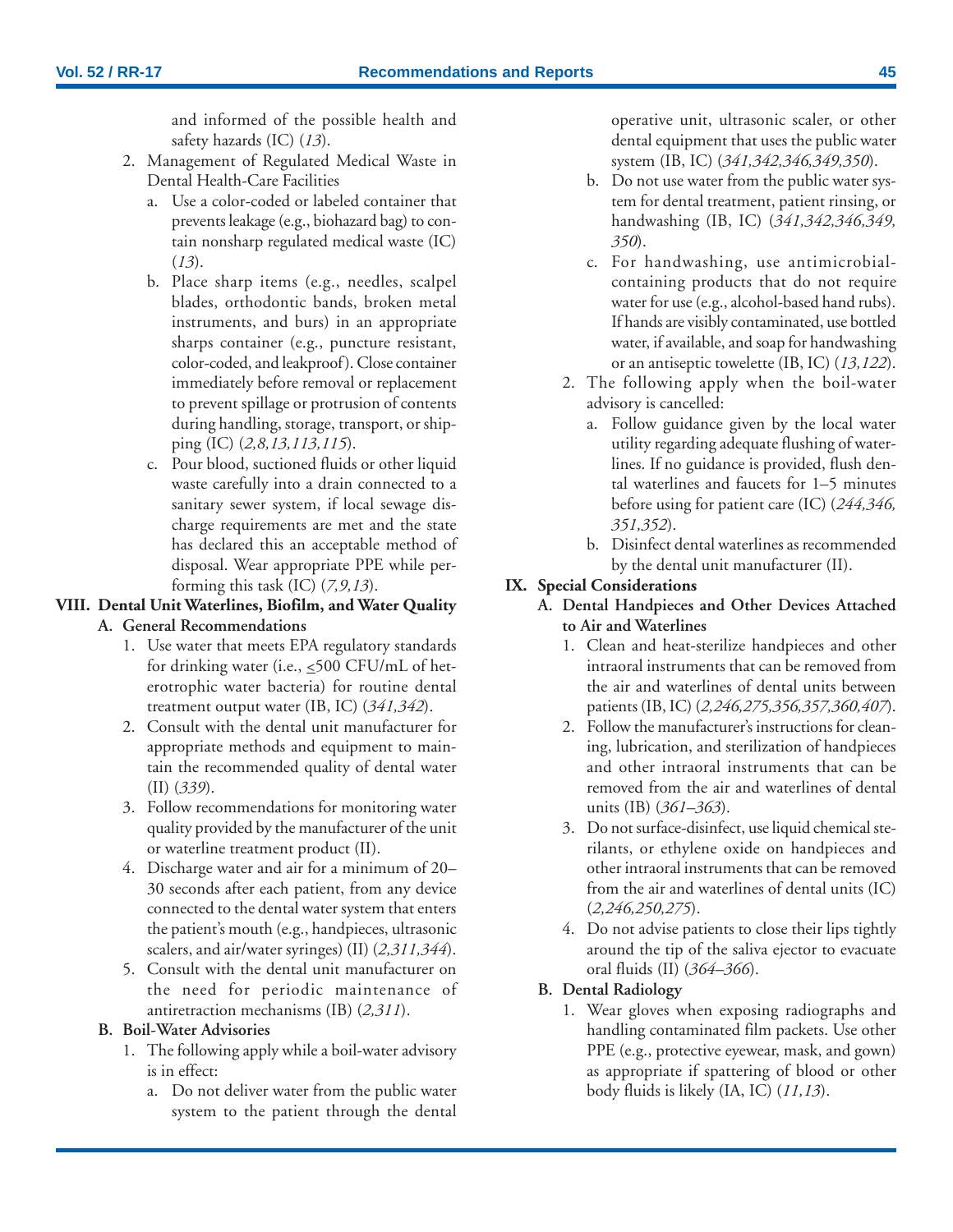and informed of the possible health and safety hazards (IC) (*13*).

- 2. Management of Regulated Medical Waste in Dental Health-Care Facilities
	- a. Use a color-coded or labeled container that prevents leakage (e.g., biohazard bag) to contain nonsharp regulated medical waste (IC) (*13*).
	- b. Place sharp items (e.g., needles, scalpel blades, orthodontic bands, broken metal instruments, and burs) in an appropriate sharps container (e.g., puncture resistant, color-coded, and leakproof). Close container immediately before removal or replacement to prevent spillage or protrusion of contents during handling, storage, transport, or shipping (IC) (*2,8,13,113,115*).
	- c. Pour blood, suctioned fluids or other liquid waste carefully into a drain connected to a sanitary sewer system, if local sewage discharge requirements are met and the state has declared this an acceptable method of disposal. Wear appropriate PPE while performing this task (IC) (*7,9,13*).

### **VIII. Dental Unit Waterlines, Biofilm, and Water Quality A. General Recommendations**

- 1. Use water that meets EPA regulatory standards for drinking water (i.e.,  $\leq$ 500 CFU/mL of heterotrophic water bacteria) for routine dental treatment output water (IB, IC) (*341,342*).
- 2. Consult with the dental unit manufacturer for appropriate methods and equipment to maintain the recommended quality of dental water (II) (*339*).
- 3. Follow recommendations for monitoring water quality provided by the manufacturer of the unit or waterline treatment product (II).
- 4. Discharge water and air for a minimum of 20– 30 seconds after each patient, from any device connected to the dental water system that enters the patient's mouth (e.g., handpieces, ultrasonic scalers, and air/water syringes) (II) (*2,311,344*).
- 5. Consult with the dental unit manufacturer on the need for periodic maintenance of antiretraction mechanisms (IB) (*2,311*).

### **B. Boil-Water Advisories**

- 1. The following apply while a boil-water advisory is in effect:
	- a. Do not deliver water from the public water system to the patient through the dental

operative unit, ultrasonic scaler, or other dental equipment that uses the public water system (IB, IC) (*341,342,346,349,350*).

- b. Do not use water from the public water system for dental treatment, patient rinsing, or handwashing (IB, IC) (*341,342,346,349, 350*).
- c. For handwashing, use antimicrobialcontaining products that do not require water for use (e.g., alcohol-based hand rubs). If hands are visibly contaminated, use bottled water, if available, and soap for handwashing or an antiseptic towelette (IB, IC) (*13,122*).
- 2. The following apply when the boil-water advisory is cancelled:
	- a. Follow guidance given by the local water utility regarding adequate flushing of waterlines. If no guidance is provided, flush dental waterlines and faucets for 1–5 minutes before using for patient care (IC) (*244,346, 351,352*).
	- b. Disinfect dental waterlines as recommended by the dental unit manufacturer (II).

# **IX. Special Considerations**

- **A. Dental Handpieces and Other Devices Attached to Air and Waterlines**
	- 1. Clean and heat-sterilize handpieces and other intraoral instruments that can be removed from the air and waterlines of dental units between patients (IB, IC) (*2,246,275,356,357,360,407*).
	- 2. Follow the manufacturer's instructions for cleaning, lubrication, and sterilization of handpieces and other intraoral instruments that can be removed from the air and waterlines of dental units (IB) (*361–363*).
	- 3. Do not surface-disinfect, use liquid chemical sterilants, or ethylene oxide on handpieces and other intraoral instruments that can be removed from the air and waterlines of dental units (IC) (*2,246,250,275*).
	- 4. Do not advise patients to close their lips tightly around the tip of the saliva ejector to evacuate oral fluids (II) (*364–366*).

# **B. Dental Radiology**

1. Wear gloves when exposing radiographs and handling contaminated film packets. Use other PPE (e.g., protective eyewear, mask, and gown) as appropriate if spattering of blood or other body fluids is likely (IA, IC) (*11,13*).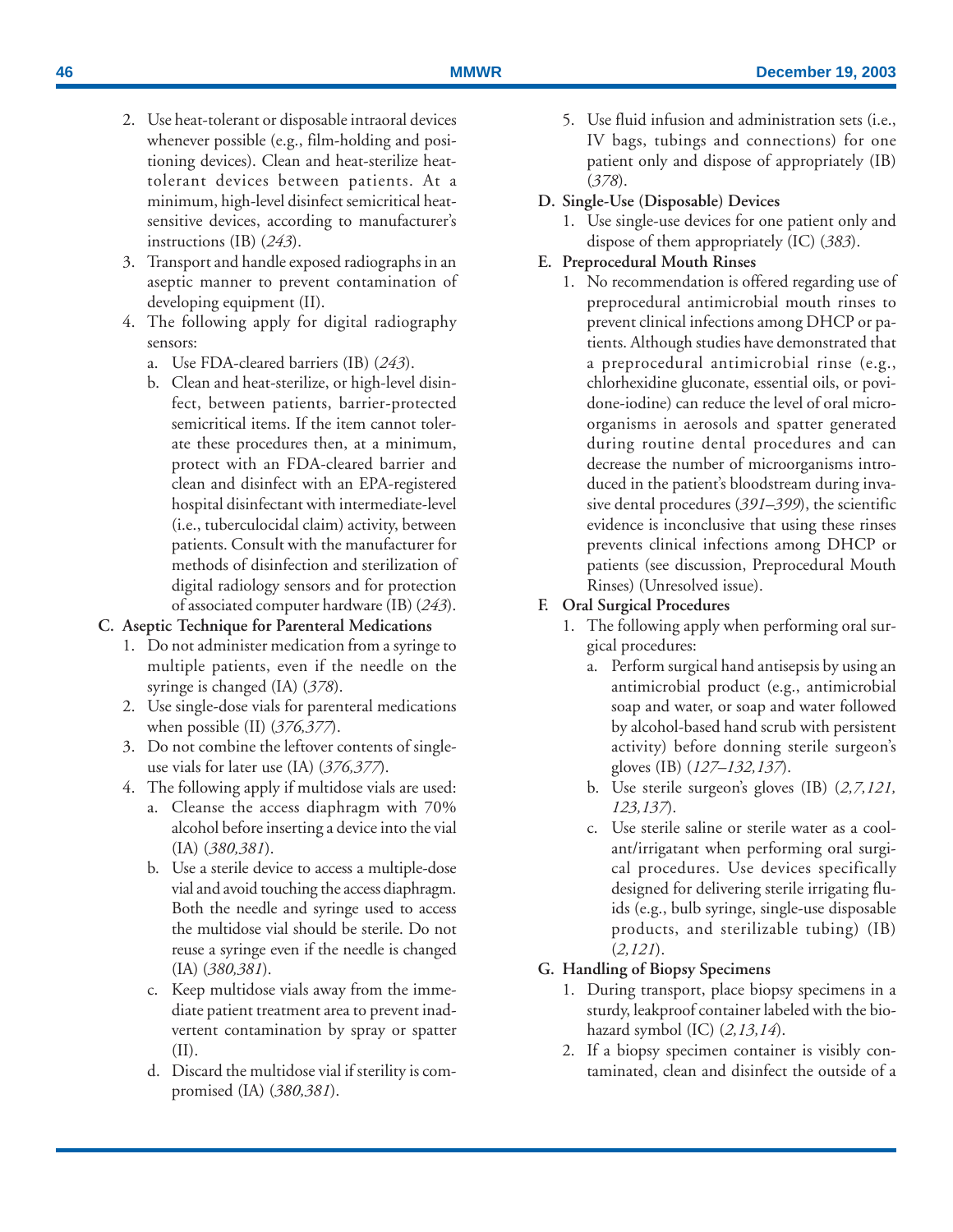- 2. Use heat-tolerant or disposable intraoral devices whenever possible (e.g., film-holding and positioning devices). Clean and heat-sterilize heattolerant devices between patients. At a minimum, high-level disinfect semicritical heatsensitive devices, according to manufacturer's instructions (IB) (*243*).
- 3. Transport and handle exposed radiographs in an aseptic manner to prevent contamination of developing equipment (II).
- 4. The following apply for digital radiography sensors:
	- a. Use FDA-cleared barriers (IB) (*243*).
	- b. Clean and heat-sterilize, or high-level disinfect, between patients, barrier-protected semicritical items. If the item cannot tolerate these procedures then, at a minimum, protect with an FDA-cleared barrier and clean and disinfect with an EPA-registered hospital disinfectant with intermediate-level (i.e., tuberculocidal claim) activity, between patients. Consult with the manufacturer for methods of disinfection and sterilization of digital radiology sensors and for protection of associated computer hardware (IB) (*243*).

### **C. Aseptic Technique for Parenteral Medications**

- 1. Do not administer medication from a syringe to multiple patients, even if the needle on the syringe is changed (IA) (*378*).
- 2. Use single-dose vials for parenteral medications when possible (II) (*376,377*).
- 3. Do not combine the leftover contents of singleuse vials for later use (IA) (*376,377*).
- 4. The following apply if multidose vials are used: a. Cleanse the access diaphragm with 70% alcohol before inserting a device into the vial
	- (IA) (*380,381*). b. Use a sterile device to access a multiple-dose vial and avoid touching the access diaphragm. Both the needle and syringe used to access the multidose vial should be sterile. Do not reuse a syringe even if the needle is changed (IA) (*380,381*).
	- c. Keep multidose vials away from the immediate patient treatment area to prevent inadvertent contamination by spray or spatter (II).
	- d. Discard the multidose vial if sterility is compromised (IA) (*380,381*).
- 5. Use fluid infusion and administration sets (i.e., IV bags, tubings and connections) for one patient only and dispose of appropriately (IB) (*378*).
- **D. Single-Use (Disposable) Devices**
	- 1. Use single-use devices for one patient only and dispose of them appropriately (IC) (*383*).
- **E. Preprocedural Mouth Rinses**
	- 1. No recommendation is offered regarding use of preprocedural antimicrobial mouth rinses to prevent clinical infections among DHCP or patients. Although studies have demonstrated that a preprocedural antimicrobial rinse (e.g., chlorhexidine gluconate, essential oils, or povidone-iodine) can reduce the level of oral microorganisms in aerosols and spatter generated during routine dental procedures and can decrease the number of microorganisms introduced in the patient's bloodstream during invasive dental procedures (*391–399*), the scientific evidence is inconclusive that using these rinses prevents clinical infections among DHCP or patients (see discussion, Preprocedural Mouth Rinses) (Unresolved issue).
- **F. Oral Surgical Procedures**
	- 1. The following apply when performing oral surgical procedures:
		- a. Perform surgical hand antisepsis by using an antimicrobial product (e.g., antimicrobial soap and water, or soap and water followed by alcohol-based hand scrub with persistent activity) before donning sterile surgeon's gloves (IB) (*127–132,137*).
		- b. Use sterile surgeon's gloves (IB) (*2,7,121, 123,137*).
		- c. Use sterile saline or sterile water as a coolant/irrigatant when performing oral surgical procedures. Use devices specifically designed for delivering sterile irrigating fluids (e.g., bulb syringe, single-use disposable products, and sterilizable tubing) (IB) (*2,121*).

### **G. Handling of Biopsy Specimens**

- 1. During transport, place biopsy specimens in a sturdy, leakproof container labeled with the biohazard symbol (IC) (*2,13,14*).
- 2. If a biopsy specimen container is visibly contaminated, clean and disinfect the outside of a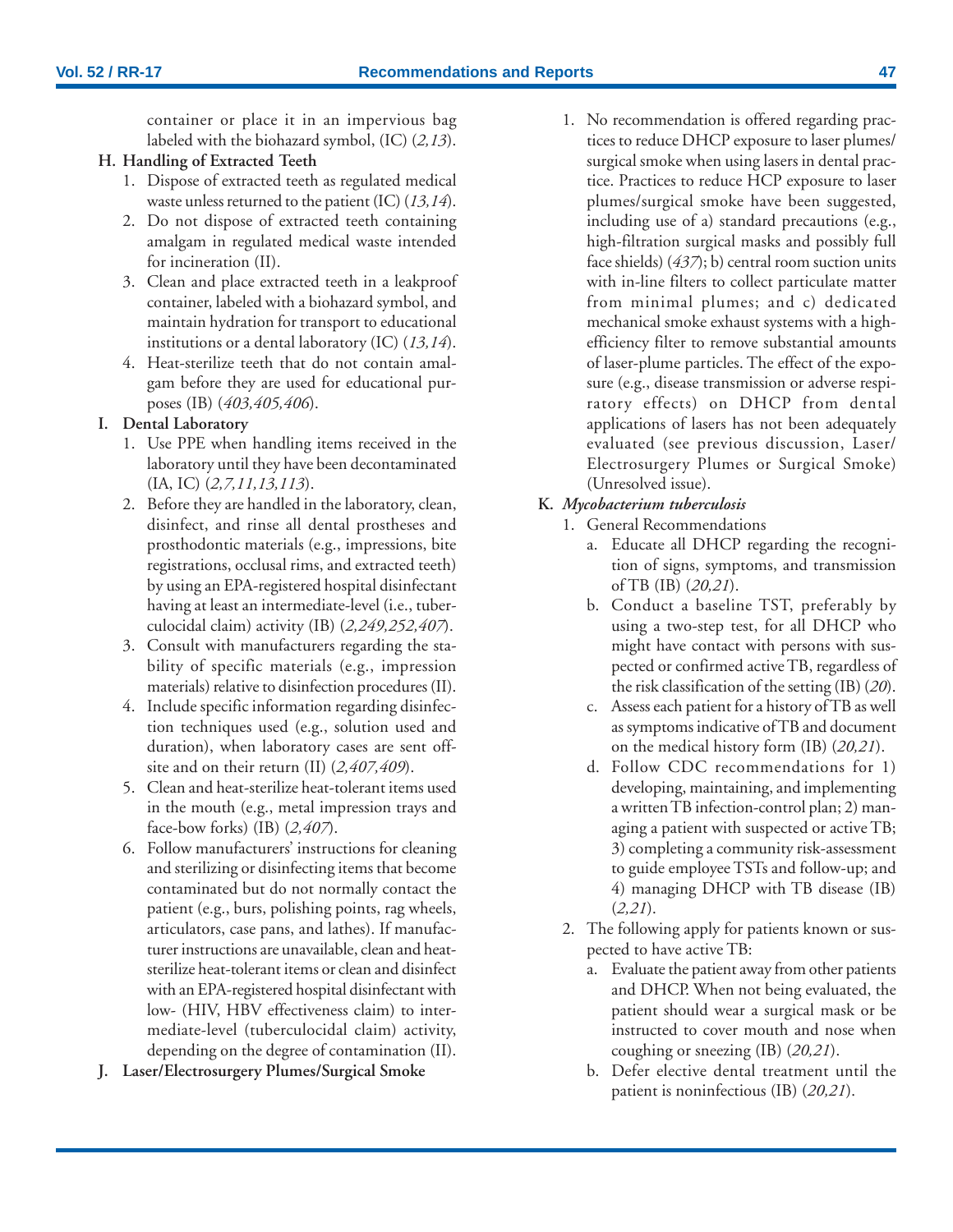container or place it in an impervious bag labeled with the biohazard symbol, (IC) (*2,13*).

### **H. Handling of Extracted Teeth**

- 1. Dispose of extracted teeth as regulated medical waste unless returned to the patient (IC) (*13,14*).
- 2. Do not dispose of extracted teeth containing amalgam in regulated medical waste intended for incineration (II).
- 3. Clean and place extracted teeth in a leakproof container, labeled with a biohazard symbol, and maintain hydration for transport to educational institutions or a dental laboratory (IC) (*13,14*).
- 4. Heat-sterilize teeth that do not contain amalgam before they are used for educational purposes (IB) (*403,405,406*).

### **I. Dental Laboratory**

- 1. Use PPE when handling items received in the laboratory until they have been decontaminated (IA, IC) (*2,7,11,13,113*).
- 2. Before they are handled in the laboratory, clean, disinfect, and rinse all dental prostheses and prosthodontic materials (e.g., impressions, bite registrations, occlusal rims, and extracted teeth) by using an EPA-registered hospital disinfectant having at least an intermediate-level (i.e., tuberculocidal claim) activity (IB) (*2,249,252,407*).
- 3. Consult with manufacturers regarding the stability of specific materials (e.g., impression materials) relative to disinfection procedures (II).
- 4. Include specific information regarding disinfection techniques used (e.g., solution used and duration), when laboratory cases are sent offsite and on their return (II) (*2,407,409*).
- 5. Clean and heat-sterilize heat-tolerant items used in the mouth (e.g., metal impression trays and face-bow forks) (IB) (*2,407*).
- 6. Follow manufacturers' instructions for cleaning and sterilizing or disinfecting items that become contaminated but do not normally contact the patient (e.g., burs, polishing points, rag wheels, articulators, case pans, and lathes). If manufacturer instructions are unavailable, clean and heatsterilize heat-tolerant items or clean and disinfect with an EPA-registered hospital disinfectant with low- (HIV, HBV effectiveness claim) to intermediate-level (tuberculocidal claim) activity, depending on the degree of contamination (II).
- **J. Laser/Electrosurgery Plumes/Surgical Smoke**

1. No recommendation is offered regarding practices to reduce DHCP exposure to laser plumes/ surgical smoke when using lasers in dental practice. Practices to reduce HCP exposure to laser plumes/surgical smoke have been suggested, including use of a) standard precautions (e.g., high-filtration surgical masks and possibly full face shields) (*437*); b) central room suction units with in-line filters to collect particulate matter from minimal plumes; and c) dedicated mechanical smoke exhaust systems with a highefficiency filter to remove substantial amounts of laser-plume particles. The effect of the exposure (e.g., disease transmission or adverse respiratory effects) on DHCP from dental applications of lasers has not been adequately evaluated (see previous discussion, Laser/ Electrosurgery Plumes or Surgical Smoke) (Unresolved issue).

### **K.** *Mycobacterium tuberculosis*

- 1. General Recommendations
	- a. Educate all DHCP regarding the recognition of signs, symptoms, and transmission of TB (IB) (*20,21*).
	- b. Conduct a baseline TST, preferably by using a two-step test, for all DHCP who might have contact with persons with suspected or confirmed active TB, regardless of the risk classification of the setting (IB) (*20*).
	- c. Assess each patient for a history of TB as well as symptoms indicative of TB and document on the medical history form (IB) (*20,21*).
	- d. Follow CDC recommendations for 1) developing, maintaining, and implementing a written TB infection-control plan; 2) managing a patient with suspected or active TB; 3) completing a community risk-assessment to guide employee TSTs and follow-up; and 4) managing DHCP with TB disease (IB) (*2,21*).
- 2. The following apply for patients known or suspected to have active TB:
	- a. Evaluate the patient away from other patients and DHCP. When not being evaluated, the patient should wear a surgical mask or be instructed to cover mouth and nose when coughing or sneezing (IB) (*20,21*).
	- b. Defer elective dental treatment until the patient is noninfectious (IB) (*20,21*).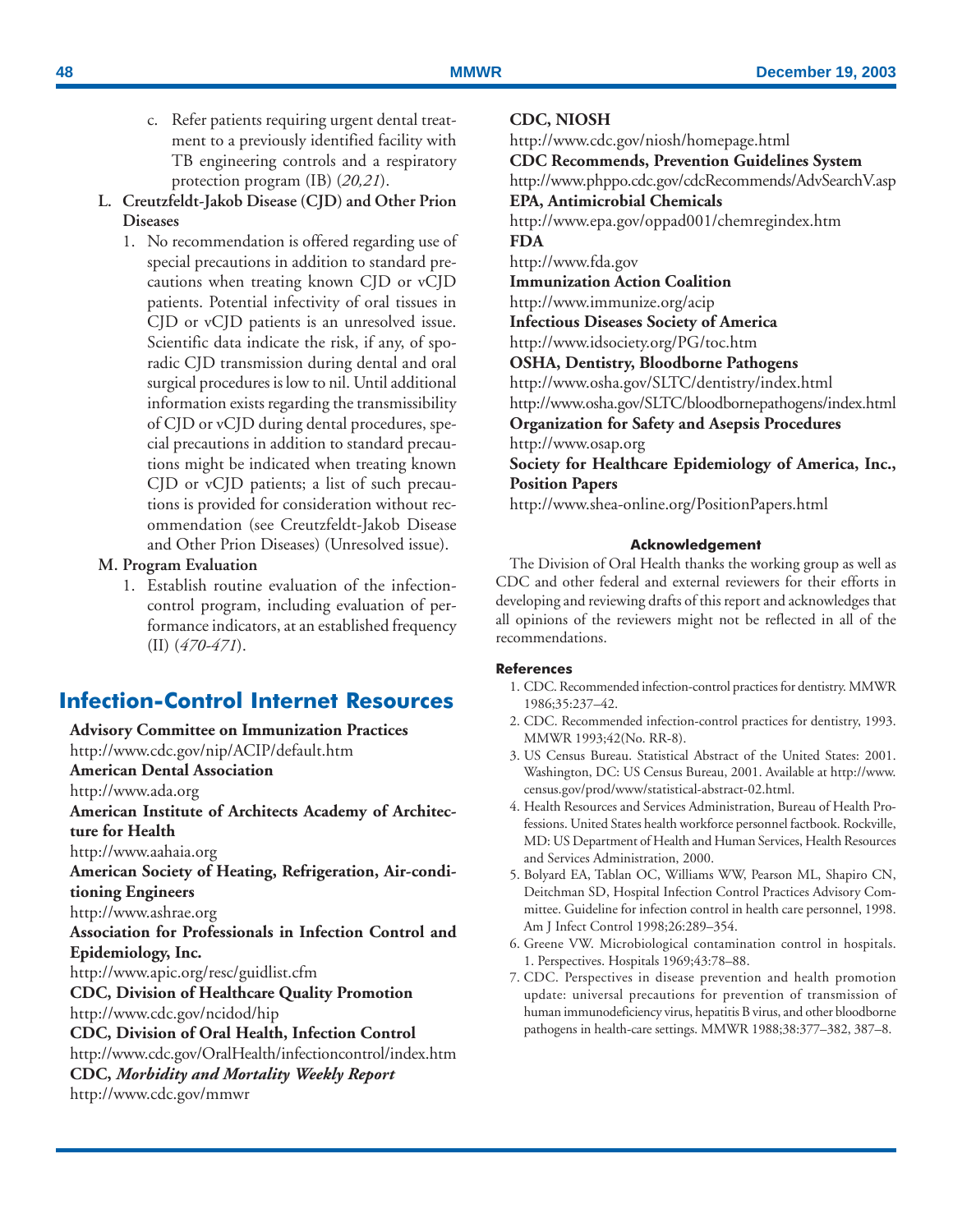- c. Refer patients requiring urgent dental treatment to a previously identified facility with TB engineering controls and a respiratory protection program (IB) (*20,21*).
- **L. Creutzfeldt-Jakob Disease (CJD) and Other Prion Diseases**
	- 1. No recommendation is offered regarding use of special precautions in addition to standard precautions when treating known CJD or vCJD patients. Potential infectivity of oral tissues in CJD or vCJD patients is an unresolved issue. Scientific data indicate the risk, if any, of sporadic CJD transmission during dental and oral surgical procedures is low to nil. Until additional information exists regarding the transmissibility of CJD or vCJD during dental procedures, special precautions in addition to standard precautions might be indicated when treating known CJD or vCJD patients; a list of such precautions is provided for consideration without recommendation (see Creutzfeldt-Jakob Disease and Other Prion Diseases) (Unresolved issue).
- **M. Program Evaluation**
	- 1. Establish routine evaluation of the infectioncontrol program, including evaluation of performance indicators, at an established frequency (II) (*470-471*).

# **Infection-Control Internet Resources**

**Advisory Committee on Immunization Practices** http://www.cdc.gov/nip/ACIP/default.htm **American Dental Association** http://www.ada.org **American Institute of Architects Academy of Architecture for Health** http://www.aahaia.org **American Society of Heating, Refrigeration, Air-conditioning Engineers** http://www.ashrae.org **Association for Professionals in Infection Control and Epidemiology, Inc.** http://www.apic.org/resc/guidlist.cfm **CDC, Division of Healthcare Quality Promotion** http://www.cdc.gov/ncidod/hip **CDC, Division of Oral Health, Infection Control** http://www.cdc.gov/OralHealth/infectioncontrol/index.htm **CDC,** *Morbidity and Mortality Weekly Report* http://www.cdc.gov/mmwr

### **CDC, NIOSH**

http://www.cdc.gov/niosh/homepage.html **CDC Recommends, Prevention Guidelines System** http://www.phppo.cdc.gov/cdcRecommends/AdvSearchV.asp **EPA, Antimicrobial Chemicals** http://www.epa.gov/oppad001/chemregindex.htm **FDA** http://www.fda.gov **Immunization Action Coalition** http://www.immunize.org/acip **Infectious Diseases Society of America** http://www.idsociety.org/PG/toc.htm **OSHA, Dentistry, Bloodborne Pathogens** http://www.osha.gov/SLTC/dentistry/index.html http://www.osha.gov/SLTC/bloodbornepathogens/index.html **Organization for Safety and Asepsis Procedures** http://www.osap.org **Society for Healthcare Epidemiology of America, Inc., Position Papers** http://www.shea-online.org/PositionPapers.html

#### **Acknowledgement**

The Division of Oral Health thanks the working group as well as CDC and other federal and external reviewers for their efforts in developing and reviewing drafts of this report and acknowledges that all opinions of the reviewers might not be reflected in all of the recommendations.

#### **References**

- 1. CDC. Recommended infection-control practices for dentistry. MMWR 1986;35:237–42.
- 2. CDC. Recommended infection-control practices for dentistry, 1993. MMWR 1993;42(No. RR-8).
- 3. US Census Bureau. Statistical Abstract of the United States: 2001. Washington, DC: US Census Bureau, 2001. Available at http://www. census.gov/prod/www/statistical-abstract-02.html.
- 4. Health Resources and Services Administration, Bureau of Health Professions. United States health workforce personnel factbook. Rockville, MD: US Department of Health and Human Services, Health Resources and Services Administration, 2000.
- 5. Bolyard EA, Tablan OC, Williams WW, Pearson ML, Shapiro CN, Deitchman SD, Hospital Infection Control Practices Advisory Committee. Guideline for infection control in health care personnel, 1998. Am J Infect Control 1998;26:289–354.
- 6. Greene VW. Microbiological contamination control in hospitals. 1. Perspectives. Hospitals 1969;43:78–88.
- 7. CDC. Perspectives in disease prevention and health promotion update: universal precautions for prevention of transmission of human immunodeficiency virus, hepatitis B virus, and other bloodborne pathogens in health-care settings. MMWR 1988;38:377–382, 387–8.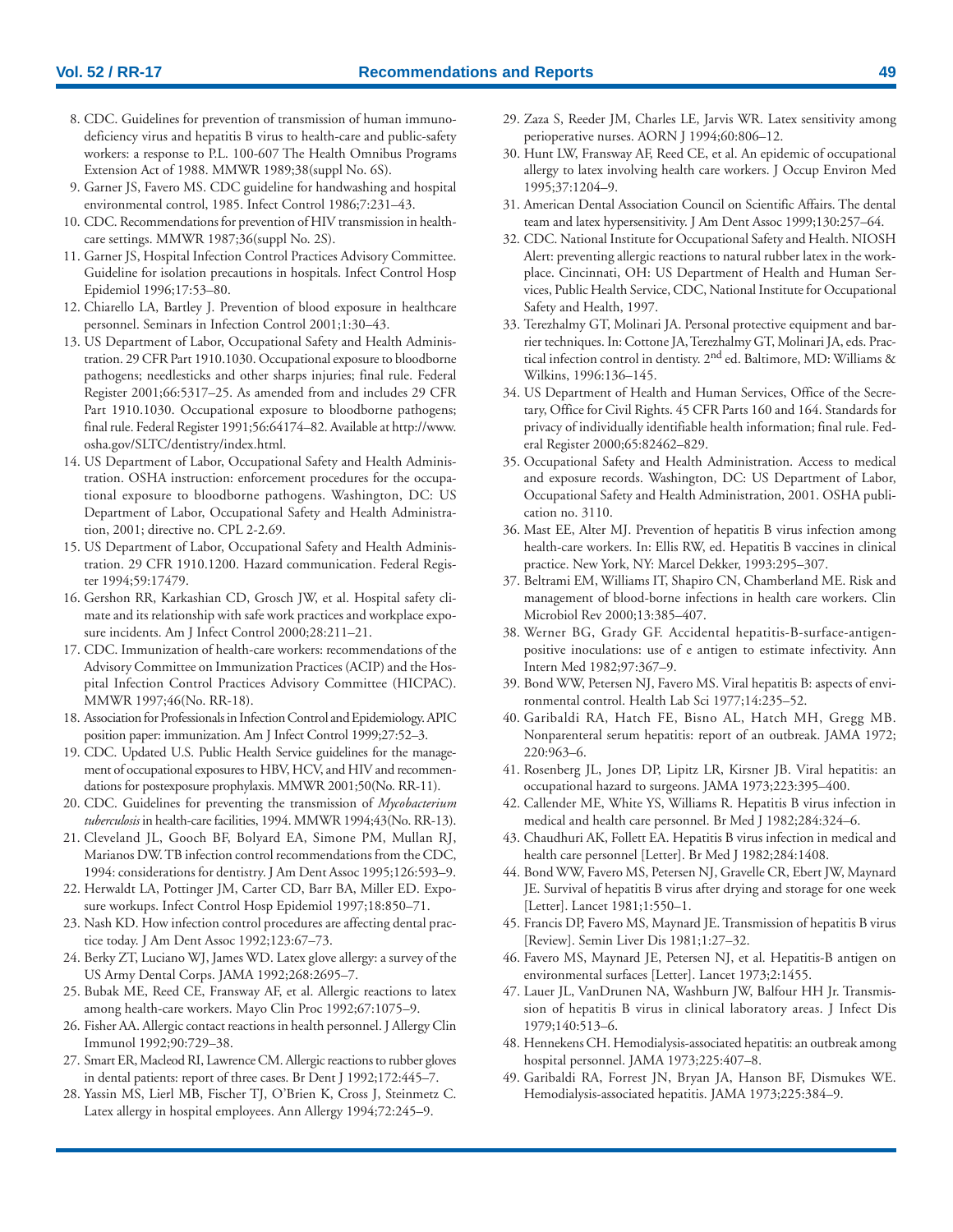- 8. CDC. Guidelines for prevention of transmission of human immunodeficiency virus and hepatitis B virus to health-care and public-safety workers: a response to P.L. 100-607 The Health Omnibus Programs Extension Act of 1988. MMWR 1989;38(suppl No. 6S).
- 9. Garner JS, Favero MS. CDC guideline for handwashing and hospital environmental control, 1985. Infect Control 1986;7:231–43.
- 10. CDC. Recommendations for prevention of HIV transmission in healthcare settings. MMWR 1987;36(suppl No. 2S).
- 11. Garner JS, Hospital Infection Control Practices Advisory Committee. Guideline for isolation precautions in hospitals. Infect Control Hosp Epidemiol 1996;17:53–80.
- 12. Chiarello LA, Bartley J. Prevention of blood exposure in healthcare personnel. Seminars in Infection Control 2001;1:30–43.
- 13. US Department of Labor, Occupational Safety and Health Administration. 29 CFR Part 1910.1030. Occupational exposure to bloodborne pathogens; needlesticks and other sharps injuries; final rule. Federal Register 2001;66:5317–25. As amended from and includes 29 CFR Part 1910.1030. Occupational exposure to bloodborne pathogens; final rule. Federal Register 1991;56:64174–82. Available at http://www. osha.gov/SLTC/dentistry/index.html.
- 14. US Department of Labor, Occupational Safety and Health Administration. OSHA instruction: enforcement procedures for the occupational exposure to bloodborne pathogens. Washington, DC: US Department of Labor, Occupational Safety and Health Administration, 2001; directive no. CPL 2-2.69.
- 15. US Department of Labor, Occupational Safety and Health Administration. 29 CFR 1910.1200. Hazard communication. Federal Register 1994;59:17479.
- 16. Gershon RR, Karkashian CD, Grosch JW, et al. Hospital safety climate and its relationship with safe work practices and workplace exposure incidents. Am J Infect Control 2000;28:211–21.
- 17. CDC. Immunization of health-care workers: recommendations of the Advisory Committee on Immunization Practices (ACIP) and the Hospital Infection Control Practices Advisory Committee (HICPAC). MMWR 1997;46(No. RR-18).
- 18. Association for Professionals in Infection Control and Epidemiology. APIC position paper: immunization. Am J Infect Control 1999;27:52–3.
- 19. CDC. Updated U.S. Public Health Service guidelines for the management of occupational exposures to HBV, HCV, and HIV and recommendations for postexposure prophylaxis. MMWR 2001;50(No. RR-11).
- 20. CDC. Guidelines for preventing the transmission of *Mycobacterium tuberculosis* in health-care facilities, 1994. MMWR 1994;43(No. RR-13).
- 21. Cleveland JL, Gooch BF, Bolyard EA, Simone PM, Mullan RJ, Marianos DW. TB infection control recommendations from the CDC, 1994: considerations for dentistry. J Am Dent Assoc 1995;126:593–9.
- 22. Herwaldt LA, Pottinger JM, Carter CD, Barr BA, Miller ED. Exposure workups. Infect Control Hosp Epidemiol 1997;18:850–71.
- 23. Nash KD. How infection control procedures are affecting dental practice today. J Am Dent Assoc 1992;123:67–73.
- 24. Berky ZT, Luciano WJ, James WD. Latex glove allergy: a survey of the US Army Dental Corps. JAMA 1992;268:2695–7.
- 25. Bubak ME, Reed CE, Fransway AF, et al. Allergic reactions to latex among health-care workers. Mayo Clin Proc 1992;67:1075–9.
- 26. Fisher AA. Allergic contact reactions in health personnel. J Allergy Clin Immunol 1992;90:729–38.
- 27. Smart ER, Macleod RI, Lawrence CM. Allergic reactions to rubber gloves in dental patients: report of three cases. Br Dent J 1992;172:445–7.
- 28. Yassin MS, Lierl MB, Fischer TJ, O'Brien K, Cross J, Steinmetz C. Latex allergy in hospital employees. Ann Allergy 1994;72:245–9.
- 29. Zaza S, Reeder JM, Charles LE, Jarvis WR. Latex sensitivity among perioperative nurses. AORN J 1994;60:806-12.
- 30. Hunt LW, Fransway AF, Reed CE, et al. An epidemic of occupational allergy to latex involving health care workers. J Occup Environ Med 1995;37:1204–9.
- 31. American Dental Association Council on Scientific Affairs. The dental team and latex hypersensitivity. J Am Dent Assoc 1999;130:257–64.
- 32. CDC. National Institute for Occupational Safety and Health. NIOSH Alert: preventing allergic reactions to natural rubber latex in the workplace. Cincinnati, OH: US Department of Health and Human Services, Public Health Service, CDC, National Institute for Occupational Safety and Health, 1997.
- 33. Terezhalmy GT, Molinari JA. Personal protective equipment and barrier techniques. In: Cottone JA, Terezhalmy GT, Molinari JA, eds. Practical infection control in dentisty. 2<sup>nd</sup> ed. Baltimore, MD: Williams & Wilkins, 1996:136–145.
- 34. US Department of Health and Human Services, Office of the Secretary, Office for Civil Rights. 45 CFR Parts 160 and 164. Standards for privacy of individually identifiable health information; final rule. Federal Register 2000;65:82462–829.
- 35. Occupational Safety and Health Administration. Access to medical and exposure records. Washington, DC: US Department of Labor, Occupational Safety and Health Administration, 2001. OSHA publication no. 3110.
- 36. Mast EE, Alter MJ. Prevention of hepatitis B virus infection among health-care workers. In: Ellis RW, ed. Hepatitis B vaccines in clinical practice. New York, NY: Marcel Dekker, 1993:295–307.
- 37. Beltrami EM, Williams IT, Shapiro CN, Chamberland ME. Risk and management of blood-borne infections in health care workers. Clin Microbiol Rev 2000;13:385–407.
- 38. Werner BG, Grady GF. Accidental hepatitis-B-surface-antigenpositive inoculations: use of e antigen to estimate infectivity. Ann Intern Med 1982;97:367–9.
- 39. Bond WW, Petersen NJ, Favero MS. Viral hepatitis B: aspects of environmental control. Health Lab Sci 1977;14:235–52.
- 40. Garibaldi RA, Hatch FE, Bisno AL, Hatch MH, Gregg MB. Nonparenteral serum hepatitis: report of an outbreak. JAMA 1972; 220:963–6.
- 41. Rosenberg JL, Jones DP, Lipitz LR, Kirsner JB. Viral hepatitis: an occupational hazard to surgeons. JAMA 1973;223:395–400.
- 42. Callender ME, White YS, Williams R. Hepatitis B virus infection in medical and health care personnel. Br Med J 1982;284:324–6.
- 43. Chaudhuri AK, Follett EA. Hepatitis B virus infection in medical and health care personnel [Letter]. Br Med J 1982;284:1408.
- 44. Bond WW, Favero MS, Petersen NJ, Gravelle CR, Ebert JW, Maynard JE. Survival of hepatitis B virus after drying and storage for one week [Letter]. Lancet 1981;1:550–1.
- 45. Francis DP, Favero MS, Maynard JE. Transmission of hepatitis B virus [Review]. Semin Liver Dis 1981;1:27–32.
- 46. Favero MS, Maynard JE, Petersen NJ, et al. Hepatitis-B antigen on environmental surfaces [Letter]. Lancet 1973;2:1455.
- 47. Lauer JL, VanDrunen NA, Washburn JW, Balfour HH Jr. Transmission of hepatitis B virus in clinical laboratory areas. J Infect Dis 1979;140:513–6.
- 48. Hennekens CH. Hemodialysis-associated hepatitis: an outbreak among hospital personnel. JAMA 1973;225:407–8.
- 49. Garibaldi RA, Forrest JN, Bryan JA, Hanson BF, Dismukes WE. Hemodialysis-associated hepatitis. JAMA 1973;225:384–9.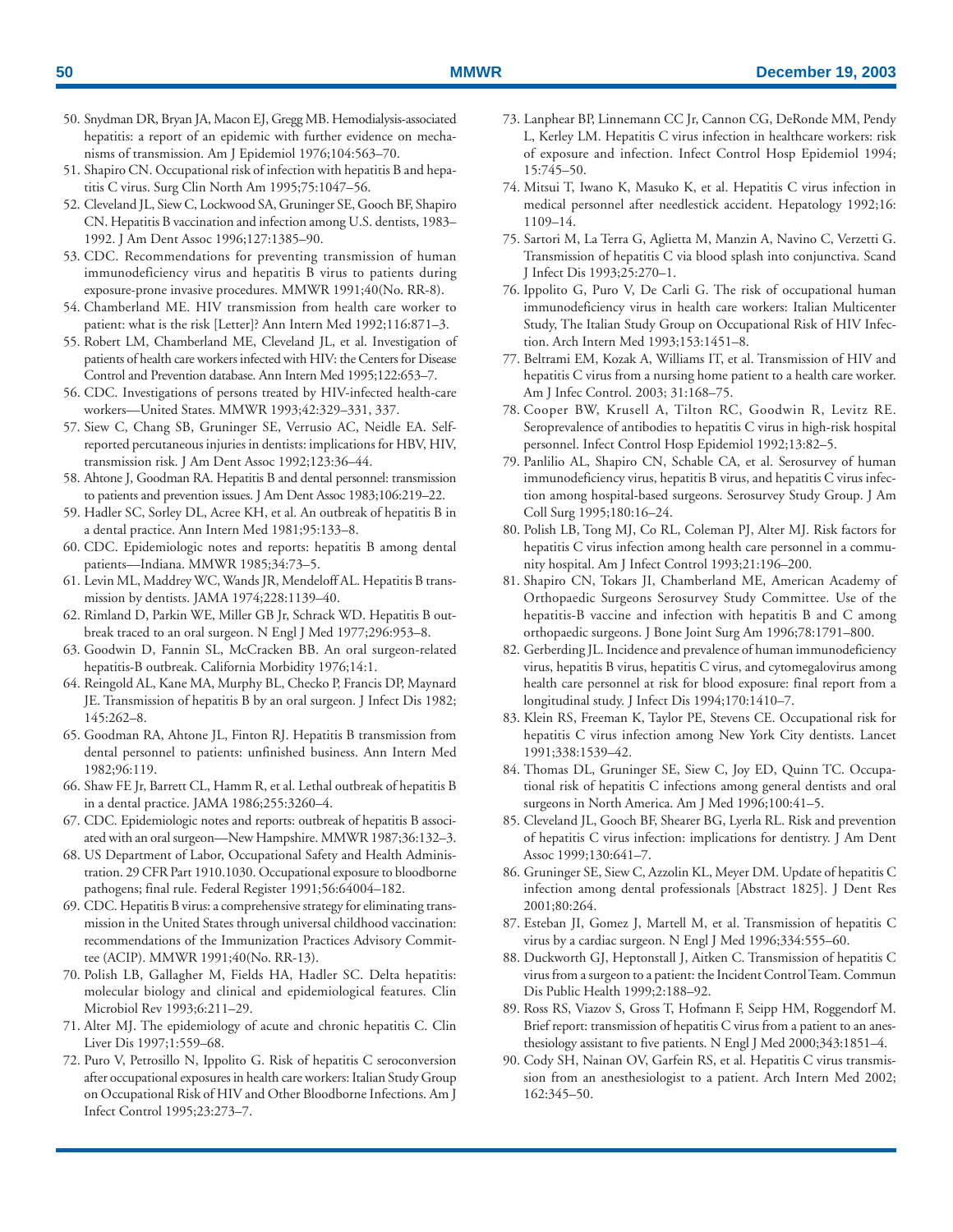- 50. Snydman DR, Bryan JA, Macon EJ, Gregg MB. Hemodialysis-associated hepatitis: a report of an epidemic with further evidence on mechanisms of transmission. Am J Epidemiol 1976;104:563–70.
- 51. Shapiro CN. Occupational risk of infection with hepatitis B and hepatitis C virus. Surg Clin North Am 1995;75:1047–56.
- 52. Cleveland JL, Siew C, Lockwood SA, Gruninger SE, Gooch BF, Shapiro CN. Hepatitis B vaccination and infection among U.S. dentists, 1983– 1992. J Am Dent Assoc 1996;127:1385–90.
- 53. CDC. Recommendations for preventing transmission of human immunodeficiency virus and hepatitis B virus to patients during exposure-prone invasive procedures. MMWR 1991;40(No. RR-8).
- 54. Chamberland ME. HIV transmission from health care worker to patient: what is the risk [Letter]? Ann Intern Med 1992;116:871–3.
- 55. Robert LM, Chamberland ME, Cleveland JL, et al. Investigation of patients of health care workers infected with HIV: the Centers for Disease Control and Prevention database. Ann Intern Med 1995;122:653–7.
- 56. CDC. Investigations of persons treated by HIV-infected health-care workers—United States. MMWR 1993;42:329–331, 337.
- 57. Siew C, Chang SB, Gruninger SE, Verrusio AC, Neidle EA. Selfreported percutaneous injuries in dentists: implications for HBV, HIV, transmission risk. J Am Dent Assoc 1992;123:36–44.
- 58. Ahtone J, Goodman RA. Hepatitis B and dental personnel: transmission to patients and prevention issues. J Am Dent Assoc 1983;106:219–22.
- 59. Hadler SC, Sorley DL, Acree KH, et al. An outbreak of hepatitis B in a dental practice. Ann Intern Med 1981;95:133–8.
- 60. CDC. Epidemiologic notes and reports: hepatitis B among dental patients-Indiana. MMWR 1985;34:73-5.
- 61. Levin ML, Maddrey WC, Wands JR, Mendeloff AL. Hepatitis B transmission by dentists. JAMA 1974;228:1139–40.
- 62. Rimland D, Parkin WE, Miller GB Jr, Schrack WD. Hepatitis B outbreak traced to an oral surgeon. N Engl J Med 1977;296:953–8.
- 63. Goodwin D, Fannin SL, McCracken BB. An oral surgeon-related hepatitis-B outbreak. California Morbidity 1976;14:1.
- 64. Reingold AL, Kane MA, Murphy BL, Checko P, Francis DP, Maynard JE. Transmission of hepatitis B by an oral surgeon. J Infect Dis 1982; 145:262–8.
- 65. Goodman RA, Ahtone JL, Finton RJ. Hepatitis B transmission from dental personnel to patients: unfinished business. Ann Intern Med 1982;96:119.
- 66. Shaw FE Jr, Barrett CL, Hamm R, et al. Lethal outbreak of hepatitis B in a dental practice. JAMA 1986;255:3260–4.
- 67. CDC. Epidemiologic notes and reports: outbreak of hepatitis B associated with an oral surgeon—New Hampshire. MMWR 1987;36:132–3.
- 68. US Department of Labor, Occupational Safety and Health Administration. 29 CFR Part 1910.1030. Occupational exposure to bloodborne pathogens; final rule. Federal Register 1991;56:64004–182.
- 69. CDC. Hepatitis B virus: a comprehensive strategy for eliminating transmission in the United States through universal childhood vaccination: recommendations of the Immunization Practices Advisory Committee (ACIP). MMWR 1991;40(No. RR-13).
- 70. Polish LB, Gallagher M, Fields HA, Hadler SC. Delta hepatitis: molecular biology and clinical and epidemiological features. Clin Microbiol Rev 1993;6:211–29.
- 71. Alter MJ. The epidemiology of acute and chronic hepatitis C. Clin Liver Dis 1997;1:559–68.
- 72. Puro V, Petrosillo N, Ippolito G. Risk of hepatitis C seroconversion after occupational exposures in health care workers: Italian Study Group on Occupational Risk of HIV and Other Bloodborne Infections. Am J Infect Control 1995;23:273–7.
- 73. Lanphear BP, Linnemann CC Jr, Cannon CG, DeRonde MM, Pendy L, Kerley LM. Hepatitis C virus infection in healthcare workers: risk of exposure and infection. Infect Control Hosp Epidemiol 1994; 15:745–50.
- 74. Mitsui T, Iwano K, Masuko K, et al. Hepatitis C virus infection in medical personnel after needlestick accident. Hepatology 1992;16: 1109–14.
- 75. Sartori M, La Terra G, Aglietta M, Manzin A, Navino C, Verzetti G. Transmission of hepatitis C via blood splash into conjunctiva. Scand J Infect Dis 1993;25:270–1.
- 76. Ippolito G, Puro V, De Carli G. The risk of occupational human immunodeficiency virus in health care workers: Italian Multicenter Study, The Italian Study Group on Occupational Risk of HIV Infection. Arch Intern Med 1993;153:1451–8.
- 77. Beltrami EM, Kozak A, Williams IT, et al. Transmission of HIV and hepatitis C virus from a nursing home patient to a health care worker. Am J Infec Control. 2003; 31:168–75.
- 78. Cooper BW, Krusell A, Tilton RC, Goodwin R, Levitz RE. Seroprevalence of antibodies to hepatitis C virus in high-risk hospital personnel. Infect Control Hosp Epidemiol 1992;13:82–5.
- 79. Panlilio AL, Shapiro CN, Schable CA, et al. Serosurvey of human immunodeficiency virus, hepatitis B virus, and hepatitis C virus infection among hospital-based surgeons. Serosurvey Study Group. J Am Coll Surg 1995;180:16–24.
- 80. Polish LB, Tong MJ, Co RL, Coleman PJ, Alter MJ. Risk factors for hepatitis C virus infection among health care personnel in a community hospital. Am J Infect Control 1993;21:196–200.
- 81. Shapiro CN, Tokars JI, Chamberland ME, American Academy of Orthopaedic Surgeons Serosurvey Study Committee. Use of the hepatitis-B vaccine and infection with hepatitis B and C among orthopaedic surgeons. J Bone Joint Surg Am 1996;78:1791–800.
- 82. Gerberding JL. Incidence and prevalence of human immunodeficiency virus, hepatitis B virus, hepatitis C virus, and cytomegalovirus among health care personnel at risk for blood exposure: final report from a longitudinal study. J Infect Dis 1994;170:1410–7.
- 83. Klein RS, Freeman K, Taylor PE, Stevens CE. Occupational risk for hepatitis C virus infection among New York City dentists. Lancet 1991;338:1539–42.
- 84. Thomas DL, Gruninger SE, Siew C, Joy ED, Quinn TC. Occupational risk of hepatitis C infections among general dentists and oral surgeons in North America. Am J Med 1996;100:41–5.
- 85. Cleveland JL, Gooch BF, Shearer BG, Lyerla RL. Risk and prevention of hepatitis C virus infection: implications for dentistry. J Am Dent Assoc 1999;130:641–7.
- 86. Gruninger SE, Siew C, Azzolin KL, Meyer DM. Update of hepatitis C infection among dental professionals [Abstract 1825]. J Dent Res 2001;80:264.
- 87. Esteban JI, Gomez J, Martell M, et al. Transmission of hepatitis C virus by a cardiac surgeon. N Engl J Med 1996;334:555–60.
- 88. Duckworth GJ, Heptonstall J, Aitken C. Transmission of hepatitis C virus from a surgeon to a patient: the Incident Control Team. Commun Dis Public Health 1999;2:188–92.
- 89. Ross RS, Viazov S, Gross T, Hofmann F, Seipp HM, Roggendorf M. Brief report: transmission of hepatitis C virus from a patient to an anesthesiology assistant to five patients. N Engl J Med 2000;343:1851–4.
- 90. Cody SH, Nainan OV, Garfein RS, et al. Hepatitis C virus transmission from an anesthesiologist to a patient. Arch Intern Med 2002; 162:345–50.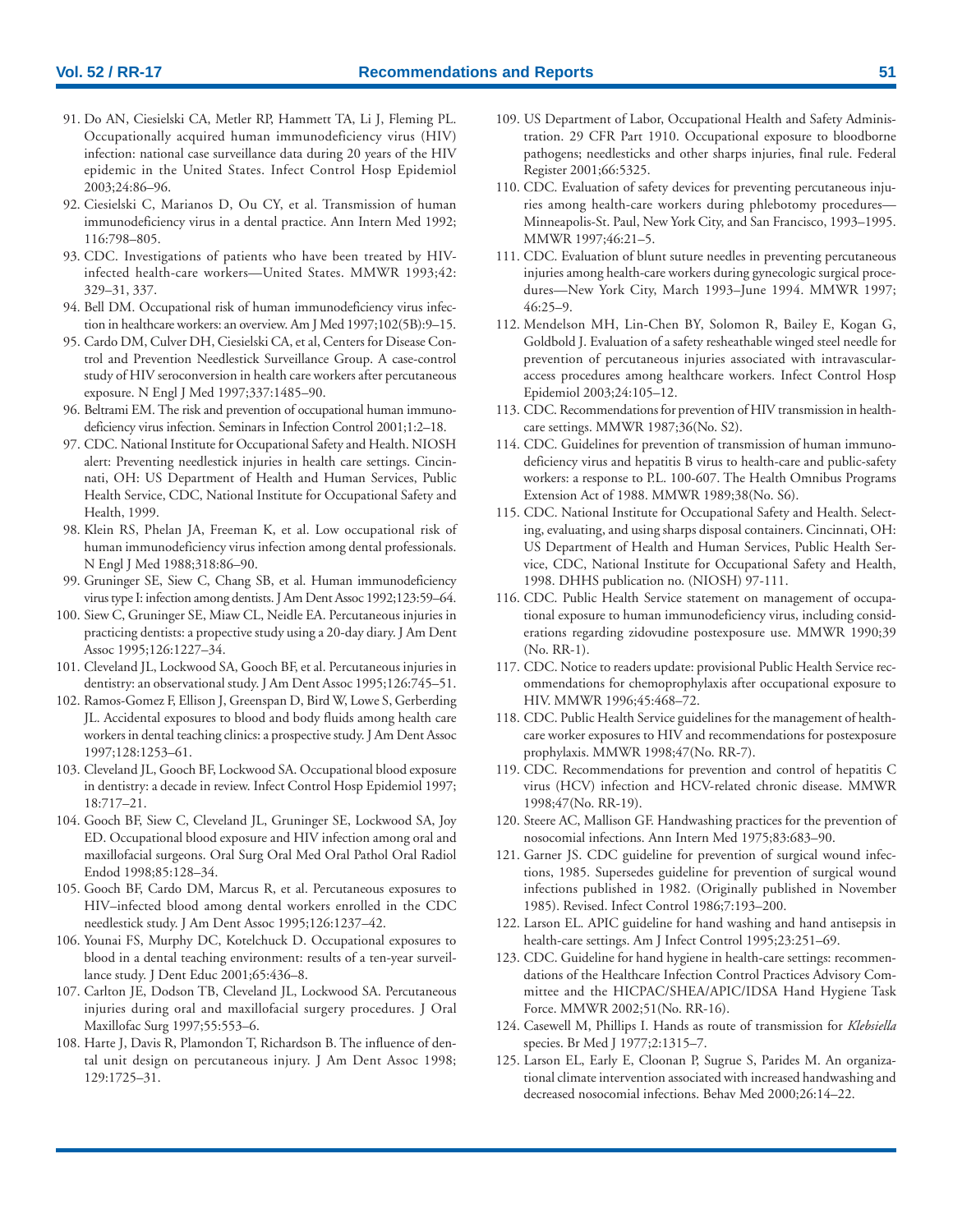- 91. Do AN, Ciesielski CA, Metler RP, Hammett TA, Li J, Fleming PL. Occupationally acquired human immunodeficiency virus (HIV) infection: national case surveillance data during 20 years of the HIV epidemic in the United States. Infect Control Hosp Epidemiol 2003;24:86–96.
- 92. Ciesielski C, Marianos D, Ou CY, et al. Transmission of human immunodeficiency virus in a dental practice. Ann Intern Med 1992; 116:798–805.
- 93. CDC. Investigations of patients who have been treated by HIVinfected health-care workers—United States. MMWR 1993;42: 329–31, 337.
- 94. Bell DM. Occupational risk of human immunodeficiency virus infection in healthcare workers: an overview. Am J Med 1997;102(5B):9–15.
- 95. Cardo DM, Culver DH, Ciesielski CA, et al, Centers for Disease Control and Prevention Needlestick Surveillance Group. A case-control study of HIV seroconversion in health care workers after percutaneous exposure. N Engl J Med 1997;337:1485–90.
- 96. Beltrami EM. The risk and prevention of occupational human immunodeficiency virus infection. Seminars in Infection Control 2001;1:2–18.
- 97. CDC. National Institute for Occupational Safety and Health. NIOSH alert: Preventing needlestick injuries in health care settings. Cincinnati, OH: US Department of Health and Human Services, Public Health Service, CDC, National Institute for Occupational Safety and Health, 1999.
- 98. Klein RS, Phelan JA, Freeman K, et al. Low occupational risk of human immunodeficiency virus infection among dental professionals. N Engl J Med 1988;318:86–90.
- 99. Gruninger SE, Siew C, Chang SB, et al. Human immunodeficiency virus type I: infection among dentists. J Am Dent Assoc 1992;123:59–64.
- 100. Siew C, Gruninger SE, Miaw CL, Neidle EA. Percutaneous injuries in practicing dentists: a propective study using a 20-day diary. J Am Dent Assoc 1995;126:1227–34.
- 101. Cleveland JL, Lockwood SA, Gooch BF, et al. Percutaneous injuries in dentistry: an observational study. J Am Dent Assoc 1995;126:745–51.
- 102. Ramos-Gomez F, Ellison J, Greenspan D, Bird W, Lowe S, Gerberding JL. Accidental exposures to blood and body fluids among health care workers in dental teaching clinics: a prospective study. J Am Dent Assoc 1997;128:1253–61.
- 103. Cleveland JL, Gooch BF, Lockwood SA. Occupational blood exposure in dentistry: a decade in review. Infect Control Hosp Epidemiol 1997; 18:717–21.
- 104. Gooch BF, Siew C, Cleveland JL, Gruninger SE, Lockwood SA, Joy ED. Occupational blood exposure and HIV infection among oral and maxillofacial surgeons. Oral Surg Oral Med Oral Pathol Oral Radiol Endod 1998;85:128–34.
- 105. Gooch BF, Cardo DM, Marcus R, et al. Percutaneous exposures to HIV–infected blood among dental workers enrolled in the CDC needlestick study. J Am Dent Assoc 1995;126:1237–42.
- 106. Younai FS, Murphy DC, Kotelchuck D. Occupational exposures to blood in a dental teaching environment: results of a ten-year surveillance study. J Dent Educ 2001;65:436–8.
- 107. Carlton JE, Dodson TB, Cleveland JL, Lockwood SA. Percutaneous injuries during oral and maxillofacial surgery procedures. J Oral Maxillofac Surg 1997;55:553–6.
- 108. Harte J, Davis R, Plamondon T, Richardson B. The influence of dental unit design on percutaneous injury. J Am Dent Assoc 1998; 129:1725–31.
- 109. US Department of Labor, Occupational Health and Safety Administration. 29 CFR Part 1910. Occupational exposure to bloodborne pathogens; needlesticks and other sharps injuries, final rule. Federal Register 2001;66:5325.
- 110. CDC. Evaluation of safety devices for preventing percutaneous injuries among health-care workers during phlebotomy procedures— Minneapolis-St. Paul, New York City, and San Francisco, 1993–1995. MMWR 1997;46:21–5.
- 111. CDC. Evaluation of blunt suture needles in preventing percutaneous injuries among health-care workers during gynecologic surgical procedures—New York City, March 1993–June 1994. MMWR 1997; 46:25–9.
- 112. Mendelson MH, Lin-Chen BY, Solomon R, Bailey E, Kogan G, Goldbold J. Evaluation of a safety resheathable winged steel needle for prevention of percutaneous injuries associated with intravascularaccess procedures among healthcare workers. Infect Control Hosp Epidemiol 2003;24:105–12.
- 113. CDC. Recommendations for prevention of HIV transmission in healthcare settings. MMWR 1987;36(No. S2).
- 114. CDC. Guidelines for prevention of transmission of human immunodeficiency virus and hepatitis B virus to health-care and public-safety workers: a response to P.L. 100-607. The Health Omnibus Programs Extension Act of 1988. MMWR 1989;38(No. S6).
- 115. CDC. National Institute for Occupational Safety and Health. Selecting, evaluating, and using sharps disposal containers. Cincinnati, OH: US Department of Health and Human Services, Public Health Service, CDC, National Institute for Occupational Safety and Health, 1998. DHHS publication no. (NIOSH) 97-111.
- 116. CDC. Public Health Service statement on management of occupational exposure to human immunodeficiency virus, including considerations regarding zidovudine postexposure use. MMWR 1990;39 (No. RR-1).
- 117. CDC. Notice to readers update: provisional Public Health Service recommendations for chemoprophylaxis after occupational exposure to HIV. MMWR 1996;45:468–72.
- 118. CDC. Public Health Service guidelines for the management of healthcare worker exposures to HIV and recommendations for postexposure prophylaxis. MMWR 1998;47(No. RR-7).
- 119. CDC. Recommendations for prevention and control of hepatitis C virus (HCV) infection and HCV-related chronic disease. MMWR 1998;47(No. RR-19).
- 120. Steere AC, Mallison GF. Handwashing practices for the prevention of nosocomial infections. Ann Intern Med 1975;83:683–90.
- 121. Garner JS. CDC guideline for prevention of surgical wound infections, 1985. Supersedes guideline for prevention of surgical wound infections published in 1982. (Originally published in November 1985). Revised. Infect Control 1986;7:193–200.
- 122. Larson EL. APIC guideline for hand washing and hand antisepsis in health-care settings. Am J Infect Control 1995;23:251-69.
- 123. CDC. Guideline for hand hygiene in health-care settings: recommendations of the Healthcare Infection Control Practices Advisory Committee and the HICPAC/SHEA/APIC/IDSA Hand Hygiene Task Force. MMWR 2002;51(No. RR-16).
- 124. Casewell M, Phillips I. Hands as route of transmission for *Klebsiella* species. Br Med J 1977;2:1315-7.
- 125. Larson EL, Early E, Cloonan P, Sugrue S, Parides M. An organizational climate intervention associated with increased handwashing and decreased nosocomial infections. Behav Med 2000;26:14–22.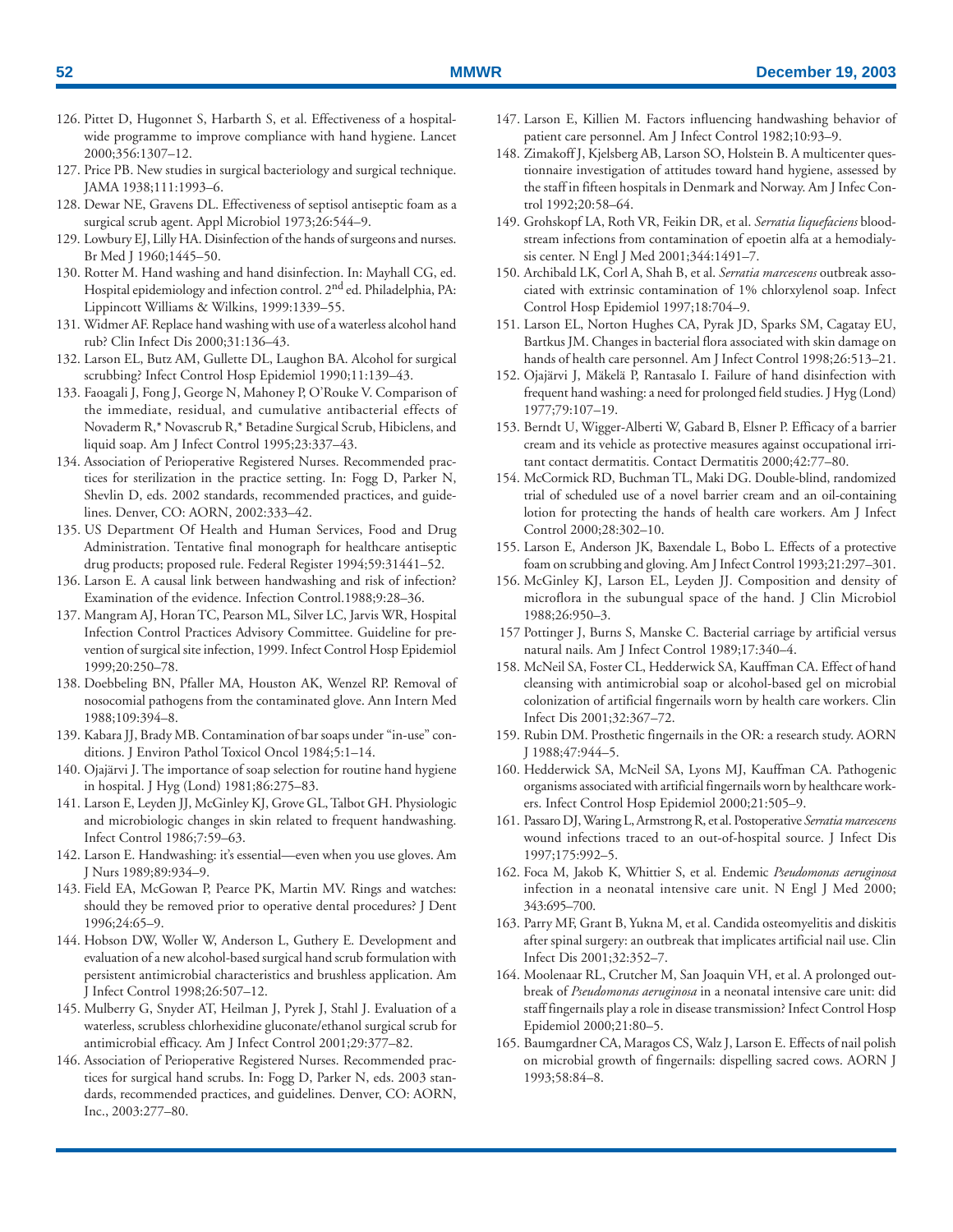- 126. Pittet D, Hugonnet S, Harbarth S, et al. Effectiveness of a hospitalwide programme to improve compliance with hand hygiene. Lancet 2000;356:1307–12.
- 127. Price PB. New studies in surgical bacteriology and surgical technique. JAMA 1938;111:1993–6.
- 128. Dewar NE, Gravens DL. Effectiveness of septisol antiseptic foam as a surgical scrub agent. Appl Microbiol 1973;26:544–9.
- 129. Lowbury EJ, Lilly HA. Disinfection of the hands of surgeons and nurses. Br Med J 1960;1445–50.
- 130. Rotter M. Hand washing and hand disinfection. In: Mayhall CG, ed. Hospital epidemiology and infection control. 2<sup>nd</sup> ed. Philadelphia, PA: Lippincott Williams & Wilkins, 1999:1339–55.
- 131. Widmer AF. Replace hand washing with use of a waterless alcohol hand rub? Clin Infect Dis 2000;31:136–43.
- 132. Larson EL, Butz AM, Gullette DL, Laughon BA. Alcohol for surgical scrubbing? Infect Control Hosp Epidemiol 1990;11:139–43.
- 133. Faoagali J, Fong J, George N, Mahoney P, O'Rouke V. Comparison of the immediate, residual, and cumulative antibacterial effects of Novaderm R,\* Novascrub R,\* Betadine Surgical Scrub, Hibiclens, and liquid soap. Am J Infect Control 1995;23:337–43.
- 134. Association of Perioperative Registered Nurses. Recommended practices for sterilization in the practice setting. In: Fogg D, Parker N, Shevlin D, eds. 2002 standards, recommended practices, and guidelines. Denver, CO: AORN, 2002:333–42.
- 135. US Department Of Health and Human Services, Food and Drug Administration. Tentative final monograph for healthcare antiseptic drug products; proposed rule. Federal Register 1994;59:31441–52.
- 136. Larson E. A causal link between handwashing and risk of infection? Examination of the evidence. Infection Control.1988;9:28–36.
- 137. Mangram AJ, Horan TC, Pearson ML, Silver LC, Jarvis WR, Hospital Infection Control Practices Advisory Committee. Guideline for prevention of surgical site infection, 1999. Infect Control Hosp Epidemiol 1999;20:250–78.
- 138. Doebbeling BN, Pfaller MA, Houston AK, Wenzel RP. Removal of nosocomial pathogens from the contaminated glove. Ann Intern Med 1988;109:394–8.
- 139. Kabara JJ, Brady MB. Contamination of bar soaps under "in-use" conditions. J Environ Pathol Toxicol Oncol 1984;5:1–14.
- 140. Ojajärvi J. The importance of soap selection for routine hand hygiene in hospital. J Hyg (Lond) 1981;86:275–83.
- 141. Larson E, Leyden JJ, McGinley KJ, Grove GL, Talbot GH. Physiologic and microbiologic changes in skin related to frequent handwashing. Infect Control 1986;7:59–63.
- 142. Larson E. Handwashing: it's essential—even when you use gloves. Am J Nurs 1989;89:934–9.
- 143. Field EA, McGowan P, Pearce PK, Martin MV. Rings and watches: should they be removed prior to operative dental procedures? J Dent 1996;24:65–9.
- 144. Hobson DW, Woller W, Anderson L, Guthery E. Development and evaluation of a new alcohol-based surgical hand scrub formulation with persistent antimicrobial characteristics and brushless application. Am J Infect Control 1998;26:507–12.
- 145. Mulberry G, Snyder AT, Heilman J, Pyrek J, Stahl J. Evaluation of a waterless, scrubless chlorhexidine gluconate/ethanol surgical scrub for antimicrobial efficacy. Am J Infect Control 2001;29:377–82.
- 146. Association of Perioperative Registered Nurses. Recommended practices for surgical hand scrubs. In: Fogg D, Parker N, eds. 2003 standards, recommended practices, and guidelines. Denver, CO: AORN, Inc., 2003:277–80.
- 147. Larson E, Killien M. Factors influencing handwashing behavior of patient care personnel. Am J Infect Control 1982;10:93–9.
- 148. Zimakoff J, Kjelsberg AB, Larson SO, Holstein B. A multicenter questionnaire investigation of attitudes toward hand hygiene, assessed by the staff in fifteen hospitals in Denmark and Norway. Am J Infec Control 1992;20:58–64.
- 149. Grohskopf LA, Roth VR, Feikin DR, et al. *Serratia liquefaciens* bloodstream infections from contamination of epoetin alfa at a hemodialysis center. N Engl J Med 2001;344:1491–7.
- 150. Archibald LK, Corl A, Shah B, et al. *Serratia marcescens* outbreak associated with extrinsic contamination of 1% chlorxylenol soap. Infect Control Hosp Epidemiol 1997;18:704–9.
- 151. Larson EL, Norton Hughes CA, Pyrak JD, Sparks SM, Cagatay EU, Bartkus JM. Changes in bacterial flora associated with skin damage on hands of health care personnel. Am J Infect Control 1998;26:513–21.
- 152. Ojajärvi J, Mäkelä P, Rantasalo I. Failure of hand disinfection with frequent hand washing: a need for prolonged field studies. J Hyg (Lond) 1977;79:107–19.
- 153. Berndt U, Wigger-Alberti W, Gabard B, Elsner P. Efficacy of a barrier cream and its vehicle as protective measures against occupational irritant contact dermatitis. Contact Dermatitis 2000;42:77-80.
- 154. McCormick RD, Buchman TL, Maki DG. Double-blind, randomized trial of scheduled use of a novel barrier cream and an oil-containing lotion for protecting the hands of health care workers. Am J Infect Control 2000;28:302–10.
- 155. Larson E, Anderson JK, Baxendale L, Bobo L. Effects of a protective foam on scrubbing and gloving. Am J Infect Control 1993;21:297–301.
- 156. McGinley KJ, Larson EL, Leyden JJ. Composition and density of microflora in the subungual space of the hand. J Clin Microbiol 1988;26:950–3.
- 157 Pottinger J, Burns S, Manske C. Bacterial carriage by artificial versus natural nails. Am J Infect Control 1989;17:340–4.
- 158. McNeil SA, Foster CL, Hedderwick SA, Kauffman CA. Effect of hand cleansing with antimicrobial soap or alcohol-based gel on microbial colonization of artificial fingernails worn by health care workers. Clin Infect Dis 2001;32:367–72.
- 159. Rubin DM. Prosthetic fingernails in the OR: a research study. AORN J 1988;47:944–5.
- 160. Hedderwick SA, McNeil SA, Lyons MJ, Kauffman CA. Pathogenic organisms associated with artificial fingernails worn by healthcare workers. Infect Control Hosp Epidemiol 2000;21:505–9.
- 161. Passaro DJ, Waring L, Armstrong R, et al. Postoperative *Serratia marcescens* wound infections traced to an out-of-hospital source. J Infect Dis 1997;175:992–5.
- 162. Foca M, Jakob K, Whittier S, et al. Endemic *Pseudomonas aeruginosa* infection in a neonatal intensive care unit. N Engl J Med 2000; 343:695–700.
- 163. Parry MF, Grant B, Yukna M, et al. Candida osteomyelitis and diskitis after spinal surgery: an outbreak that implicates artificial nail use. Clin Infect Dis 2001;32:352–7.
- 164. Moolenaar RL, Crutcher M, San Joaquin VH, et al. A prolonged outbreak of *Pseudomonas aeruginosa* in a neonatal intensive care unit: did staff fingernails play a role in disease transmission? Infect Control Hosp Epidemiol 2000;21:80–5.
- 165. Baumgardner CA, Maragos CS, Walz J, Larson E. Effects of nail polish on microbial growth of fingernails: dispelling sacred cows. AORN J 1993;58:84–8.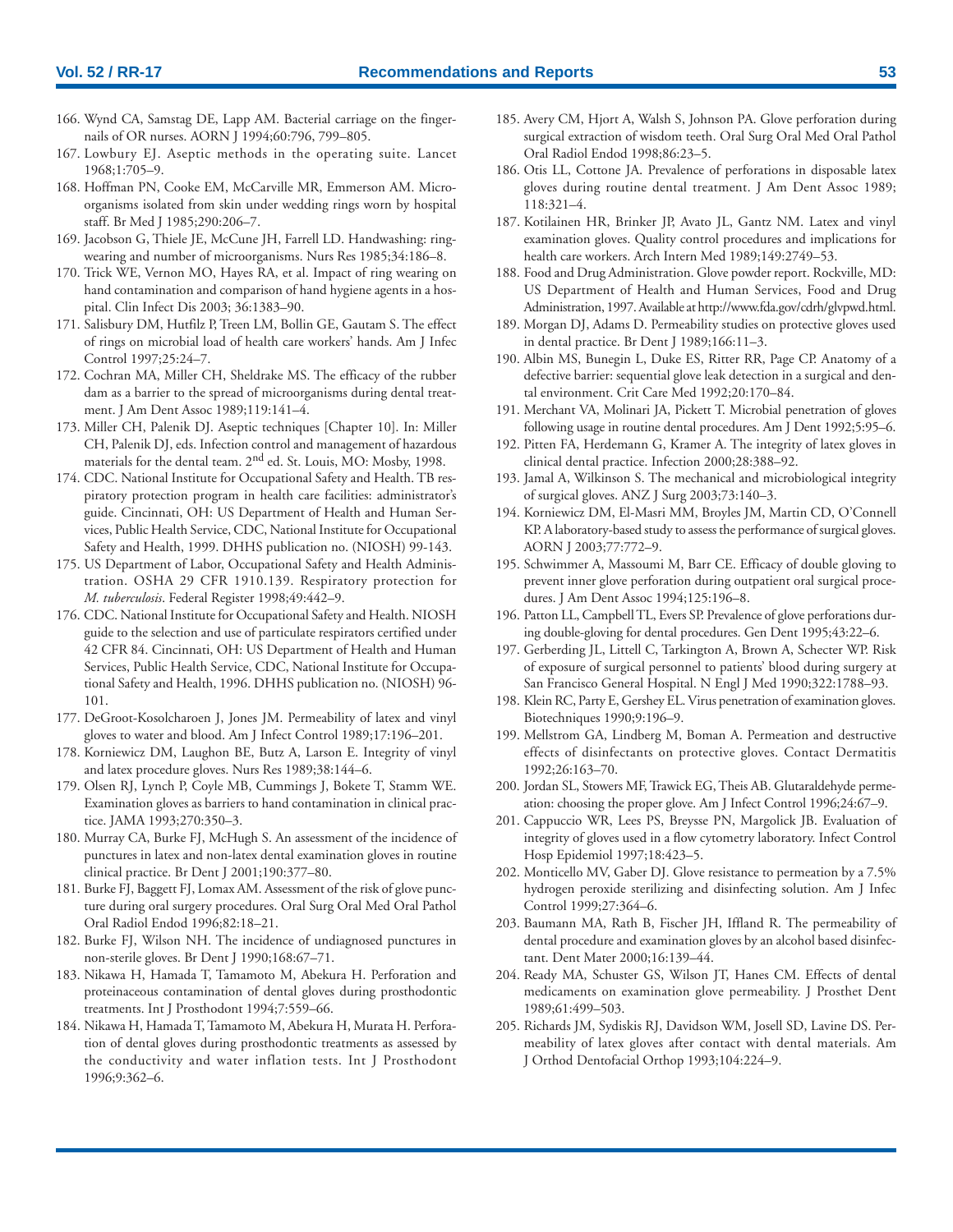- 166. Wynd CA, Samstag DE, Lapp AM. Bacterial carriage on the fingernails of OR nurses. AORN J 1994;60:796, 799–805.
- 167. Lowbury EJ. Aseptic methods in the operating suite. Lancet 1968;1:705–9.
- 168. Hoffman PN, Cooke EM, McCarville MR, Emmerson AM. Microorganisms isolated from skin under wedding rings worn by hospital staff. Br Med J 1985;290:206–7.
- 169. Jacobson G, Thiele JE, McCune JH, Farrell LD. Handwashing: ringwearing and number of microorganisms. Nurs Res 1985;34:186–8.
- 170. Trick WE, Vernon MO, Hayes RA, et al. Impact of ring wearing on hand contamination and comparison of hand hygiene agents in a hospital. Clin Infect Dis 2003; 36:1383–90.
- 171. Salisbury DM, Hutfilz P, Treen LM, Bollin GE, Gautam S. The effect of rings on microbial load of health care workers' hands. Am J Infec Control 1997;25:24–7.
- 172. Cochran MA, Miller CH, Sheldrake MS. The efficacy of the rubber dam as a barrier to the spread of microorganisms during dental treatment. J Am Dent Assoc 1989;119:141–4.
- 173. Miller CH, Palenik DJ. Aseptic techniques [Chapter 10]. In: Miller CH, Palenik DJ, eds. Infection control and management of hazardous materials for the dental team. 2nd ed. St. Louis, MO: Mosby, 1998.
- 174. CDC. National Institute for Occupational Safety and Health. TB respiratory protection program in health care facilities: administrator's guide. Cincinnati, OH: US Department of Health and Human Services, Public Health Service, CDC, National Institute for Occupational Safety and Health, 1999. DHHS publication no. (NIOSH) 99-143.
- 175. US Department of Labor, Occupational Safety and Health Administration. OSHA 29 CFR 1910.139. Respiratory protection for *M. tuberculosis*. Federal Register 1998;49:442–9.
- 176. CDC. National Institute for Occupational Safety and Health. NIOSH guide to the selection and use of particulate respirators certified under 42 CFR 84. Cincinnati, OH: US Department of Health and Human Services, Public Health Service, CDC, National Institute for Occupational Safety and Health, 1996. DHHS publication no. (NIOSH) 96- 101.
- 177. DeGroot-Kosolcharoen J, Jones JM. Permeability of latex and vinyl gloves to water and blood. Am J Infect Control 1989;17:196–201.
- 178. Korniewicz DM, Laughon BE, Butz A, Larson E. Integrity of vinyl and latex procedure gloves. Nurs Res 1989;38:144–6.
- 179. Olsen RJ, Lynch P, Coyle MB, Cummings J, Bokete T, Stamm WE. Examination gloves as barriers to hand contamination in clinical practice. JAMA 1993;270:350–3.
- 180. Murray CA, Burke FJ, McHugh S. An assessment of the incidence of punctures in latex and non-latex dental examination gloves in routine clinical practice. Br Dent J 2001;190:377–80.
- 181. Burke FJ, Baggett FJ, Lomax AM. Assessment of the risk of glove puncture during oral surgery procedures. Oral Surg Oral Med Oral Pathol Oral Radiol Endod 1996;82:18–21.
- 182. Burke FJ, Wilson NH. The incidence of undiagnosed punctures in non-sterile gloves. Br Dent J 1990;168:67–71.
- 183. Nikawa H, Hamada T, Tamamoto M, Abekura H. Perforation and proteinaceous contamination of dental gloves during prosthodontic treatments. Int J Prosthodont 1994;7:559–66.
- 184. Nikawa H, Hamada T, Tamamoto M, Abekura H, Murata H. Perforation of dental gloves during prosthodontic treatments as assessed by the conductivity and water inflation tests. Int J Prosthodont 1996;9:362–6.
- 185. Avery CM, Hjort A, Walsh S, Johnson PA. Glove perforation during surgical extraction of wisdom teeth. Oral Surg Oral Med Oral Pathol Oral Radiol Endod 1998;86:23–5.
- 186. Otis LL, Cottone JA. Prevalence of perforations in disposable latex gloves during routine dental treatment. J Am Dent Assoc 1989; 118:321–4.
- 187. Kotilainen HR, Brinker JP, Avato JL, Gantz NM. Latex and vinyl examination gloves. Quality control procedures and implications for health care workers. Arch Intern Med 1989;149:2749–53.
- 188. Food and Drug Administration. Glove powder report. Rockville, MD: US Department of Health and Human Services, Food and Drug Administration, 1997. Available at http://www.fda.gov/cdrh/glvpwd.html.
- 189. Morgan DJ, Adams D. Permeability studies on protective gloves used in dental practice. Br Dent J 1989;166:11–3.
- 190. Albin MS, Bunegin L, Duke ES, Ritter RR, Page CP. Anatomy of a defective barrier: sequential glove leak detection in a surgical and dental environment. Crit Care Med 1992;20:170–84.
- 191. Merchant VA, Molinari JA, Pickett T. Microbial penetration of gloves following usage in routine dental procedures. Am J Dent 1992;5:95–6.
- 192. Pitten FA, Herdemann G, Kramer A. The integrity of latex gloves in clinical dental practice. Infection 2000;28:388–92.
- 193. Jamal A, Wilkinson S. The mechanical and microbiological integrity of surgical gloves. ANZ J Surg 2003;73:140–3.
- 194. Korniewicz DM, El-Masri MM, Broyles JM, Martin CD, O'Connell KP. A laboratory-based study to assess the performance of surgical gloves. AORN J 2003;77:772–9.
- 195. Schwimmer A, Massoumi M, Barr CE. Efficacy of double gloving to prevent inner glove perforation during outpatient oral surgical procedures. J Am Dent Assoc 1994;125:196–8.
- 196. Patton LL, Campbell TL, Evers SP. Prevalence of glove perforations during double-gloving for dental procedures. Gen Dent 1995;43:22–6.
- 197. Gerberding JL, Littell C, Tarkington A, Brown A, Schecter WP. Risk of exposure of surgical personnel to patients' blood during surgery at San Francisco General Hospital. N Engl J Med 1990;322:1788–93.
- 198. Klein RC, Party E, Gershey EL. Virus penetration of examination gloves. Biotechniques 1990;9:196–9.
- 199. Mellstrom GA, Lindberg M, Boman A. Permeation and destructive effects of disinfectants on protective gloves. Contact Dermatitis 1992;26:163–70.
- 200. Jordan SL, Stowers MF, Trawick EG, Theis AB. Glutaraldehyde permeation: choosing the proper glove. Am J Infect Control 1996;24:67–9.
- 201. Cappuccio WR, Lees PS, Breysse PN, Margolick JB. Evaluation of integrity of gloves used in a flow cytometry laboratory. Infect Control Hosp Epidemiol 1997;18:423–5.
- 202. Monticello MV, Gaber DJ. Glove resistance to permeation by a 7.5% hydrogen peroxide sterilizing and disinfecting solution. Am J Infec Control 1999;27:364–6.
- 203. Baumann MA, Rath B, Fischer JH, Iffland R. The permeability of dental procedure and examination gloves by an alcohol based disinfectant. Dent Mater 2000;16:139–44.
- 204. Ready MA, Schuster GS, Wilson JT, Hanes CM. Effects of dental medicaments on examination glove permeability. J Prosthet Dent 1989;61:499–503.
- 205. Richards JM, Sydiskis RJ, Davidson WM, Josell SD, Lavine DS. Permeability of latex gloves after contact with dental materials. Am J Orthod Dentofacial Orthop 1993;104:224–9.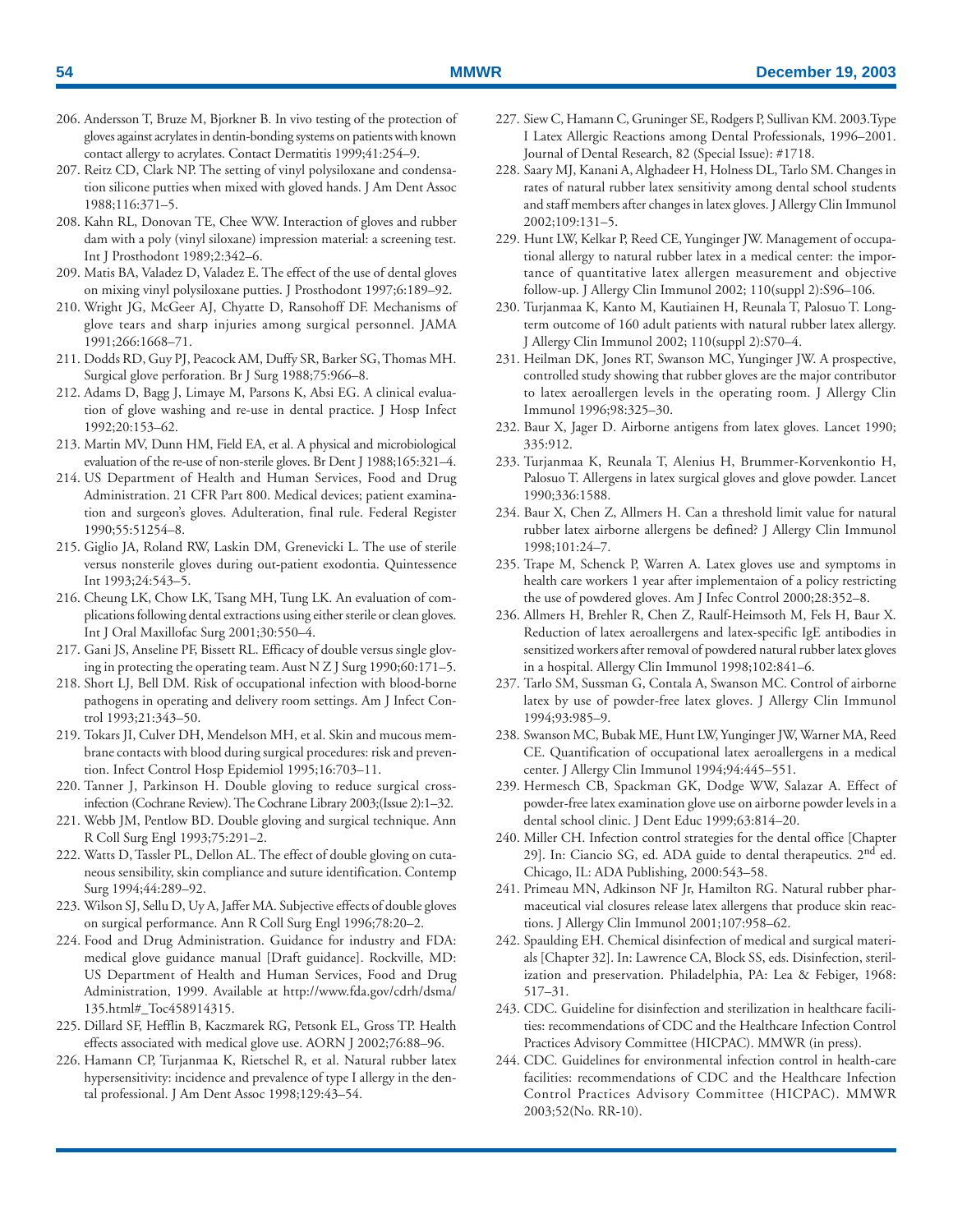- 206. Andersson T, Bruze M, Bjorkner B. In vivo testing of the protection of gloves against acrylates in dentin-bonding systems on patients with known contact allergy to acrylates. Contact Dermatitis 1999;41:254–9.
- 207. Reitz CD, Clark NP. The setting of vinyl polysiloxane and condensation silicone putties when mixed with gloved hands. J Am Dent Assoc 1988;116:371–5.
- 208. Kahn RL, Donovan TE, Chee WW. Interaction of gloves and rubber dam with a poly (vinyl siloxane) impression material: a screening test. Int J Prosthodont 1989;2:342–6.
- 209. Matis BA, Valadez D, Valadez E. The effect of the use of dental gloves on mixing vinyl polysiloxane putties. J Prosthodont 1997;6:189–92.
- 210. Wright JG, McGeer AJ, Chyatte D, Ransohoff DF. Mechanisms of glove tears and sharp injuries among surgical personnel. JAMA 1991;266:1668–71.
- 211. Dodds RD, Guy PJ, Peacock AM, Duffy SR, Barker SG, Thomas MH. Surgical glove perforation. Br J Surg 1988;75:966–8.
- 212. Adams D, Bagg J, Limaye M, Parsons K, Absi EG. A clinical evaluation of glove washing and re-use in dental practice. J Hosp Infect 1992;20:153–62.
- 213. Martin MV, Dunn HM, Field EA, et al. A physical and microbiological evaluation of the re-use of non-sterile gloves. Br Dent J 1988;165:321–4.
- 214. US Department of Health and Human Services, Food and Drug Administration. 21 CFR Part 800. Medical devices; patient examination and surgeon's gloves. Adulteration, final rule. Federal Register 1990;55:51254–8.
- 215. Giglio JA, Roland RW, Laskin DM, Grenevicki L. The use of sterile versus nonsterile gloves during out-patient exodontia. Quintessence Int 1993;24:543–5.
- 216. Cheung LK, Chow LK, Tsang MH, Tung LK. An evaluation of complications following dental extractions using either sterile or clean gloves. Int J Oral Maxillofac Surg 2001;30:550–4.
- 217. Gani JS, Anseline PF, Bissett RL. Efficacy of double versus single gloving in protecting the operating team. Aust N Z J Surg 1990;60:171–5.
- 218. Short LJ, Bell DM. Risk of occupational infection with blood-borne pathogens in operating and delivery room settings. Am J Infect Control 1993;21:343–50.
- 219. Tokars JI, Culver DH, Mendelson MH, et al. Skin and mucous membrane contacts with blood during surgical procedures: risk and prevention. Infect Control Hosp Epidemiol 1995;16:703–11.
- 220. Tanner J, Parkinson H. Double gloving to reduce surgical crossinfection (Cochrane Review). The Cochrane Library 2003;(Issue 2):1–32.
- 221. Webb JM, Pentlow BD. Double gloving and surgical technique. Ann R Coll Surg Engl 1993;75:291–2.
- 222. Watts D, Tassler PL, Dellon AL. The effect of double gloving on cutaneous sensibility, skin compliance and suture identification. Contemp Surg 1994;44:289–92.
- 223. Wilson SJ, Sellu D, Uy A, Jaffer MA. Subjective effects of double gloves on surgical performance. Ann R Coll Surg Engl 1996;78:20–2.
- 224. Food and Drug Administration. Guidance for industry and FDA: medical glove guidance manual [Draft guidance]. Rockville, MD: US Department of Health and Human Services, Food and Drug Administration, 1999. Available at http://www.fda.gov/cdrh/dsma/ 135.html#\_Toc458914315.
- 225. Dillard SF, Hefflin B, Kaczmarek RG, Petsonk EL, Gross TP. Health effects associated with medical glove use. AORN J 2002;76:88–96.
- 226. Hamann CP, Turjanmaa K, Rietschel R, et al. Natural rubber latex hypersensitivity: incidence and prevalence of type I allergy in the dental professional. J Am Dent Assoc 1998;129:43–54.
- 227. Siew C, Hamann C, Gruninger SE, Rodgers P, Sullivan KM. 2003.Type I Latex Allergic Reactions among Dental Professionals, 1996–2001. Journal of Dental Research, 82 (Special Issue): #1718.
- 228. Saary MJ, Kanani A, Alghadeer H, Holness DL, Tarlo SM. Changes in rates of natural rubber latex sensitivity among dental school students and staff members after changes in latex gloves. J Allergy Clin Immunol 2002;109:131–5.
- 229. Hunt LW, Kelkar P, Reed CE, Yunginger JW. Management of occupational allergy to natural rubber latex in a medical center: the importance of quantitative latex allergen measurement and objective follow-up. J Allergy Clin Immunol 2002; 110(suppl 2):S96–106.
- 230. Turjanmaa K, Kanto M, Kautiainen H, Reunala T, Palosuo T. Longterm outcome of 160 adult patients with natural rubber latex allergy. J Allergy Clin Immunol 2002; 110(suppl 2):S70–4.
- 231. Heilman DK, Jones RT, Swanson MC, Yunginger JW. A prospective, controlled study showing that rubber gloves are the major contributor to latex aeroallergen levels in the operating room. J Allergy Clin Immunol 1996;98:325–30.
- 232. Baur X, Jager D. Airborne antigens from latex gloves. Lancet 1990; 335:912.
- 233. Turjanmaa K, Reunala T, Alenius H, Brummer-Korvenkontio H, Palosuo T. Allergens in latex surgical gloves and glove powder. Lancet 1990;336:1588.
- 234. Baur X, Chen Z, Allmers H. Can a threshold limit value for natural rubber latex airborne allergens be defined? J Allergy Clin Immunol 1998;101:24–7.
- 235. Trape M, Schenck P, Warren A. Latex gloves use and symptoms in health care workers 1 year after implementaion of a policy restricting the use of powdered gloves. Am J Infec Control 2000;28:352–8.
- 236. Allmers H, Brehler R, Chen Z, Raulf-Heimsoth M, Fels H, Baur X. Reduction of latex aeroallergens and latex-specific IgE antibodies in sensitized workers after removal of powdered natural rubber latex gloves in a hospital. Allergy Clin Immunol 1998;102:841–6.
- 237. Tarlo SM, Sussman G, Contala A, Swanson MC. Control of airborne latex by use of powder-free latex gloves. J Allergy Clin Immunol 1994;93:985–9.
- 238. Swanson MC, Bubak ME, Hunt LW, Yunginger JW, Warner MA, Reed CE. Quantification of occupational latex aeroallergens in a medical center. J Allergy Clin Immunol 1994;94:445–551.
- 239. Hermesch CB, Spackman GK, Dodge WW, Salazar A. Effect of powder-free latex examination glove use on airborne powder levels in a dental school clinic. J Dent Educ 1999;63:814–20.
- 240. Miller CH. Infection control strategies for the dental office [Chapter 29]. In: Ciancio SG, ed. ADA guide to dental therapeutics.  $2<sup>nd</sup>$  ed. Chicago, IL: ADA Publishing, 2000:543–58.
- 241. Primeau MN, Adkinson NF Jr, Hamilton RG. Natural rubber pharmaceutical vial closures release latex allergens that produce skin reactions. J Allergy Clin Immunol 2001;107:958–62.
- 242. Spaulding EH. Chemical disinfection of medical and surgical materials [Chapter 32]. In: Lawrence CA, Block SS, eds. Disinfection, sterilization and preservation. Philadelphia, PA: Lea & Febiger, 1968: 517–31.
- 243. CDC. Guideline for disinfection and sterilization in healthcare facilities: recommendations of CDC and the Healthcare Infection Control Practices Advisory Committee (HICPAC). MMWR (in press).
- 244. CDC. Guidelines for environmental infection control in health-care facilities: recommendations of CDC and the Healthcare Infection Control Practices Advisory Committee (HICPAC). MMWR 2003;52(No. RR-10).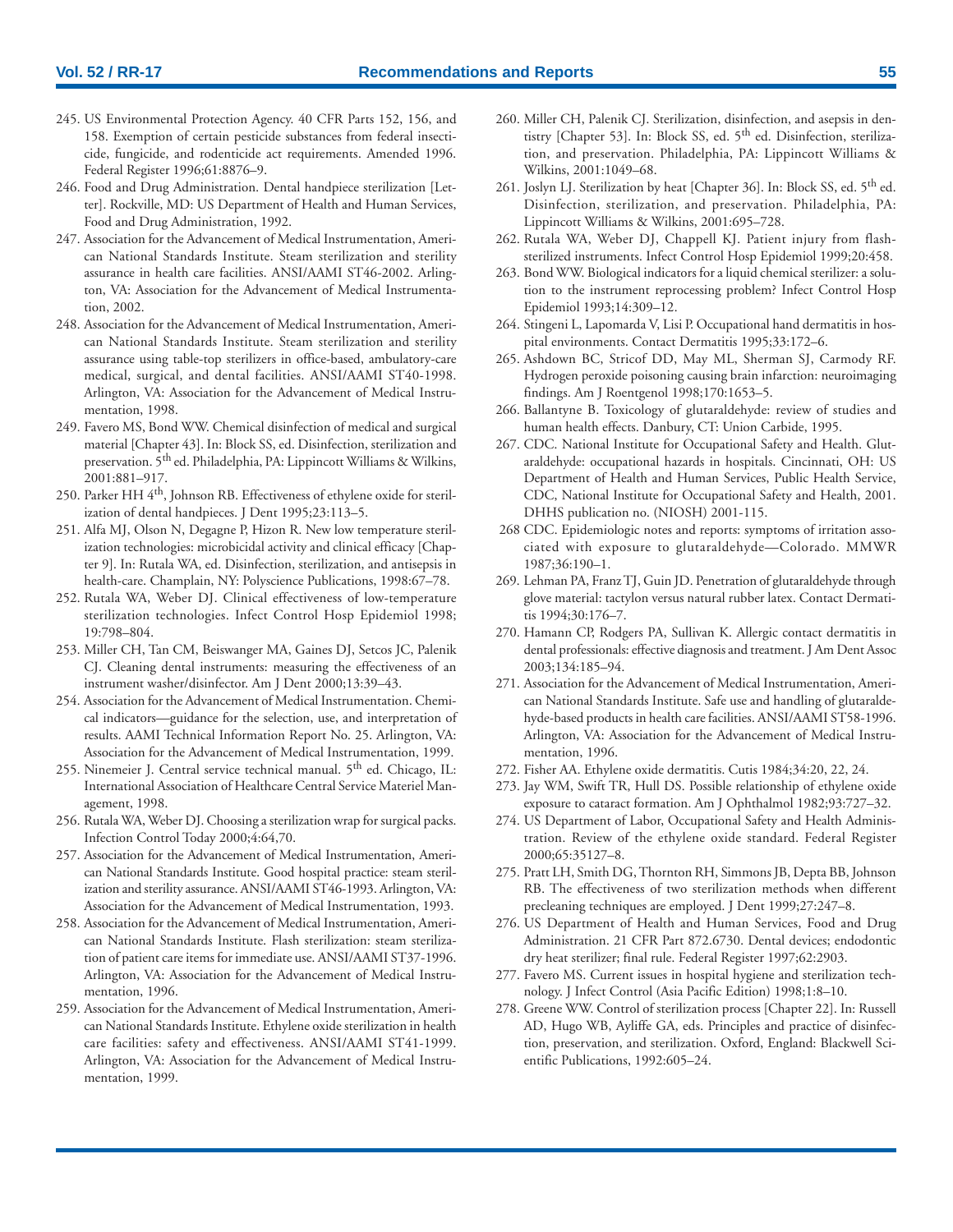- 245. US Environmental Protection Agency. 40 CFR Parts 152, 156, and 158. Exemption of certain pesticide substances from federal insecticide, fungicide, and rodenticide act requirements. Amended 1996. Federal Register 1996;61:8876–9.
- 246. Food and Drug Administration. Dental handpiece sterilization [Letter]. Rockville, MD: US Department of Health and Human Services, Food and Drug Administration, 1992.
- 247. Association for the Advancement of Medical Instrumentation, American National Standards Institute. Steam sterilization and sterility assurance in health care facilities. ANSI/AAMI ST46-2002. Arlington, VA: Association for the Advancement of Medical Instrumentation, 2002.
- 248. Association for the Advancement of Medical Instrumentation, American National Standards Institute. Steam sterilization and sterility assurance using table-top sterilizers in office-based, ambulatory-care medical, surgical, and dental facilities. ANSI/AAMI ST40-1998. Arlington, VA: Association for the Advancement of Medical Instrumentation, 1998.
- 249. Favero MS, Bond WW. Chemical disinfection of medical and surgical material [Chapter 43]. In: Block SS, ed. Disinfection, sterilization and preservation. 5th ed. Philadelphia, PA: Lippincott Williams & Wilkins, 2001:881–917.
- 250. Parker HH 4<sup>th</sup>, Johnson RB. Effectiveness of ethylene oxide for sterilization of dental handpieces. J Dent 1995;23:113–5.
- 251. Alfa MJ, Olson N, Degagne P, Hizon R. New low temperature sterilization technologies: microbicidal activity and clinical efficacy [Chapter 9]. In: Rutala WA, ed. Disinfection, sterilization, and antisepsis in health-care. Champlain, NY: Polyscience Publications, 1998:67–78.
- 252. Rutala WA, Weber DJ. Clinical effectiveness of low-temperature sterilization technologies. Infect Control Hosp Epidemiol 1998; 19:798–804.
- 253. Miller CH, Tan CM, Beiswanger MA, Gaines DJ, Setcos JC, Palenik CJ. Cleaning dental instruments: measuring the effectiveness of an instrument washer/disinfector. Am J Dent 2000;13:39–43.
- 254. Association for the Advancement of Medical Instrumentation. Chemical indicators—guidance for the selection, use, and interpretation of results. AAMI Technical Information Report No. 25. Arlington, VA: Association for the Advancement of Medical Instrumentation, 1999.
- 255. Ninemeier J. Central service technical manual. 5th ed. Chicago, IL: International Association of Healthcare Central Service Materiel Management, 1998.
- 256. Rutala WA, Weber DJ. Choosing a sterilization wrap for surgical packs. Infection Control Today 2000;4:64,70.
- 257. Association for the Advancement of Medical Instrumentation, American National Standards Institute. Good hospital practice: steam sterilization and sterility assurance. ANSI/AAMI ST46-1993. Arlington, VA: Association for the Advancement of Medical Instrumentation, 1993.
- 258. Association for the Advancement of Medical Instrumentation, American National Standards Institute. Flash sterilization: steam sterilization of patient care items for immediate use. ANSI/AAMI ST37-1996. Arlington, VA: Association for the Advancement of Medical Instrumentation, 1996.
- 259. Association for the Advancement of Medical Instrumentation, American National Standards Institute. Ethylene oxide sterilization in health care facilities: safety and effectiveness. ANSI/AAMI ST41-1999. Arlington, VA: Association for the Advancement of Medical Instrumentation, 1999.
- 260. Miller CH, Palenik CJ. Sterilization, disinfection, and asepsis in dentistry [Chapter 53]. In: Block SS, ed. 5<sup>th</sup> ed. Disinfection, sterilization, and preservation. Philadelphia, PA: Lippincott Williams & Wilkins, 2001:1049–68.
- 261. Joslyn LJ. Sterilization by heat [Chapter 36]. In: Block SS, ed. 5<sup>th</sup> ed. Disinfection, sterilization, and preservation. Philadelphia, PA: Lippincott Williams & Wilkins, 2001:695–728.
- 262. Rutala WA, Weber DJ, Chappell KJ. Patient injury from flashsterilized instruments. Infect Control Hosp Epidemiol 1999;20:458.
- 263. Bond WW. Biological indicators for a liquid chemical sterilizer: a solution to the instrument reprocessing problem? Infect Control Hosp Epidemiol 1993;14:309–12.
- 264. Stingeni L, Lapomarda V, Lisi P. Occupational hand dermatitis in hospital environments. Contact Dermatitis 1995;33:172-6.
- 265. Ashdown BC, Stricof DD, May ML, Sherman SJ, Carmody RF. Hydrogen peroxide poisoning causing brain infarction: neuroimaging findings. Am J Roentgenol 1998;170:1653–5.
- 266. Ballantyne B. Toxicology of glutaraldehyde: review of studies and human health effects. Danbury, CT: Union Carbide, 1995.
- 267. CDC. National Institute for Occupational Safety and Health. Glutaraldehyde: occupational hazards in hospitals. Cincinnati, OH: US Department of Health and Human Services, Public Health Service, CDC, National Institute for Occupational Safety and Health, 2001. DHHS publication no. (NIOSH) 2001-115.
- 268 CDC. Epidemiologic notes and reports: symptoms of irritation associated with exposure to glutaraldehyde—Colorado. MMWR 1987;36:190–1.
- 269. Lehman PA, Franz TJ, Guin JD. Penetration of glutaraldehyde through glove material: tactylon versus natural rubber latex. Contact Dermatitis 1994;30:176–7.
- 270. Hamann CP, Rodgers PA, Sullivan K. Allergic contact dermatitis in dental professionals: effective diagnosis and treatment. J Am Dent Assoc 2003;134:185–94.
- 271. Association for the Advancement of Medical Instrumentation, American National Standards Institute. Safe use and handling of glutaraldehyde-based products in health care facilities. ANSI/AAMI ST58-1996. Arlington, VA: Association for the Advancement of Medical Instrumentation, 1996.
- 272. Fisher AA. Ethylene oxide dermatitis. Cutis 1984;34:20, 22, 24.
- 273. Jay WM, Swift TR, Hull DS. Possible relationship of ethylene oxide exposure to cataract formation. Am J Ophthalmol 1982;93:727–32.
- 274. US Department of Labor, Occupational Safety and Health Administration. Review of the ethylene oxide standard. Federal Register 2000;65:35127–8.
- 275. Pratt LH, Smith DG, Thornton RH, Simmons JB, Depta BB, Johnson RB. The effectiveness of two sterilization methods when different precleaning techniques are employed. J Dent 1999;27:247–8.
- 276. US Department of Health and Human Services, Food and Drug Administration. 21 CFR Part 872.6730. Dental devices; endodontic dry heat sterilizer; final rule. Federal Register 1997;62:2903.
- 277. Favero MS. Current issues in hospital hygiene and sterilization technology. J Infect Control (Asia Pacific Edition) 1998;1:8–10.
- 278. Greene WW. Control of sterilization process [Chapter 22]. In: Russell AD, Hugo WB, Ayliffe GA, eds. Principles and practice of disinfection, preservation, and sterilization. Oxford, England: Blackwell Scientific Publications, 1992:605–24.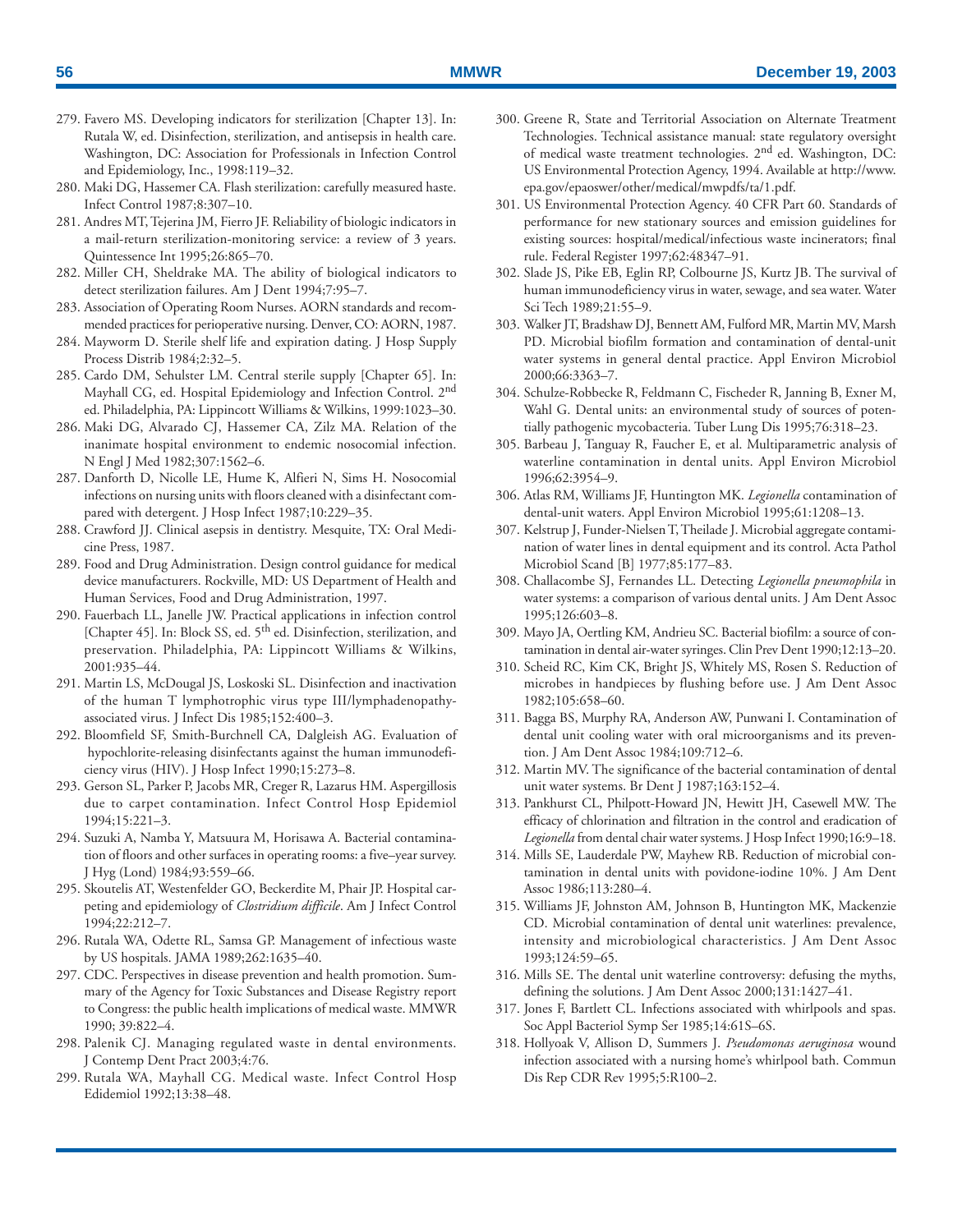- 279. Favero MS. Developing indicators for sterilization [Chapter 13]. In: Rutala W, ed. Disinfection, sterilization, and antisepsis in health care. Washington, DC: Association for Professionals in Infection Control and Epidemiology, Inc., 1998:119–32.
- 280. Maki DG, Hassemer CA. Flash sterilization: carefully measured haste. Infect Control 1987;8:307–10.
- 281. Andres MT, Tejerina JM, Fierro JF. Reliability of biologic indicators in a mail-return sterilization-monitoring service: a review of 3 years. Quintessence Int 1995;26:865–70.
- 282. Miller CH, Sheldrake MA. The ability of biological indicators to detect sterilization failures. Am J Dent 1994;7:95–7.
- 283. Association of Operating Room Nurses. AORN standards and recommended practices for perioperative nursing. Denver, CO: AORN, 1987.
- 284. Mayworm D. Sterile shelf life and expiration dating. J Hosp Supply Process Distrib 1984;2:32–5.
- 285. Cardo DM, Sehulster LM. Central sterile supply [Chapter 65]. In: Mayhall CG, ed. Hospital Epidemiology and Infection Control. 2nd ed. Philadelphia, PA: Lippincott Williams & Wilkins, 1999:1023–30.
- 286. Maki DG, Alvarado CJ, Hassemer CA, Zilz MA. Relation of the inanimate hospital environment to endemic nosocomial infection. N Engl J Med 1982;307:1562–6.
- 287. Danforth D, Nicolle LE, Hume K, Alfieri N, Sims H. Nosocomial infections on nursing units with floors cleaned with a disinfectant compared with detergent. J Hosp Infect 1987;10:229–35.
- 288. Crawford JJ. Clinical asepsis in dentistry. Mesquite, TX: Oral Medicine Press, 1987.
- 289. Food and Drug Administration. Design control guidance for medical device manufacturers. Rockville, MD: US Department of Health and Human Services, Food and Drug Administration, 1997.
- 290. Fauerbach LL, Janelle JW. Practical applications in infection control [Chapter 45]. In: Block SS, ed. 5<sup>th</sup> ed. Disinfection, sterilization, and preservation. Philadelphia, PA: Lippincott Williams & Wilkins, 2001:935–44.
- 291. Martin LS, McDougal JS, Loskoski SL. Disinfection and inactivation of the human T lymphotrophic virus type III/lymphadenopathyassociated virus. J Infect Dis 1985;152:400–3.
- 292. Bloomfield SF, Smith-Burchnell CA, Dalgleish AG. Evaluation of hypochlorite-releasing disinfectants against the human immunodeficiency virus (HIV). J Hosp Infect 1990;15:273–8.
- 293. Gerson SL, Parker P, Jacobs MR, Creger R, Lazarus HM. Aspergillosis due to carpet contamination. Infect Control Hosp Epidemiol 1994;15:221–3.
- 294. Suzuki A, Namba Y, Matsuura M, Horisawa A. Bacterial contamination of floors and other surfaces in operating rooms: a five–year survey. J Hyg (Lond) 1984;93:559–66.
- 295. Skoutelis AT, Westenfelder GO, Beckerdite M, Phair JP. Hospital carpeting and epidemiology of *Clostridium difficile*. Am J Infect Control 1994;22:212–7.
- 296. Rutala WA, Odette RL, Samsa GP. Management of infectious waste by US hospitals. JAMA 1989;262:1635–40.
- 297. CDC. Perspectives in disease prevention and health promotion. Summary of the Agency for Toxic Substances and Disease Registry report to Congress: the public health implications of medical waste. MMWR 1990; 39:822–4.
- 298. Palenik CJ. Managing regulated waste in dental environments. J Contemp Dent Pract 2003;4:76.
- 299. Rutala WA, Mayhall CG. Medical waste. Infect Control Hosp Edidemiol 1992;13:38–48.
- 300. Greene R, State and Territorial Association on Alternate Treatment Technologies. Technical assistance manual: state regulatory oversight of medical waste treatment technologies. 2<sup>nd</sup> ed. Washington, DC: US Environmental Protection Agency, 1994. Available at http://www. epa.gov/epaoswer/other/medical/mwpdfs/ta/1.pdf.
- 301. US Environmental Protection Agency. 40 CFR Part 60. Standards of performance for new stationary sources and emission guidelines for existing sources: hospital/medical/infectious waste incinerators; final rule. Federal Register 1997;62:48347–91.
- 302. Slade JS, Pike EB, Eglin RP, Colbourne JS, Kurtz JB. The survival of human immunodeficiency virus in water, sewage, and sea water. Water Sci Tech 1989;21:55–9.
- 303. Walker JT, Bradshaw DJ, Bennett AM, Fulford MR, Martin MV, Marsh PD. Microbial biofilm formation and contamination of dental-unit water systems in general dental practice. Appl Environ Microbiol 2000;66:3363–7.
- 304. Schulze-Robbecke R, Feldmann C, Fischeder R, Janning B, Exner M, Wahl G. Dental units: an environmental study of sources of potentially pathogenic mycobacteria. Tuber Lung Dis 1995;76:318–23.
- 305. Barbeau J, Tanguay R, Faucher E, et al. Multiparametric analysis of waterline contamination in dental units. Appl Environ Microbiol 1996;62:3954–9.
- 306. Atlas RM, Williams JF, Huntington MK. *Legionella* contamination of dental-unit waters. Appl Environ Microbiol 1995;61:1208–13.
- 307. Kelstrup J, Funder-Nielsen T, Theilade J. Microbial aggregate contamination of water lines in dental equipment and its control. Acta Pathol Microbiol Scand [B] 1977;85:177–83.
- 308. Challacombe SJ, Fernandes LL. Detecting *Legionella pneumophila* in water systems: a comparison of various dental units. J Am Dent Assoc 1995;126:603–8.
- 309. Mayo JA, Oertling KM, Andrieu SC. Bacterial biofilm: a source of contamination in dental air-water syringes. Clin Prev Dent 1990;12:13–20.
- 310. Scheid RC, Kim CK, Bright JS, Whitely MS, Rosen S. Reduction of microbes in handpieces by flushing before use. J Am Dent Assoc 1982;105:658–60.
- 311. Bagga BS, Murphy RA, Anderson AW, Punwani I. Contamination of dental unit cooling water with oral microorganisms and its prevention. J Am Dent Assoc 1984;109:712–6.
- 312. Martin MV. The significance of the bacterial contamination of dental unit water systems. Br Dent J 1987;163:152–4.
- 313. Pankhurst CL, Philpott-Howard JN, Hewitt JH, Casewell MW. The efficacy of chlorination and filtration in the control and eradication of *Legionella* from dental chair water systems. J Hosp Infect 1990;16:9–18.
- 314. Mills SE, Lauderdale PW, Mayhew RB. Reduction of microbial contamination in dental units with povidone-iodine 10%. J Am Dent Assoc 1986;113:280–4.
- 315. Williams JF, Johnston AM, Johnson B, Huntington MK, Mackenzie CD. Microbial contamination of dental unit waterlines: prevalence, intensity and microbiological characteristics. J Am Dent Assoc 1993;124:59–65.
- 316. Mills SE. The dental unit waterline controversy: defusing the myths, defining the solutions. J Am Dent Assoc 2000;131:1427–41.
- 317. Jones F, Bartlett CL. Infections associated with whirlpools and spas. Soc Appl Bacteriol Symp Ser 1985;14:61S–6S.
- 318. Hollyoak V, Allison D, Summers J. *Pseudomonas aeruginosa* wound infection associated with a nursing home's whirlpool bath. Commun Dis Rep CDR Rev 1995;5:R100–2.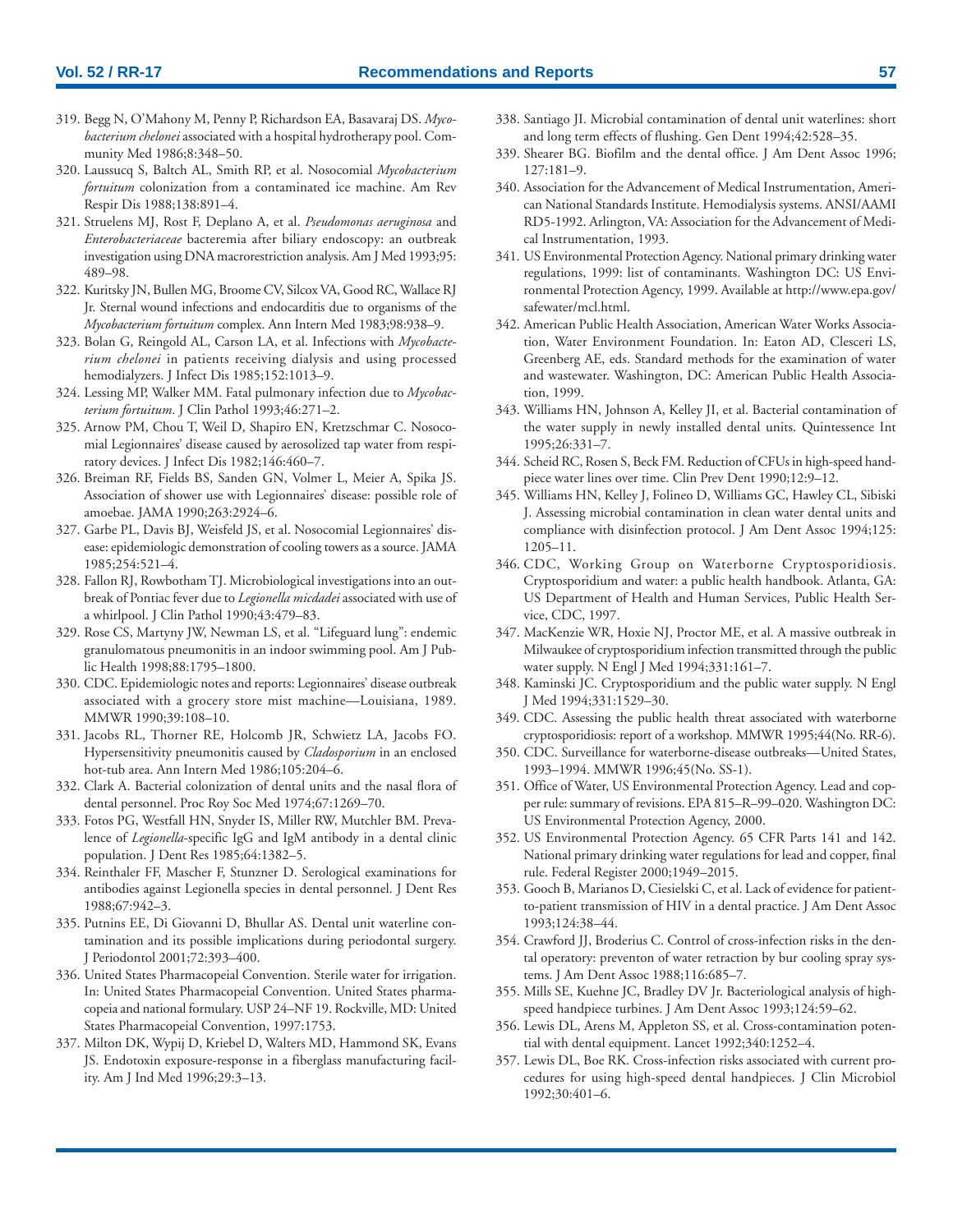- 319. Begg N, O'Mahony M, Penny P, Richardson EA, Basavaraj DS. *Mycobacterium chelonei* associated with a hospital hydrotherapy pool. Community Med 1986;8:348–50.
- 320. Laussucq S, Baltch AL, Smith RP, et al. Nosocomial *Mycobacterium fortuitum* colonization from a contaminated ice machine. Am Rev Respir Dis 1988;138:891–4.
- 321. Struelens MJ, Rost F, Deplano A, et al. *Pseudomonas aeruginosa* and *Enterobacteriaceae* bacteremia after biliary endoscopy: an outbreak investigation using DNA macrorestriction analysis. Am J Med 1993;95: 489–98.
- 322. Kuritsky JN, Bullen MG, Broome CV, Silcox VA, Good RC, Wallace RJ Jr. Sternal wound infections and endocarditis due to organisms of the *Mycobacterium fortuitum* complex. Ann Intern Med 1983;98:938–9.
- 323. Bolan G, Reingold AL, Carson LA, et al. Infections with *Mycobacterium chelonei* in patients receiving dialysis and using processed hemodialyzers. J Infect Dis 1985;152:1013-9.
- 324. Lessing MP, Walker MM. Fatal pulmonary infection due to *Mycobacterium fortuitum*. J Clin Pathol 1993;46:271–2.
- 325. Arnow PM, Chou T, Weil D, Shapiro EN, Kretzschmar C. Nosocomial Legionnaires' disease caused by aerosolized tap water from respiratory devices. J Infect Dis 1982;146:460–7.
- 326. Breiman RF, Fields BS, Sanden GN, Volmer L, Meier A, Spika JS. Association of shower use with Legionnaires' disease: possible role of amoebae. JAMA 1990;263:2924–6.
- 327. Garbe PL, Davis BJ, Weisfeld JS, et al. Nosocomial Legionnaires' disease: epidemiologic demonstration of cooling towers as a source. JAMA 1985;254:521–4.
- 328. Fallon RJ, Rowbotham TJ. Microbiological investigations into an outbreak of Pontiac fever due to *Legionella micdadei* associated with use of a whirlpool. J Clin Pathol 1990;43:479–83.
- 329. Rose CS, Martyny JW, Newman LS, et al. "Lifeguard lung": endemic granulomatous pneumonitis in an indoor swimming pool. Am J Public Health 1998;88:1795–1800.
- 330. CDC. Epidemiologic notes and reports: Legionnaires' disease outbreak associated with a grocery store mist machine—Louisiana, 1989. MMWR 1990;39:108–10.
- 331. Jacobs RL, Thorner RE, Holcomb JR, Schwietz LA, Jacobs FO. Hypersensitivity pneumonitis caused by *Cladosporium* in an enclosed hot-tub area. Ann Intern Med 1986;105:204–6.
- 332. Clark A. Bacterial colonization of dental units and the nasal flora of dental personnel. Proc Roy Soc Med 1974;67:1269–70.
- 333. Fotos PG, Westfall HN, Snyder IS, Miller RW, Mutchler BM. Prevalence of *Legionella*-specific IgG and IgM antibody in a dental clinic population. J Dent Res 1985;64:1382–5.
- 334. Reinthaler FF, Mascher F, Stunzner D. Serological examinations for antibodies against Legionella species in dental personnel. J Dent Res 1988;67:942–3.
- 335. Putnins EE, Di Giovanni D, Bhullar AS. Dental unit waterline contamination and its possible implications during periodontal surgery. J Periodontol 2001;72:393–400.
- 336. United States Pharmacopeial Convention. Sterile water for irrigation. In: United States Pharmacopeial Convention. United States pharmacopeia and national formulary. USP 24–NF 19. Rockville, MD: United States Pharmacopeial Convention, 1997:1753.
- 337. Milton DK, Wypij D, Kriebel D, Walters MD, Hammond SK, Evans JS. Endotoxin exposure-response in a fiberglass manufacturing facility. Am J Ind Med 1996;29:3–13.
- 338. Santiago JI. Microbial contamination of dental unit waterlines: short and long term effects of flushing. Gen Dent 1994;42:528–35.
- 339. Shearer BG. Biofilm and the dental office. J Am Dent Assoc 1996; 127:181–9.
- 340. Association for the Advancement of Medical Instrumentation, American National Standards Institute. Hemodialysis systems. ANSI/AAMI RD5-1992. Arlington, VA: Association for the Advancement of Medical Instrumentation, 1993.
- 341. US Environmental Protection Agency. National primary drinking water regulations, 1999: list of contaminants. Washington DC: US Environmental Protection Agency, 1999. Available at http://www.epa.gov/ safewater/mcl.html.
- 342. American Public Health Association, American Water Works Association, Water Environment Foundation. In: Eaton AD, Clesceri LS, Greenberg AE, eds. Standard methods for the examination of water and wastewater. Washington, DC: American Public Health Association, 1999.
- 343. Williams HN, Johnson A, Kelley JI, et al. Bacterial contamination of the water supply in newly installed dental units. Quintessence Int 1995;26:331–7.
- 344. Scheid RC, Rosen S, Beck FM. Reduction of CFUs in high-speed handpiece water lines over time. Clin Prev Dent 1990;12:9–12.
- 345. Williams HN, Kelley J, Folineo D, Williams GC, Hawley CL, Sibiski J. Assessing microbial contamination in clean water dental units and compliance with disinfection protocol. J Am Dent Assoc 1994;125: 1205–11.
- 346. CDC, Working Group on Waterborne Cryptosporidiosis. Cryptosporidium and water: a public health handbook. Atlanta, GA: US Department of Health and Human Services, Public Health Service, CDC, 1997.
- 347. MacKenzie WR, Hoxie NJ, Proctor ME, et al. A massive outbreak in Milwaukee of cryptosporidium infection transmitted through the public water supply. N Engl J Med 1994;331:161–7.
- 348. Kaminski JC. Cryptosporidium and the public water supply. N Engl J Med 1994;331:1529–30.
- 349. CDC. Assessing the public health threat associated with waterborne cryptosporidiosis: report of a workshop. MMWR 1995;44(No. RR-6).
- 350. CDC. Surveillance for waterborne-disease outbreaks—United States, 1993–1994. MMWR 1996;45(No. SS-1).
- 351. Office of Water, US Environmental Protection Agency. Lead and copper rule: summary of revisions. EPA 815–R–99–020. Washington DC: US Environmental Protection Agency, 2000.
- 352. US Environmental Protection Agency. 65 CFR Parts 141 and 142. National primary drinking water regulations for lead and copper, final rule. Federal Register 2000;1949–2015.
- 353. Gooch B, Marianos D, Ciesielski C, et al. Lack of evidence for patientto-patient transmission of HIV in a dental practice. J Am Dent Assoc 1993;124:38–44.
- 354. Crawford JJ, Broderius C. Control of cross-infection risks in the dental operatory: preventon of water retraction by bur cooling spray systems. J Am Dent Assoc 1988;116:685–7.
- 355. Mills SE, Kuehne JC, Bradley DV Jr. Bacteriological analysis of highspeed handpiece turbines. J Am Dent Assoc 1993;124:59–62.
- 356. Lewis DL, Arens M, Appleton SS, et al. Cross-contamination potential with dental equipment. Lancet 1992;340:1252–4.
- 357. Lewis DL, Boe RK. Cross-infection risks associated with current procedures for using high-speed dental handpieces. J Clin Microbiol 1992;30:401–6.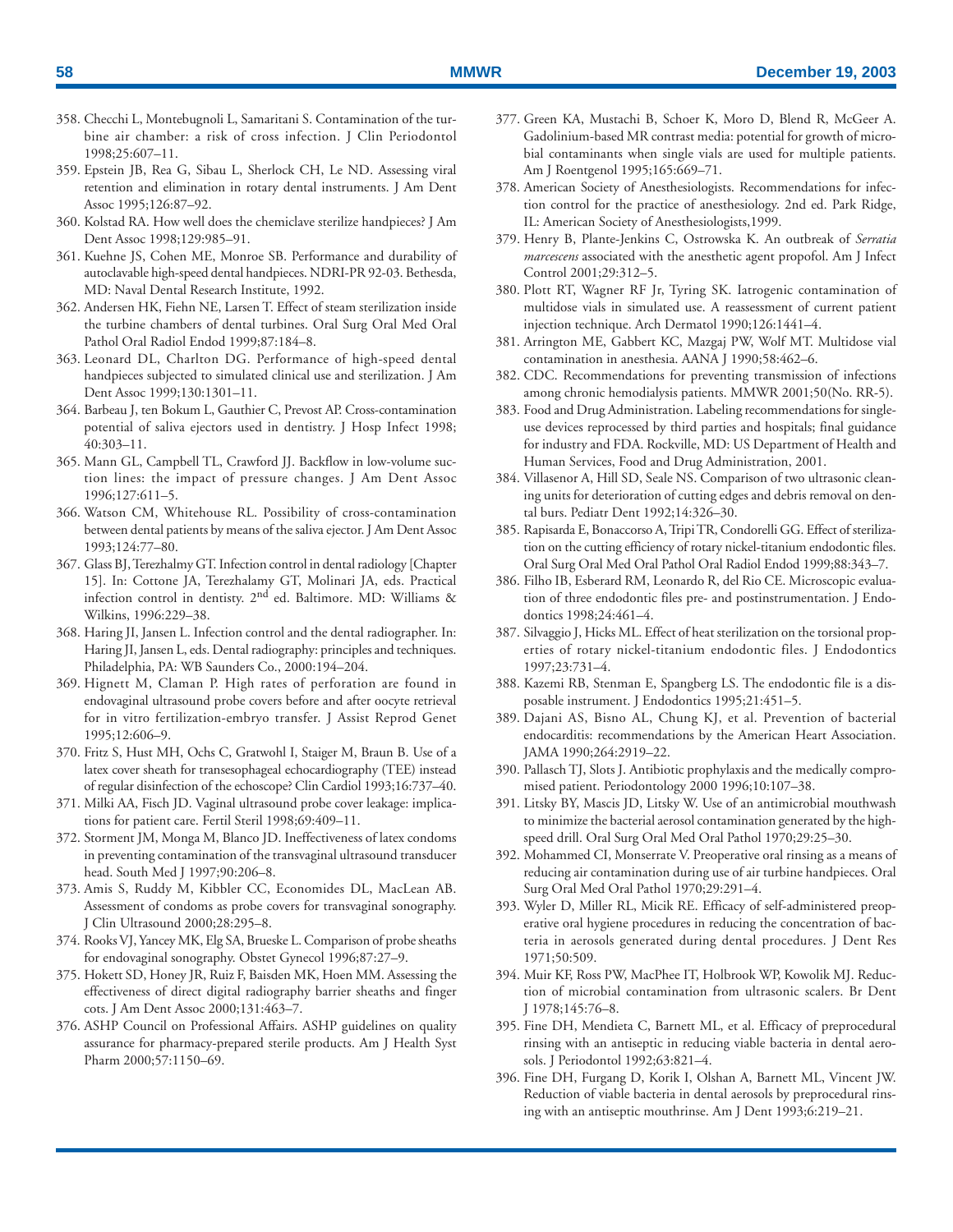- 358. Checchi L, Montebugnoli L, Samaritani S. Contamination of the turbine air chamber: a risk of cross infection. J Clin Periodontol 1998;25:607–11.
- 359. Epstein JB, Rea G, Sibau L, Sherlock CH, Le ND. Assessing viral retention and elimination in rotary dental instruments. J Am Dent Assoc 1995;126:87–92.
- 360. Kolstad RA. How well does the chemiclave sterilize handpieces? J Am Dent Assoc 1998;129:985–91.
- 361. Kuehne JS, Cohen ME, Monroe SB. Performance and durability of autoclavable high-speed dental handpieces. NDRI-PR 92-03. Bethesda, MD: Naval Dental Research Institute, 1992.
- 362. Andersen HK, Fiehn NE, Larsen T. Effect of steam sterilization inside the turbine chambers of dental turbines. Oral Surg Oral Med Oral Pathol Oral Radiol Endod 1999;87:184–8.
- 363. Leonard DL, Charlton DG. Performance of high-speed dental handpieces subjected to simulated clinical use and sterilization. J Am Dent Assoc 1999;130:1301–11.
- 364. Barbeau J, ten Bokum L, Gauthier C, Prevost AP. Cross-contamination potential of saliva ejectors used in dentistry. J Hosp Infect 1998; 40:303–11.
- 365. Mann GL, Campbell TL, Crawford JJ. Backflow in low-volume suction lines: the impact of pressure changes. J Am Dent Assoc 1996;127:611–5.
- 366. Watson CM, Whitehouse RL. Possibility of cross-contamination between dental patients by means of the saliva ejector. J Am Dent Assoc 1993;124:77–80.
- 367. Glass BJ, Terezhalmy GT. Infection control in dental radiology [Chapter 15]. In: Cottone JA, Terezhalamy GT, Molinari JA, eds. Practical infection control in dentisty. 2<sup>nd</sup> ed. Baltimore. MD: Williams & Wilkins, 1996:229–38.
- 368. Haring JI, Jansen L. Infection control and the dental radiographer. In: Haring JI, Jansen L, eds. Dental radiography: principles and techniques. Philadelphia, PA: WB Saunders Co., 2000:194–204.
- 369. Hignett M, Claman P. High rates of perforation are found in endovaginal ultrasound probe covers before and after oocyte retrieval for in vitro fertilization-embryo transfer. J Assist Reprod Genet 1995;12:606–9.
- 370. Fritz S, Hust MH, Ochs C, Gratwohl I, Staiger M, Braun B. Use of a latex cover sheath for transesophageal echocardiography (TEE) instead of regular disinfection of the echoscope? Clin Cardiol 1993;16:737–40.
- 371. Milki AA, Fisch JD. Vaginal ultrasound probe cover leakage: implications for patient care. Fertil Steril 1998;69:409–11.
- 372. Storment JM, Monga M, Blanco JD. Ineffectiveness of latex condoms in preventing contamination of the transvaginal ultrasound transducer head. South Med J 1997;90:206–8.
- 373. Amis S, Ruddy M, Kibbler CC, Economides DL, MacLean AB. Assessment of condoms as probe covers for transvaginal sonography. J Clin Ultrasound 2000;28:295–8.
- 374. Rooks VJ, Yancey MK, Elg SA, Brueske L. Comparison of probe sheaths for endovaginal sonography. Obstet Gynecol 1996;87:27–9.
- 375. Hokett SD, Honey JR, Ruiz F, Baisden MK, Hoen MM. Assessing the effectiveness of direct digital radiography barrier sheaths and finger cots. J Am Dent Assoc 2000;131:463–7.
- 376. ASHP Council on Professional Affairs. ASHP guidelines on quality assurance for pharmacy-prepared sterile products. Am J Health Syst Pharm 2000;57:1150–69.
- 377. Green KA, Mustachi B, Schoer K, Moro D, Blend R, McGeer A. Gadolinium-based MR contrast media: potential for growth of microbial contaminants when single vials are used for multiple patients. Am J Roentgenol 1995;165:669–71.
- 378. American Society of Anesthesiologists. Recommendations for infection control for the practice of anesthesiology. 2nd ed. Park Ridge, IL: American Society of Anesthesiologists,1999.
- 379. Henry B, Plante-Jenkins C, Ostrowska K. An outbreak of *Serratia marcescens* associated with the anesthetic agent propofol. Am J Infect Control 2001;29:312–5.
- 380. Plott RT, Wagner RF Jr, Tyring SK. Iatrogenic contamination of multidose vials in simulated use. A reassessment of current patient injection technique. Arch Dermatol 1990;126:1441–4.
- 381. Arrington ME, Gabbert KC, Mazgaj PW, Wolf MT. Multidose vial contamination in anesthesia. AANA J 1990;58:462–6.
- 382. CDC. Recommendations for preventing transmission of infections among chronic hemodialysis patients. MMWR 2001;50(No. RR-5).
- 383. Food and Drug Administration. Labeling recommendations for singleuse devices reprocessed by third parties and hospitals; final guidance for industry and FDA. Rockville, MD: US Department of Health and Human Services, Food and Drug Administration, 2001.
- 384. Villasenor A, Hill SD, Seale NS. Comparison of two ultrasonic cleaning units for deterioration of cutting edges and debris removal on dental burs. Pediatr Dent 1992;14:326–30.
- 385. Rapisarda E, Bonaccorso A, Tripi TR, Condorelli GG. Effect of sterilization on the cutting efficiency of rotary nickel-titanium endodontic files. Oral Surg Oral Med Oral Pathol Oral Radiol Endod 1999;88:343–7.
- 386. Filho IB, Esberard RM, Leonardo R, del Rio CE. Microscopic evaluation of three endodontic files pre- and postinstrumentation. J Endodontics 1998;24:461–4.
- 387. Silvaggio J, Hicks ML. Effect of heat sterilization on the torsional properties of rotary nickel-titanium endodontic files. J Endodontics 1997;23:731–4.
- 388. Kazemi RB, Stenman E, Spangberg LS. The endodontic file is a disposable instrument. J Endodontics 1995;21:451–5.
- 389. Dajani AS, Bisno AL, Chung KJ, et al. Prevention of bacterial endocarditis: recommendations by the American Heart Association. JAMA 1990;264:2919–22.
- 390. Pallasch TJ, Slots J. Antibiotic prophylaxis and the medically compromised patient. Periodontology 2000 1996;10:107–38.
- 391. Litsky BY, Mascis JD, Litsky W. Use of an antimicrobial mouthwash to minimize the bacterial aerosol contamination generated by the highspeed drill. Oral Surg Oral Med Oral Pathol 1970;29:25–30.
- 392. Mohammed CI, Monserrate V. Preoperative oral rinsing as a means of reducing air contamination during use of air turbine handpieces. Oral Surg Oral Med Oral Pathol 1970;29:291–4.
- 393. Wyler D, Miller RL, Micik RE. Efficacy of self-administered preoperative oral hygiene procedures in reducing the concentration of bacteria in aerosols generated during dental procedures. J Dent Res 1971;50:509.
- 394. Muir KF, Ross PW, MacPhee IT, Holbrook WP, Kowolik MJ. Reduction of microbial contamination from ultrasonic scalers. Br Dent J 1978;145:76–8.
- 395. Fine DH, Mendieta C, Barnett ML, et al. Efficacy of preprocedural rinsing with an antiseptic in reducing viable bacteria in dental aerosols. J Periodontol 1992;63:821–4.
- 396. Fine DH, Furgang D, Korik I, Olshan A, Barnett ML, Vincent JW. Reduction of viable bacteria in dental aerosols by preprocedural rinsing with an antiseptic mouthrinse. Am J Dent 1993;6:219–21.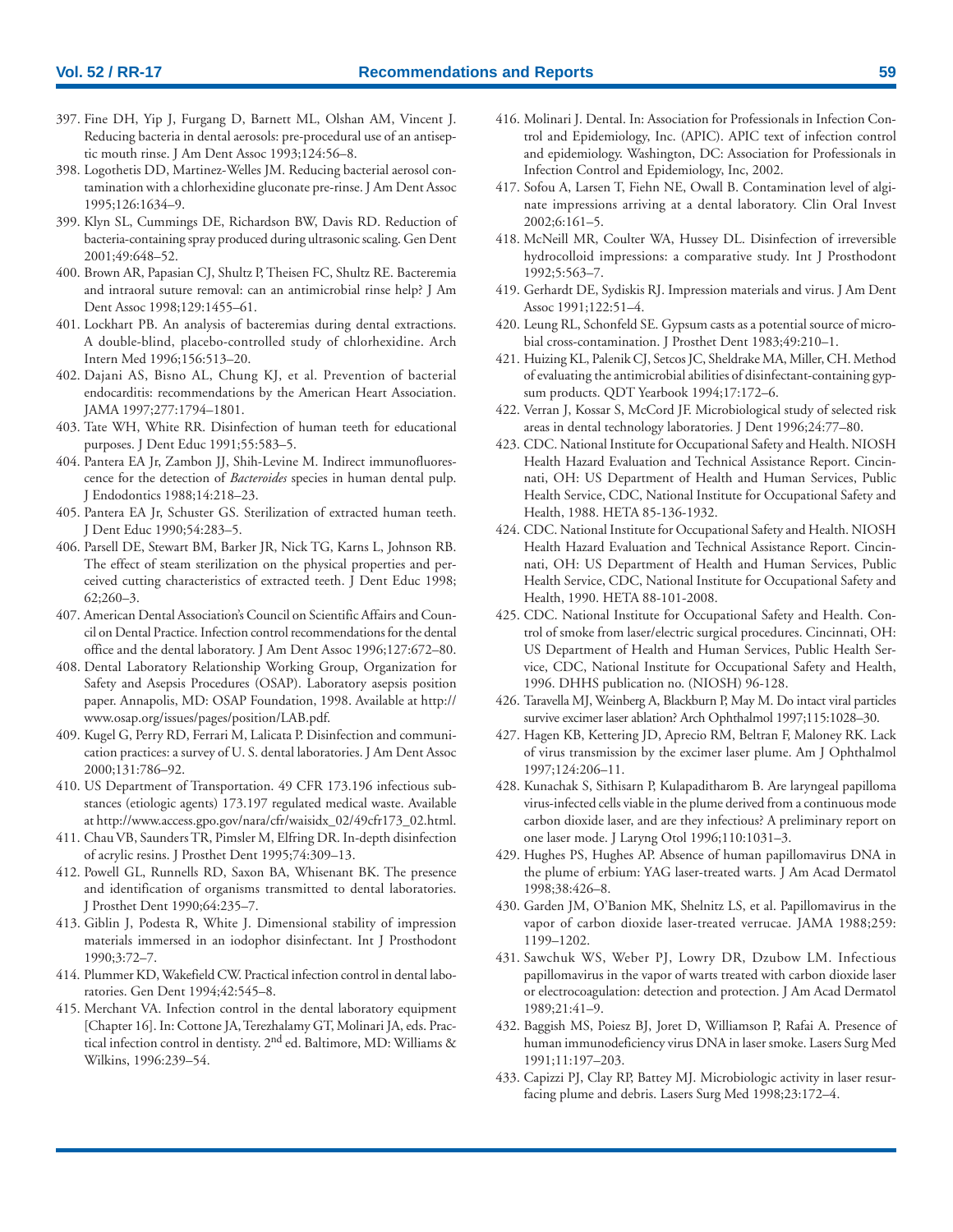- 397. Fine DH, Yip J, Furgang D, Barnett ML, Olshan AM, Vincent J. Reducing bacteria in dental aerosols: pre-procedural use of an antiseptic mouth rinse. J Am Dent Assoc 1993;124:56–8.
- 398. Logothetis DD, Martinez-Welles JM. Reducing bacterial aerosol contamination with a chlorhexidine gluconate pre-rinse. J Am Dent Assoc 1995;126:1634–9.
- 399. Klyn SL, Cummings DE, Richardson BW, Davis RD. Reduction of bacteria-containing spray produced during ultrasonic scaling. Gen Dent 2001;49:648–52.
- 400. Brown AR, Papasian CJ, Shultz P, Theisen FC, Shultz RE. Bacteremia and intraoral suture removal: can an antimicrobial rinse help? J Am Dent Assoc 1998;129:1455–61.
- 401. Lockhart PB. An analysis of bacteremias during dental extractions. A double-blind, placebo-controlled study of chlorhexidine. Arch Intern Med 1996;156:513–20.
- 402. Dajani AS, Bisno AL, Chung KJ, et al. Prevention of bacterial endocarditis: recommendations by the American Heart Association. JAMA 1997;277:1794–1801.
- 403. Tate WH, White RR. Disinfection of human teeth for educational purposes. J Dent Educ 1991;55:583–5.
- 404. Pantera EA Jr, Zambon JJ, Shih-Levine M. Indirect immunofluorescence for the detection of *Bacteroides* species in human dental pulp. J Endodontics 1988;14:218–23.
- 405. Pantera EA Jr, Schuster GS. Sterilization of extracted human teeth. J Dent Educ 1990;54:283–5.
- 406. Parsell DE, Stewart BM, Barker JR, Nick TG, Karns L, Johnson RB. The effect of steam sterilization on the physical properties and perceived cutting characteristics of extracted teeth. J Dent Educ 1998; 62;260–3.
- 407. American Dental Association's Council on Scientific Affairs and Council on Dental Practice. Infection control recommendations for the dental office and the dental laboratory. J Am Dent Assoc 1996;127:672–80.
- 408. Dental Laboratory Relationship Working Group, Organization for Safety and Asepsis Procedures (OSAP). Laboratory asepsis position paper. Annapolis, MD: OSAP Foundation, 1998. Available at http:// www.osap.org/issues/pages/position/LAB.pdf.
- 409. Kugel G, Perry RD, Ferrari M, Lalicata P. Disinfection and communication practices: a survey of U. S. dental laboratories. J Am Dent Assoc 2000;131:786–92.
- 410. US Department of Transportation. 49 CFR 173.196 infectious substances (etiologic agents) 173.197 regulated medical waste. Available at http://www.access.gpo.gov/nara/cfr/waisidx\_02/49cfr173\_02.html.
- 411. Chau VB, Saunders TR, Pimsler M, Elfring DR. In-depth disinfection of acrylic resins. J Prosthet Dent 1995;74:309–13.
- 412. Powell GL, Runnells RD, Saxon BA, Whisenant BK. The presence and identification of organisms transmitted to dental laboratories. J Prosthet Dent 1990;64:235–7.
- 413. Giblin J, Podesta R, White J. Dimensional stability of impression materials immersed in an iodophor disinfectant. Int J Prosthodont 1990;3:72–7.
- 414. Plummer KD, Wakefield CW. Practical infection control in dental laboratories. Gen Dent 1994;42:545–8.
- 415. Merchant VA. Infection control in the dental laboratory equipment [Chapter 16]. In: Cottone JA, Terezhalamy GT, Molinari JA, eds. Practical infection control in dentisty. 2<sup>nd</sup> ed. Baltimore, MD: Williams & Wilkins, 1996:239–54.
- 416. Molinari J. Dental. In: Association for Professionals in Infection Control and Epidemiology, Inc. (APIC). APIC text of infection control and epidemiology. Washington, DC: Association for Professionals in Infection Control and Epidemiology, Inc, 2002.
- 417. Sofou A, Larsen T, Fiehn NE, Owall B. Contamination level of alginate impressions arriving at a dental laboratory. Clin Oral Invest 2002;6:161–5.
- 418. McNeill MR, Coulter WA, Hussey DL. Disinfection of irreversible hydrocolloid impressions: a comparative study. Int J Prosthodont 1992;5:563–7.
- 419. Gerhardt DE, Sydiskis RJ. Impression materials and virus. J Am Dent Assoc 1991;122:51–4.
- 420. Leung RL, Schonfeld SE. Gypsum casts as a potential source of microbial cross-contamination. J Prosthet Dent 1983;49:210–1.
- 421. Huizing KL, Palenik CJ, Setcos JC, Sheldrake MA, Miller, CH. Method of evaluating the antimicrobial abilities of disinfectant-containing gypsum products. QDT Yearbook 1994;17:172–6.
- 422. Verran J, Kossar S, McCord JF. Microbiological study of selected risk areas in dental technology laboratories. J Dent 1996;24:77–80.
- 423. CDC. National Institute for Occupational Safety and Health. NIOSH Health Hazard Evaluation and Technical Assistance Report. Cincinnati, OH: US Department of Health and Human Services, Public Health Service, CDC, National Institute for Occupational Safety and Health, 1988. HETA 85-136-1932.
- 424. CDC. National Institute for Occupational Safety and Health. NIOSH Health Hazard Evaluation and Technical Assistance Report. Cincinnati, OH: US Department of Health and Human Services, Public Health Service, CDC, National Institute for Occupational Safety and Health, 1990. HETA 88-101-2008.
- 425. CDC. National Institute for Occupational Safety and Health. Control of smoke from laser/electric surgical procedures. Cincinnati, OH: US Department of Health and Human Services, Public Health Service, CDC, National Institute for Occupational Safety and Health, 1996. DHHS publication no. (NIOSH) 96-128.
- 426. Taravella MJ, Weinberg A, Blackburn P, May M. Do intact viral particles survive excimer laser ablation? Arch Ophthalmol 1997;115:1028–30.
- 427. Hagen KB, Kettering JD, Aprecio RM, Beltran F, Maloney RK. Lack of virus transmission by the excimer laser plume. Am J Ophthalmol 1997;124:206–11.
- 428. Kunachak S, Sithisarn P, Kulapaditharom B. Are laryngeal papilloma virus-infected cells viable in the plume derived from a continuous mode carbon dioxide laser, and are they infectious? A preliminary report on one laser mode. J Laryng Otol 1996;110:1031–3.
- 429. Hughes PS, Hughes AP. Absence of human papillomavirus DNA in the plume of erbium: YAG laser-treated warts. J Am Acad Dermatol 1998;38:426–8.
- 430. Garden JM, O'Banion MK, Shelnitz LS, et al. Papillomavirus in the vapor of carbon dioxide laser-treated verrucae. JAMA 1988;259: 1199–1202.
- 431. Sawchuk WS, Weber PJ, Lowry DR, Dzubow LM. Infectious papillomavirus in the vapor of warts treated with carbon dioxide laser or electrocoagulation: detection and protection. J Am Acad Dermatol 1989;21:41–9.
- 432. Baggish MS, Poiesz BJ, Joret D, Williamson P, Rafai A. Presence of human immunodeficiency virus DNA in laser smoke. Lasers Surg Med 1991;11:197–203.
- 433. Capizzi PJ, Clay RP, Battey MJ. Microbiologic activity in laser resurfacing plume and debris. Lasers Surg Med 1998;23:172–4.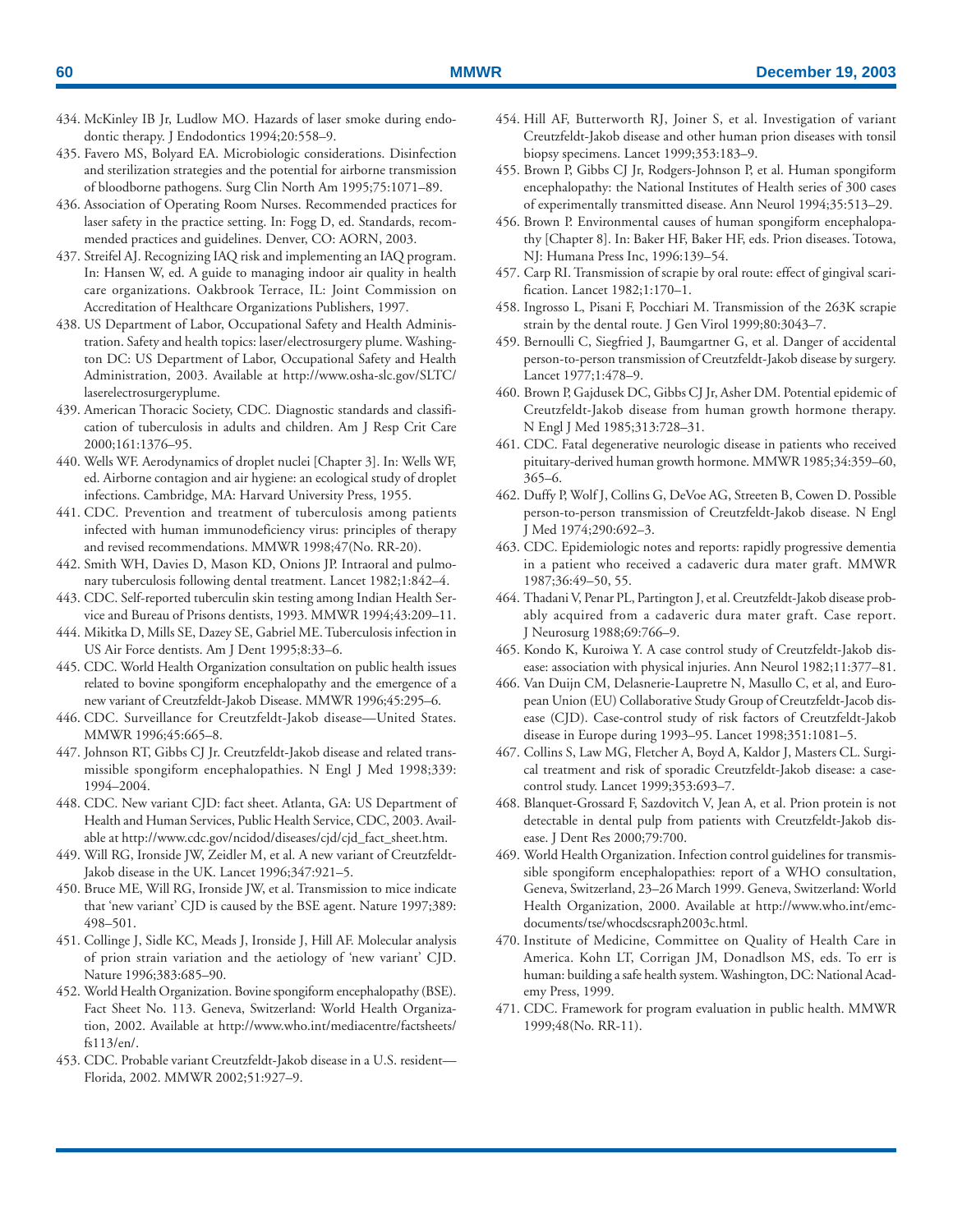- 434. McKinley IB Jr, Ludlow MO. Hazards of laser smoke during endodontic therapy. J Endodontics 1994;20:558–9.
- 435. Favero MS, Bolyard EA. Microbiologic considerations. Disinfection and sterilization strategies and the potential for airborne transmission of bloodborne pathogens. Surg Clin North Am 1995;75:1071–89.
- 436. Association of Operating Room Nurses. Recommended practices for laser safety in the practice setting. In: Fogg D, ed. Standards, recommended practices and guidelines. Denver, CO: AORN, 2003.
- 437. Streifel AJ. Recognizing IAQ risk and implementing an IAQ program. In: Hansen W, ed. A guide to managing indoor air quality in health care organizations. Oakbrook Terrace, IL: Joint Commission on Accreditation of Healthcare Organizations Publishers, 1997.
- 438. US Department of Labor, Occupational Safety and Health Administration. Safety and health topics: laser/electrosurgery plume. Washington DC: US Department of Labor, Occupational Safety and Health Administration, 2003. Available at http://www.osha-slc.gov/SLTC/ laserelectrosurgeryplume.
- 439. American Thoracic Society, CDC. Diagnostic standards and classification of tuberculosis in adults and children. Am J Resp Crit Care 2000;161:1376–95.
- 440. Wells WF. Aerodynamics of droplet nuclei [Chapter 3]. In: Wells WF, ed. Airborne contagion and air hygiene: an ecological study of droplet infections. Cambridge, MA: Harvard University Press, 1955.
- 441. CDC. Prevention and treatment of tuberculosis among patients infected with human immunodeficiency virus: principles of therapy and revised recommendations. MMWR 1998;47(No. RR-20).
- 442. Smith WH, Davies D, Mason KD, Onions JP. Intraoral and pulmonary tuberculosis following dental treatment. Lancet 1982;1:842–4.
- 443. CDC. Self-reported tuberculin skin testing among Indian Health Service and Bureau of Prisons dentists, 1993. MMWR 1994;43:209–11.
- 444. Mikitka D, Mills SE, Dazey SE, Gabriel ME. Tuberculosis infection in US Air Force dentists. Am J Dent 1995;8:33–6.
- 445. CDC. World Health Organization consultation on public health issues related to bovine spongiform encephalopathy and the emergence of a new variant of Creutzfeldt-Jakob Disease. MMWR 1996;45:295–6.
- 446. CDC. Surveillance for Creutzfeldt-Jakob disease—United States. MMWR 1996;45:665–8.
- 447. Johnson RT, Gibbs CJ Jr. Creutzfeldt-Jakob disease and related transmissible spongiform encephalopathies. N Engl J Med 1998;339: 1994–2004.
- 448. CDC. New variant CJD: fact sheet. Atlanta, GA: US Department of Health and Human Services, Public Health Service, CDC, 2003. Available at http://www.cdc.gov/ncidod/diseases/cjd/cjd\_fact\_sheet.htm.
- 449. Will RG, Ironside JW, Zeidler M, et al. A new variant of Creutzfeldt-Jakob disease in the UK. Lancet 1996;347:921–5.
- 450. Bruce ME, Will RG, Ironside JW, et al. Transmission to mice indicate that 'new variant' CJD is caused by the BSE agent. Nature 1997;389: 498–501.
- 451. Collinge J, Sidle KC, Meads J, Ironside J, Hill AF. Molecular analysis of prion strain variation and the aetiology of 'new variant' CJD. Nature 1996;383:685–90.
- 452. World Health Organization. Bovine spongiform encephalopathy (BSE). Fact Sheet No. 113. Geneva, Switzerland: World Health Organization, 2002. Available at http://www.who.int/mediacentre/factsheets/ fs113/en/.
- 453. CDC. Probable variant Creutzfeldt-Jakob disease in a U.S. resident— Florida, 2002. MMWR 2002;51:927–9.
- 454. Hill AF, Butterworth RJ, Joiner S, et al. Investigation of variant Creutzfeldt-Jakob disease and other human prion diseases with tonsil biopsy specimens. Lancet 1999;353:183–9.
- 455. Brown P, Gibbs CJ Jr, Rodgers-Johnson P, et al. Human spongiform encephalopathy: the National Institutes of Health series of 300 cases of experimentally transmitted disease. Ann Neurol 1994;35:513–29.
- 456. Brown P. Environmental causes of human spongiform encephalopathy [Chapter 8]. In: Baker HF, Baker HF, eds. Prion diseases. Totowa, NJ: Humana Press Inc, 1996:139–54.
- 457. Carp RI. Transmission of scrapie by oral route: effect of gingival scarification. Lancet 1982;1:170–1.
- 458. Ingrosso L, Pisani F, Pocchiari M. Transmission of the 263K scrapie strain by the dental route. J Gen Virol 1999;80:3043-7.
- 459. Bernoulli C, Siegfried J, Baumgartner G, et al. Danger of accidental person-to-person transmission of Creutzfeldt-Jakob disease by surgery. Lancet 1977;1:478–9.
- 460. Brown P, Gajdusek DC, Gibbs CJ Jr, Asher DM. Potential epidemic of Creutzfeldt-Jakob disease from human growth hormone therapy. N Engl J Med 1985;313:728–31.
- 461. CDC. Fatal degenerative neurologic disease in patients who received pituitary-derived human growth hormone. MMWR 1985;34:359–60, 365–6.
- 462. Duffy P, Wolf J, Collins G, DeVoe AG, Streeten B, Cowen D. Possible person-to-person transmission of Creutzfeldt-Jakob disease. N Engl J Med 1974;290:692–3.
- 463. CDC. Epidemiologic notes and reports: rapidly progressive dementia in a patient who received a cadaveric dura mater graft. MMWR 1987;36:49–50, 55.
- 464. Thadani V, Penar PL, Partington J, et al. Creutzfeldt-Jakob disease probably acquired from a cadaveric dura mater graft. Case report. J Neurosurg 1988;69:766–9.
- 465. Kondo K, Kuroiwa Y. A case control study of Creutzfeldt-Jakob disease: association with physical injuries. Ann Neurol 1982;11:377–81.
- 466. Van Duijn CM, Delasnerie-Laupretre N, Masullo C, et al, and European Union (EU) Collaborative Study Group of Creutzfeldt-Jacob disease (CJD). Case-control study of risk factors of Creutzfeldt-Jakob disease in Europe during 1993–95. Lancet 1998;351:1081–5.
- 467. Collins S, Law MG, Fletcher A, Boyd A, Kaldor J, Masters CL. Surgical treatment and risk of sporadic Creutzfeldt-Jakob disease: a casecontrol study. Lancet 1999;353:693–7.
- 468. Blanquet-Grossard F, Sazdovitch V, Jean A, et al. Prion protein is not detectable in dental pulp from patients with Creutzfeldt-Jakob disease. J Dent Res 2000;79:700.
- 469. World Health Organization. Infection control guidelines for transmissible spongiform encephalopathies: report of a WHO consultation, Geneva, Switzerland, 23–26 March 1999. Geneva, Switzerland: World Health Organization, 2000. Available at http://www.who.int/emcdocuments/tse/whocdscsraph2003c.html.
- 470. Institute of Medicine, Committee on Quality of Health Care in America. Kohn LT, Corrigan JM, Donadlson MS, eds. To err is human: building a safe health system. Washington, DC: National Academy Press, 1999.
- 471. CDC. Framework for program evaluation in public health. MMWR 1999;48(No. RR-11).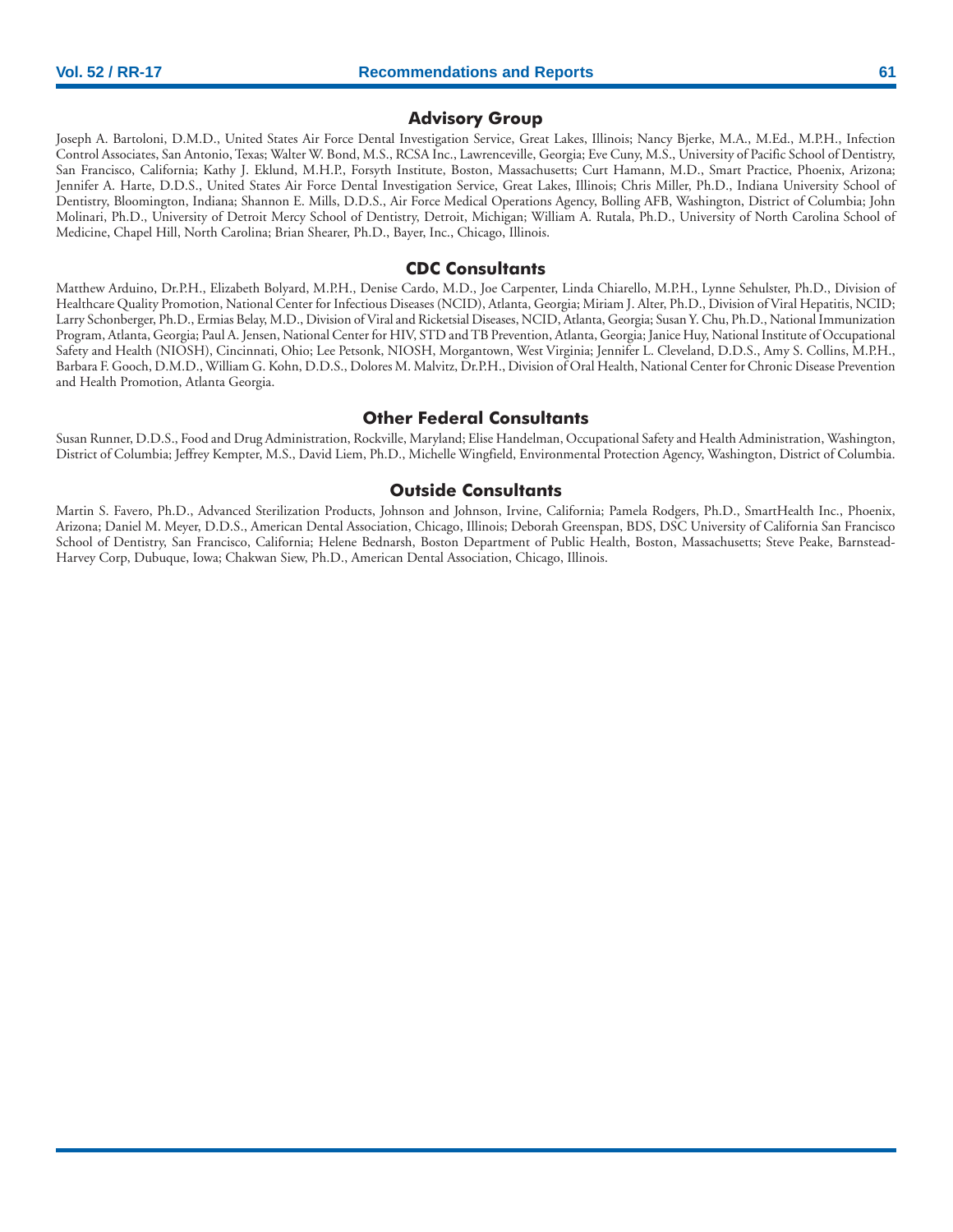#### **Advisory Group**

Joseph A. Bartoloni, D.M.D., United States Air Force Dental Investigation Service, Great Lakes, Illinois; Nancy Bjerke, M.A., M.Ed., M.P.H., Infection Control Associates, San Antonio, Texas; Walter W. Bond, M.S., RCSA Inc., Lawrenceville, Georgia; Eve Cuny, M.S., University of Pacific School of Dentistry, San Francisco, California; Kathy J. Eklund, M.H.P., Forsyth Institute, Boston, Massachusetts; Curt Hamann, M.D., Smart Practice, Phoenix, Arizona; Jennifer A. Harte, D.D.S., United States Air Force Dental Investigation Service, Great Lakes, Illinois; Chris Miller, Ph.D., Indiana University School of Dentistry, Bloomington, Indiana; Shannon E. Mills, D.D.S., Air Force Medical Operations Agency, Bolling AFB, Washington, District of Columbia; John Molinari, Ph.D., University of Detroit Mercy School of Dentistry, Detroit, Michigan; William A. Rutala, Ph.D., University of North Carolina School of Medicine, Chapel Hill, North Carolina; Brian Shearer, Ph.D., Bayer, Inc., Chicago, Illinois.

### **CDC Consultants**

Matthew Arduino, Dr.P.H., Elizabeth Bolyard, M.P.H., Denise Cardo, M.D., Joe Carpenter, Linda Chiarello, M.P.H., Lynne Sehulster, Ph.D., Division of Healthcare Quality Promotion, National Center for Infectious Diseases (NCID), Atlanta, Georgia; Miriam J. Alter, Ph.D., Division of Viral Hepatitis, NCID; Larry Schonberger, Ph.D., Ermias Belay, M.D., Division of Viral and Ricketsial Diseases, NCID, Atlanta, Georgia; Susan Y. Chu, Ph.D., National Immunization Program, Atlanta, Georgia; Paul A. Jensen, National Center for HIV, STD and TB Prevention, Atlanta, Georgia; Janice Huy, National Institute of Occupational Safety and Health (NIOSH), Cincinnati, Ohio; Lee Petsonk, NIOSH, Morgantown, West Virginia; Jennifer L. Cleveland, D.D.S., Amy S. Collins, M.P.H., Barbara F. Gooch, D.M.D., William G. Kohn, D.D.S., Dolores M. Malvitz, Dr.P.H., Division of Oral Health, National Center for Chronic Disease Prevention and Health Promotion, Atlanta Georgia.

#### **Other Federal Consultants**

Susan Runner, D.D.S., Food and Drug Administration, Rockville, Maryland; Elise Handelman, Occupational Safety and Health Administration, Washington, District of Columbia; Jeffrey Kempter, M.S., David Liem, Ph.D., Michelle Wingfield, Environmental Protection Agency, Washington, District of Columbia.

#### **Outside Consultants**

Martin S. Favero, Ph.D., Advanced Sterilization Products, Johnson and Johnson, Irvine, California; Pamela Rodgers, Ph.D., SmartHealth Inc., Phoenix, Arizona; Daniel M. Meyer, D.D.S., American Dental Association, Chicago, Illinois; Deborah Greenspan, BDS, DSC University of California San Francisco School of Dentistry, San Francisco, California; Helene Bednarsh, Boston Department of Public Health, Boston, Massachusetts; Steve Peake, Barnstead-Harvey Corp, Dubuque, Iowa; Chakwan Siew, Ph.D., American Dental Association, Chicago, Illinois.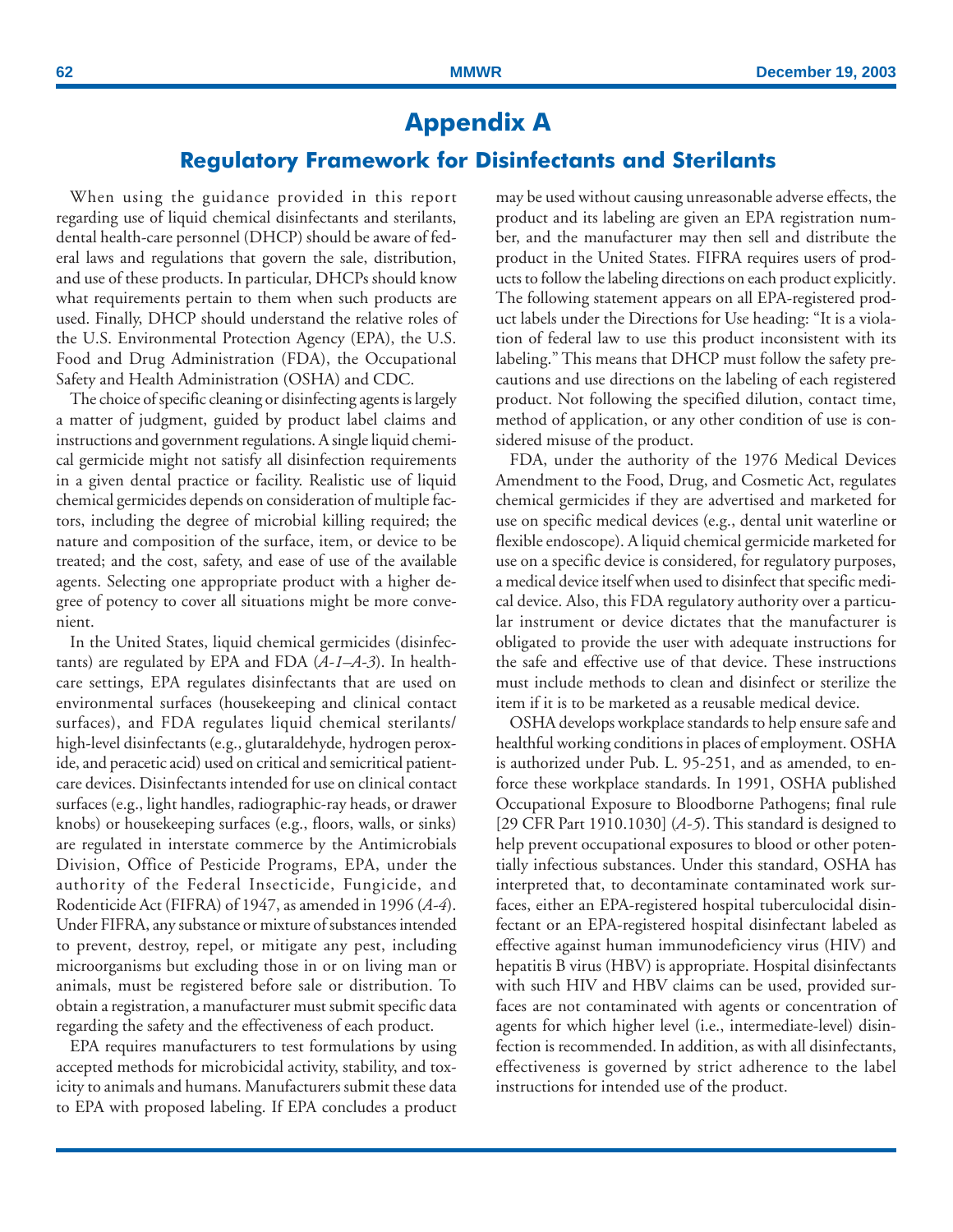# **Appendix A**

# **Regulatory Framework for Disinfectants and Sterilants**

When using the guidance provided in this report regarding use of liquid chemical disinfectants and sterilants, dental health-care personnel (DHCP) should be aware of federal laws and regulations that govern the sale, distribution, and use of these products. In particular, DHCPs should know what requirements pertain to them when such products are used. Finally, DHCP should understand the relative roles of the U.S. Environmental Protection Agency (EPA), the U.S. Food and Drug Administration (FDA), the Occupational Safety and Health Administration (OSHA) and CDC.

The choice of specific cleaning or disinfecting agents is largely a matter of judgment, guided by product label claims and instructions and government regulations. A single liquid chemical germicide might not satisfy all disinfection requirements in a given dental practice or facility. Realistic use of liquid chemical germicides depends on consideration of multiple factors, including the degree of microbial killing required; the nature and composition of the surface, item, or device to be treated; and the cost, safety, and ease of use of the available agents. Selecting one appropriate product with a higher degree of potency to cover all situations might be more convenient.

In the United States, liquid chemical germicides (disinfectants) are regulated by EPA and FDA (*A-1–A-3*). In healthcare settings, EPA regulates disinfectants that are used on environmental surfaces (housekeeping and clinical contact surfaces), and FDA regulates liquid chemical sterilants/ high-level disinfectants (e.g., glutaraldehyde, hydrogen peroxide, and peracetic acid) used on critical and semicritical patientcare devices. Disinfectants intended for use on clinical contact surfaces (e.g., light handles, radiographic-ray heads, or drawer knobs) or housekeeping surfaces (e.g., floors, walls, or sinks) are regulated in interstate commerce by the Antimicrobials Division, Office of Pesticide Programs, EPA, under the authority of the Federal Insecticide, Fungicide, and Rodenticide Act (FIFRA) of 1947, as amended in 1996 (*A-4*). Under FIFRA, any substance or mixture of substances intended to prevent, destroy, repel, or mitigate any pest, including microorganisms but excluding those in or on living man or animals, must be registered before sale or distribution. To obtain a registration, a manufacturer must submit specific data regarding the safety and the effectiveness of each product.

EPA requires manufacturers to test formulations by using accepted methods for microbicidal activity, stability, and toxicity to animals and humans. Manufacturers submit these data to EPA with proposed labeling. If EPA concludes a product may be used without causing unreasonable adverse effects, the product and its labeling are given an EPA registration number, and the manufacturer may then sell and distribute the product in the United States. FIFRA requires users of products to follow the labeling directions on each product explicitly. The following statement appears on all EPA-registered product labels under the Directions for Use heading: "It is a violation of federal law to use this product inconsistent with its labeling." This means that DHCP must follow the safety precautions and use directions on the labeling of each registered product. Not following the specified dilution, contact time, method of application, or any other condition of use is considered misuse of the product.

FDA, under the authority of the 1976 Medical Devices Amendment to the Food, Drug, and Cosmetic Act, regulates chemical germicides if they are advertised and marketed for use on specific medical devices (e.g., dental unit waterline or flexible endoscope). A liquid chemical germicide marketed for use on a specific device is considered, for regulatory purposes, a medical device itself when used to disinfect that specific medical device. Also, this FDA regulatory authority over a particular instrument or device dictates that the manufacturer is obligated to provide the user with adequate instructions for the safe and effective use of that device. These instructions must include methods to clean and disinfect or sterilize the item if it is to be marketed as a reusable medical device.

OSHA develops workplace standards to help ensure safe and healthful working conditions in places of employment. OSHA is authorized under Pub. L. 95-251, and as amended, to enforce these workplace standards. In 1991, OSHA published Occupational Exposure to Bloodborne Pathogens; final rule [29 CFR Part 1910.1030] (*A-5*). This standard is designed to help prevent occupational exposures to blood or other potentially infectious substances. Under this standard, OSHA has interpreted that, to decontaminate contaminated work surfaces, either an EPA-registered hospital tuberculocidal disinfectant or an EPA-registered hospital disinfectant labeled as effective against human immunodeficiency virus (HIV) and hepatitis B virus (HBV) is appropriate. Hospital disinfectants with such HIV and HBV claims can be used, provided surfaces are not contaminated with agents or concentration of agents for which higher level (i.e., intermediate-level) disinfection is recommended. In addition, as with all disinfectants, effectiveness is governed by strict adherence to the label instructions for intended use of the product.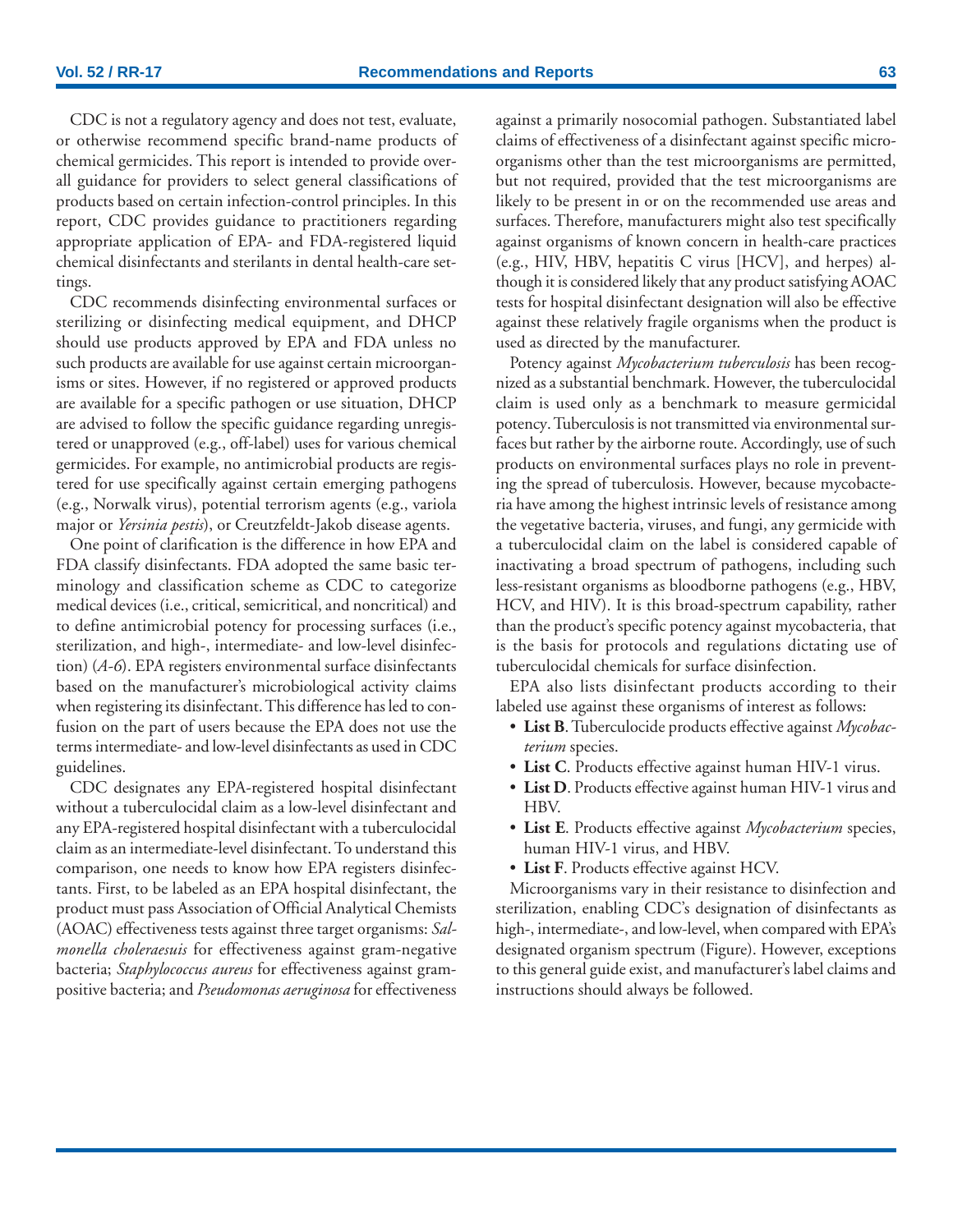CDC is not a regulatory agency and does not test, evaluate, or otherwise recommend specific brand-name products of chemical germicides. This report is intended to provide overall guidance for providers to select general classifications of products based on certain infection-control principles. In this report, CDC provides guidance to practitioners regarding appropriate application of EPA- and FDA-registered liquid chemical disinfectants and sterilants in dental health-care settings.

CDC recommends disinfecting environmental surfaces or sterilizing or disinfecting medical equipment, and DHCP should use products approved by EPA and FDA unless no such products are available for use against certain microorganisms or sites. However, if no registered or approved products are available for a specific pathogen or use situation, DHCP are advised to follow the specific guidance regarding unregistered or unapproved (e.g., off-label) uses for various chemical germicides. For example, no antimicrobial products are registered for use specifically against certain emerging pathogens (e.g., Norwalk virus), potential terrorism agents (e.g., variola major or *Yersinia pestis*), or Creutzfeldt-Jakob disease agents.

One point of clarification is the difference in how EPA and FDA classify disinfectants. FDA adopted the same basic terminology and classification scheme as CDC to categorize medical devices (i.e., critical, semicritical, and noncritical) and to define antimicrobial potency for processing surfaces (i.e., sterilization, and high-, intermediate- and low-level disinfection) (*A-6*). EPA registers environmental surface disinfectants based on the manufacturer's microbiological activity claims when registering its disinfectant. This difference has led to confusion on the part of users because the EPA does not use the terms intermediate- and low-level disinfectants as used in CDC guidelines.

CDC designates any EPA-registered hospital disinfectant without a tuberculocidal claim as a low-level disinfectant and any EPA-registered hospital disinfectant with a tuberculocidal claim as an intermediate-level disinfectant. To understand this comparison, one needs to know how EPA registers disinfectants. First, to be labeled as an EPA hospital disinfectant, the product must pass Association of Official Analytical Chemists (AOAC) effectiveness tests against three target organisms: *Salmonella choleraesuis* for effectiveness against gram-negative bacteria; *Staphylococcus aureus* for effectiveness against grampositive bacteria; and *Pseudomonas aeruginosa* for effectiveness against a primarily nosocomial pathogen. Substantiated label claims of effectiveness of a disinfectant against specific microorganisms other than the test microorganisms are permitted, but not required, provided that the test microorganisms are likely to be present in or on the recommended use areas and surfaces. Therefore, manufacturers might also test specifically against organisms of known concern in health-care practices (e.g., HIV, HBV, hepatitis C virus [HCV], and herpes) although it is considered likely that any product satisfying AOAC tests for hospital disinfectant designation will also be effective against these relatively fragile organisms when the product is used as directed by the manufacturer.

Potency against *Mycobacterium tuberculosis* has been recognized as a substantial benchmark. However, the tuberculocidal claim is used only as a benchmark to measure germicidal potency. Tuberculosis is not transmitted via environmental surfaces but rather by the airborne route. Accordingly, use of such products on environmental surfaces plays no role in preventing the spread of tuberculosis. However, because mycobacteria have among the highest intrinsic levels of resistance among the vegetative bacteria, viruses, and fungi, any germicide with a tuberculocidal claim on the label is considered capable of inactivating a broad spectrum of pathogens, including such less-resistant organisms as bloodborne pathogens (e.g., HBV, HCV, and HIV). It is this broad-spectrum capability, rather than the product's specific potency against mycobacteria, that is the basis for protocols and regulations dictating use of tuberculocidal chemicals for surface disinfection.

EPA also lists disinfectant products according to their labeled use against these organisms of interest as follows:

- **List B**. Tuberculocide products effective against *Mycobacterium* species.
- **List C**. Products effective against human HIV-1 virus.
- **List D**. Products effective against human HIV-1 virus and HBV.
- **List E**. Products effective against *Mycobacterium* species, human HIV-1 virus, and HBV.
- **List F**. Products effective against HCV.

Microorganisms vary in their resistance to disinfection and sterilization, enabling CDC's designation of disinfectants as high-, intermediate-, and low-level, when compared with EPA's designated organism spectrum (Figure). However, exceptions to this general guide exist, and manufacturer's label claims and instructions should always be followed.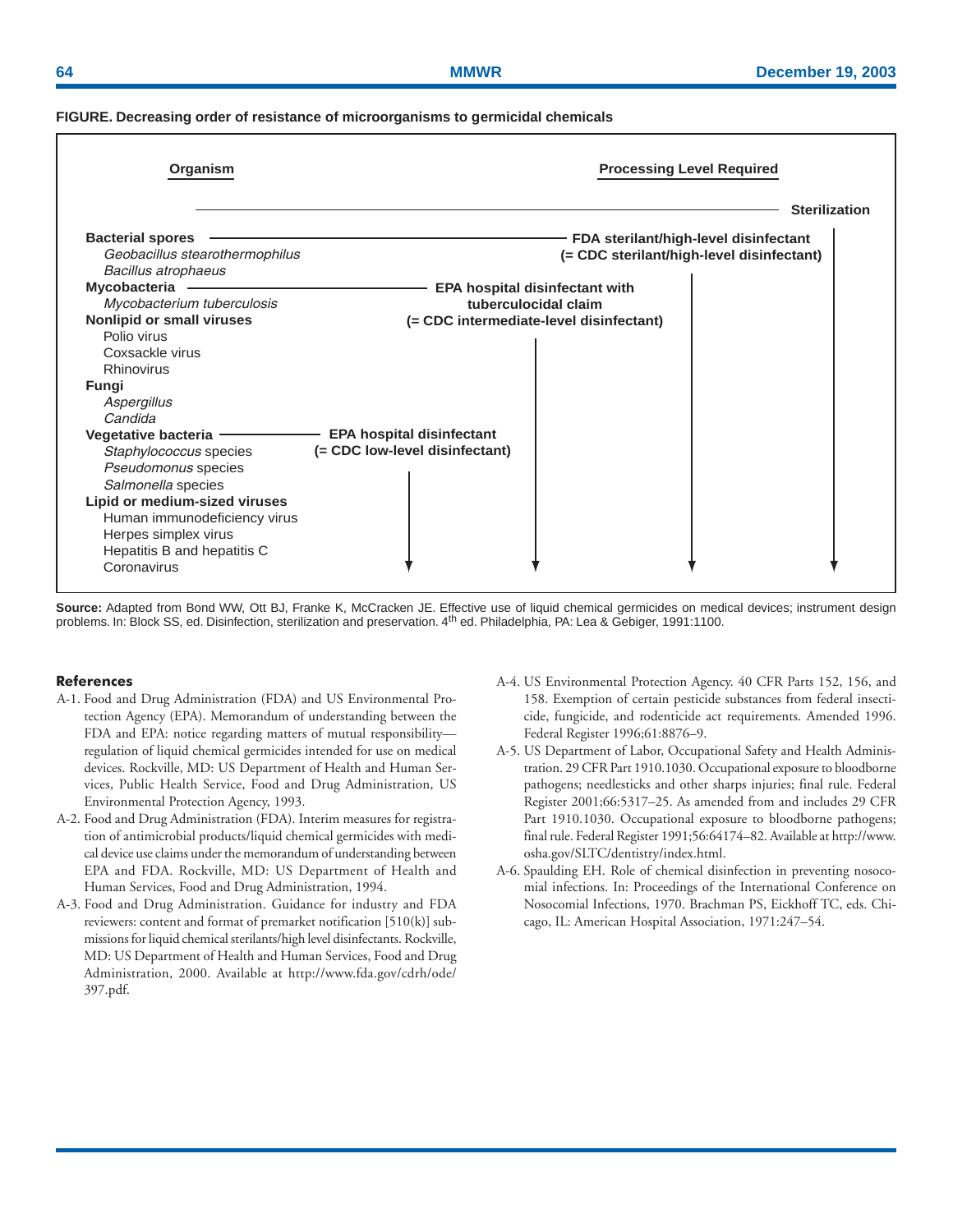#### **FIGURE. Decreasing order of resistance of microorganisms to germicidal chemicals**



Source: Adapted from Bond WW, Ott BJ, Franke K, McCracken JE. Effective use of liquid chemical germicides on medical devices; instrument design problems. In: Block SS, ed. Disinfection, sterilization and preservation. 4<sup>th</sup> ed. Philadelphia, PA: Lea & Gebiger, 1991:1100.

#### **References**

- A-1. Food and Drug Administration (FDA) and US Environmental Protection Agency (EPA). Memorandum of understanding between the FDA and EPA: notice regarding matters of mutual responsibility regulation of liquid chemical germicides intended for use on medical devices. Rockville, MD: US Department of Health and Human Services, Public Health Service, Food and Drug Administration, US Environmental Protection Agency, 1993.
- A-2. Food and Drug Administration (FDA). Interim measures for registration of antimicrobial products/liquid chemical germicides with medical device use claims under the memorandum of understanding between EPA and FDA. Rockville, MD: US Department of Health and Human Services, Food and Drug Administration, 1994.
- A-3. Food and Drug Administration. Guidance for industry and FDA reviewers: content and format of premarket notification [510(k)] submissions for liquid chemical sterilants/high level disinfectants. Rockville, MD: US Department of Health and Human Services, Food and Drug Administration, 2000. Available at http://www.fda.gov/cdrh/ode/ 397.pdf.
- A-4. US Environmental Protection Agency. 40 CFR Parts 152, 156, and 158. Exemption of certain pesticide substances from federal insecticide, fungicide, and rodenticide act requirements. Amended 1996. Federal Register 1996;61:8876–9.
- A-5. US Department of Labor, Occupational Safety and Health Administration. 29 CFR Part 1910.1030. Occupational exposure to bloodborne pathogens; needlesticks and other sharps injuries; final rule. Federal Register 2001;66:5317–25. As amended from and includes 29 CFR Part 1910.1030. Occupational exposure to bloodborne pathogens; final rule. Federal Register 1991;56:64174–82. Available at http://www. osha.gov/SLTC/dentistry/index.html.
- A-6. Spaulding EH. Role of chemical disinfection in preventing nosocomial infections. In: Proceedings of the International Conference on Nosocomial Infections, 1970. Brachman PS, Eickhoff TC, eds. Chicago, IL: American Hospital Association, 1971:247–54.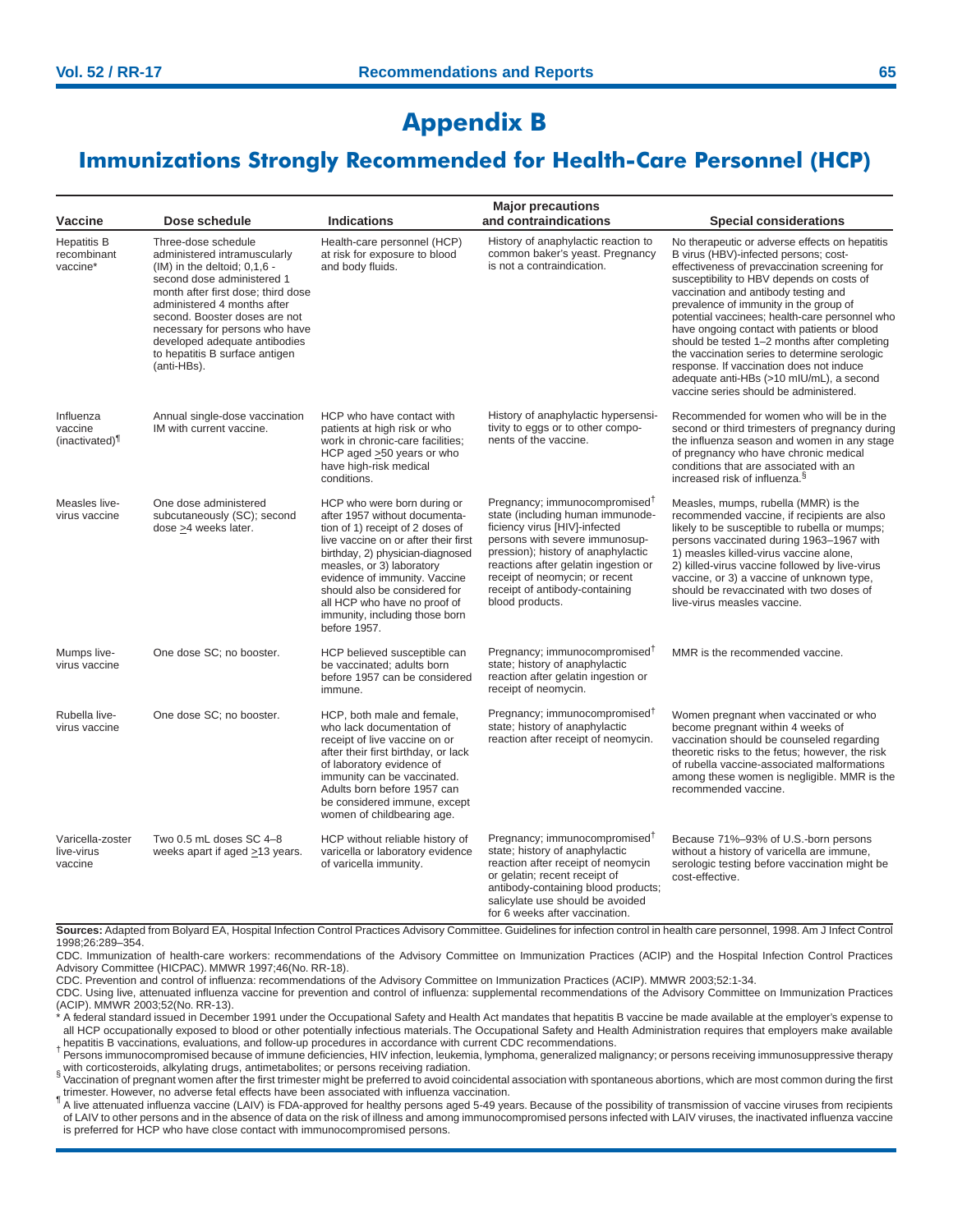# **Appendix B**

# **Immunizations Strongly Recommended for Health-Care Personnel (HCP)**

|                                               |                                                                                                                                                                                                                                                                                                                                                 | <b>Major precautions</b>                                                                                                                                                                                                                                                                                                                                      |                                                                                                                                                                                                                                                                                                              |                                                                                                                                                                                                                                                                                                                                                                                                                                                                                                                                                                                                             |  |
|-----------------------------------------------|-------------------------------------------------------------------------------------------------------------------------------------------------------------------------------------------------------------------------------------------------------------------------------------------------------------------------------------------------|---------------------------------------------------------------------------------------------------------------------------------------------------------------------------------------------------------------------------------------------------------------------------------------------------------------------------------------------------------------|--------------------------------------------------------------------------------------------------------------------------------------------------------------------------------------------------------------------------------------------------------------------------------------------------------------|-------------------------------------------------------------------------------------------------------------------------------------------------------------------------------------------------------------------------------------------------------------------------------------------------------------------------------------------------------------------------------------------------------------------------------------------------------------------------------------------------------------------------------------------------------------------------------------------------------------|--|
| Vaccine                                       | Dose schedule                                                                                                                                                                                                                                                                                                                                   | <b>Indications</b>                                                                                                                                                                                                                                                                                                                                            | and contraindications                                                                                                                                                                                                                                                                                        | <b>Special considerations</b>                                                                                                                                                                                                                                                                                                                                                                                                                                                                                                                                                                               |  |
| <b>Hepatitis B</b><br>recombinant<br>vaccine* | Three-dose schedule<br>administered intramuscularly<br>$(IM)$ in the deltoid; $0.1.6$ -<br>second dose administered 1<br>month after first dose; third dose<br>administered 4 months after<br>second. Booster doses are not<br>necessary for persons who have<br>developed adequate antibodies<br>to hepatitis B surface antigen<br>(anti-HBs). | Health-care personnel (HCP)<br>at risk for exposure to blood<br>and body fluids.                                                                                                                                                                                                                                                                              | History of anaphylactic reaction to<br>common baker's yeast. Pregnancy<br>is not a contraindication.                                                                                                                                                                                                         | No therapeutic or adverse effects on hepatitis<br>B virus (HBV)-infected persons; cost-<br>effectiveness of prevaccination screening for<br>susceptibility to HBV depends on costs of<br>vaccination and antibody testing and<br>prevalence of immunity in the group of<br>potential vaccinees; health-care personnel who<br>have ongoing contact with patients or blood<br>should be tested 1-2 months after completing<br>the vaccination series to determine serologic<br>response. If vaccination does not induce<br>adequate anti-HBs (>10 mIU/mL), a second<br>vaccine series should be administered. |  |
| Influenza<br>vaccine<br>(inactivated)         | Annual single-dose vaccination<br>IM with current vaccine.                                                                                                                                                                                                                                                                                      | HCP who have contact with<br>patients at high risk or who<br>work in chronic-care facilities;<br>HCP aged $\geq 50$ years or who<br>have high-risk medical<br>conditions.                                                                                                                                                                                     | History of anaphylactic hypersensi-<br>tivity to eggs or to other compo-<br>nents of the vaccine.                                                                                                                                                                                                            | Recommended for women who will be in the<br>second or third trimesters of pregnancy during<br>the influenza season and women in any stage<br>of pregnancy who have chronic medical<br>conditions that are associated with an<br>increased risk of influenza. <sup>§</sup>                                                                                                                                                                                                                                                                                                                                   |  |
| Measles live-<br>virus vaccine                | One dose administered<br>subcutaneously (SC); second<br>dose ≥4 weeks later.                                                                                                                                                                                                                                                                    | HCP who were born during or<br>after 1957 without documenta-<br>tion of 1) receipt of 2 doses of<br>live vaccine on or after their first<br>birthday, 2) physician-diagnosed<br>measles, or 3) laboratory<br>evidence of immunity. Vaccine<br>should also be considered for<br>all HCP who have no proof of<br>immunity, including those born<br>before 1957. | Pregnancy; immunocompromised $T$<br>state (including human immunode-<br>ficiency virus [HIV]-infected<br>persons with severe immunosup-<br>pression); history of anaphylactic<br>reactions after gelatin ingestion or<br>receipt of neomycin; or recent<br>receipt of antibody-containing<br>blood products. | Measles, mumps, rubella (MMR) is the<br>recommended vaccine, if recipients are also<br>likely to be susceptible to rubella or mumps;<br>persons vaccinated during 1963-1967 with<br>1) measles killed-virus vaccine alone,<br>2) killed-virus vaccine followed by live-virus<br>vaccine, or 3) a vaccine of unknown type,<br>should be revaccinated with two doses of<br>live-virus measles vaccine.                                                                                                                                                                                                        |  |
| Mumps live-<br>virus vaccine                  | One dose SC; no booster.                                                                                                                                                                                                                                                                                                                        | HCP believed susceptible can<br>be vaccinated; adults born<br>before 1957 can be considered<br>immune.                                                                                                                                                                                                                                                        | Pregnancy; immunocompromised <sup>†</sup><br>state; history of anaphylactic<br>reaction after gelatin ingestion or<br>receipt of neomycin.                                                                                                                                                                   | MMR is the recommended vaccine.                                                                                                                                                                                                                                                                                                                                                                                                                                                                                                                                                                             |  |
| Rubella live-<br>virus vaccine                | One dose SC; no booster.                                                                                                                                                                                                                                                                                                                        | HCP, both male and female,<br>who lack documentation of<br>receipt of live vaccine on or<br>after their first birthday, or lack<br>of laboratory evidence of<br>immunity can be vaccinated.<br>Adults born before 1957 can<br>be considered immune, except<br>women of childbearing age.                                                                      | Pregnancy; immunocompromised <sup>†</sup><br>state; history of anaphylactic<br>reaction after receipt of neomycin.                                                                                                                                                                                           | Women pregnant when vaccinated or who<br>become pregnant within 4 weeks of<br>vaccination should be counseled regarding<br>theoretic risks to the fetus; however, the risk<br>of rubella vaccine-associated malformations<br>among these women is negligible. MMR is the<br>recommended vaccine.                                                                                                                                                                                                                                                                                                            |  |
| Varicella-zoster<br>live-virus<br>vaccine     | Two 0.5 mL doses SC 4-8<br>weeks apart if aged $\geq$ 13 years.                                                                                                                                                                                                                                                                                 | HCP without reliable history of<br>varicella or laboratory evidence<br>of varicella immunity.                                                                                                                                                                                                                                                                 | Pregnancy; immunocompromised <sup>T</sup><br>state; history of anaphylactic<br>reaction after receipt of neomycin<br>or gelatin; recent receipt of<br>antibody-containing blood products;<br>salicylate use should be avoided<br>for 6 weeks after vaccination.                                              | Because 71%-93% of U.S.-born persons<br>without a history of varicella are immune,<br>serologic testing before vaccination might be<br>cost-effective.                                                                                                                                                                                                                                                                                                                                                                                                                                                      |  |

**Sources:** Adapted from Bolyard EA, Hospital Infection Control Practices Advisory Committee. Guidelines for infection control in health care personnel, 1998. Am J Infect Control 1998;26:289–354.

CDC. Immunization of health-care workers: recommendations of the Advisory Committee on Immunization Practices (ACIP) and the Hospital Infection Control Practices Advisory Committee (HICPAC). MMWR 1997;46(No. RR-18).

CDC. Prevention and control of influenza: recommendations of the Advisory Committee on Immunization Practices (ACIP). MMWR 2003;52:1-34.

CDC. Using live, attenuated influenza vaccine for prevention and control of influenza: supplemental recommendations of the Advisory Committee on Immunization Practices (ACIP). MMWR 2003;52(No. RR-13).

\* A federal standard issued in December 1991 under the Occupational Safety and Health Act mandates that hepatitis B vaccine be made available at the employer's expense to all HCP occupationally exposed to blood or other potentially infectious materials. The Occupational Safety and Health Administration requires that employers make available<br>hepatitis B vaccinations, evaluations, and follow-

t neptation in compromised because of immune deficiencies, HIV infection, leukemia, lymphoma, generalized malignancy; or persons receiving immunosuppressive therapy<br>↓ Persons immunocompromised because of immune deficienci

which concools based any larger any dispersed to present the preferred to avoid coincidental association with spontaneous abortions, which are most common during the first trimester. However, no adverse fetal effects have been associated with influenza vaccination.<br>If A live attenuated influenza vaccine (LAIV) is FDA-approved for healthy persons aged 5-49 years. Because of the possibility of

of LAIV to other persons and in the absence of data on the risk of illness and among immunocompromised persons infected with LAIV viruses, the inactivated influenza vaccine is preferred for HCP who have close contact with immunocompromised persons.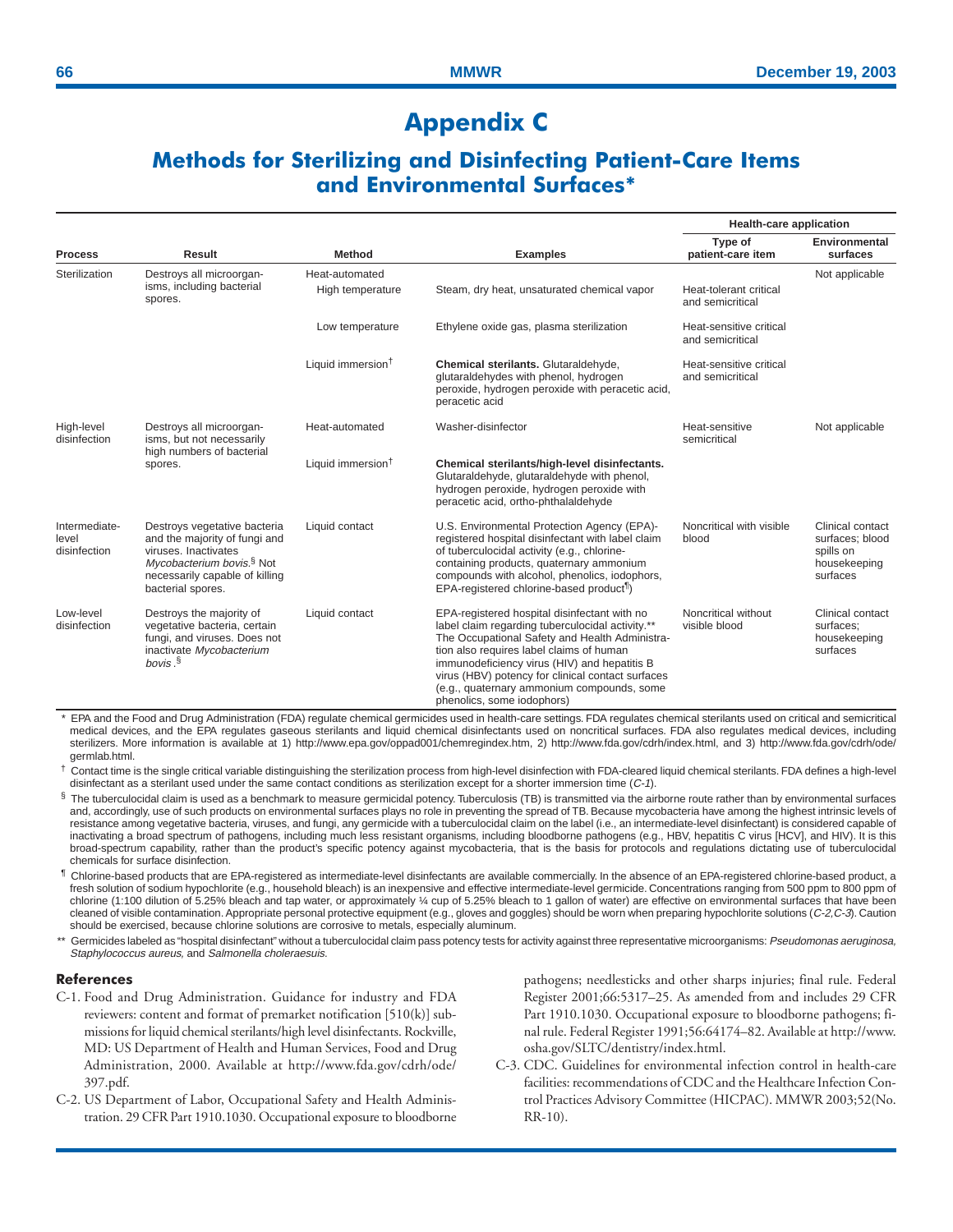# **Appendix C**

# **Methods for Sterilizing and Disinfecting Patient-Care Items and Environmental Surfaces\***

|                                        | Result                                                                                                                                                                                |                                    |                                                                                                                                                                                                                                                                                                                                                                                 | Health-care application                     |                                                                              |
|----------------------------------------|---------------------------------------------------------------------------------------------------------------------------------------------------------------------------------------|------------------------------------|---------------------------------------------------------------------------------------------------------------------------------------------------------------------------------------------------------------------------------------------------------------------------------------------------------------------------------------------------------------------------------|---------------------------------------------|------------------------------------------------------------------------------|
| <b>Process</b>                         |                                                                                                                                                                                       | <b>Method</b>                      | <b>Examples</b>                                                                                                                                                                                                                                                                                                                                                                 | Type of<br>patient-care item                | Environmental<br>surfaces                                                    |
| Sterilization                          | Destroys all microorgan-<br>isms, including bacterial<br>spores.                                                                                                                      | Heat-automated<br>High temperature | Steam, dry heat, unsaturated chemical vapor                                                                                                                                                                                                                                                                                                                                     | Heat-tolerant critical<br>and semicritical  | Not applicable                                                               |
|                                        |                                                                                                                                                                                       | Low temperature                    | Ethylene oxide gas, plasma sterilization                                                                                                                                                                                                                                                                                                                                        | Heat-sensitive critical<br>and semicritical |                                                                              |
|                                        |                                                                                                                                                                                       | Liquid immersion <sup>†</sup>      | Chemical sterilants. Glutaraldehyde,<br>glutaraldehydes with phenol, hydrogen<br>peroxide, hydrogen peroxide with peracetic acid,<br>peracetic acid                                                                                                                                                                                                                             | Heat-sensitive critical<br>and semicritical |                                                                              |
| High-level<br>disinfection             | Destroys all microorgan-<br>isms, but not necessarily<br>high numbers of bacterial                                                                                                    | Heat-automated                     | Washer-disinfector                                                                                                                                                                                                                                                                                                                                                              | Heat-sensitive<br>semicritical              | Not applicable                                                               |
|                                        | spores.                                                                                                                                                                               | Liquid immersion <sup>†</sup>      | Chemical sterilants/high-level disinfectants.<br>Glutaraldehyde, glutaraldehyde with phenol,<br>hydrogen peroxide, hydrogen peroxide with<br>peracetic acid, ortho-phthalaldehyde                                                                                                                                                                                               |                                             |                                                                              |
| Intermediate-<br>level<br>disinfection | Destroys vegetative bacteria<br>and the majority of fungi and<br>viruses. Inactivates<br>Mycobacterium bovis. <sup>§</sup> Not<br>necessarily capable of killing<br>bacterial spores. | Liquid contact                     | U.S. Environmental Protection Agency (EPA)-<br>registered hospital disinfectant with label claim<br>of tuberculocidal activity (e.g., chlorine-<br>containing products, quaternary ammonium<br>compounds with alcohol, phenolics, iodophors,<br>EPA-registered chlorine-based product <sup>1</sup> )                                                                            | Noncritical with visible<br>blood           | Clinical contact<br>surfaces; blood<br>spills on<br>housekeeping<br>surfaces |
| Low-level<br>disinfection              | Destroys the majority of<br>vegetative bacteria, certain<br>fungi, and viruses. Does not<br>inactivate Mycobacterium<br>bovis. <sup>§</sup>                                           | Liquid contact                     | EPA-registered hospital disinfectant with no<br>label claim regarding tuberculocidal activity.**<br>The Occupational Safety and Health Administra-<br>tion also requires label claims of human<br>immunodeficiency virus (HIV) and hepatitis B<br>virus (HBV) potency for clinical contact surfaces<br>(e.g., quaternary ammonium compounds, some<br>phenolics, some iodophors) | Noncritical without<br>visible blood        | Clinical contact<br>surfaces;<br>housekeeping<br>surfaces                    |

\* EPA and the Food and Drug Administration (FDA) regulate chemical germicides used in health-care settings. FDA regulates chemical sterilants used on critical and semicritical medical devices, and the EPA regulates gaseous sterilants and liquid chemical disinfectants used on noncritical surfaces. FDA also regulates medical devices, including sterilizers. More information is available at 1) http://www.epa.gov/oppad001/chemregindex.htm, 2) http://www.fda.gov/cdrh/index.html, and 3) http://www.fda.gov/cdrh/ode/ germlab.html.

† Contact time is the single critical variable distinguishing the sterilization process from high-level disinfection with FDA-cleared liquid chemical sterilants. FDA defines a high-level disinfectant as a sterilant used under the same contact conditions as sterilization except for a shorter immersion time  $(C-1)$ .

- § The tuberculocidal claim is used as a benchmark to measure germicidal potency. Tuberculosis (TB) is transmitted via the airborne route rather than by environmental surfaces and, accordingly, use of such products on environmental surfaces plays no role in preventing the spread of TB. Because mycobacteria have among the highest intrinsic levels of resistance among vegetative bacteria, viruses, and fungi, any germicide with a tuberculocidal claim on the label (i.e., an intermediate-level disinfectant) is considered capable of inactivating a broad spectrum of pathogens, including much less resistant organisms, including bloodborne pathogens (e.g., HBV, hepatitis C virus [HCV], and HIV). It is this broad-spectrum capability, rather than the product's specific potency against mycobacteria, that is the basis for protocols and regulations dictating use of tuberculocidal chemicals for surface disinfection.
- ¶ Chlorine-based products that are EPA-registered as intermediate-level disinfectants are available commercially. In the absence of an EPA-registered chlorine-based product, a fresh solution of sodium hypochlorite (e.g., household bleach) is an inexpensive and effective intermediate-level germicide. Concentrations ranging from 500 ppm to 800 ppm of chlorine (1:100 dilution of 5.25% bleach and tap water, or approximately ¼ cup of 5.25% bleach to 1 gallon of water) are effective on environmental surfaces that have been cleaned of visible contamination. Appropriate personal protective equipment (e.g., gloves and goggles) should be worn when preparing hypochlorite solutions (C-2,C-3). Caution should be exercised, because chlorine solutions are corrosive to metals, especially aluminum.
- Germicides labeled as "hospital disinfectant" without a tuberculocidal claim pass potency tests for activity against three representative microorganisms: Pseudomonas aeruginosa, Staphylococcus aureus, and Salmonella choleraesuis.

#### **References**

- C-1. Food and Drug Administration. Guidance for industry and FDA reviewers: content and format of premarket notification [510(k)] submissions for liquid chemical sterilants/high level disinfectants. Rockville, MD: US Department of Health and Human Services, Food and Drug Administration, 2000. Available at http://www.fda.gov/cdrh/ode/ 397.pdf.
- C-2. US Department of Labor, Occupational Safety and Health Administration. 29 CFR Part 1910.1030. Occupational exposure to bloodborne

pathogens; needlesticks and other sharps injuries; final rule. Federal Register 2001;66:5317–25. As amended from and includes 29 CFR Part 1910.1030. Occupational exposure to bloodborne pathogens; final rule. Federal Register 1991;56:64174–82. Available at http://www. osha.gov/SLTC/dentistry/index.html.

C-3. CDC. Guidelines for environmental infection control in health-care facilities: recommendations of CDC and the Healthcare Infection Control Practices Advisory Committee (HICPAC). MMWR 2003;52(No. RR-10).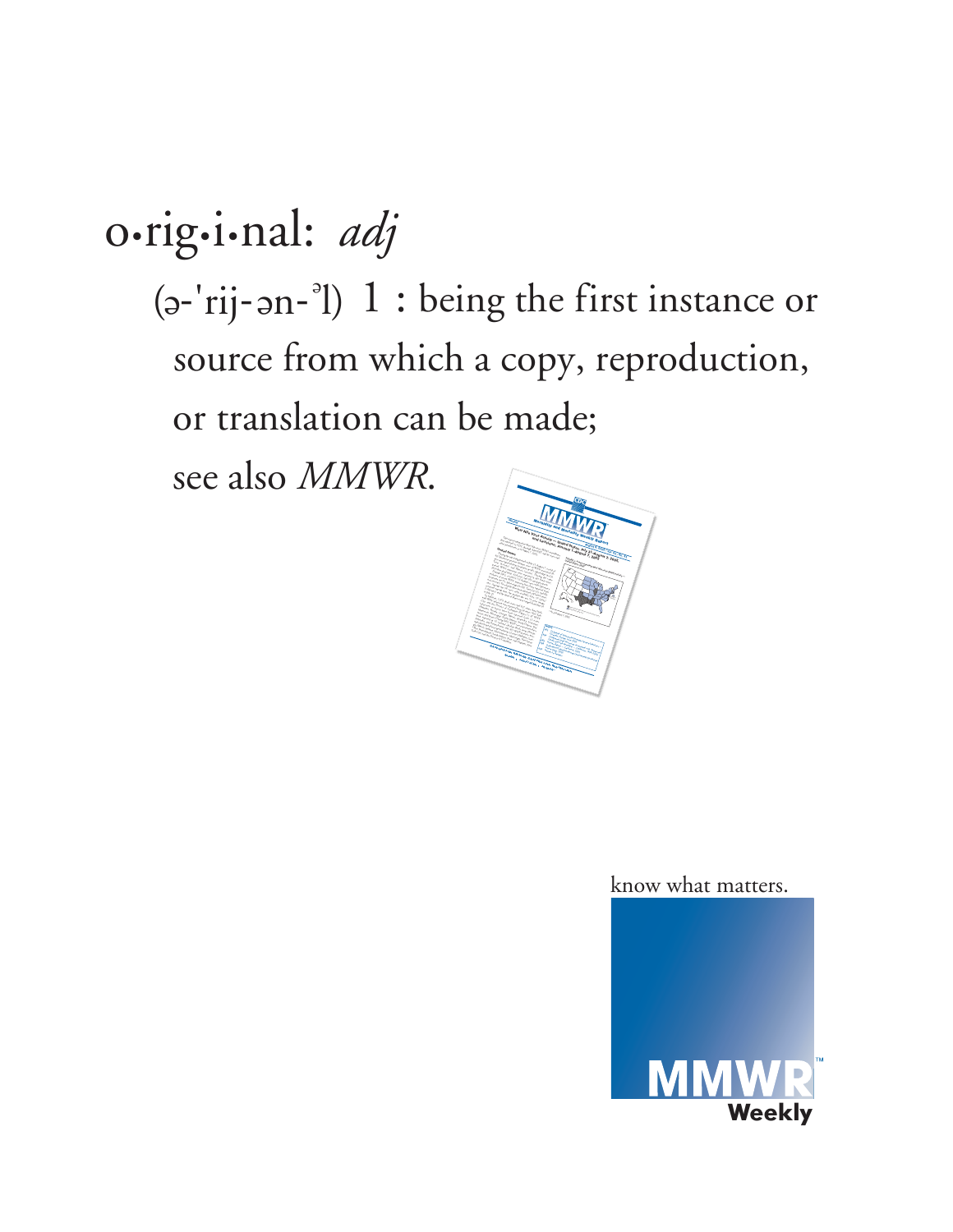o•rig•i•nal: *adj*  $(\triangleright -$ 'rij- $\triangleright -$ <sup>3</sup>l) 1 : being the first instance or source from which a copy, reproduction, or translation can be made; see also *MMWR*.



know what matters.